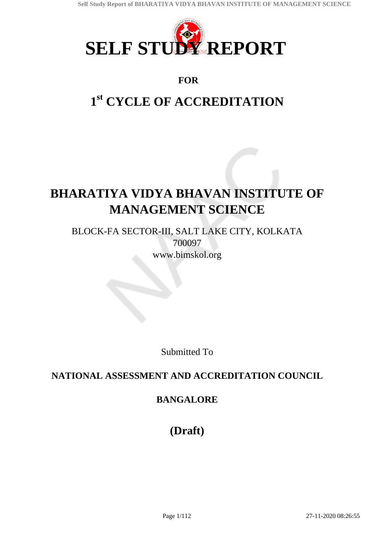

## **FOR**

# **1 st CYCLE OF ACCREDITATION**

# **BHARATIYA VIDYA BHAVAN INSTITUTE OF MANAGEMENT SCIENCE**

BLOCK-FA SECTOR-III, SALT LAKE CITY, KOLKATA 700097 www.bimskol.org

Submitted To

## **NATIONAL ASSESSMENT AND ACCREDITATION COUNCIL**

## **BANGALORE**

**(Draft)**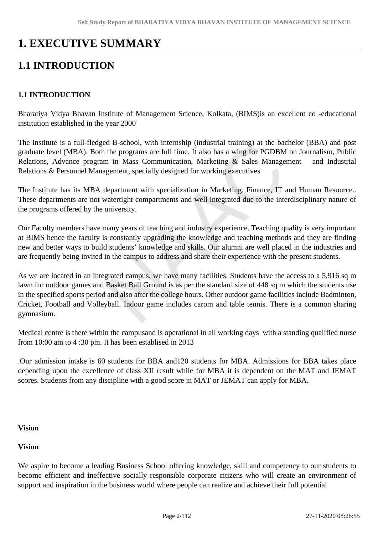# **1. EXECUTIVE SUMMARY**

## **1.1 INTRODUCTION**

#### **1.1 INTRODUCTION**

Bharatiya Vidya Bhavan Institute of Management Science, Kolkata, (BIMS)is an excellent co -educational institution established in the year 2000

The institute is a full-fledged B-school, with internship (industrial training) at the bachelor (BBA) and post graduate level (MBA). Both the programs are full time. It also has a wing for PGDBM on Journalism, Public Relations, Advance program in Mass Communication, Marketing & Sales Management and Industrial Relations & Personnel Management, specially designed for working executives

The Institute has its MBA department with specialization in Marketing, Finance, IT and Human Resource.. These departments are not watertight compartments and well integrated due to the interdisciplinary nature of the programs offered by the university.

Our Faculty members have many years of teaching and industry experience. Teaching quality is very important at BIMS hence the faculty is constantly upgrading the knowledge and teaching methods and they are finding new and better ways to build students' knowledge and skills. Our alumni are well placed in the industries and are frequently being invited in the campus to address and share their experience with the present students.

As we are located in an integrated campus, we have many facilities. Students have the access to a 5,916 sq m lawn for outdoor games and Basket Ball Ground is as per the standard size of 448 sq m which the students use in the specified sports period and also after the college hours. Other outdoor game facilities include Badminton, Cricket, Football and Volleyball. Indoor game includes carom and table tennis. There is a common sharing gymnasium.

Medical centre is there within the campusand is operational in all working days with a standing qualified nurse from 10:00 am to 4 :30 pm. It has been establised in 2013

.Our admission intake is 60 students for BBA and120 students for MBA. Admissions for BBA takes place depending upon the excellence of class XII result while for MBA it is dependent on the MAT and JEMAT scores. Students from any discipline with a good score in MAT or JEMAT can apply for MBA.

#### **Vision**

#### **Vision**

We aspire to become a leading Business School offering knowledge, skill and competency to our students to become efficient and **in**effective socially responsible corporate citizens who will create an environment of support and inspiration in the business world where people can realize and achieve their full potential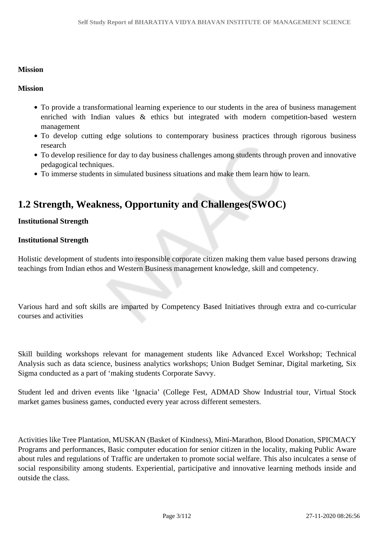#### **Mission**

#### **Mission**

- To provide a transformational learning experience to our students in the area of business management enriched with Indian values & ethics but integrated with modern competition-based western management
- To develop cutting edge solutions to contemporary business practices through rigorous business research
- To develop resilience for day to day business challenges among students through proven and innovative pedagogical techniques.
- To immerse students in simulated business situations and make them learn how to learn.

## **1.2 Strength, Weakness, Opportunity and Challenges(SWOC)**

#### **Institutional Strength**

#### **Institutional Strength**

Holistic development of students into responsible corporate citizen making them value based persons drawing teachings from Indian ethos and Western Business management knowledge, skill and competency.

Various hard and soft skills are imparted by Competency Based Initiatives through extra and co-curricular courses and activities

Skill building workshops relevant for management students like Advanced Excel Workshop; Technical Analysis such as data science, business analytics workshops; Union Budget Seminar, Digital marketing, Six Sigma conducted as a part of 'making students Corporate Savvy.

Student led and driven events like 'Ignacia' (College Fest, ADMAD Show Industrial tour, Virtual Stock market games business games, conducted every year across different semesters.

Activities like Tree Plantation, MUSKAN (Basket of Kindness), Mini-Marathon, Blood Donation, SPICMACY Programs and performances, Basic computer education for senior citizen in the locality, making Public Aware about rules and regulations of Traffic are undertaken to promote social welfare. This also inculcates a sense of social responsibility among students. Experiential, participative and innovative learning methods inside and outside the class.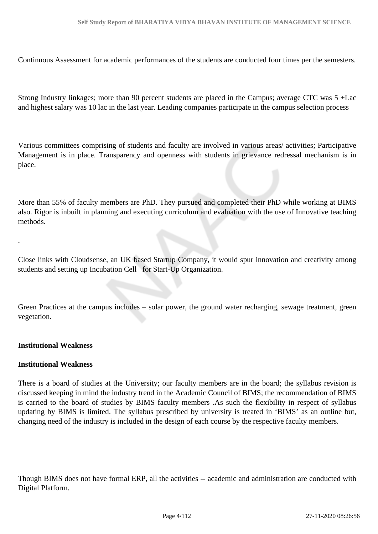Continuous Assessment for academic performances of the students are conducted four times per the semesters.

Strong Industry linkages; more than 90 percent students are placed in the Campus; average CTC was 5 +Lac and highest salary was 10 lac in the last year. Leading companies participate in the campus selection process

Various committees comprising of students and faculty are involved in various areas/ activities; Participative Management is in place. Transparency and openness with students in grievance redressal mechanism is in place.

More than 55% of faculty members are PhD. They pursued and completed their PhD while working at BIMS also. Rigor is inbuilt in planning and executing curriculum and evaluation with the use of Innovative teaching methods.

Close links with Cloudsense, an UK based Startup Company, it would spur innovation and creativity among students and setting up Incubation Cell for Start-Up Organization.

Green Practices at the campus includes – solar power, the ground water recharging, sewage treatment, green vegetation.

#### **Institutional Weakness**

.

#### **Institutional Weakness**

There is a board of studies at the University; our faculty members are in the board; the syllabus revision is discussed keeping in mind the industry trend in the Academic Council of BIMS; the recommendation of BIMS is carried to the board of studies by BIMS faculty members .As such the flexibility in respect of syllabus updating by BIMS is limited. The syllabus prescribed by university is treated in 'BIMS' as an outline but, changing need of the industry is included in the design of each course by the respective faculty members.

Though BIMS does not have formal ERP, all the activities -- academic and administration are conducted with Digital Platform.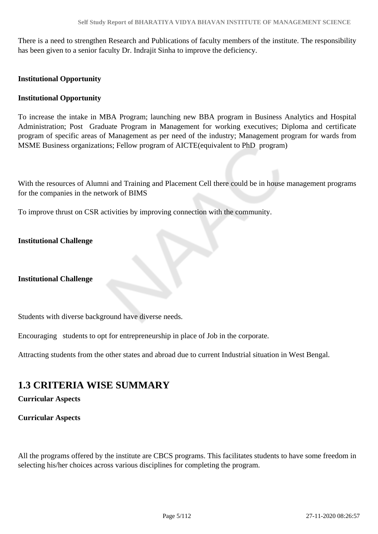There is a need to strengthen Research and Publications of faculty members of the institute. The responsibility has been given to a senior faculty Dr. Indrajit Sinha to improve the deficiency.

#### **Institutional Opportunity**

#### **Institutional Opportunity**

To increase the intake in MBA Program; launching new BBA program in Business Analytics and Hospital Administration; Post Graduate Program in Management for working executives; Diploma and certificate program of specific areas of Management as per need of the industry; Management program for wards from MSME Business organizations; Fellow program of AICTE(equivalent to PhD program)

With the resources of Alumni and Training and Placement Cell there could be in house management programs for the companies in the network of BIMS

To improve thrust on CSR activities by improving connection with the community.

#### **Institutional Challenge**

#### **Institutional Challenge**

Students with diverse background have diverse needs.

Encouraging students to opt for entrepreneurship in place of Job in the corporate.

Attracting students from the other states and abroad due to current Industrial situation in West Bengal.

## **1.3 CRITERIA WISE SUMMARY**

**Curricular Aspects** 

#### **Curricular Aspects**

All the programs offered by the institute are CBCS programs. This facilitates students to have some freedom in selecting his/her choices across various disciplines for completing the program.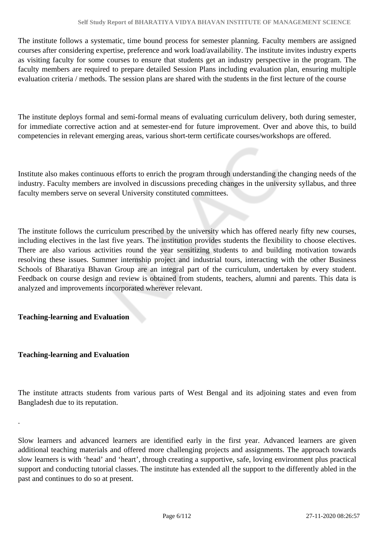The institute follows a systematic, time bound process for semester planning. Faculty members are assigned courses after considering expertise, preference and work load/availability. The institute invites industry experts as visiting faculty for some courses to ensure that students get an industry perspective in the program. The faculty members are required to prepare detailed Session Plans including evaluation plan, ensuring multiple evaluation criteria / methods. The session plans are shared with the students in the first lecture of the course

The institute deploys formal and semi-formal means of evaluating curriculum delivery, both during semester, for immediate corrective action and at semester-end for future improvement. Over and above this, to build competencies in relevant emerging areas, various short-term certificate courses/workshops are offered.

Institute also makes continuous efforts to enrich the program through understanding the changing needs of the industry. Faculty members are involved in discussions preceding changes in the university syllabus, and three faculty members serve on several University constituted committees.

The institute follows the curriculum prescribed by the university which has offered nearly fifty new courses, including electives in the last five years. The institution provides students the flexibility to choose electives. There are also various activities round the year sensitizing students to and building motivation towards resolving these issues. Summer internship project and industrial tours, interacting with the other Business Schools of Bharatiya Bhavan Group are an integral part of the curriculum, undertaken by every student. Feedback on course design and review is obtained from students, teachers, alumni and parents. This data is analyzed and improvements incorporated wherever relevant.

#### **Teaching-learning and Evaluation**

#### **Teaching-learning and Evaluation**

.

The institute attracts students from various parts of West Bengal and its adjoining states and even from Bangladesh due to its reputation.

Slow learners and advanced learners are identified early in the first year. Advanced learners are given additional teaching materials and offered more challenging projects and assignments. The approach towards slow learners is with 'head' and 'heart', through creating a supportive, safe, loving environment plus practical support and conducting tutorial classes. The institute has extended all the support to the differently abled in the past and continues to do so at present.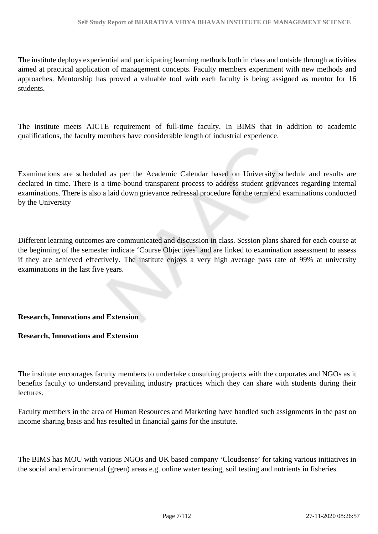The institute deploys experiential and participating learning methods both in class and outside through activities aimed at practical application of management concepts. Faculty members experiment with new methods and approaches. Mentorship has proved a valuable tool with each faculty is being assigned as mentor for 16 students.

The institute meets AICTE requirement of full-time faculty. In BIMS that in addition to academic qualifications, the faculty members have considerable length of industrial experience.

Examinations are scheduled as per the Academic Calendar based on University schedule and results are declared in time. There is a time-bound transparent process to address student grievances regarding internal examinations. There is also a laid down grievance redressal procedure for the term end examinations conducted by the University

Different learning outcomes are communicated and discussion in class. Session plans shared for each course at the beginning of the semester indicate 'Course Objectives' and are linked to examination assessment to assess if they are achieved effectively. The institute enjoys a very high average pass rate of 99% at university examinations in the last five years.

#### **Research, Innovations and Extension**

#### **Research, Innovations and Extension**

The institute encourages faculty members to undertake consulting projects with the corporates and NGOs as it benefits faculty to understand prevailing industry practices which they can share with students during their lectures.

Faculty members in the area of Human Resources and Marketing have handled such assignments in the past on income sharing basis and has resulted in financial gains for the institute.

The BIMS has MOU with various NGOs and UK based company 'Cloudsense' for taking various initiatives in the social and environmental (green) areas e.g. online water testing, soil testing and nutrients in fisheries.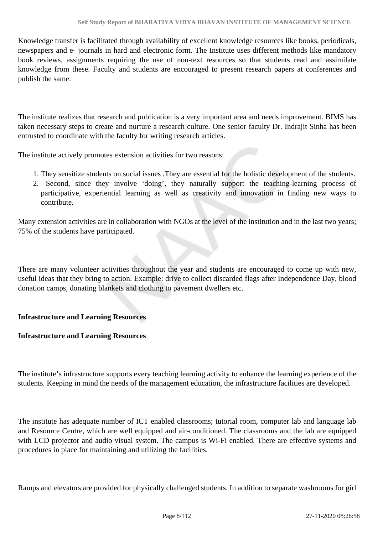Knowledge transfer is facilitated through availability of excellent knowledge resources like books, periodicals, newspapers and e- journals in hard and electronic form. The Institute uses different methods like mandatory book reviews, assignments requiring the use of non-text resources so that students read and assimilate knowledge from these. Faculty and students are encouraged to present research papers at conferences and publish the same.

The institute realizes that research and publication is a very important area and needs improvement. BIMS has taken necessary steps to create and nurture a research culture. One senior faculty Dr. Indrajit Sinha has been entrusted to coordinate with the faculty for writing research articles.

The institute actively promotes extension activities for two reasons:

- 1. They sensitize students on social issues .They are essential for the holistic development of the students.
- 2. Second, since they involve 'doing', they naturally support the teaching-learning process of participative, experiential learning as well as creativity and innovation in finding new ways to contribute.

Many extension activities are in collaboration with NGOs at the level of the institution and in the last two years; 75% of the students have participated.

There are many volunteer activities throughout the year and students are encouraged to come up with new, useful ideas that they bring to action. Example: drive to collect discarded flags after Independence Day, blood donation camps, donating blankets and clothing to pavement dwellers etc.

#### **Infrastructure and Learning Resources**

#### **Infrastructure and Learning Resources**

The institute's infrastructure supports every teaching learning activity to enhance the learning experience of the students. Keeping in mind the needs of the management education, the infrastructure facilities are developed.

The institute has adequate number of ICT enabled classrooms; tutorial room, computer lab and language lab and Resource Centre, which are well equipped and air-conditioned. The classrooms and the lab are equipped with LCD projector and audio visual system. The campus is Wi-Fi enabled. There are effective systems and procedures in place for maintaining and utilizing the facilities.

Ramps and elevators are provided for physically challenged students. In addition to separate washrooms for girl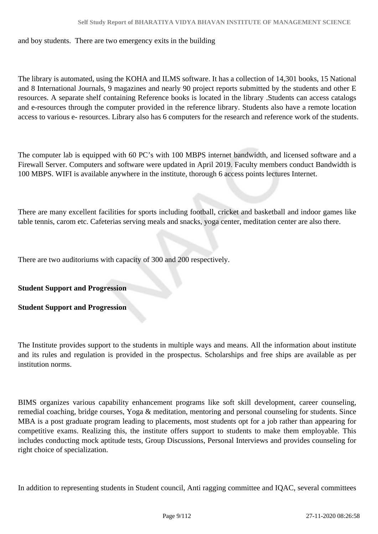and boy students. There are two emergency exits in the building

The library is automated, using the KOHA and ILMS software. It has a collection of 14,301 books, 15 National and 8 International Journals, 9 magazines and nearly 90 project reports submitted by the students and other E resources. A separate shelf containing Reference books is located in the library .Students can access catalogs and e-resources through the computer provided in the reference library. Students also have a remote location access to various e- resources. Library also has 6 computers for the research and reference work of the students.

The computer lab is equipped with 60 PC's with 100 MBPS internet bandwidth, and licensed software and a Firewall Server. Computers and software were updated in April 2019. Faculty members conduct Bandwidth is 100 MBPS. WIFI is available anywhere in the institute, thorough 6 access points lectures Internet.

There are many excellent facilities for sports including football, cricket and basketball and indoor games like table tennis, carom etc. Cafeterias serving meals and snacks, yoga center, meditation center are also there.

There are two auditoriums with capacity of 300 and 200 respectively.

**Student Support and Progression** 

**Student Support and Progression**

The Institute provides support to the students in multiple ways and means. All the information about institute and its rules and regulation is provided in the prospectus. Scholarships and free ships are available as per institution norms.

BIMS organizes various capability enhancement programs like soft skill development, career counseling, remedial coaching, bridge courses, Yoga & meditation, mentoring and personal counseling for students. Since MBA is a post graduate program leading to placements, most students opt for a job rather than appearing for competitive exams. Realizing this, the institute offers support to students to make them employable. This includes conducting mock aptitude tests, Group Discussions, Personal Interviews and provides counseling for right choice of specialization.

In addition to representing students in Student council, Anti ragging committee and IQAC, several committees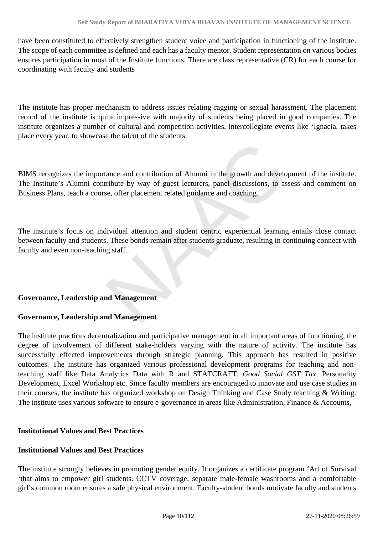have been constituted to effectively strengthen student voice and participation in functioning of the institute. The scope of each committee is defined and each has a faculty mentor. Student representation on various bodies ensures participation in most of the Institute functions. There are class representative (CR) for each course for coordinating with faculty and students

The institute has proper mechanism to address issues relating ragging or sexual harassment. The placement record of the institute is quite impressive with majority of students being placed in good companies. The institute organizes a number of cultural and competition activities, intercollegiate events like 'Ignacia, takes place every year, to showcase the talent of the students.

BIMS recognizes the importance and contribution of Alumni in the growth and development of the institute. The Institute's Alumni contribute by way of guest lecturers, panel discussions, to assess and comment on Business Plans, teach a course, offer placement related guidance and coaching.

The institute's focus on individual attention and student centric experiential learning entails close contact between faculty and students. These bonds remain after students graduate, resulting in continuing connect with faculty and even non-teaching staff.

#### **Governance, Leadership and Management**

#### **Governance, Leadership and Management**

The institute practices decentralization and participative management in all important areas of functioning, the degree of involvement of different stake-holders varying with the nature of activity. The institute has successfully effected improvements through strategic planning. This approach has resulted in positive outcomes. The institute has organized various professional development programs for teaching and nonteaching staff like Data Analytics Data with R and STATCRAFT, *Good Social GST Tax*, Personality Development, Excel Workshop etc. Since faculty members are encouraged to innovate and use case studies in their courses, the institute has organized workshop on Design Thinking and Case Study teaching & Writing. The institute uses various software to ensure e-governance in areas like Administration, Finance & Accounts,

#### **Institutional Values and Best Practices**

#### **Institutional Values and Best Practices**

The institute strongly believes in promoting gender equity. It organizes a certificate program 'Art of Survival 'that aims to empower girl students. CCTV coverage, separate male-female washrooms and a comfortable girl's common room ensures a safe physical environment. Faculty-student bonds motivate faculty and students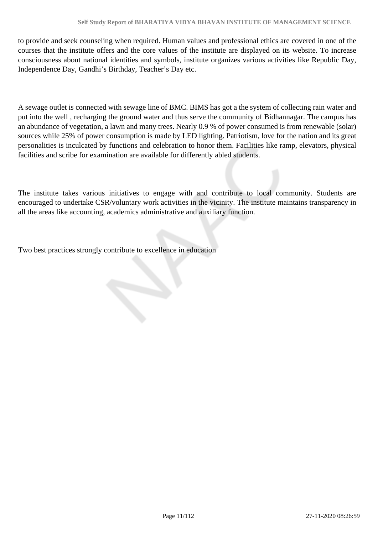to provide and seek counseling when required. Human values and professional ethics are covered in one of the courses that the institute offers and the core values of the institute are displayed on its website. To increase consciousness about national identities and symbols, institute organizes various activities like Republic Day, Independence Day, Gandhi's Birthday, Teacher's Day etc.

A sewage outlet is connected with sewage line of BMC. BIMS has got a the system of collecting rain water and put into the well , recharging the ground water and thus serve the community of Bidhannagar. The campus has an abundance of vegetation, a lawn and many trees. Nearly 0.9 % of power consumed is from renewable (solar) sources while 25% of power consumption is made by LED lighting. Patriotism, love for the nation and its great personalities is inculcated by functions and celebration to honor them. Facilities like ramp, elevators, physical facilities and scribe for examination are available for differently abled students.

The institute takes various initiatives to engage with and contribute to local community. Students are encouraged to undertake CSR/voluntary work activities in the vicinity. The institute maintains transparency in all the areas like accounting, academics administrative and auxiliary function.

Two best practices strongly contribute to excellence in education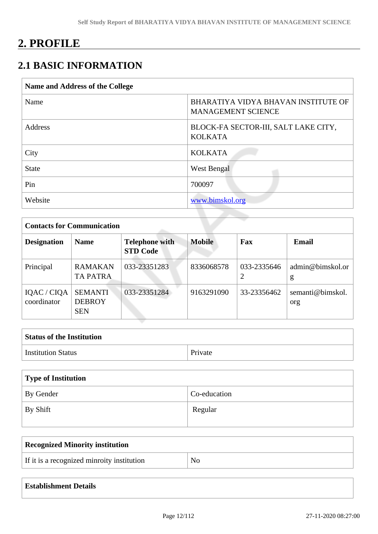# **2. PROFILE**

## **2.1 BASIC INFORMATION**

| <b>Name and Address of the College</b> |                                                                  |
|----------------------------------------|------------------------------------------------------------------|
| Name                                   | BHARATIYA VIDYA BHAVAN INSTITUTE OF<br><b>MANAGEMENT SCIENCE</b> |
| Address                                | BLOCK-FA SECTOR-III, SALT LAKE CITY,<br><b>KOLKATA</b>           |
| City                                   | <b>KOLKATA</b>                                                   |
| <b>State</b>                           | West Bengal                                                      |
| Pin                                    | 700097                                                           |
| Website                                | www.bimskol.org                                                  |

|                            | <b>Contacts for Communication</b>             |                                          |               |             |                         |  |  |  |  |
|----------------------------|-----------------------------------------------|------------------------------------------|---------------|-------------|-------------------------|--|--|--|--|
| <b>Designation</b>         | <b>Name</b>                                   | <b>Telephone with</b><br><b>STD Code</b> | <b>Mobile</b> | Fax         | <b>Email</b>            |  |  |  |  |
| Principal                  | <b>RAMAKAN</b><br><b>TA PATRA</b>             | 033-23351283                             | 8336068578    | 033-2335646 | admin@bimskol.or<br>g   |  |  |  |  |
| IQAC / CIQA<br>coordinator | <b>SEMANTI</b><br><b>DEBROY</b><br><b>SEN</b> | 033-23351284                             | 9163291090    | 33-23356462 | semanti@bimskol.<br>org |  |  |  |  |

| <b>Status of the Institution</b> |         |
|----------------------------------|---------|
| <b>Institution Status</b>        | Private |

| Type of Institution |              |
|---------------------|--------------|
| By Gender           | Co-education |
| By Shift            | Regular      |

| <b>Recognized Minority institution</b>     |     |
|--------------------------------------------|-----|
| If it is a recognized minroity institution | No. |

|  | <b>Establishment Details</b> |  |  |  |  |
|--|------------------------------|--|--|--|--|
|--|------------------------------|--|--|--|--|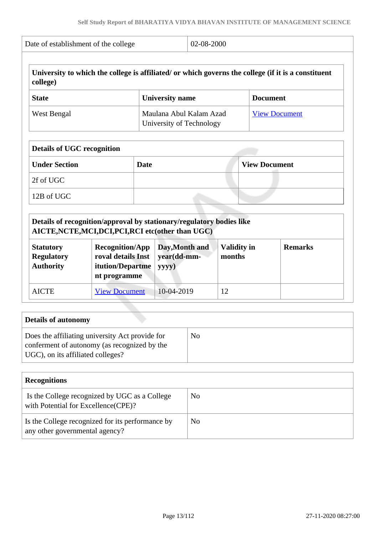| college)                              |                                                                                                                             |                                                                             |                  |                              |                      | University to which the college is affiliated/ or which governs the college (if it is a constituent |
|---------------------------------------|-----------------------------------------------------------------------------------------------------------------------------|-----------------------------------------------------------------------------|------------------|------------------------------|----------------------|-----------------------------------------------------------------------------------------------------|
| <b>State</b>                          |                                                                                                                             | <b>University name</b>                                                      |                  |                              | <b>Document</b>      |                                                                                                     |
| West Bengal                           |                                                                                                                             | Maulana Abul Kalam Azad<br><b>View Document</b><br>University of Technology |                  |                              |                      |                                                                                                     |
| <b>Details of UGC recognition</b>     |                                                                                                                             |                                                                             |                  |                              |                      |                                                                                                     |
| <b>Under Section</b>                  | <b>Date</b>                                                                                                                 |                                                                             |                  |                              | <b>View Document</b> |                                                                                                     |
| 2f of UGC                             |                                                                                                                             |                                                                             |                  |                              |                      |                                                                                                     |
| 12B of UGC                            |                                                                                                                             |                                                                             |                  |                              |                      |                                                                                                     |
|                                       | Details of recognition/approval by stationary/regulatory bodies like<br>AICTE, NCTE, MCI, DCI, PCI, RCI etc(other than UGC) |                                                                             |                  |                              |                      |                                                                                                     |
| <b>Statutory</b><br><b>Regulatory</b> | <b>Recognition/App</b><br>roval details Inst<br>itution/Departme<br>nt programme                                            | year(dd-mm-<br>yyyy)                                                        | Day, Month and   | <b>Validity in</b><br>months |                      | <b>Remarks</b>                                                                                      |
| <b>Authority</b>                      |                                                                                                                             |                                                                             | 10-04-2019<br>12 |                              |                      |                                                                                                     |

| Does the affiliating university Act provide for                                   | N <sub>0</sub> |
|-----------------------------------------------------------------------------------|----------------|
| conferment of autonomy (as recognized by the<br>UGC), on its affiliated colleges? |                |

| <b>Recognitions</b>                                                                  |    |
|--------------------------------------------------------------------------------------|----|
| Is the College recognized by UGC as a College<br>with Potential for Excellence(CPE)? | No |
| Is the College recognized for its performance by<br>any other governmental agency?   | No |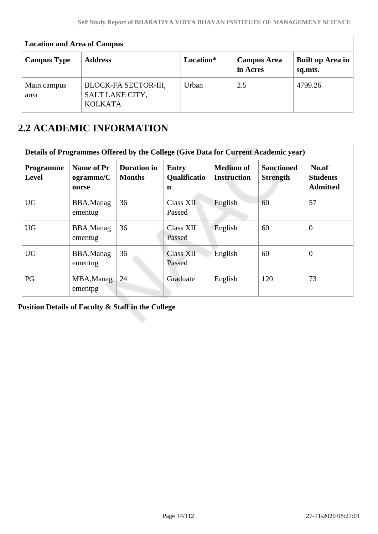| <b>Location and Area of Campus</b> |                                                           |           |                                |                             |  |  |  |  |  |
|------------------------------------|-----------------------------------------------------------|-----------|--------------------------------|-----------------------------|--|--|--|--|--|
| <b>Campus Type</b>                 | <b>Address</b>                                            | Location* | <b>Campus Area</b><br>in Acres | Built up Area in<br>sq.mts. |  |  |  |  |  |
| Main campus<br>area                | BLOCK-FA SECTOR-III,<br>SALT LAKE CITY,<br><b>KOLKATA</b> | Urban     | 2.5                            | 4799.26                     |  |  |  |  |  |

## **2.2 ACADEMIC INFORMATION**

| Details of Programmes Offered by the College (Give Data for Current Academic year) |                                  |                                     |                                          |                                        |                                      |                                             |  |  |
|------------------------------------------------------------------------------------|----------------------------------|-------------------------------------|------------------------------------------|----------------------------------------|--------------------------------------|---------------------------------------------|--|--|
| Programme<br>Level                                                                 | Name of Pr<br>ogramme/C<br>ourse | <b>Duration in</b><br><b>Months</b> | <b>Entry</b><br><b>Qualificatio</b><br>n | <b>Medium of</b><br><b>Instruction</b> | <b>Sanctioned</b><br><b>Strength</b> | No.of<br><b>Students</b><br><b>Admitted</b> |  |  |
| <b>UG</b>                                                                          | BBA, Manag<br>ementug            | 36                                  | <b>Class XII</b><br>Passed               | English                                | 60                                   | 57                                          |  |  |
| <b>UG</b>                                                                          | BBA, Manag<br>ementug            | 36                                  | Class XII<br>Passed                      | English                                | 60                                   | $\overline{0}$                              |  |  |
| <b>UG</b>                                                                          | BBA, Manag<br>ementug            | 36                                  | <b>Class XII</b><br>Passed               | English                                | 60                                   | $\theta$                                    |  |  |
| PG                                                                                 | MBA, Manag<br>ementpg            | 24                                  | Graduate                                 | English                                | 120                                  | 73                                          |  |  |

**Position Details of Faculty & Staff in the College**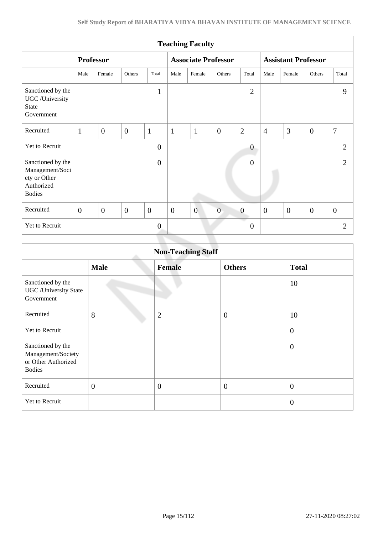| <b>Teaching Faculty</b>                                                             |                  |                |                |                |                            |                |                |                  |                            |                  |              |                |
|-------------------------------------------------------------------------------------|------------------|----------------|----------------|----------------|----------------------------|----------------|----------------|------------------|----------------------------|------------------|--------------|----------------|
|                                                                                     | <b>Professor</b> |                |                |                | <b>Associate Professor</b> |                |                |                  | <b>Assistant Professor</b> |                  |              |                |
|                                                                                     | Male             | Female         | Others         | Total          | Male                       | Female         | Others         | Total            | Male                       | Female           | Others       | Total          |
| Sanctioned by the<br>UGC / University<br><b>State</b><br>Government                 |                  |                |                | $\mathbf{1}$   |                            |                |                | $\overline{2}$   |                            |                  |              | 9              |
| Recruited                                                                           | $\mathbf{1}$     | $\overline{0}$ | $\mathbf{0}$   | $\mathbf{1}$   | $\mathbf{1}$               | $\mathbf{1}$   | $\overline{0}$ | $\overline{2}$   | $\overline{4}$             | 3                | $\mathbf{0}$ | $\overline{7}$ |
| Yet to Recruit                                                                      |                  |                |                | $\mathbf{0}$   |                            |                |                | $\overline{0}$   |                            |                  |              | $\overline{2}$ |
| Sanctioned by the<br>Management/Soci<br>ety or Other<br>Authorized<br><b>Bodies</b> |                  |                |                | $\overline{0}$ |                            |                |                | $\overline{0}$   |                            |                  |              | $\overline{2}$ |
| Recruited                                                                           | $\overline{0}$   | $\overline{0}$ | $\overline{0}$ | $\overline{0}$ | $\overline{0}$             | $\overline{0}$ | $\overline{0}$ | $\boldsymbol{0}$ | $\overline{0}$             | $\boldsymbol{0}$ | $\mathbf{0}$ | $\overline{0}$ |
| Yet to Recruit                                                                      |                  |                |                | $\overline{0}$ |                            |                |                | $\mathbf{0}$     |                            |                  |              | $\overline{2}$ |
|                                                                                     |                  |                |                |                |                            |                |                |                  |                            |                  |              |                |

| <b>Non-Teaching Staff</b>                                                       |                |                |                  |                  |  |  |  |
|---------------------------------------------------------------------------------|----------------|----------------|------------------|------------------|--|--|--|
|                                                                                 | <b>Male</b>    | <b>Female</b>  | <b>Others</b>    | <b>Total</b>     |  |  |  |
| Sanctioned by the<br><b>UGC</b> / University State<br>Government                |                |                |                  | 10               |  |  |  |
| Recruited                                                                       | 8              | $\overline{2}$ | $\boldsymbol{0}$ | 10               |  |  |  |
| <b>Yet to Recruit</b>                                                           |                |                |                  | $\boldsymbol{0}$ |  |  |  |
| Sanctioned by the<br>Management/Society<br>or Other Authorized<br><b>Bodies</b> |                |                |                  | $\overline{0}$   |  |  |  |
| Recruited                                                                       | $\overline{0}$ | $\overline{0}$ | $\overline{0}$   | $\boldsymbol{0}$ |  |  |  |
| Yet to Recruit                                                                  |                |                |                  | $\overline{0}$   |  |  |  |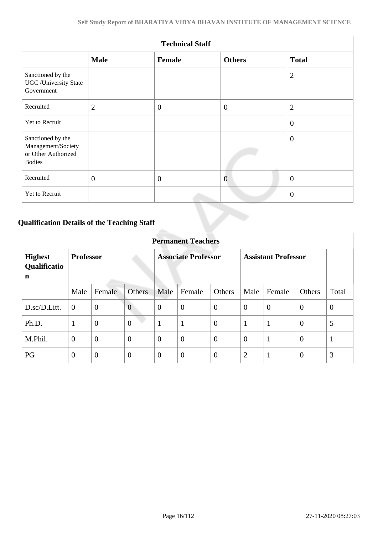| <b>Technical Staff</b>                                                          |                |                  |                  |                |  |  |  |  |
|---------------------------------------------------------------------------------|----------------|------------------|------------------|----------------|--|--|--|--|
|                                                                                 | <b>Male</b>    | Female           | <b>Others</b>    | <b>Total</b>   |  |  |  |  |
| Sanctioned by the<br><b>UGC</b> / University State<br>Government                |                |                  |                  | $\overline{2}$ |  |  |  |  |
| Recruited                                                                       | $\overline{2}$ | $\overline{0}$   | $\boldsymbol{0}$ | $\overline{2}$ |  |  |  |  |
| Yet to Recruit                                                                  |                |                  |                  | $\overline{0}$ |  |  |  |  |
| Sanctioned by the<br>Management/Society<br>or Other Authorized<br><b>Bodies</b> |                |                  |                  | $\overline{0}$ |  |  |  |  |
| Recruited                                                                       | $\mathbf{0}$   | $\boldsymbol{0}$ | $\overline{0}$   | $\overline{0}$ |  |  |  |  |
| Yet to Recruit                                                                  |                |                  |                  | $\overline{0}$ |  |  |  |  |

## **Qualification Details of the Teaching Staff**

|                                     | <b>Permanent Teachers</b> |                |                |                            |                |                            |                |              |                |                |
|-------------------------------------|---------------------------|----------------|----------------|----------------------------|----------------|----------------------------|----------------|--------------|----------------|----------------|
| <b>Highest</b><br>Qualificatio<br>n | <b>Professor</b>          |                |                | <b>Associate Professor</b> |                | <b>Assistant Professor</b> |                |              |                |                |
|                                     | Male                      | Female         | <b>Others</b>  | Male                       | Female         | Others                     | Male           | Female       | Others         | Total          |
| D.sc/D.Litt.                        | $\overline{0}$            | $\mathbf{0}$   | $\overline{0}$ | $\theta$                   | $\overline{0}$ | $\overline{0}$             | $\overline{0}$ | $\theta$     | $\overline{0}$ | $\overline{0}$ |
| Ph.D.                               | 1                         | $\overline{0}$ | $\overline{0}$ | 1                          | $\mathbf{1}$   | $\overline{0}$             | 1              | $\mathbf{1}$ | $\theta$       | 5              |
| M.Phil.                             | $\overline{0}$            | $\overline{0}$ | $\overline{0}$ | $\theta$                   | $\overline{0}$ | $\overline{0}$             | $\overline{0}$ | $\mathbf{1}$ | $\overline{0}$ | $\mathbf{1}$   |
| PG                                  | $\theta$                  | $\theta$       | $\overline{0}$ | $\overline{0}$             | $\overline{0}$ | $\overline{0}$             | $\overline{2}$ | $\mathbf{1}$ | $\overline{0}$ | 3              |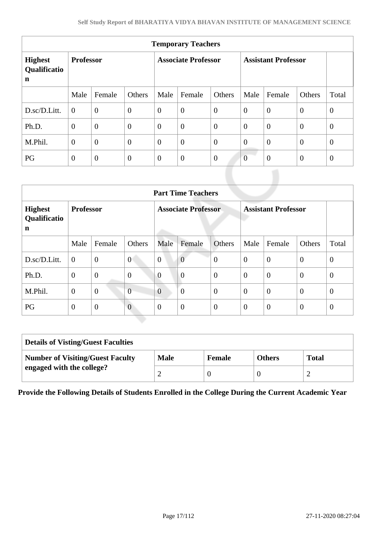| <b>Temporary Teachers</b>           |                  |                  |                            |              |                            |                |                |                |                |                |
|-------------------------------------|------------------|------------------|----------------------------|--------------|----------------------------|----------------|----------------|----------------|----------------|----------------|
| <b>Highest</b><br>Qualificatio<br>n | <b>Professor</b> |                  | <b>Associate Professor</b> |              | <b>Assistant Professor</b> |                |                |                |                |                |
|                                     | Male             | Female           | Others                     | Male         | Female                     | Others         | Male           | Female         | Others         | Total          |
| D.sc/D.Litt.                        | $\overline{0}$   | $\boldsymbol{0}$ | $\mathbf{0}$               | $\theta$     | $\overline{0}$             | $\theta$       | $\overline{0}$ | $\theta$       | $\theta$       | $\theta$       |
| Ph.D.                               | $\overline{0}$   | $\overline{0}$   | $\mathbf{0}$               | $\theta$     | $\overline{0}$             | $\theta$       | $\mathbf{0}$   | $\overline{0}$ | $\theta$       | $\mathbf{0}$   |
| M.Phil.                             | $\overline{0}$   | $\overline{0}$   | $\mathbf{0}$               | $\theta$     | $\overline{0}$             | $\theta$       | $\overline{0}$ | $\theta$       | $\overline{0}$ | $\overline{0}$ |
| PG                                  | $\overline{0}$   | $\overline{0}$   | $\mathbf{0}$               | $\mathbf{0}$ | $\theta$                   | $\overline{0}$ | $\overline{0}$ | $\theta$       | $\overline{0}$ | $\overline{0}$ |

| <b>Part Time Teachers</b>           |                  |                |                            |                  |                            |                  |                |                |                |              |
|-------------------------------------|------------------|----------------|----------------------------|------------------|----------------------------|------------------|----------------|----------------|----------------|--------------|
| <b>Highest</b><br>Qualificatio<br>n | <b>Professor</b> |                | <b>Associate Professor</b> |                  | <b>Assistant Professor</b> |                  |                |                |                |              |
|                                     | Male             | Female         | Others                     | Male             | Female                     | Others           | Male           | Female         | Others         | Total        |
| D.sc/D.Litt.                        | $\overline{0}$   | $\overline{0}$ | $\overline{0}$             | $\overline{0}$   | $\overline{0}$             | $\boldsymbol{0}$ | $\overline{0}$ | $\overline{0}$ | $\theta$       | $\mathbf{0}$ |
| Ph.D.                               | $\mathbf{0}$     | $\overline{0}$ | $\boldsymbol{0}$           | $\overline{0}$   | $\overline{0}$             | $\overline{0}$   | $\overline{0}$ | $\overline{0}$ | $\overline{0}$ | $\theta$     |
| M.Phil.                             | $\theta$         | $\overline{0}$ | $\overline{0}$             | $\overline{0}$   | $\overline{0}$             | $\mathbf{0}$     | $\overline{0}$ | $\overline{0}$ | $\overline{0}$ | $\theta$     |
| PG                                  | $\theta$         | $\mathbf{0}$   | $\overline{0}$             | $\boldsymbol{0}$ | $\overline{0}$             | $\overline{0}$   | $\overline{0}$ | $\overline{0}$ | $\theta$       | $\theta$     |

| <b>Details of Visting/Guest Faculties</b> |             |               |               |              |  |  |  |
|-------------------------------------------|-------------|---------------|---------------|--------------|--|--|--|
| <b>Number of Visiting/Guest Faculty</b>   | <b>Male</b> | <b>Female</b> | <b>Others</b> | <b>Total</b> |  |  |  |
| engaged with the college?                 |             |               |               |              |  |  |  |

**Provide the Following Details of Students Enrolled in the College During the Current Academic Year**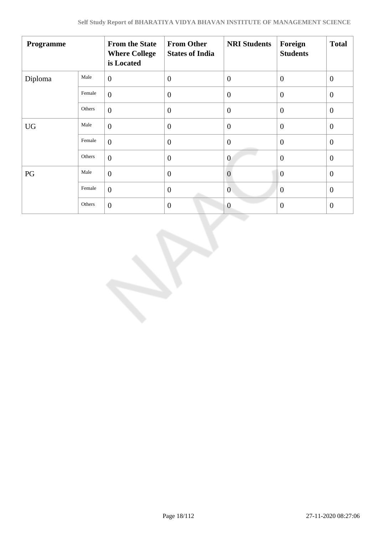| Programme |        | <b>From the State</b><br><b>Where College</b><br>is Located | <b>From Other</b><br><b>States of India</b> | <b>NRI Students</b> | Foreign<br><b>Students</b> | <b>Total</b>   |
|-----------|--------|-------------------------------------------------------------|---------------------------------------------|---------------------|----------------------------|----------------|
| Diploma   | Male   | $\overline{0}$                                              | $\overline{0}$                              | $\theta$            | $\overline{0}$             | $\overline{0}$ |
|           | Female | $\overline{0}$                                              | $\overline{0}$                              | $\theta$            | $\theta$                   | $\mathbf{0}$   |
|           | Others | $\overline{0}$                                              | $\theta$                                    | $\overline{0}$      | $\overline{0}$             | $\theta$       |
| <b>UG</b> | Male   | $\overline{0}$                                              | $\overline{0}$                              | $\overline{0}$      | $\overline{0}$             | $\overline{0}$ |
|           | Female | $\overline{0}$                                              | $\mathbf{0}$                                | $\overline{0}$      | $\overline{0}$             | $\overline{0}$ |
|           | Others | $\overline{0}$                                              | $\overline{0}$                              | $\overline{0}$      | $\overline{0}$             | $\theta$       |
| PG        | Male   | $\overline{0}$                                              | $\overline{0}$                              | $\overline{0}$      | $\overline{0}$             | $\overline{0}$ |
|           | Female | $\overline{0}$                                              | $\overline{0}$                              | $\mathbf{0}$        | $\theta$                   | $\overline{0}$ |
|           | Others | $\overline{0}$                                              | $\theta$                                    | $\overline{0}$      | $\boldsymbol{0}$           | $\mathbf{0}$   |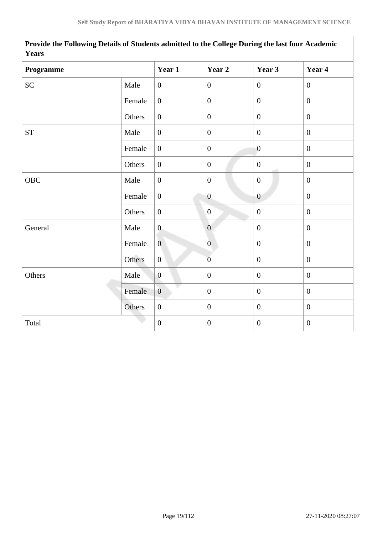| Years               |        |                  |                  |                  |                  |  |  |  |
|---------------------|--------|------------------|------------------|------------------|------------------|--|--|--|
| Programme           |        | Year 1           | Year 2           | Year 3           | Year 4           |  |  |  |
| SC                  | Male   | $\boldsymbol{0}$ | $\boldsymbol{0}$ | $\boldsymbol{0}$ | $\boldsymbol{0}$ |  |  |  |
|                     | Female | $\overline{0}$   | $\boldsymbol{0}$ | $\boldsymbol{0}$ | $\mathbf{0}$     |  |  |  |
|                     | Others | $\boldsymbol{0}$ | $\boldsymbol{0}$ | $\mathbf{0}$     | $\overline{0}$   |  |  |  |
| $\operatorname{ST}$ | Male   | $\overline{0}$   | $\boldsymbol{0}$ | $\mathbf{0}$     | $\mathbf{0}$     |  |  |  |
|                     | Female | $\overline{0}$   | $\boldsymbol{0}$ | $\overline{0}$   | $\boldsymbol{0}$ |  |  |  |
|                     | Others | $\overline{0}$   | $\boldsymbol{0}$ | $\mathbf{0}$     | $\boldsymbol{0}$ |  |  |  |
| OBC                 | Male   | $\overline{0}$   | $\boldsymbol{0}$ | $\mathbf{0}$     | $\overline{0}$   |  |  |  |
|                     | Female | $\boldsymbol{0}$ | $\boldsymbol{0}$ | $\boldsymbol{0}$ | $\boldsymbol{0}$ |  |  |  |
|                     | Others | $\boldsymbol{0}$ | $\boldsymbol{0}$ | $\boldsymbol{0}$ | $\overline{0}$   |  |  |  |
| General             | Male   | $\boldsymbol{0}$ | $\boldsymbol{0}$ | $\boldsymbol{0}$ | $\overline{0}$   |  |  |  |
|                     | Female | $\overline{0}$   | $\overline{0}$   | $\boldsymbol{0}$ | $\boldsymbol{0}$ |  |  |  |
|                     | Others | $\boldsymbol{0}$ | $\overline{0}$   | $\boldsymbol{0}$ | $\boldsymbol{0}$ |  |  |  |
| Others              | Male   | $\overline{0}$   | $\boldsymbol{0}$ | $\mathbf{0}$     | $\overline{0}$   |  |  |  |
|                     | Female | $\overline{0}$   | $\boldsymbol{0}$ | $\overline{0}$   | $\overline{0}$   |  |  |  |
|                     | Others | $\boldsymbol{0}$ | $\boldsymbol{0}$ | $\boldsymbol{0}$ | $\boldsymbol{0}$ |  |  |  |
| Total               |        | $\boldsymbol{0}$ | $\boldsymbol{0}$ | $\boldsymbol{0}$ | $\boldsymbol{0}$ |  |  |  |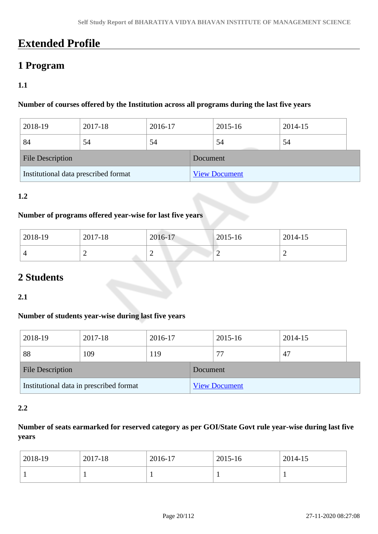## **Extended Profile**

## **1 Program**

## **1.1**

#### **Number of courses offered by the Institution across all programs during the last five years**

| 2018-19                              | 2017-18 | 2016-17 |                      | 2015-16 | 2014-15 |  |
|--------------------------------------|---------|---------|----------------------|---------|---------|--|
| 84                                   | 54      | 54      |                      | 54      | 54      |  |
| <b>File Description</b>              |         |         | Document             |         |         |  |
| Institutional data prescribed format |         |         | <b>View Document</b> |         |         |  |

#### **1.2**

#### **Number of programs offered year-wise for last five years**

| 2018-19 | 2017-18 | 2016-17 | $ 2015 - 16 $ | 2014-15 |
|---------|---------|---------|---------------|---------|
|         | -       | ∼       | ∽             | -       |

## **2 Students**

**2.1**

### **Number of students year-wise during last five years**

| 2018-19                                 | 2017-18 | 2016-17 |                      | 2015-16 | 2014-15 |  |
|-----------------------------------------|---------|---------|----------------------|---------|---------|--|
| 88                                      | 109     | 119     |                      | 77      | 47      |  |
| <b>File Description</b>                 |         |         | Document             |         |         |  |
| Institutional data in prescribed format |         |         | <b>View Document</b> |         |         |  |

#### **2.2**

## **Number of seats earmarked for reserved category as per GOI/State Govt rule year-wise during last five years**

| 2018-19 | 2017-18 | 2016-17 | 2015-16 | 2014-15 |
|---------|---------|---------|---------|---------|
|         |         |         |         | л.      |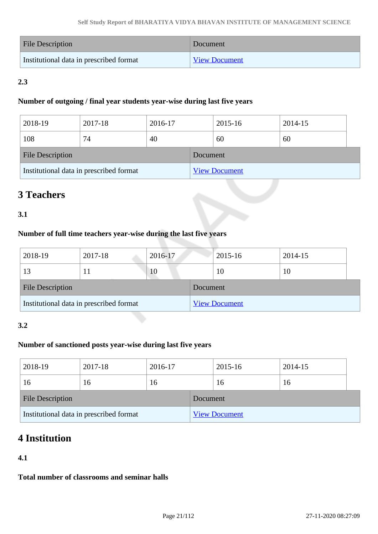| File Description                        | Document             |
|-----------------------------------------|----------------------|
| Institutional data in prescribed format | <b>View Document</b> |

## **2.3**

#### **Number of outgoing / final year students year-wise during last five years**

| 2018-19                                 | 2017-18 | 2016-17 |                      | 2015-16 | 2014-15 |  |
|-----------------------------------------|---------|---------|----------------------|---------|---------|--|
| 108                                     | 74      | 40      |                      | 60      | 60      |  |
| <b>File Description</b>                 |         |         | Document             |         |         |  |
| Institutional data in prescribed format |         |         | <b>View Document</b> |         |         |  |

## **3 Teachers**

### **3.1**

### **Number of full time teachers year-wise during the last five years**

| 2018-19                                 | 2017-18 | 2016-17 |                      | 2015-16 | 2014-15 |
|-----------------------------------------|---------|---------|----------------------|---------|---------|
| 13                                      | 11      | 10      |                      | 10      | 10      |
| <b>File Description</b>                 |         |         | Document             |         |         |
| Institutional data in prescribed format |         |         | <b>View Document</b> |         |         |

#### **3.2**

### **Number of sanctioned posts year-wise during last five years**

| 2018-19                                 | 2017-18 | 2016-17  |                      | 2015-16 | 2014-15 |  |
|-----------------------------------------|---------|----------|----------------------|---------|---------|--|
| 16                                      | 16      | 16       |                      | 16      | 16      |  |
| <b>File Description</b>                 |         | Document |                      |         |         |  |
| Institutional data in prescribed format |         |          | <b>View Document</b> |         |         |  |

## **4 Institution**

### **4.1**

**Total number of classrooms and seminar halls**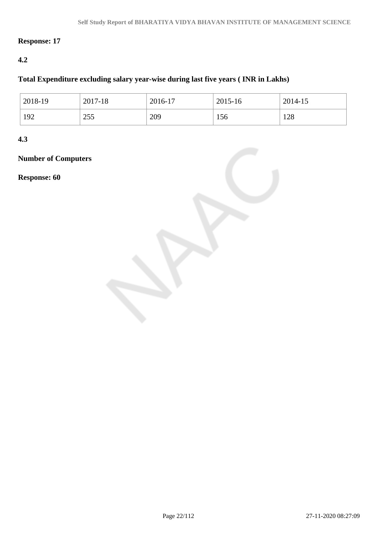## **Response: 17**

### **4.2**

### **Total Expenditure excluding salary year-wise during last five years ( INR in Lakhs)**

| 2018-19 | 2017-18 | 2016-17 | 2015-16 | 2014-15 |
|---------|---------|---------|---------|---------|
| 192     | 255     | 209     | 156     | 128     |

**4.3**

## **Number of Computers**

**Response: 60**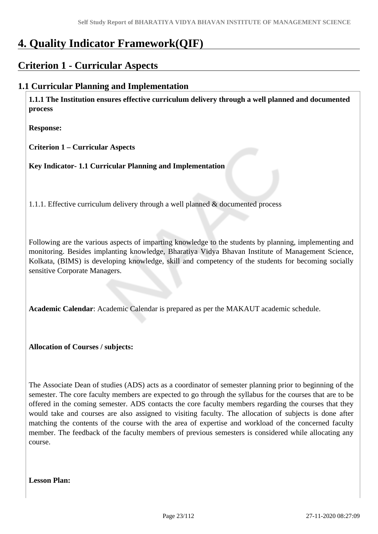# **4. Quality Indicator Framework(QIF)**

## **Criterion 1 - Curricular Aspects**

## **1.1 Curricular Planning and Implementation**

 **1.1.1 The Institution ensures effective curriculum delivery through a well planned and documented process**

**Response:** 

**Criterion 1 – Curricular Aspects**

**Key Indicator- 1.1 Curricular Planning and Implementation**

1.1.1. Effective curriculum delivery through a well planned & documented process

Following are the various aspects of imparting knowledge to the students by planning, implementing and monitoring. Besides implanting knowledge, Bharatiya Vidya Bhavan Institute of Management Science, Kolkata, (BIMS) is developing knowledge, skill and competency of the students for becoming socially sensitive Corporate Managers.

**Academic Calendar**: Academic Calendar is prepared as per the MAKAUT academic schedule.

**Allocation of Courses / subjects:** 

The Associate Dean of studies (ADS) acts as a coordinator of semester planning prior to beginning of the semester. The core faculty members are expected to go through the syllabus for the courses that are to be offered in the coming semester. ADS contacts the core faculty members regarding the courses that they would take and courses are also assigned to visiting faculty. The allocation of subjects is done after matching the contents of the course with the area of expertise and workload of the concerned faculty member. The feedback of the faculty members of previous semesters is considered while allocating any course.

**Lesson Plan:**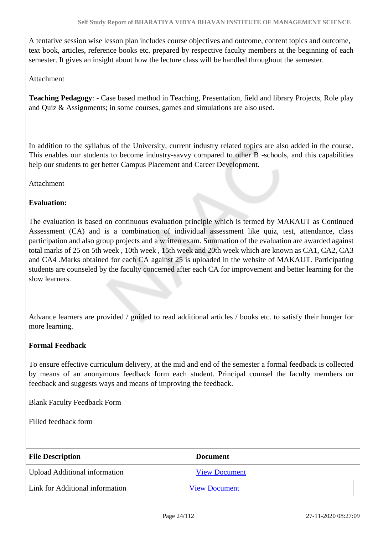A tentative session wise lesson plan includes course objectives and outcome, content topics and outcome, text book, articles, reference books etc. prepared by respective faculty members at the beginning of each semester. It gives an insight about how the lecture class will be handled throughout the semester.

#### Attachment

**Teaching Pedagogy**: - Case based method in Teaching, Presentation, field and library Projects, Role play and Quiz & Assignments; in some courses, games and simulations are also used.

In addition to the syllabus of the University, current industry related topics are also added in the course. This enables our students to become industry-savvy compared to other B -schools, and this capabilities help our students to get better Campus Placement and Career Development.

**Attachment** 

#### **Evaluation:**

The evaluation is based on continuous evaluation principle which is termed by MAKAUT as Continued Assessment (CA) and is a combination of individual assessment like quiz, test, attendance, class participation and also group projects and a written exam. Summation of the evaluation are awarded against total marks of 25 on 5th week , 10th week , 15th week and 20th week which are known as CA1, CA2, CA3 and CA4 .Marks obtained for each CA against 25 is uploaded in the website of MAKAUT. Participating students are counseled by the faculty concerned after each CA for improvement and better learning for the slow learners.

Advance learners are provided / guided to read additional articles / books etc. to satisfy their hunger for more learning.

#### **Formal Feedback**

To ensure effective curriculum delivery, at the mid and end of the semester a formal feedback is collected by means of an anonymous feedback form each student. Principal counsel the faculty members on feedback and suggests ways and means of improving the feedback.

Blank Faculty Feedback Form

Filled feedback form

| <b>File Description</b>              | <b>Document</b>      |
|--------------------------------------|----------------------|
| <b>Upload Additional information</b> | <b>View Document</b> |
| Link for Additional information      | <b>View Document</b> |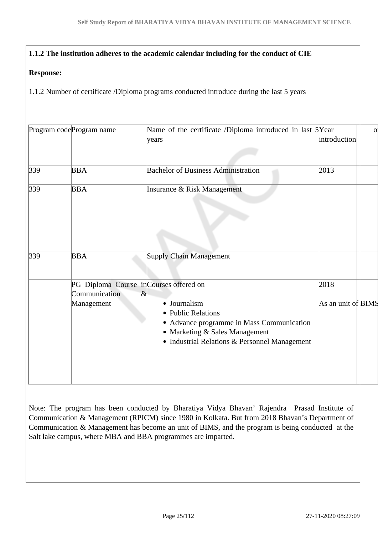#### **1.1.2 The institution adheres to the academic calendar including for the conduct of CIE**

#### **Response:**

1.1.2 Number of certificate /Diploma programs conducted introduce during the last 5 years

| introduction<br>years<br><b>Bachelor of Business Administration</b><br><b>BBA</b><br>2013<br><b>BBA</b><br>Insurance & Risk Management<br><b>Supply Chain Management</b><br><b>BBA</b><br>PG Diploma Course inCourses offered on<br>2018<br>Communication<br>$\&$<br>Management<br>• Journalism<br>As an unit of BIMS<br>• Public Relations<br>• Advance programme in Mass Communication<br>• Marketing & Sales Management<br>• Industrial Relations & Personnel Management |     | Program codeProgram name | Name of the certificate /Diploma introduced in last 5Year | $\overline{O}$ |
|-----------------------------------------------------------------------------------------------------------------------------------------------------------------------------------------------------------------------------------------------------------------------------------------------------------------------------------------------------------------------------------------------------------------------------------------------------------------------------|-----|--------------------------|-----------------------------------------------------------|----------------|
|                                                                                                                                                                                                                                                                                                                                                                                                                                                                             |     |                          |                                                           |                |
|                                                                                                                                                                                                                                                                                                                                                                                                                                                                             | 339 |                          |                                                           |                |
|                                                                                                                                                                                                                                                                                                                                                                                                                                                                             | 339 |                          |                                                           |                |
|                                                                                                                                                                                                                                                                                                                                                                                                                                                                             |     |                          |                                                           |                |
|                                                                                                                                                                                                                                                                                                                                                                                                                                                                             | 339 |                          |                                                           |                |
|                                                                                                                                                                                                                                                                                                                                                                                                                                                                             |     |                          |                                                           |                |
|                                                                                                                                                                                                                                                                                                                                                                                                                                                                             |     |                          |                                                           |                |
|                                                                                                                                                                                                                                                                                                                                                                                                                                                                             |     |                          |                                                           |                |

Note: The program has been conducted by Bharatiya Vidya Bhavan' Rajendra Prasad Institute of Communication & Management (RPICM) since 1980 in Kolkata. But from 2018 Bhavan's Department of Communication & Management has become an unit of BIMS, and the program is being conducted at the Salt lake campus, where MBA and BBA programmes are imparted.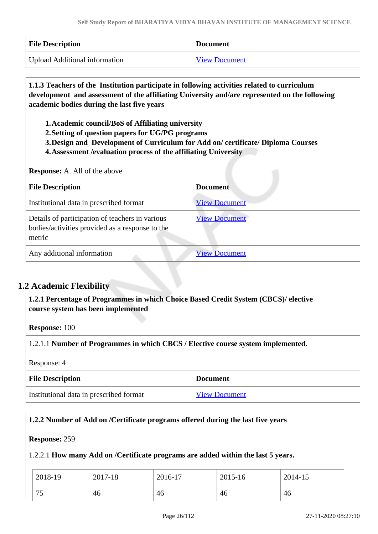| <b>File Description</b>              | <b>Document</b>      |
|--------------------------------------|----------------------|
| <b>Upload Additional information</b> | <b>View Document</b> |

## **1.1.3 Teachers of the Institution participate in following activities related to curriculum development and assessment of the affiliating University and/are represented on the following academic bodies during the last five years**

- **1.Academic council/BoS of Affiliating university**
- **2.Setting of question papers for UG/PG programs**
- **3.Design and Development of Curriculum for Add on/ certificate/ Diploma Courses**
- **4.Assessment /evaluation process of the affiliating University**

**Response:** A. All of the above

| <b>File Description</b>                                                                                      | <b>Document</b>      |
|--------------------------------------------------------------------------------------------------------------|----------------------|
| Institutional data in prescribed format                                                                      | <b>View Document</b> |
| Details of participation of teachers in various<br>bodies/activities provided as a response to the<br>metric | <b>View Document</b> |
| Any additional information                                                                                   | <b>View Document</b> |

## **1.2 Academic Flexibility**

 **1.2.1 Percentage of Programmes in which Choice Based Credit System (CBCS)/ elective course system has been implemented** 

**Response:** 100

1.2.1.1 **Number of Programmes in which CBCS / Elective course system implemented.**

Response: 4

| <b>File Description</b>                 | <b>Document</b>      |
|-----------------------------------------|----------------------|
| Institutional data in prescribed format | <b>View Document</b> |

#### **1.2.2 Number of Add on /Certificate programs offered during the last five years**

#### **Response:** 259

#### 1.2.2.1 **How many Add on /Certificate programs are added within the last 5 years.**

| 2018-19   | 2017-18 | 2016-17 | 2015-16 | 2014-15 |
|-----------|---------|---------|---------|---------|
| 75<br>ں ا | -46     | 46      | 46      | 46      |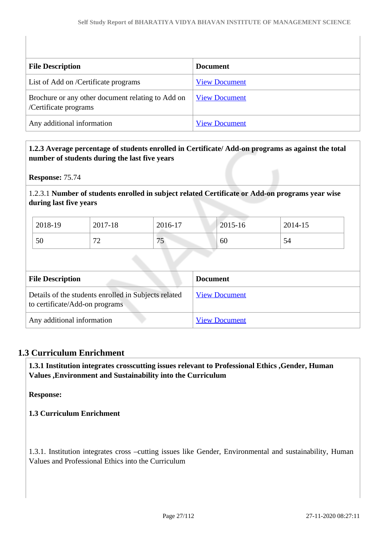| <b>File Description</b>                                                    | <b>Document</b>      |
|----------------------------------------------------------------------------|----------------------|
| List of Add on /Certificate programs                                       | <b>View Document</b> |
| Brochure or any other document relating to Add on<br>/Certificate programs | <b>View Document</b> |
| Any additional information                                                 | <b>View Document</b> |

#### **1.2.3 Average percentage of students enrolled in Certificate/ Add-on programs as against the total number of students during the last five years**

**Response:** 75.74

1.2.3.1 **Number of students enrolled in subject related Certificate or Add-on programs year wise during last five years**

| 2018-19 | 2017-18                       | 2016-17   | 2015-16 | 2014-15 |
|---------|-------------------------------|-----------|---------|---------|
| 50      | $\overline{\phantom{a}}$<br>∽ | 75<br>ر ، | 60      | 54      |

| <b>File Description</b>                                                                | <b>Document</b>      |
|----------------------------------------------------------------------------------------|----------------------|
| Details of the students enrolled in Subjects related<br>to certificate/Add-on programs | <b>View Document</b> |
| Any additional information                                                             | <b>View Document</b> |

### **1.3 Curriculum Enrichment**

 **1.3.1 Institution integrates crosscutting issues relevant to Professional Ethics ,Gender, Human Values ,Environment and Sustainability into the Curriculum**

**Response:** 

**1.3 Curriculum Enrichment**

1.3.1. Institution integrates cross –cutting issues like Gender, Environmental and sustainability, Human Values and Professional Ethics into the Curriculum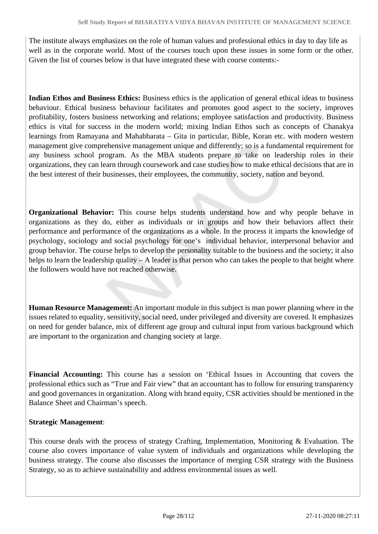The institute always emphasizes on the role of human values and professional ethics in day to day life as well as in the corporate world. Most of the courses touch upon these issues in some form or the other. Given the list of courses below is that have integrated these with course contents:-

**Indian Ethos and Business Ethics:** Business ethics is the application of general ethical ideas to business behaviour. Ethical business behaviour facilitates and promotes good aspect to the society, improves profitability, fosters business networking and relations; employee satisfaction and productivity. Business ethics is vital for success in the modern world; mixing Indian Ethos such as concepts of Chanakya learnings from Ramayana and Mahabharata – Gita in particular, Bible, Koran etc. with modern western management give comprehensive management unique and differently; so is a fundamental requirement for any business school program. As the MBA students prepare to take on leadership roles in their organizations, they can learn through coursework and case studies how to make ethical decisions that are in the best interest of their businesses, their employees, the community, society, nation and beyond.

**Organizational Behavior:** This course helps students understand how and why people behave in organizations as they do, either as individuals or in groups and how their behaviors affect their performance and performance of the organizations as a whole. In the process it imparts the knowledge of psychology, sociology and social psychology for one's individual behavior, interpersonal behavior and group behavior. The course helps to develop the personality suitable to the business and the society; it also helps to learn the leadership quality – A leader is that person who can takes the people to that height where the followers would have not reached otherwise.

**Human Resource Management:** An important module in this subject is man power planning where in the issues related to equality, sensitivity, social need, under privileged and diversity are covered. It emphasizes on need for gender balance, mix of different age group and cultural input from various background which are important to the organization and changing society at large.

**Financial Accounting:** This course has a session on 'Ethical Issues in Accounting that covers the professional ethics such as "True and Fair view" that an accountant has to follow for ensuring transparency and good governances in organization. Along with brand equity, CSR activities should be mentioned in the Balance Sheet and Chairman's speech.

### **Strategic Management**:

This course deals with the process of strategy Crafting, Implementation, Monitoring & Evaluation. The course also covers importance of value system of individuals and organizations while developing the business strategy. The course also discusses the importance of merging CSR strategy with the Business Strategy, so as to achieve sustainability and address environmental issues as well.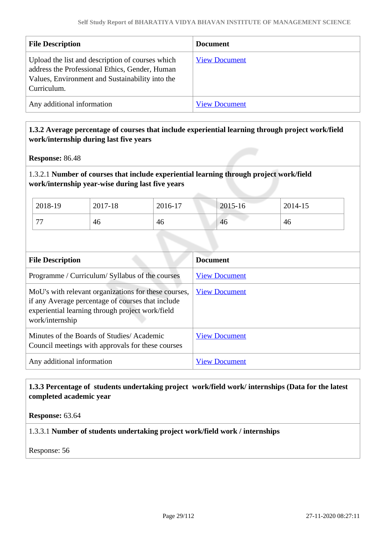| <b>File Description</b>                                                                                                                                              | <b>Document</b>      |
|----------------------------------------------------------------------------------------------------------------------------------------------------------------------|----------------------|
| Upload the list and description of courses which<br>address the Professional Ethics, Gender, Human<br>Values, Environment and Sustainability into the<br>Curriculum. | <b>View Document</b> |
| Any additional information                                                                                                                                           | <b>View Document</b> |

### **1.3.2 Average percentage of courses that include experiential learning through project work/field work/internship during last five years**

**Response:** 86.48

### 1.3.2.1 **Number of courses that include experiential learning through project work/field work/internship year-wise during last five years**

| 2018-19        | 2017-18 | 2016-17 | 2015-16 | 2014-15 |
|----------------|---------|---------|---------|---------|
| $\overline{a}$ | 46      | 46      | 46      | 46      |

| <b>File Description</b>                                                                                                                                                          | <b>Document</b>      |
|----------------------------------------------------------------------------------------------------------------------------------------------------------------------------------|----------------------|
| Programme / Curriculum/ Syllabus of the courses                                                                                                                                  | <b>View Document</b> |
| MoU's with relevant organizations for these courses,<br>if any Average percentage of courses that include<br>experiential learning through project work/field<br>work/internship | <b>View Document</b> |
| Minutes of the Boards of Studies/Academic<br>Council meetings with approvals for these courses                                                                                   | <b>View Document</b> |
| Any additional information                                                                                                                                                       | View Document        |

### **1.3.3 Percentage of students undertaking project work/field work/ internships (Data for the latest completed academic year**

**Response:** 63.64

#### 1.3.3.1 **Number of students undertaking project work/field work / internships**

Response: 56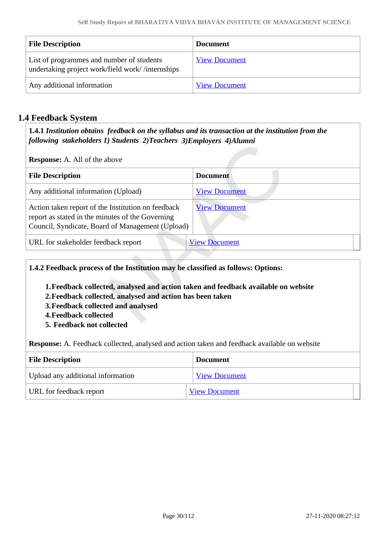| <b>File Description</b>                                                                       | <b>Document</b>      |
|-----------------------------------------------------------------------------------------------|----------------------|
| List of programmes and number of students<br>undertaking project work/field work//internships | <b>View Document</b> |
| Any additional information                                                                    | <b>View Document</b> |

## **1.4 Feedback System**

 **1.4.1** *Institution obtains feedback on the syllabus and its transaction at the institution from the following stakeholders 1) Students 2)Teachers 3)Employers 4)Alumni* 

**Response:** A. All of the above

| <b>File Description</b>                                                                                                                                    | <b>Document</b>      |
|------------------------------------------------------------------------------------------------------------------------------------------------------------|----------------------|
| Any additional information (Upload)                                                                                                                        | <b>View Document</b> |
| Action taken report of the Institution on feedback<br>report as stated in the minutes of the Governing<br>Council, Syndicate, Board of Management (Upload) | <b>View Document</b> |
| URL for stakeholder feedback report                                                                                                                        | <b>View Document</b> |

**1.4.2 Feedback process of the Institution may be classified as follows: Options:**

- **1.Feedback collected, analysed and action taken and feedback available on website**
- **2.Feedback collected, analysed and action has been taken**
- **3.Feedback collected and analysed**
- **4.Feedback collected**
- **5. Feedback not collected**

**Response:** A. Feedback collected, analysed and action taken and feedback available on website

| <b>File Description</b>           | <b>Document</b>      |
|-----------------------------------|----------------------|
| Upload any additional information | <b>View Document</b> |
| URL for feedback report           | <b>View Document</b> |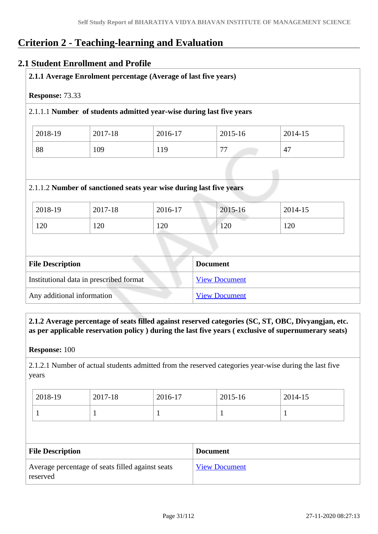## **Criterion 2 - Teaching-learning and Evaluation**

## **2.1 Student Enrollment and Profile**

| Response: 73.33 |         |                                                                      |                |                |
|-----------------|---------|----------------------------------------------------------------------|----------------|----------------|
|                 |         | 2.1.1.1 Number of students admitted year-wise during last five years |                |                |
| 2018-19         | 2017-18 | 2016-17                                                              | 2015-16        | 2014-15        |
| 88              | 109     | 119                                                                  | 77             | 47             |
|                 |         | 2.1.1.2 Number of sanctioned seats year wise during last five years  |                |                |
|                 | 2017-18 | 2016-17                                                              |                |                |
| 2018-19<br>120  | 120     | 120                                                                  | 2015-16<br>120 | 2014-15<br>120 |
|                 |         |                                                                      |                |                |

| Institutional data in prescribed format | <b>View Document</b> |
|-----------------------------------------|----------------------|
| Any additional information              | <b>View Document</b> |
|                                         |                      |

 **2.1.2 Average percentage of seats filled against reserved categories (SC, ST, OBC, Divyangjan, etc. as per applicable reservation policy ) during the last five years ( exclusive of supernumerary seats)**

**Response:** 100

2.1.2.1 Number of actual students admitted from the reserved categories year-wise during the last five years

| 2018-19 | 2017-18 | 2016-17 | 2015-16 | 2014-15 |
|---------|---------|---------|---------|---------|
|         |         |         |         |         |

| <b>File Description</b>                                      | <b>Document</b>      |
|--------------------------------------------------------------|----------------------|
| Average percentage of seats filled against seats<br>reserved | <b>View Document</b> |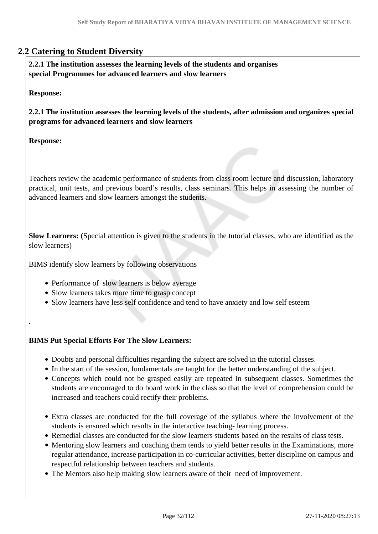## **2.2 Catering to Student Diversity**

 **2.2.1 The institution assesses the learning levels of the students and organises special Programmes for advanced learners and slow learners**

**Response:** 

**2.2.1 The institution assesses the learning levels of the students, after admission and organizes special programs for advanced learners and slow learners**

**Response:**

**.** 

Teachers review the academic performance of students from class room lecture and discussion, laboratory practical, unit tests, and previous board's results, class seminars. This helps in assessing the number of advanced learners and slow learners amongst the students.

**Slow Learners: (**Special attention is given to the students in the tutorial classes, who are identified as the slow learners)

BIMS identify slow learners by following observations

- Performance of slow learners is below average
- Slow learners takes more time to grasp concept
- Slow learners have less self confidence and tend to have anxiety and low self esteem

#### **BIMS Put Special Efforts For The Slow Learners:**

- Doubts and personal difficulties regarding the subject are solved in the tutorial classes.
- In the start of the session, fundamentals are taught for the better understanding of the subject.
- Concepts which could not be grasped easily are repeated in subsequent classes. Sometimes the students are encouraged to do board work in the class so that the level of comprehension could be increased and teachers could rectify their problems.
- Extra classes are conducted for the full coverage of the syllabus where the involvement of the students is ensured which results in the interactive teaching- learning process.
- Remedial classes are conducted for the slow learners students based on the results of class tests.
- Mentoring slow learners and coaching them tends to yield better results in the Examinations, more regular attendance, increase participation in co-curricular activities, better discipline on campus and respectful relationship between teachers and students.
- The Mentors also help making slow learners aware of their need of improvement.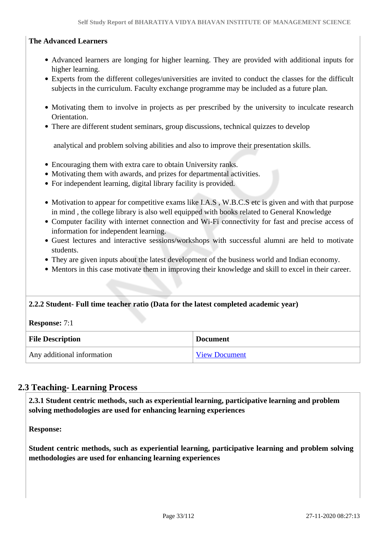#### **The Advanced Learners**

- Advanced learners are longing for higher learning. They are provided with additional inputs for higher learning.
- Experts from the different colleges/universities are invited to conduct the classes for the difficult subjects in the curriculum. Faculty exchange programme may be included as a future plan.
- Motivating them to involve in projects as per prescribed by the university to inculcate research Orientation.
- There are different student seminars, group discussions, technical quizzes to develop

analytical and problem solving abilities and also to improve their presentation skills.

- Encouraging them with extra care to obtain University ranks.
- Motivating them with awards, and prizes for departmental activities.
- For independent learning, digital library facility is provided.
- Motivation to appear for competitive exams like I.A.S, W.B.C.S etc is given and with that purpose in mind , the college library is also well equipped with books related to General Knowledge
- Computer facility with internet connection and Wi-Fi connectivity for fast and precise access of information for independent learning.
- Guest lectures and interactive sessions/workshops with successful alumni are held to motivate students.
- They are given inputs about the latest development of the business world and Indian economy.
- Mentors in this case motivate them in improving their knowledge and skill to excel in their career.

#### **2.2.2 Student- Full time teacher ratio (Data for the latest completed academic year)**

#### **Response:** 7:1

| <b>File Description</b>    | <b>Document</b>      |  |  |
|----------------------------|----------------------|--|--|
| Any additional information | <b>View Document</b> |  |  |

#### **2.3 Teaching- Learning Process**

 **2.3.1 Student centric methods, such as experiential learning, participative learning and problem solving methodologies are used for enhancing learning experiences**

**Response:** 

**Student centric methods, such as experiential learning, participative learning and problem solving methodologies are used for enhancing learning experiences**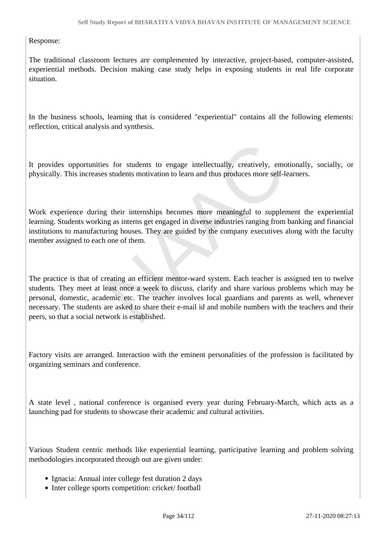Response:

The traditional classroom lectures are complemented by interactive, project-based, computer-assisted, experiential methods. Decision making case study helps in exposing students in real life corporate situation.

In the business schools, learning that is considered "experiential" contains all the following elements: reflection, critical analysis and synthesis.

It provides opportunities for students to engage intellectually, creatively, emotionally, socially, or physically. This increases students motivation to learn and thus produces more self-learners.

Work experience during their internships becomes more meaningful to supplement the experiential learning. Students working as interns get engaged in diverse industries ranging from banking and financial institutions to manufacturing houses. They are guided by the company executives along with the faculty member assigned to each one of them.

The practice is that of creating an efficient mentor-ward system. Each teacher is assigned ten to twelve students. They meet at least once a week to discuss, clarify and share various problems which may be personal, domestic, academic etc. The teacher involves local guardians and parents as well, whenever necessary. The students are asked to share their e-mail id and mobile numbers with the teachers and their peers, so that a social network is established.

Factory visits are arranged. Interaction with the eminent personalities of the profession is facilitated by organizing seminars and conference.

A state level , national conference is organised every year during February-March, which acts as a launching pad for students to showcase their academic and cultural activities.

Various Student centric methods like experiential learning, participative learning and problem solving methodologies incorporated through out are given under:

- Ignacia: Annual inter college fest duration 2 days
- Inter college sports competition: cricket/ football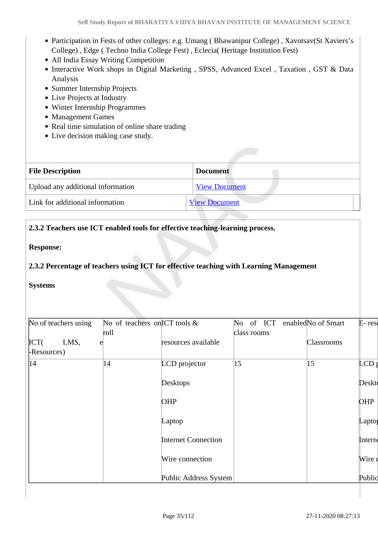- Participation in Fests of other colleges: e.g. Umang ( Bhawanipur College) , Xavotsav(St Xaviers's College) , Edge ( Techno India College Fest) , Eclecia( Heritage Institution Fest)
- All India Essay Writing Competition
- Interactive Work shops in Digital Marketing, SPSS, Advanced Excel, Taxation, GST & Data Analysis
- Summer Internship Projects
- Live Projects at Industry
- Winter Internship Programmes
- Management Games
- Real time simulation of online share trading
- Live decision making case study.

| <b>File Description</b>           | <b>Document</b>      |  |
|-----------------------------------|----------------------|--|
| Upload any additional information | <b>View Document</b> |  |
| Link for additional information   | <b>View Document</b> |  |

### **2.3.2 Teachers use ICT enabled tools for effective teaching-learning process.**

#### **Response:**

**2.3.2 Percentage of teachers using ICT for effective teaching with Learning Management** 

#### **Systems**

| No of teachers using                |      | No of teachers on ICT tools & | No of ICT    | enabledNo of Smart | $E$ -res |
|-------------------------------------|------|-------------------------------|--------------|--------------------|----------|
|                                     | roll |                               | class rooms  |                    |          |
| $\text{ICT}($<br>LMS,<br>Resources) | e    | resources available           |              | <b>Classrooms</b>  |          |
| 14                                  | 14   | LCD projector                 | $ 15\rangle$ | 15                 | $LCD_1$  |
|                                     |      | Desktops                      |              |                    | Deskt    |
|                                     |      | OHP                           |              |                    | OHP      |
|                                     |      | Laptop                        |              |                    | Lapto    |
|                                     |      | <b>Internet Connection</b>    |              |                    | Intern   |
|                                     |      | Wire connection               |              |                    | Wire d   |
|                                     |      | Public Address System         |              |                    | Public   |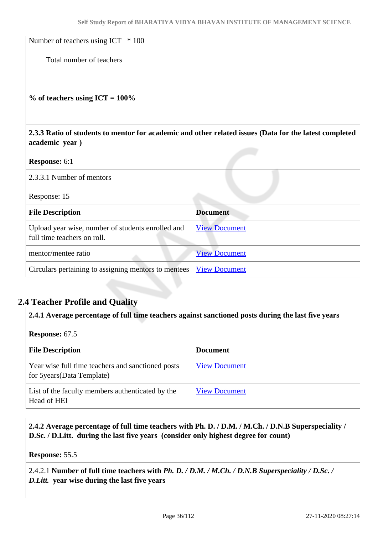Number of teachers using ICT  $*100$ 

Total number of teachers

**% of teachers using ICT = 100%**

 **2.3.3 Ratio of students to mentor for academic and other related issues (Data for the latest completed academic year )**

**Response:** 6:1

2.3.3.1 Number of mentors

Response: 15

| <b>File Description</b>                                                          | <b>Document</b>      |
|----------------------------------------------------------------------------------|----------------------|
| Upload year wise, number of students enrolled and<br>full time teachers on roll. | <b>View Document</b> |
| mentor/mentee ratio                                                              | <b>View Document</b> |
| Circulars pertaining to assigning mentors to mentees                             | <b>View Document</b> |

### **2.4 Teacher Profile and Quality**

**2.4.1 Average percentage of full time teachers against sanctioned posts during the last five years**

**Response:** 67.5

| <b>File Description</b>                                                          | <b>Document</b>      |
|----------------------------------------------------------------------------------|----------------------|
| Year wise full time teachers and sanctioned posts<br>for 5 years (Data Template) | <b>View Document</b> |
| List of the faculty members authenticated by the<br>Head of HEI                  | <b>View Document</b> |

 **2.4.2 Average percentage of full time teachers with Ph. D. / D.M. / M.Ch. / D.N.B Superspeciality / D.Sc. / D.Litt. during the last five years (consider only highest degree for count)**

**Response:** 55.5

2.4.2.1 **Number of full time teachers with** *Ph. D. / D.M. / M.Ch. / D.N.B Superspeciality / D.Sc. / D.Litt.* **year wise during the last five years**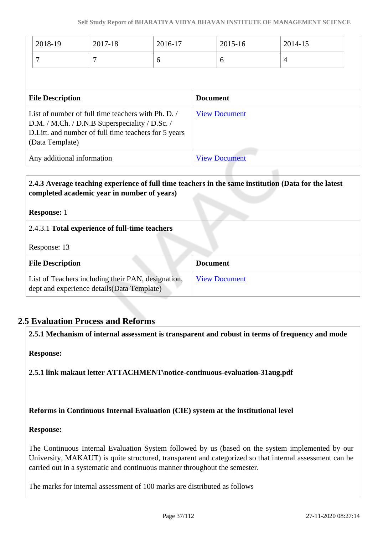|                                                                                                                                                                                  | 2018-19 | 2017-18 | 2016-17              |                      | 2015-16 |  | 2014-15        |  |
|----------------------------------------------------------------------------------------------------------------------------------------------------------------------------------|---------|---------|----------------------|----------------------|---------|--|----------------|--|
|                                                                                                                                                                                  | 7       | 7       | 6                    |                      | 6       |  | $\overline{4}$ |  |
|                                                                                                                                                                                  |         |         |                      |                      |         |  |                |  |
| <b>File Description</b>                                                                                                                                                          |         |         |                      | <b>Document</b>      |         |  |                |  |
| List of number of full time teachers with Ph. D. /<br>D.M. / M.Ch. / D.N.B Superspeciality / D.Sc. /<br>D. Litt. and number of full time teachers for 5 years<br>(Data Template) |         |         | <b>View Document</b> |                      |         |  |                |  |
| Any additional information                                                                                                                                                       |         |         |                      | <b>View Document</b> |         |  |                |  |

### **2.4.3 Average teaching experience of full time teachers in the same institution (Data for the latest completed academic year in number of years)**

**Response:** 1

2.4.3.1 **Total experience of full-time teachers**

Response: 13

| <b>File Description</b>                                                                           | <b>Document</b>      |
|---------------------------------------------------------------------------------------------------|----------------------|
| List of Teachers including their PAN, designation,<br>dept and experience details (Data Template) | <b>View Document</b> |

### **2.5 Evaluation Process and Reforms**

**2.5.1 Mechanism of internal assessment is transparent and robust in terms of frequency and mode**

**Response:** 

**2.5.1 link makaut letter ATTACHMENT\notice-continuous-evaluation-31aug.pdf**

#### **Reforms in Continuous Internal Evaluation (CIE) system at the institutional level**

#### **Response:**

The Continuous Internal Evaluation System followed by us (based on the system implemented by our University, MAKAUT) is quite structured, transparent and categorized so that internal assessment can be carried out in a systematic and continuous manner throughout the semester.

The marks for internal assessment of 100 marks are distributed as follows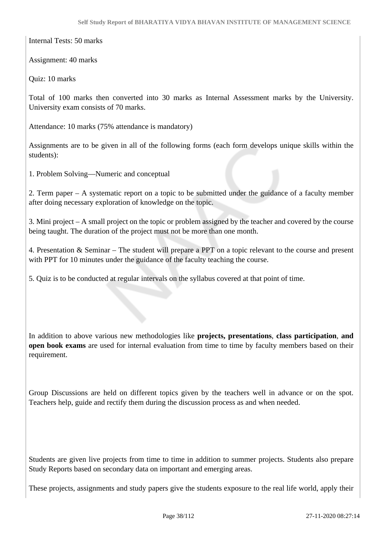Internal Tests: 50 marks

Assignment: 40 marks

Quiz: 10 marks

Total of 100 marks then converted into 30 marks as Internal Assessment marks by the University. University exam consists of 70 marks.

Attendance: 10 marks (75% attendance is mandatory)

Assignments are to be given in all of the following forms (each form develops unique skills within the students):

1. Problem Solving—Numeric and conceptual

2. Term paper – A systematic report on a topic to be submitted under the guidance of a faculty member after doing necessary exploration of knowledge on the topic.

3. Mini project – A small project on the topic or problem assigned by the teacher and covered by the course being taught. The duration of the project must not be more than one month.

4. Presentation & Seminar – The student will prepare a PPT on a topic relevant to the course and present with PPT for 10 minutes under the guidance of the faculty teaching the course.

5. Quiz is to be conducted at regular intervals on the syllabus covered at that point of time.

In addition to above various new methodologies like **projects, presentations**, **class participation**, **and open book exams** are used for internal evaluation from time to time by faculty members based on their requirement.

Group Discussions are held on different topics given by the teachers well in advance or on the spot. Teachers help, guide and rectify them during the discussion process as and when needed.

Students are given live projects from time to time in addition to summer projects. Students also prepare Study Reports based on secondary data on important and emerging areas.

These projects, assignments and study papers give the students exposure to the real life world, apply their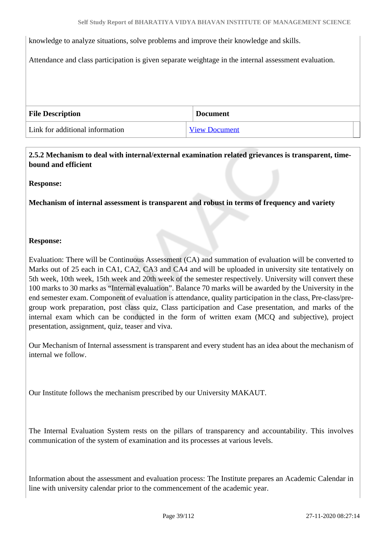knowledge to analyze situations, solve problems and improve their knowledge and skills.

Attendance and class participation is given separate weightage in the internal assessment evaluation.

| <b>File Description</b>         | <b>Document</b>      |
|---------------------------------|----------------------|
| Link for additional information | <b>View Document</b> |

 **2.5.2 Mechanism to deal with internal/external examination related grievances is transparent, timebound and efficient** 

#### **Response:**

**Mechanism of internal assessment is transparent and robust in terms of frequency and variety**

#### **Response:**

Evaluation: There will be Continuous Assessment (CA) and summation of evaluation will be converted to Marks out of 25 each in CA1, CA2, CA3 and CA4 and will be uploaded in university site tentatively on 5th week, 10th week, 15th week and 20th week of the semester respectively. University will convert these 100 marks to 30 marks as "Internal evaluation". Balance 70 marks will be awarded by the University in the end semester exam. Component of evaluation is attendance, quality participation in the class, Pre-class/pregroup work preparation, post class quiz, Class participation and Case presentation, and marks of the internal exam which can be conducted in the form of written exam (MCQ and subjective), project presentation, assignment, quiz, teaser and viva.

Our Mechanism of Internal assessment is transparent and every student has an idea about the mechanism of internal we follow.

Our Institute follows the mechanism prescribed by our University MAKAUT.

The Internal Evaluation System rests on the pillars of transparency and accountability. This involves communication of the system of examination and its processes at various levels.

Information about the assessment and evaluation process: The Institute prepares an Academic Calendar in line with university calendar prior to the commencement of the academic year.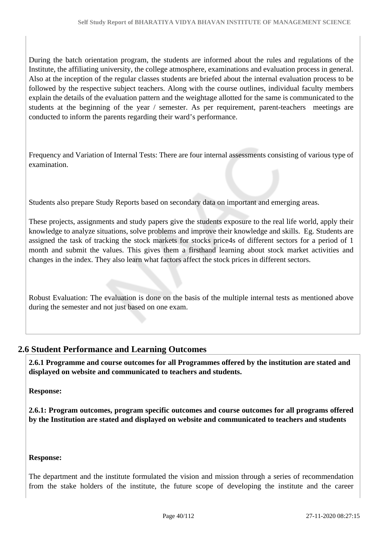During the batch orientation program, the students are informed about the rules and regulations of the Institute, the affiliating university, the college atmosphere, examinations and evaluation process in general. Also at the inception of the regular classes students are briefed about the internal evaluation process to be followed by the respective subject teachers. Along with the course outlines, individual faculty members explain the details of the evaluation pattern and the weightage allotted for the same is communicated to the students at the beginning of the year / semester. As per requirement, parent-teachers meetings are conducted to inform the parents regarding their ward's performance.

Frequency and Variation of Internal Tests: There are four internal assessments consisting of various type of examination.

Students also prepare Study Reports based on secondary data on important and emerging areas.

These projects, assignments and study papers give the students exposure to the real life world, apply their knowledge to analyze situations, solve problems and improve their knowledge and skills. Eg. Students are assigned the task of tracking the stock markets for stocks price4s of different sectors for a period of 1 month and submit the values. This gives them a firsthand learning about stock market activities and changes in the index. They also learn what factors affect the stock prices in different sectors.

Robust Evaluation: The evaluation is done on the basis of the multiple internal tests as mentioned above during the semester and not just based on one exam.

### **2.6 Student Performance and Learning Outcomes**

 **2.6.1 Programme and course outcomes for all Programmes offered by the institution are stated and displayed on website and communicated to teachers and students.**

**Response:** 

**2.6.1: Program outcomes, program specific outcomes and course outcomes for all programs offered by the Institution are stated and displayed on website and communicated to teachers and students**

#### **Response:**

The department and the institute formulated the vision and mission through a series of recommendation from the stake holders of the institute, the future scope of developing the institute and the career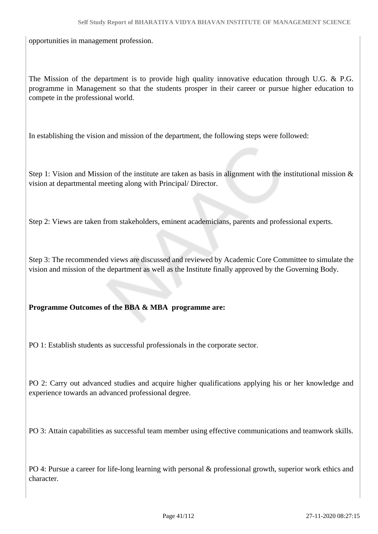opportunities in management profession.

The Mission of the department is to provide high quality innovative education through U.G. & P.G. programme in Management so that the students prosper in their career or pursue higher education to compete in the professional world.

In establishing the vision and mission of the department, the following steps were followed:

Step 1: Vision and Mission of the institute are taken as basis in alignment with the institutional mission  $\&$ vision at departmental meeting along with Principal/ Director.

Step 2: Views are taken from stakeholders, eminent academicians, parents and professional experts.

Step 3: The recommended views are discussed and reviewed by Academic Core Committee to simulate the vision and mission of the department as well as the Institute finally approved by the Governing Body.

#### **Programme Outcomes of the BBA & MBA programme are:**

PO 1: Establish students as successful professionals in the corporate sector.

PO 2: Carry out advanced studies and acquire higher qualifications applying his or her knowledge and experience towards an advanced professional degree.

PO 3: Attain capabilities as successful team member using effective communications and teamwork skills.

PO 4: Pursue a career for life-long learning with personal & professional growth, superior work ethics and character.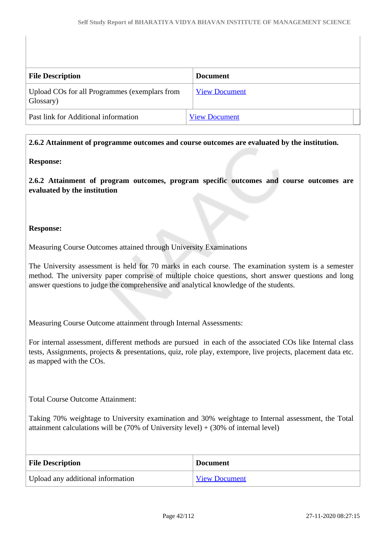| <b>File Description</b>                                    | <b>Document</b>      |
|------------------------------------------------------------|----------------------|
| Upload COs for all Programmes (exemplars from<br>Glossary) | <b>View Document</b> |
| Past link for Additional information                       | <b>View Document</b> |

#### **2.6.2 Attainment of programme outcomes and course outcomes are evaluated by the institution.**

#### **Response:**

**2.6.2 Attainment of program outcomes, program specific outcomes and course outcomes are evaluated by the institution**

#### **Response:**

Measuring Course Outcomes attained through University Examinations

The University assessment is held for 70 marks in each course. The examination system is a semester method. The university paper comprise of multiple choice questions, short answer questions and long answer questions to judge the comprehensive and analytical knowledge of the students.

Measuring Course Outcome attainment through Internal Assessments:

For internal assessment, different methods are pursued in each of the associated COs like Internal class tests, Assignments, projects & presentations, quiz, role play, extempore, live projects, placement data etc. as mapped with the COs.

Total Course Outcome Attainment:

Taking 70% weightage to University examination and 30% weightage to Internal assessment, the Total attainment calculations will be  $(70\% \text{ of University level}) + (30\% \text{ of internal level})$ 

| <b>File Description</b>           | <b>Document</b>      |
|-----------------------------------|----------------------|
| Upload any additional information | <b>View Document</b> |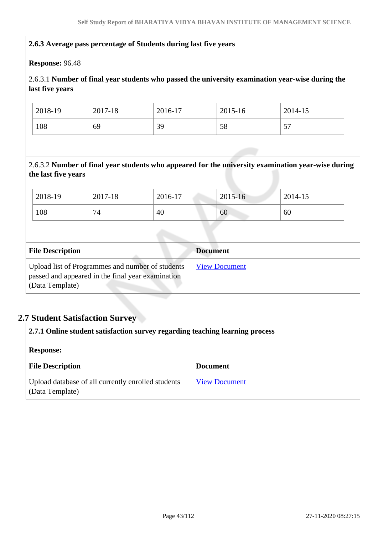#### **2.6.3 Average pass percentage of Students during last five years**

#### **Response:** 96.48

### 2.6.3.1 **Number of final year students who passed the university examination year-wise during the last five years**

| 2018-19 | 2017-18 | 2016-17 | 2015-16 | 2014-15 |
|---------|---------|---------|---------|---------|
| 108     | 69      | 39      | 58      | ٣Π<br>ັ |

2.6.3.2 **Number of final year students who appeared for the university examination year-wise during the last five years**

| 2018-19 | 2017-18                                   | 2016-17 | 2015-16 | 2014-15 |
|---------|-------------------------------------------|---------|---------|---------|
| 108     | $\overline{\phantom{0}}$<br>$\frac{1}{4}$ | 40      | 60      | 60      |

| <b>File Description</b>                                                                                                  | <b>Document</b>      |
|--------------------------------------------------------------------------------------------------------------------------|----------------------|
| Upload list of Programmes and number of students<br>passed and appeared in the final year examination<br>(Data Template) | <b>View Document</b> |

### **2.7 Student Satisfaction Survey**

| 2.7.1 Online student satisfaction survey regarding teaching learning process |                      |  |
|------------------------------------------------------------------------------|----------------------|--|
| <b>Response:</b>                                                             |                      |  |
| <b>File Description</b>                                                      | <b>Document</b>      |  |
| Upload database of all currently enrolled students<br>(Data Template)        | <b>View Document</b> |  |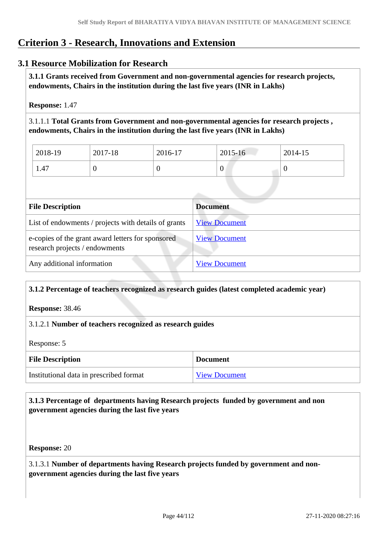# **Criterion 3 - Research, Innovations and Extension**

### **3.1 Resource Mobilization for Research**

 **3.1.1 Grants received from Government and non-governmental agencies for research projects, endowments, Chairs in the institution during the last five years (INR in Lakhs)** 

**Response:** 1.47

3.1.1.1 **Total Grants from Government and non-governmental agencies for research projects , endowments, Chairs in the institution during the last five years (INR in Lakhs)**

| $12018-19$ | 2017-18 | 2016-17 | $2015 - 16$ | 2014-15 |
|------------|---------|---------|-------------|---------|
| 1.47       |         |         | v           |         |

| <b>File Description</b>                                                             | <b>Document</b>      |
|-------------------------------------------------------------------------------------|----------------------|
| List of endowments / projects with details of grants                                | <b>View Document</b> |
| e-copies of the grant award letters for sponsored<br>research projects / endowments | <b>View Document</b> |
| Any additional information                                                          | <b>View Document</b> |

### **3.1.2 Percentage of teachers recognized as research guides (latest completed academic year)**

**Response:** 38.46

#### 3.1.2.1 **Number of teachers recognized as research guides**

Response: 5

| <b>File Description</b>                 | <b>Document</b>      |
|-----------------------------------------|----------------------|
| Institutional data in prescribed format | <b>View Document</b> |

 **3.1.3 Percentage of departments having Research projects funded by government and non government agencies during the last five years**

**Response:** 20

3.1.3.1 **Number of departments having Research projects funded by government and nongovernment agencies during the last five years**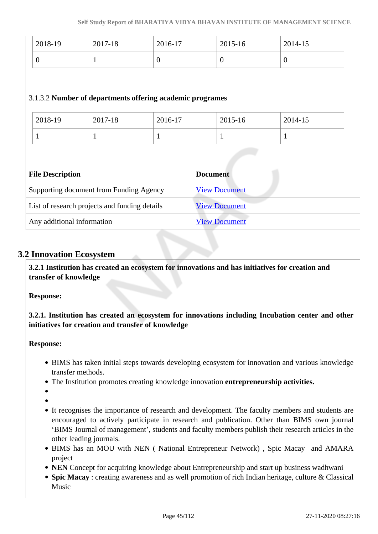| 2018-19                                       | 2017-18                                                   | 2016-17        | 2015-16              | 2014-15  |  |  |  |
|-----------------------------------------------|-----------------------------------------------------------|----------------|----------------------|----------|--|--|--|
| $\overline{0}$                                | 1                                                         | $\overline{0}$ | $\overline{0}$       | $\theta$ |  |  |  |
|                                               |                                                           |                |                      |          |  |  |  |
|                                               | 3.1.3.2 Number of departments offering academic programes |                |                      |          |  |  |  |
| 2018-19                                       | 2017-18                                                   | 2016-17        | 2015-16              | 2014-15  |  |  |  |
| $\mathbf{1}$                                  | 1                                                         | $\mathbf{1}$   | $\mathbf{1}$         | 1        |  |  |  |
|                                               |                                                           |                |                      |          |  |  |  |
| <b>File Description</b>                       |                                                           |                | <b>Document</b>      |          |  |  |  |
| Supporting document from Funding Agency       |                                                           |                | <b>View Document</b> |          |  |  |  |
| List of research projects and funding details |                                                           |                | <b>View Document</b> |          |  |  |  |
| Any additional information                    |                                                           |                | <b>View Document</b> |          |  |  |  |

### **3.2 Innovation Ecosystem**

 **3.2.1 Institution has created an ecosystem for innovations and has initiatives for creation and transfer of knowledge**

**Response:** 

**3.2.1. Institution has created an ecosystem for innovations including Incubation center and other initiatives for creation and transfer of knowledge**

#### **Response:**

- BIMS has taken initial steps towards developing ecosystem for innovation and various knowledge transfer methods.
- The Institution promotes creating knowledge innovation **entrepreneurship activities.**

- 
- It recognises the importance of research and development. The faculty members and students are encouraged to actively participate in research and publication. Other than BIMS own journal 'BIMS Journal of management', students and faculty members publish their research articles in the other leading journals.
- BIMS has an MOU with NEN ( National Entrepreneur Network) , Spic Macay and AMARA project
- **NEN** Concept for acquiring knowledge about Entrepreneurship and start up business wadhwani
- **Spic Macay** : creating awareness and as well promotion of rich Indian heritage, culture & Classical Music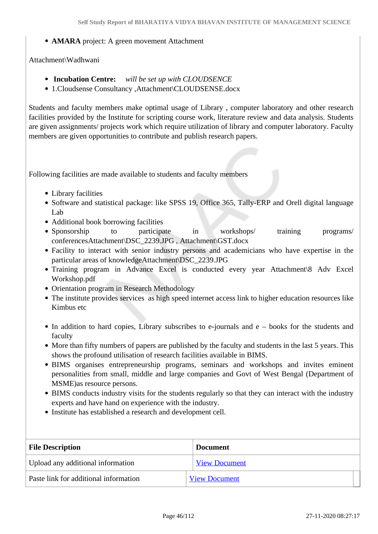#### **AMARA** project: A green movement Attachment

#### Attachment\Wadhwani

- **Incubation Centre:** *will be set up with CLOUDSENCE*
- 1.Cloudsense Consultancy ,Attachment\CLOUDSENSE.docx

Students and faculty members make optimal usage of Library , computer laboratory and other research facilities provided by the Institute for scripting course work, literature review and data analysis. Students are given assignments/ projects work which require utilization of library and computer laboratory. Faculty members are given opportunities to contribute and publish research papers.

Following facilities are made available to students and faculty members

- Library facilities
- Software and statistical package: like SPSS 19, Office 365, Tally-ERP and Orell digital language Lab
- Additional book borrowing facilities
- Sponsorship to participate in workshops/ training programs/ conferencesAttachment\DSC\_2239.JPG , Attachment\GST.docx
- Facility to interact with senior industry persons and academicians who have expertise in the particular areas of knowledgeAttachment\DSC\_2239.JPG
- Training program in Advance Excel is conducted every year Attachment\8 Adv Excel Workshop.pdf
- Orientation program in Research Methodology
- The institute provides services as high speed internet access link to higher education resources like Kimbus etc
- $\bullet$  In addition to hard copies, Library subscribes to e-journals and e books for the students and faculty
- More than fifty numbers of papers are published by the faculty and students in the last 5 years. This shows the profound utilisation of research facilities available in BIMS.
- BIMS organises entrepreneurship programs, seminars and workshops and invites eminent personalities from small, middle and large companies and Govt of West Bengal (Department of MSME)as resource persons.
- BIMS conducts industry visits for the students regularly so that they can interact with the industry experts and have hand on experience with the industry.
- Institute has established a research and development cell.

| <b>File Description</b>               | <b>Document</b>      |  |
|---------------------------------------|----------------------|--|
| Upload any additional information     | <b>View Document</b> |  |
| Paste link for additional information | <b>View Document</b> |  |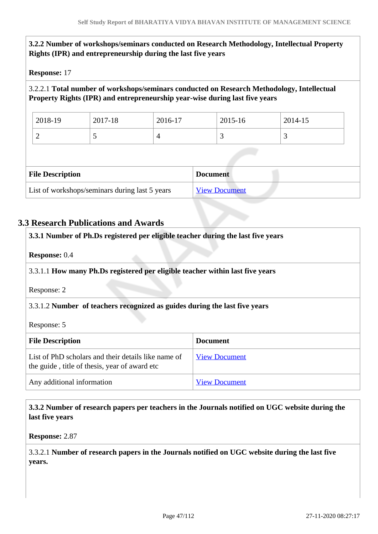### **3.2.2 Number of workshops/seminars conducted on Research Methodology, Intellectual Property Rights (IPR) and entrepreneurship during the last five years**

#### **Response:** 17

### 3.2.2.1 **Total number of workshops/seminars conducted on Research Methodology, Intellectual Property Rights (IPR) and entrepreneurship year-wise during last five years**

| 2018-19 | 2017-18 | 2016-17 | 2015-16 | 2014-15 |
|---------|---------|---------|---------|---------|
|         |         |         |         |         |

| <b>File Description</b>                        | <b>Document</b>      |
|------------------------------------------------|----------------------|
| List of workshops/seminars during last 5 years | <b>View Document</b> |

### **3.3 Research Publications and Awards**

| 3.3.1 Number of Ph.Ds registered per eligible teacher during the last five years                     |                                                                            |  |  |  |  |
|------------------------------------------------------------------------------------------------------|----------------------------------------------------------------------------|--|--|--|--|
| <b>Response: 0.4</b>                                                                                 |                                                                            |  |  |  |  |
| 3.3.1.1 How many Ph.Ds registered per eligible teacher within last five years                        |                                                                            |  |  |  |  |
| Response: 2                                                                                          |                                                                            |  |  |  |  |
|                                                                                                      | 3.3.1.2 Number of teachers recognized as guides during the last five years |  |  |  |  |
| Response: 5                                                                                          |                                                                            |  |  |  |  |
| <b>File Description</b><br><b>Document</b>                                                           |                                                                            |  |  |  |  |
| List of PhD scholars and their details like name of<br>the guide, title of thesis, year of award etc | <b>View Document</b>                                                       |  |  |  |  |
| Any additional information                                                                           | <b>View Document</b>                                                       |  |  |  |  |

### **3.3.2 Number of research papers per teachers in the Journals notified on UGC website during the last five years**

**Response:** 2.87

3.3.2.1 **Number of research papers in the Journals notified on UGC website during the last five years.**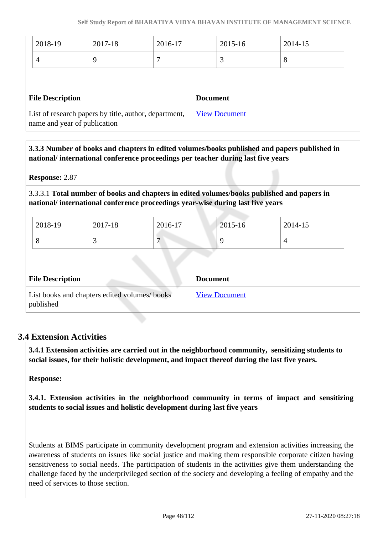| 2018-19                                                                               | 2017-18 | 2016-17 |  | 2015-16              | 2014-15 |
|---------------------------------------------------------------------------------------|---------|---------|--|----------------------|---------|
| 4                                                                                     | 9       |         |  | 3                    | 8       |
|                                                                                       |         |         |  |                      |         |
| <b>File Description</b><br><b>Document</b>                                            |         |         |  |                      |         |
| List of research papers by title, author, department,<br>name and year of publication |         |         |  | <b>View Document</b> |         |

 **3.3.3 Number of books and chapters in edited volumes/books published and papers published in national/ international conference proceedings per teacher during last five years**

**Response:** 2.87

3.3.3.1 **Total number of books and chapters in edited volumes/books published and papers in national/ international conference proceedings year-wise during last five years**

| 2018-19 | 2017-18 | 2016-17 | $2015 - 16$ | 2014-15 |
|---------|---------|---------|-------------|---------|
| ◡       |         |         |             |         |

| <b>File Description</b>                                    | <b>Document</b>      |
|------------------------------------------------------------|----------------------|
| List books and chapters edited volumes/ books<br>published | <b>View Document</b> |

### **3.4 Extension Activities**

 **3.4.1 Extension activities are carried out in the neighborhood community, sensitizing students to social issues, for their holistic development, and impact thereof during the last five years.**

**Response:** 

**3.4.1. Extension activities in the neighborhood community in terms of impact and sensitizing students to social issues and holistic development during last five years**

Students at BIMS participate in community development program and extension activities increasing the awareness of students on issues like social justice and making them responsible corporate citizen having sensitiveness to social needs. The participation of students in the activities give them understanding the challenge faced by the underprivileged section of the society and developing a feeling of empathy and the need of services to those section.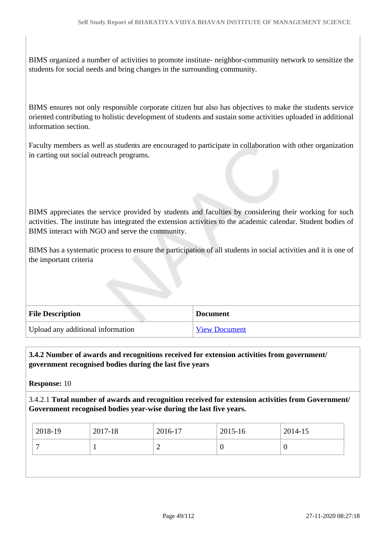BIMS organized a number of activities to promote institute- neighbor-community network to sensitize the students for social needs and bring changes in the surrounding community.

BIMS ensures not only responsible corporate citizen but also has objectives to make the students service oriented contributing to holistic development of students and sustain some activities uploaded in additional information section.

Faculty members as well as students are encouraged to participate in collaboration with other organization in carting out social outreach programs.

BIMS appreciates the service provided by students and faculties by considering their working for such activities. The institute has integrated the extension activities to the academic calendar. Student bodies of BIMS interact with NGO and serve the community.

BIMS has a systematic process to ensure the participation of all students in social activities and it is one of the important criteria

| <b>File Description</b>           | Document             |
|-----------------------------------|----------------------|
| Upload any additional information | <b>View Document</b> |

#### **3.4.2 Number of awards and recognitions received for extension activities from government/ government recognised bodies during the last five years**

**Response:** 10

3.4.2.1 **Total number of awards and recognition received for extension activities from Government/ Government recognised bodies year-wise during the last five years.**

| 2018-19 | 2017-18 | 2016-17 | 2015-16 | 2014-15 |
|---------|---------|---------|---------|---------|
|         |         |         |         | u       |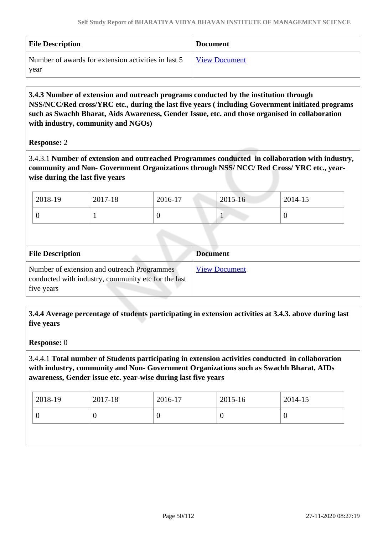| <b>File Description</b>                             | <b>Document</b>      |
|-----------------------------------------------------|----------------------|
| Number of awards for extension activities in last 5 | <b>View Document</b> |
| year                                                |                      |

 **3.4.3 Number of extension and outreach programs conducted by the institution through NSS/NCC/Red cross/YRC etc., during the last five years ( including Government initiated programs such as Swachh Bharat, Aids Awareness, Gender Issue, etc. and those organised in collaboration with industry, community and NGOs)**

#### **Response:** 2

3.4.3.1 **Number of extension and outreached Programmes conducted in collaboration with industry, community and Non- Government Organizations through NSS/ NCC/ Red Cross/ YRC etc., yearwise during the last five years**

| 2018-19 | 2017-18 | 2016-17 | $2015 - 16$ | 2014-15 |
|---------|---------|---------|-------------|---------|
| ິ       |         | ◡       |             | ∪       |

| <b>File Description</b>                                                                                          | <b>Document</b>      |
|------------------------------------------------------------------------------------------------------------------|----------------------|
| Number of extension and outreach Programmes<br>conducted with industry, community etc for the last<br>five years | <b>View Document</b> |

 **3.4.4 Average percentage of students participating in extension activities at 3.4.3. above during last five years**

#### **Response:** 0

3.4.4.1 **Total number of Students participating in extension activities conducted in collaboration with industry, community and Non- Government Organizations such as Swachh Bharat, AIDs awareness, Gender issue etc. year-wise during last five years**

| 2018-19 | 2017-18 | 2016-17 | $2015 - 16$ | 2014-15 |
|---------|---------|---------|-------------|---------|
| ν       | U       |         | U           | U       |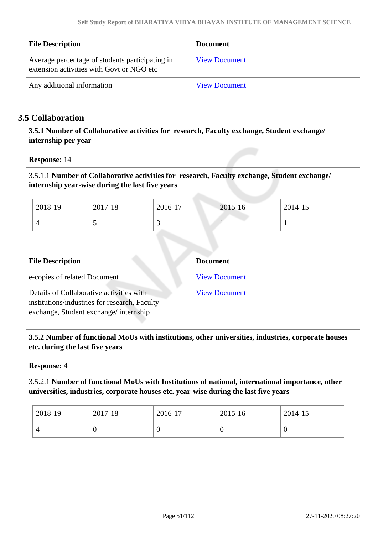| <b>File Description</b>                                                                      | Document             |
|----------------------------------------------------------------------------------------------|----------------------|
| Average percentage of students participating in<br>extension activities with Govt or NGO etc | <b>View Document</b> |
| Any additional information                                                                   | <b>View Document</b> |

### **3.5 Collaboration**

 **3.5.1 Number of Collaborative activities for research, Faculty exchange, Student exchange/ internship per year**

**Response:** 14

3.5.1.1 **Number of Collaborative activities for research, Faculty exchange, Student exchange/ internship year-wise during the last five years**

| 2018-19 | 2017-18 | 2016-17 | 2015-16 | 2014-15 |
|---------|---------|---------|---------|---------|
|         | . .     |         |         |         |

| <b>File Description</b>                                                                                                            | <b>Document</b>      |
|------------------------------------------------------------------------------------------------------------------------------------|----------------------|
| e-copies of related Document                                                                                                       | <b>View Document</b> |
| Details of Collaborative activities with<br>institutions/industries for research, Faculty<br>exchange, Student exchange/internship | <b>View Document</b> |

 **3.5.2 Number of functional MoUs with institutions, other universities, industries, corporate houses etc. during the last five years** 

**Response:** 4

3.5.2.1 **Number of functional MoUs with Institutions of national, international importance, other universities, industries, corporate houses etc. year-wise during the last five years**

| 2018-19 | 2017-18 | 2016-17 | $12015 - 16$ | 2014-15 |
|---------|---------|---------|--------------|---------|
|         |         |         |              |         |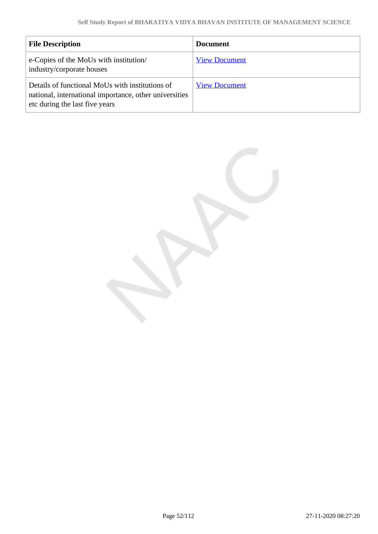| <b>File Description</b>                                                                                                                     | <b>Document</b>      |
|---------------------------------------------------------------------------------------------------------------------------------------------|----------------------|
| e-Copies of the MoUs with institution/<br>industry/corporate houses                                                                         | <b>View Document</b> |
| Details of functional MoUs with institutions of<br>national, international importance, other universities<br>etc during the last five years | <b>View Document</b> |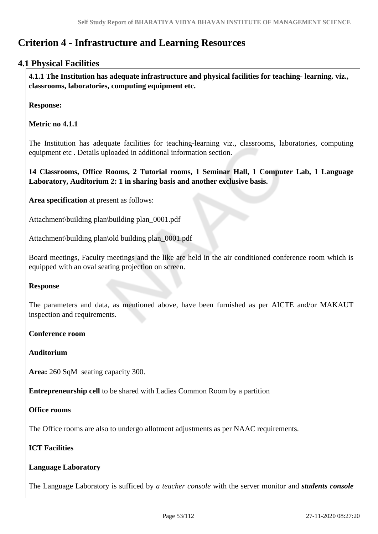# **Criterion 4 - Infrastructure and Learning Resources**

### **4.1 Physical Facilities**

 **4.1.1 The Institution has adequate infrastructure and physical facilities for teaching- learning. viz., classrooms, laboratories, computing equipment etc.** 

**Response:** 

**Metric no 4.1.1** 

The Institution has adequate facilities for teaching-learning viz., classrooms, laboratories, computing equipment etc . Details uploaded in additional information section.

**14 Classrooms, Office Rooms, 2 Tutorial rooms, 1 Seminar Hall, 1 Computer Lab, 1 Language Laboratory, Auditorium 2: 1 in sharing basis and another exclusive basis.**

**Area specification** at present as follows:

Attachment\building plan\building plan\_0001.pdf

Attachment\building plan\old building plan\_0001.pdf

Board meetings, Faculty meetings and the like are held in the air conditioned conference room which is equipped with an oval seating projection on screen.

#### **Response**

The parameters and data, as mentioned above, have been furnished as per AICTE and/or MAKAUT inspection and requirements.

#### **Conference room**

#### **Auditorium**

**Area:** 260 SqM seating capacity 300.

**Entrepreneurship cell** to be shared with Ladies Common Room by a partition

#### **Office rooms**

The Office rooms are also to undergo allotment adjustments as per NAAC requirements.

### **ICT Facilities**

#### **Language Laboratory**

The Language Laboratory is sufficed by *a teacher console* with the server monitor and *students console*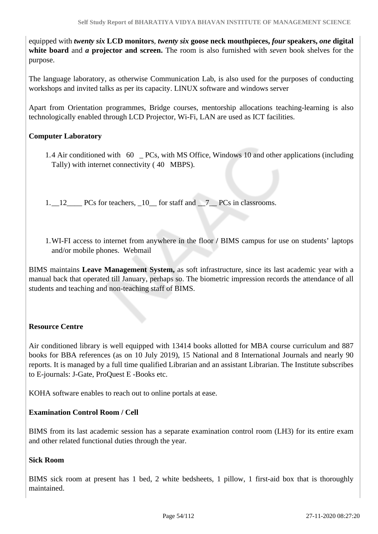equipped with *twenty six* **LCD monitors**, *twenty six* **goose neck mouthpieces,** *four* **speakers,** *one* **digital white board** and *a* **projector and screen.** The room is also furnished with *seven* book shelves for the purpose.

The language laboratory, as otherwise Communication Lab, is also used for the purposes of conducting workshops and invited talks as per its capacity. LINUX software and windows server

Apart from Orientation programmes, Bridge courses, mentorship allocations teaching-learning is also technologically enabled through LCD Projector, Wi-Fi, LAN are used as ICT facilities.

### **Computer Laboratory**

- 1.4 Air conditioned with 60 \_ PCs, with MS Office, Windows 10 and other applications (including Tally) with internet connectivity ( 40 MBPS).
- 1. 12\_\_\_\_ PCs for teachers, \_10\_\_ for staff and \_\_7\_\_ PCs in classrooms.
- 1.WI-FI access to internet from anywhere in the floor **/** BIMS campus for use on students' laptops and/or mobile phones. Webmail

BIMS maintains **Leave Management System,** as soft infrastructure, since its last academic year with a manual back that operated till January, perhaps so. The biometric impression records the attendance of all students and teaching and non-teaching staff of BIMS.

#### **Resource Centre**

Air conditioned library is well equipped with 13414 books allotted for MBA course curriculum and 887 books for BBA references (as on 10 July 2019), 15 National and 8 International Journals and nearly 90 reports. It is managed by a full time qualified Librarian and an assistant Librarian. The Institute subscribes to E-journals: J-Gate, ProQuest E -Books etc.

KOHA software enables to reach out to online portals at ease.

#### **Examination Control Room / Cell**

BIMS from its last academic session has a separate examination control room (LH3) for its entire exam and other related functional duties through the year.

#### **Sick Room**

BIMS sick room at present has 1 bed, 2 white bedsheets, 1 pillow, 1 first-aid box that is thoroughly maintained.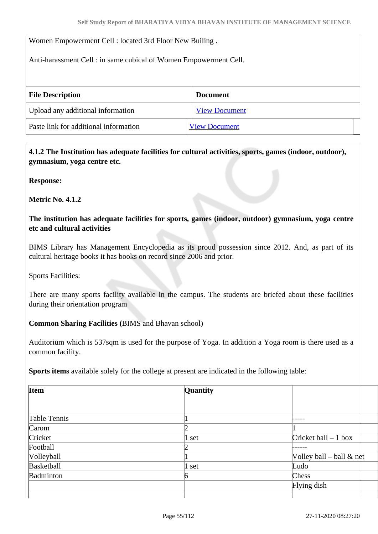Women Empowerment Cell : located 3rd Floor New Builing .

Anti-harassment Cell : in same cubical of Women Empowerment Cell.

| <b>File Description</b>               | <b>Document</b>      |
|---------------------------------------|----------------------|
| Upload any additional information     | <b>View Document</b> |
| Paste link for additional information | <b>View Document</b> |

 **4.1.2 The Institution has adequate facilities for cultural activities, sports, games (indoor, outdoor), gymnasium, yoga centre etc.** 

**Response:** 

**Metric No. 4.1.2**

**The institution has adequate facilities for sports, games (indoor, outdoor) gymnasium, yoga centre etc and cultural activities**

BIMS Library has Management Encyclopedia as its proud possession since 2012. And, as part of its cultural heritage books it has books on record since 2006 and prior.

Sports Facilities:

There are many sports facility available in the campus. The students are briefed about these facilities during their orientation program

**Common Sharing Facilities (**BIMS and Bhavan school)

Auditorium which is 537sqm is used for the purpose of Yoga. In addition a Yoga room is there used as a common facility.

**Sports items** available solely for the college at present are indicated in the following table:

| <b>Item</b>  | Quantity |                             |
|--------------|----------|-----------------------------|
|              |          |                             |
| Table Tennis |          |                             |
| Carom        |          |                             |
| Cricket      | 1 set    | Cricket ball $-1$ box       |
| Football     | 7        |                             |
| Volleyball   |          | Volley ball – ball $\&$ net |
| Basketball   | $1$ set  | Ludo                        |
| Badminton    | 6        | Chess                       |
|              |          | Flying dish                 |
|              |          |                             |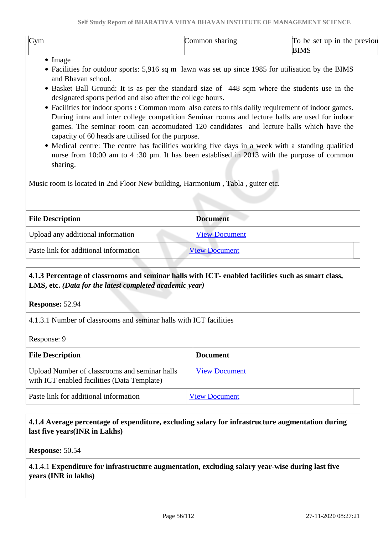| Gym<br>up in<br>the<br>a sharing-<br>be set<br>previou<br>ommon<br>10<br><b>BIMS</b> |
|--------------------------------------------------------------------------------------|
|--------------------------------------------------------------------------------------|

- Image
- Facilities for outdoor sports: 5,916 sq m lawn was set up since 1985 for utilisation by the BIMS and Bhavan school.
- Basket Ball Ground: It is as per the standard size of 448 sqm where the students use in the designated sports period and also after the college hours.
- Facilities for indoor sports : Common room also caters to this dalily requirement of indoor games. During intra and inter college competition Seminar rooms and lecture halls are used for indoor games. The seminar room can accomudated 120 candidates and lecture halls which have the capacity of 60 heads are utilised for the purpose.
- Medical centre: The centre has facilities working five days in a week with a standing qualified nurse from 10:00 am to 4 :30 pm. It has been establised in 2013 with the purpose of common sharing.

Music room is located in 2nd Floor New building, Harmonium , Tabla , guiter etc.

| <b>File Description</b>               | <b>Document</b>      |
|---------------------------------------|----------------------|
| Upload any additional information     | <b>View Document</b> |
| Paste link for additional information | <b>View Document</b> |

### **4.1.3 Percentage of classrooms and seminar halls with ICT- enabled facilities such as smart class, LMS, etc.** *(Data for the latest completed academic year)*

**Response:** 52.94

4.1.3.1 Number of classrooms and seminar halls with ICT facilities

Response: 9

| <b>File Description</b>                                                                      | <b>Document</b>      |
|----------------------------------------------------------------------------------------------|----------------------|
| Upload Number of classrooms and seminar halls<br>with ICT enabled facilities (Data Template) | <b>View Document</b> |
| Paste link for additional information                                                        | <b>View Document</b> |

### **4.1.4 Average percentage of expenditure, excluding salary for infrastructure augmentation during last five years(INR in Lakhs)**

**Response:** 50.54

4.1.4.1 **Expenditure for infrastructure augmentation, excluding salary year-wise during last five years (INR in lakhs)**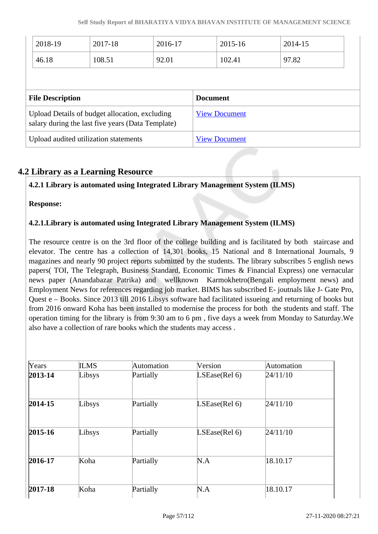| 2017-18<br>2018-19<br>2016-17 |                                                                                                     |       | 2015-16         | 2014-15              |       |  |
|-------------------------------|-----------------------------------------------------------------------------------------------------|-------|-----------------|----------------------|-------|--|
| 46.18                         | 108.51                                                                                              | 92.01 |                 | 102.41               | 97.82 |  |
|                               |                                                                                                     |       |                 |                      |       |  |
|                               |                                                                                                     |       |                 |                      |       |  |
| <b>File Description</b>       |                                                                                                     |       | <b>Document</b> |                      |       |  |
|                               | Upload Details of budget allocation, excluding<br>salary during the last five years (Data Template) |       |                 | <b>View Document</b> |       |  |

### **4.2 Library as a Learning Resource**

### **4.2.1 Library is automated using Integrated Library Management System (ILMS)**

**Response:** 

### **4.2.1.Library is automated using Integrated Library Management System (ILMS)**

The resource centre is on the 3rd floor of the college building and is facilitated by both staircase and elevator. The centre has a collection of 14,301 books, 15 National and 8 International Journals, 9 magazines and nearly 90 project reports submitted by the students. The library subscribes 5 english news papers( TOI, The Telegraph, Business Standard, Economic Times & Financial Express) one vernacular news paper (Anandabazar Patrika) and wellknown Karmokhetro(Bengali employment news) and Employment News for references regarding job market. BIMS has subscribed E- joutnals like J- Gate Pro, Quest e – Books. Since 2013 till 2016 Libsys software had facilitated issueing and returning of books but from 2016 onward Koha has been installed to modernise the process for both the students and staff. The operation timing for the library is from 9:30 am to 6 pm , five days a week from Monday to Saturday.We also have a collection of rare books which the students may access .

| Years       | <b>ILMS</b> | Automation | Version       | Automation |
|-------------|-------------|------------|---------------|------------|
| $2013 - 14$ | Libsys      | Partially  | LSEase(Rel 6) | 24/11/10   |
| $2014 - 15$ | Libsys      | Partially  | LSEase(Rel 6) | 24/11/10   |
| $2015 - 16$ | Libsys      | Partially  | LSEase(Rel 6) | 24/11/10   |
| 2016-17     | Koha        | Partially  | N.A           | 18.10.17   |
| $2017 - 18$ | Koha        | Partially  | N.A           | 18.10.17   |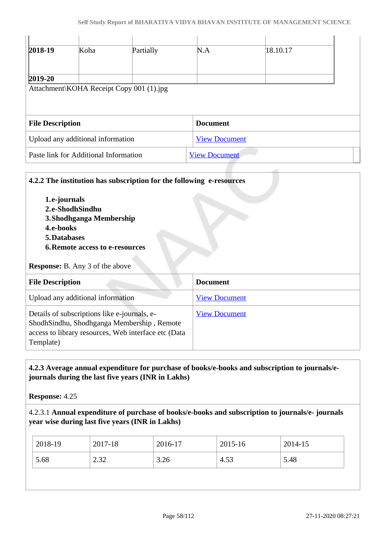| 2018-19                 | Koha                              | Partially                                | N.A                  | 18.10.17 |  |
|-------------------------|-----------------------------------|------------------------------------------|----------------------|----------|--|
| $2019 - 20$             |                                   |                                          |                      |          |  |
|                         |                                   | Attachment\KOHA Receipt Copy 001 (1).jpg |                      |          |  |
|                         |                                   |                                          |                      |          |  |
| <b>File Description</b> |                                   |                                          |                      |          |  |
|                         |                                   |                                          | <b>Document</b>      |          |  |
|                         | Upload any additional information |                                          | <b>View Document</b> |          |  |

### **4.2.2 The institution has subscription for the following e-resources**

**1.e-journals 2.e-ShodhSindhu 3.Shodhganga Membership 4.e-books 5.Databases 6.Remote access to e-resources**

#### **Response:** B. Any 3 of the above

| <b>File Description</b>                                                                                                                                         | <b>Document</b>      |
|-----------------------------------------------------------------------------------------------------------------------------------------------------------------|----------------------|
| Upload any additional information                                                                                                                               | <b>View Document</b> |
| Details of subscriptions like e-journals, e-<br>ShodhSindhu, Shodhganga Membership, Remote<br>access to library resources, Web interface etc (Data<br>Template) | <b>View Document</b> |

### **4.2.3 Average annual expenditure for purchase of books/e-books and subscription to journals/ejournals during the last five years (INR in Lakhs)**

**Response:** 4.25

### 4.2.3.1 **Annual expenditure of purchase of books/e-books and subscription to journals/e- journals year wise during last five years (INR in Lakhs)**

| 2018-19 | 2017-18    | 2016-17 | 2015-16 | 2014-15 |
|---------|------------|---------|---------|---------|
| 5.68    | 22<br>2.02 | 3.26    | 4.53    | 5.48    |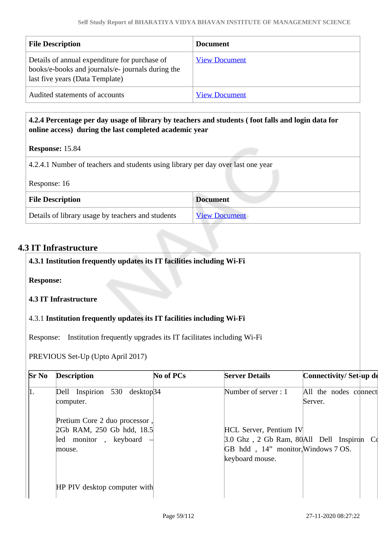| <b>File Description</b>                                                                                                               | <b>Document</b>      |
|---------------------------------------------------------------------------------------------------------------------------------------|----------------------|
| Details of annual expenditure for purchase of<br>books/e-books and journals/e- journals during the<br>last five years (Data Template) | <b>View Document</b> |
| Audited statements of accounts                                                                                                        | <b>View Document</b> |

### **4.2.4 Percentage per day usage of library by teachers and students ( foot falls and login data for online access) during the last completed academic year**

#### **Response:** 15.84

4.2.4.1 Number of teachers and students using library per day over last one year

|  |  | Response: 16 |  |
|--|--|--------------|--|
|--|--|--------------|--|

| <b>File Description</b>                           | <b>Document</b>      |  |  |
|---------------------------------------------------|----------------------|--|--|
| Details of library usage by teachers and students | <b>View Document</b> |  |  |

### **4.3 IT Infrastructure**

| 4.3.1 Institution frequently updates its IT facilities including Wi-Fi |
|------------------------------------------------------------------------|
| <b>Response:</b>                                                       |
| 4.3 IT Infrastructure                                                  |
| 4.3.1 Institution frequently updates its IT facilities including Wi-Fi |

Response: Institution frequently upgrades its IT facilitates including Wi-Fi

PREVIOUS Set-Up (Upto April 2017)

| $Sr$ No | <b>Description</b>                                                                            | No of PCs | <b>Server Details</b>                                                                                                               | Connectivity/Set-up de           |  |
|---------|-----------------------------------------------------------------------------------------------|-----------|-------------------------------------------------------------------------------------------------------------------------------------|----------------------------------|--|
| 1.      | Dell Inspirion 530 desktop34<br>computer.                                                     |           | Number of server : 1                                                                                                                | All the nodes connect<br>Server. |  |
|         | Pretium Core 2 duo processor,<br>2Gb RAM, 250 Gb hdd, 18.5<br>led monitor, keyboard<br>mouse. |           | <b>HCL Server, Pentium IV</b><br>3.0 Ghz, 2 Gb Ram, 80All Dell Inspiron Co<br>GB hdd, 14" monitor, Windows 7 OS.<br>keyboard mouse. |                                  |  |
|         | HP PIV desktop computer with                                                                  |           |                                                                                                                                     |                                  |  |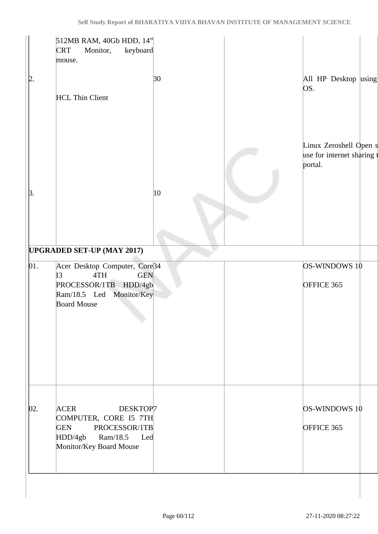|                   | 512MB RAM, 40Gb HDD, 14"<br>Monitor,<br>keyboard<br><b>CRT</b><br>mouse.                                                                                                 |              |                                                               |  |
|-------------------|--------------------------------------------------------------------------------------------------------------------------------------------------------------------------|--------------|---------------------------------------------------------------|--|
| þ.                | <b>HCL Thin Client</b>                                                                                                                                                   | 30           | All HP Desktop using<br>OS.                                   |  |
| $\beta$ .         |                                                                                                                                                                          | $ 10\rangle$ | Linux Zeroshell Open s<br>use for internet sharing<br>portal. |  |
|                   |                                                                                                                                                                          |              |                                                               |  |
| $\vert 01. \vert$ | <b>UPGRADED SET-UP (MAY 2017)</b><br>Acer Desktop Computer, Core34<br>4TH<br><b>GEN</b><br>I3<br>PROCESSOR/1TB HDD/4gb<br>Ram/18.5 Led Monitor/Key<br><b>Board Mouse</b> |              | OS-WINDOWS 10<br>OFFICE 365                                   |  |
| 02.               | <b>ACER</b><br>DESKTOP7<br>COMPUTER, CORE I5 7TH<br><b>GEN</b><br>PROCESSOR/1TB<br>HDD/4gb<br>Ram/18.5<br>Led<br>Monitor/Key Board Mouse                                 |              | OS-WINDOWS 10<br>OFFICE 365                                   |  |
|                   |                                                                                                                                                                          |              |                                                               |  |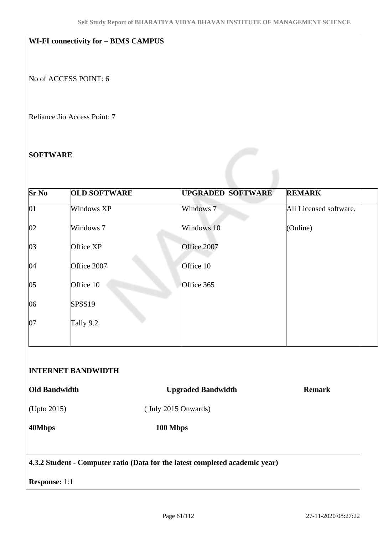## **WI-FI connectivity for – BIMS CAMPUS**

No of ACCESS POINT: 6

Reliance Jio Access Point: 7

#### **SOFTWARE**

| Windows XP<br>Windows 7 | Windows 7                                         | All Licensed software.                                       |
|-------------------------|---------------------------------------------------|--------------------------------------------------------------|
|                         |                                                   |                                                              |
|                         | Windows 10                                        | (Online)                                                     |
| Office XP               | Office 2007                                       |                                                              |
| Office 2007             | Office 10                                         |                                                              |
| Office 10               | Office 365                                        |                                                              |
| SPSS19                  |                                                   |                                                              |
| Tally 9.2               |                                                   |                                                              |
|                         |                                                   |                                                              |
|                         |                                                   |                                                              |
|                         |                                                   | <b>Remark</b>                                                |
| (Upto 2015)             |                                                   |                                                              |
|                         |                                                   |                                                              |
|                         | <b>INTERNET BANDWIDTH</b><br><b>Old Bandwidth</b> | <b>Upgraded Bandwidth</b><br>(July 2015 Onwards)<br>100 Mbps |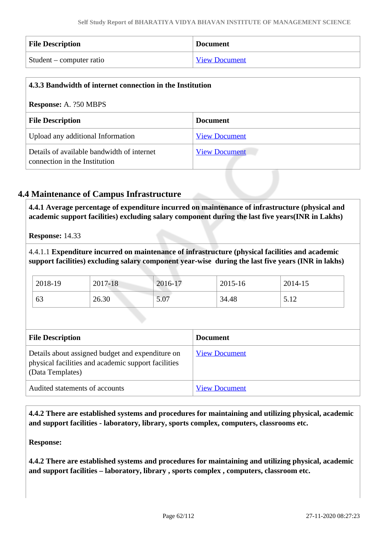| <b>File Description</b>  | <b>Document</b>      |
|--------------------------|----------------------|
| Student – computer ratio | <b>View Document</b> |

| 4.3.3 Bandwidth of internet connection in the Institution                   |                      |  |
|-----------------------------------------------------------------------------|----------------------|--|
| <b>Response:</b> A. ?50 MBPS                                                |                      |  |
| <b>File Description</b>                                                     | <b>Document</b>      |  |
| Upload any additional Information                                           | <b>View Document</b> |  |
| Details of available bandwidth of internet<br>connection in the Institution | <b>View Document</b> |  |

### **4.4 Maintenance of Campus Infrastructure**

 **4.4.1 Average percentage of expenditure incurred on maintenance of infrastructure (physical and academic support facilities) excluding salary component during the last five years(INR in Lakhs)**

**Response:** 14.33

4.4.1.1 **Expenditure incurred on maintenance of infrastructure (physical facilities and academic support facilities) excluding salary component year-wise during the last five years (INR in lakhs)**

| 2018-19 | 2017-18 | 2016-17 | 2015-16 | 2014-15 |
|---------|---------|---------|---------|---------|
| 63      | 26.30   | 5.07    | 34.48   | 5.12    |

| <b>File Description</b>                                                                                                     | <b>Document</b>      |
|-----------------------------------------------------------------------------------------------------------------------------|----------------------|
| Details about assigned budget and expenditure on<br>physical facilities and academic support facilities<br>(Data Templates) | <b>View Document</b> |
| Audited statements of accounts                                                                                              | <b>View Document</b> |

 **4.4.2 There are established systems and procedures for maintaining and utilizing physical, academic and support facilities - laboratory, library, sports complex, computers, classrooms etc.**

**Response:** 

**4.4.2 There are established systems and procedures for maintaining and utilizing physical, academic and support facilities – laboratory, library , sports complex , computers, classroom etc.**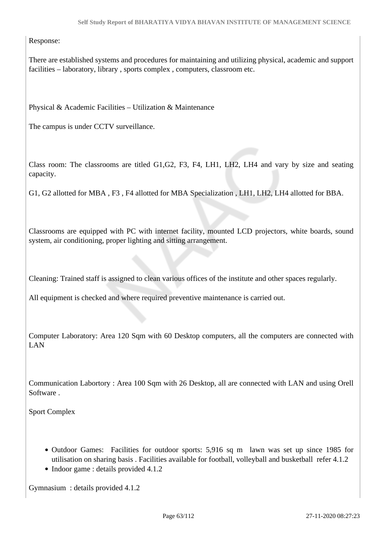Response:

There are established systems and procedures for maintaining and utilizing physical, academic and support facilities – laboratory, library , sports complex , computers, classroom etc.

Physical & Academic Facilities – Utilization & Maintenance

The campus is under CCTV surveillance.

Class room: The classrooms are titled G1,G2, F3, F4, LH1, LH2, LH4 and vary by size and seating capacity.

G1, G2 allotted for MBA , F3 , F4 allotted for MBA Specialization , LH1, LH2, LH4 allotted for BBA.

Classrooms are equipped with PC with internet facility, mounted LCD projectors, white boards, sound system, air conditioning, proper lighting and sitting arrangement.

Cleaning: Trained staff is assigned to clean various offices of the institute and other spaces regularly.

All equipment is checked and where required preventive maintenance is carried out.

Computer Laboratory: Area 120 Sqm with 60 Desktop computers, all the computers are connected with LAN

Communication Labortory : Area 100 Sqm with 26 Desktop, all are connected with LAN and using Orell Software .

Sport Complex

- Outdoor Games: Facilities for outdoor sports: 5,916 sq m lawn was set up since 1985 for utilisation on sharing basis . Facilities available for football, volleyball and busketball refer 4.1.2
- Indoor game : details provided 4.1.2

Gymnasium : details provided 4.1.2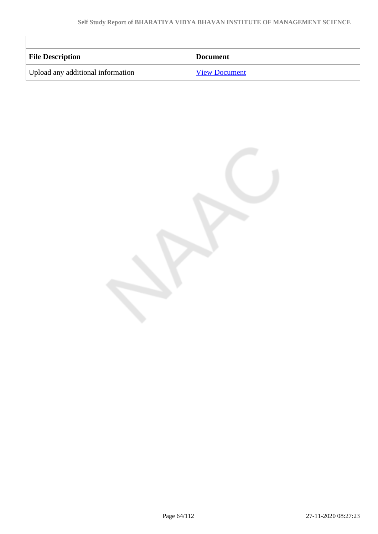| <b>File Description</b>           | <b>Document</b>      |
|-----------------------------------|----------------------|
| Upload any additional information | <b>View Document</b> |

 $\begin{array}{c} \hline \end{array}$ 

 $\overline{\phantom{a}}$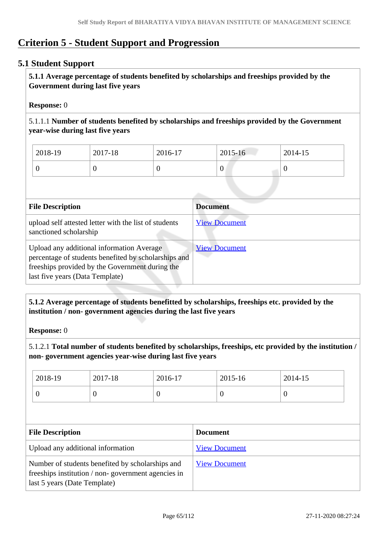# **Criterion 5 - Student Support and Progression**

### **5.1 Student Support**

 **5.1.1 Average percentage of students benefited by scholarships and freeships provided by the Government during last five years** 

#### **Response:** 0

5.1.1.1 **Number of students benefited by scholarships and freeships provided by the Government year-wise during last five years**

| 2018-19 | 2017-18 | 2016-17 | 2015-16 | 2014-15 |
|---------|---------|---------|---------|---------|
|         | ν       |         | v       |         |

| <b>File Description</b>                                                                                                                                                                 | <b>Document</b>      |
|-----------------------------------------------------------------------------------------------------------------------------------------------------------------------------------------|----------------------|
| upload self attested letter with the list of students<br>sanctioned scholarship                                                                                                         | <b>View Document</b> |
| Upload any additional information Average<br>percentage of students benefited by scholarships and<br>freeships provided by the Government during the<br>last five years (Data Template) | <b>View Document</b> |

### **5.1.2 Average percentage of students benefitted by scholarships, freeships etc. provided by the institution / non- government agencies during the last five years**

**Response:** 0

5.1.2.1 **Total number of students benefited by scholarships, freeships, etc provided by the institution / non- government agencies year-wise during last five years**

| 2018-19 | 2017-18 | 2016-17 | 2015-16 | 2014-15 |
|---------|---------|---------|---------|---------|
|         | ◡       | ν       | U       | v       |

| <b>File Description</b>                                                                                                                | <b>Document</b>      |
|----------------------------------------------------------------------------------------------------------------------------------------|----------------------|
| Upload any additional information                                                                                                      | <b>View Document</b> |
| Number of students benefited by scholarships and<br>freeships institution / non-government agencies in<br>last 5 years (Date Template) | <b>View Document</b> |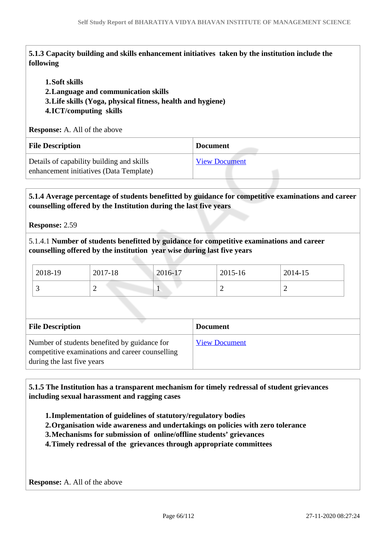**5.1.3 Capacity building and skills enhancement initiatives taken by the institution include the following**

#### **1.Soft skills**

**2.Language and communication skills** 

**3.Life skills (Yoga, physical fitness, health and hygiene)**

### **4.ICT/computing skills**

**Response:** A. All of the above

| <b>File Description</b>                                                              | <b>Document</b>      |
|--------------------------------------------------------------------------------------|----------------------|
| Details of capability building and skills<br>enhancement initiatives (Data Template) | <b>View Document</b> |

### **5.1.4 Average percentage of students benefitted by guidance for competitive examinations and career counselling offered by the Institution during the last five years**

#### **Response:** 2.59

5.1.4.1 **Number of students benefitted by guidance for competitive examinations and career counselling offered by the institution year wise during last five years**

| 2018-19 | 2017-18 | 2016-17 | 2015-16 | 2014-15  |
|---------|---------|---------|---------|----------|
| . .     | -       | -       | -<br>—  | <b>_</b> |

| <b>File Description</b>                                                                                                       | <b>Document</b>      |
|-------------------------------------------------------------------------------------------------------------------------------|----------------------|
| Number of students benefited by guidance for<br>competitive examinations and career counselling<br>during the last five years | <b>View Document</b> |

 **5.1.5 The Institution has a transparent mechanism for timely redressal of student grievances including sexual harassment and ragging cases**

**1.Implementation of guidelines of statutory/regulatory bodies**

**2.Organisation wide awareness and undertakings on policies with zero tolerance**

- **3.Mechanisms for submission of online/offline students' grievances**
- **4.Timely redressal of the grievances through appropriate committees**

**Response:** A. All of the above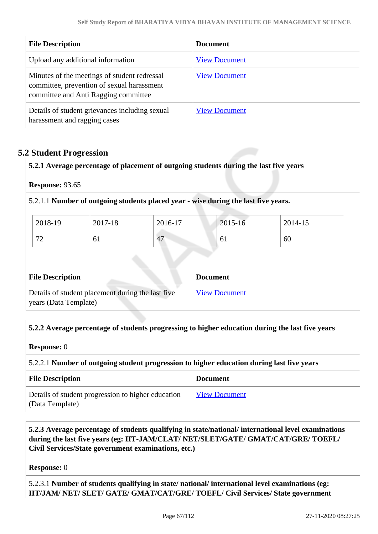| <b>File Description</b>                                                                                                            | <b>Document</b>      |
|------------------------------------------------------------------------------------------------------------------------------------|----------------------|
| Upload any additional information                                                                                                  | <b>View Document</b> |
| Minutes of the meetings of student redressal<br>committee, prevention of sexual harassment<br>committee and Anti Ragging committee | <b>View Document</b> |
| Details of student grievances including sexual<br>harassment and ragging cases                                                     | <b>View Document</b> |

### **5.2 Student Progression**

**5.2.1 Average percentage of placement of outgoing students during the last five years**

**Response:** 93.65

5.2.1.1 **Number of outgoing students placed year - wise during the last five years.**

| 2018-19              | 2017-18 | 2016-17 | $2015 - 16$ | 2014-15 |
|----------------------|---------|---------|-------------|---------|
| $\mathbf{z}$<br>—  — | 0 I     | 47      | 01          | 60      |

| <b>File Description</b>                                                    | <b>Document</b>      |
|----------------------------------------------------------------------------|----------------------|
| Details of student placement during the last five<br>years (Data Template) | <b>View Document</b> |

#### **5.2.2 Average percentage of students progressing to higher education during the last five years**

**Response:** 0

#### 5.2.2.1 **Number of outgoing student progression to higher education during last five years**

| <b>File Description</b>                                               | <b>Document</b>      |
|-----------------------------------------------------------------------|----------------------|
| Details of student progression to higher education<br>(Data Template) | <b>View Document</b> |

### **5.2.3 Average percentage of students qualifying in state/national/ international level examinations during the last five years (eg: IIT-JAM/CLAT/ NET/SLET/GATE/ GMAT/CAT/GRE/ TOEFL/ Civil Services/State government examinations, etc.)**

**Response:** 0

5.2.3.1 **Number of students qualifying in state/ national/ international level examinations (eg: IIT/JAM/ NET/ SLET/ GATE/ GMAT/CAT/GRE/ TOEFL/ Civil Services/ State government**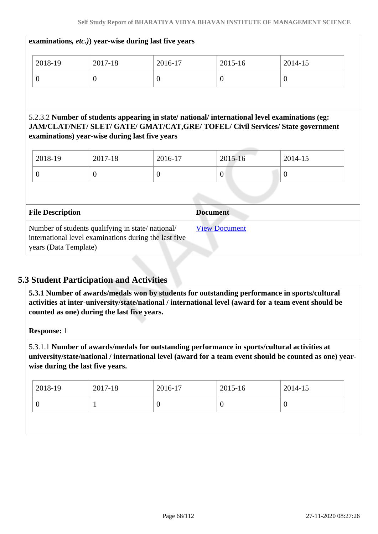#### **examinations***, etc.)***) year-wise during last five years**

| 2018-19 | 2017-18 | 2016-17 | 2015-16 | 2014-15          |
|---------|---------|---------|---------|------------------|
|         |         | ν       | ν       | $\boldsymbol{0}$ |

### 5.2.3.2 **Number of students appearing in state/ national/ international level examinations (eg: JAM/CLAT/NET/ SLET/ GATE/ GMAT/CAT,GRE/ TOFEL/ Civil Services/ State government examinations) year-wise during last five years**

| 2018-19 | 2017-18 | 2016-17 | 2015-16 | 2014-15 |
|---------|---------|---------|---------|---------|
|         |         | v       | v       |         |

| <b>File Description</b>                                                                                                            | <b>Document</b>      |
|------------------------------------------------------------------------------------------------------------------------------------|----------------------|
| Number of students qualifying in state/national/<br>international level examinations during the last five<br>years (Data Template) | <b>View Document</b> |

### **5.3 Student Participation and Activities**

 **5.3.1 Number of awards/medals won by students for outstanding performance in sports/cultural activities at inter-university/state/national / international level (award for a team event should be counted as one) during the last five years.**

**Response:** 1

5.3.1.1 **Number of awards/medals for outstanding performance in sports/cultural activities at university/state/national / international level (award for a team event should be counted as one) yearwise during the last five years.**

| $12018-19$<br>2017-18 | 2016-17<br>2015-16 |               | 2014-15 |
|-----------------------|--------------------|---------------|---------|
|                       | U                  | $\mathcal{L}$ |         |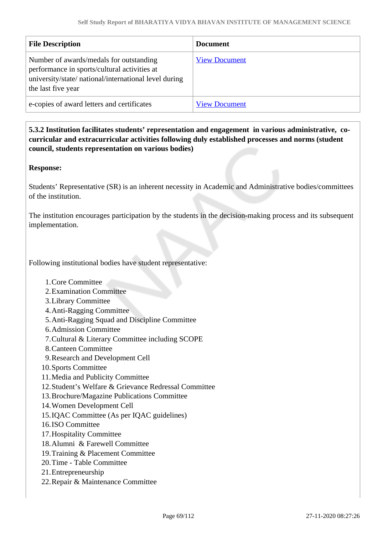| <b>File Description</b>                                                                                                                                                | <b>Document</b>      |
|------------------------------------------------------------------------------------------------------------------------------------------------------------------------|----------------------|
| Number of awards/medals for outstanding<br>performance in sports/cultural activities at<br>university/state/ national/international level during<br>the last five year | <b>View Document</b> |
| e-copies of award letters and certificates                                                                                                                             | <b>View Document</b> |

 **5.3.2 Institution facilitates students' representation and engagement in various administrative, cocurricular and extracurricular activities following duly established processes and norms (student council, students representation on various bodies)** 

#### **Response:**

Students' Representative (SR) is an inherent necessity in Academic and Administrative bodies/committees of the institution.

The institution encourages participation by the students in the decision-making process and its subsequent implementation.

Following institutional bodies have student representative:

- 1.Core Committee
- 2.Examination Committee
- 3.Library Committee
- 4.Anti-Ragging Committee
- 5.Anti-Ragging Squad and Discipline Committee
- 6.Admission Committee
- 7.Cultural & Literary Committee including SCOPE
- 8.Canteen Committee
- 9.Research and Development Cell
- 10.Sports Committee
- 11.Media and Publicity Committee
- 12.Student's Welfare & Grievance Redressal Committee
- 13.Brochure/Magazine Publications Committee
- 14.Women Development Cell
- 15.IQAC Committee (As per IQAC guidelines)
- 16.ISO Committee
- 17.Hospitality Committee
- 18.Alumni & Farewell Committee
- 19.Training & Placement Committee
- 20.Time Table Committee
- 21.Entrepreneurship
- 22.Repair & Maintenance Committee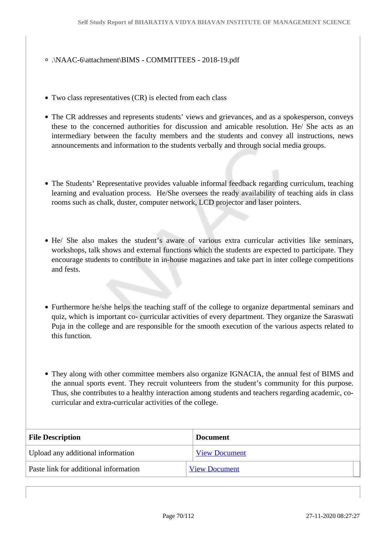#### .\NAAC-6\attachment\BIMS - COMMITTEES - 2018-19.pdf

- Two class representatives (CR) is elected from each class
- The CR addresses and represents students' views and grievances, and as a spokesperson, conveys these to the concerned authorities for discussion and amicable resolution. He/ She acts as an intermediary between the faculty members and the students and convey all instructions, news announcements and information to the students verbally and through social media groups.
- The Students' Representative provides valuable informal feedback regarding curriculum, teaching learning and evaluation process. He/She oversees the ready availability of teaching aids in class rooms such as chalk, duster, computer network, LCD projector and laser pointers.
- He/ She also makes the student's aware of various extra curricular activities like seminars, workshops, talk shows and external functions which the students are expected to participate. They encourage students to contribute in in-house magazines and take part in inter college competitions and fests.
- Furthermore he/she helps the teaching staff of the college to organize departmental seminars and quiz, which is important co- curricular activities of every department. They organize the Saraswati Puja in the college and are responsible for the smooth execution of the various aspects related to this function.
- They along with other committee members also organize IGNACIA, the annual fest of BIMS and the annual sports event. They recruit volunteers from the student's community for this purpose. Thus, she contributes to a healthy interaction among students and teachers regarding academic, cocurricular and extra-curricular activities of the college.

| <b>File Description</b>               | <b>Document</b>      |
|---------------------------------------|----------------------|
| Upload any additional information     | <b>View Document</b> |
| Paste link for additional information | <b>View Document</b> |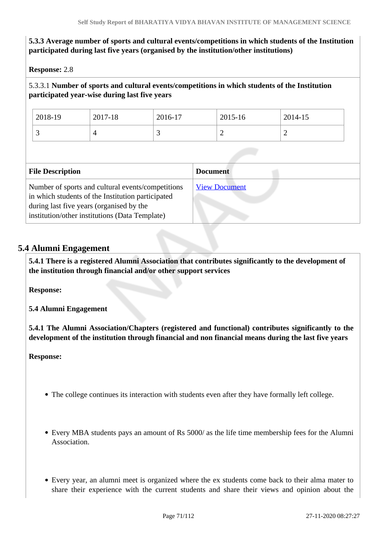### **5.3.3 Average number of sports and cultural events/competitions in which students of the Institution participated during last five years (organised by the institution/other institutions)**

**Response:** 2.8

### 5.3.3.1 **Number of sports and cultural events/competitions in which students of the Institution participated year-wise during last five years**

| 2018-19 | 2017-18 | 2016-17  | 2015-16 | 2014-15 |
|---------|---------|----------|---------|---------|
|         |         | <u>ب</u> | ∸       | ∼       |

| <b>File Description</b>                                                                                                                                                                              | <b>Document</b>      |
|------------------------------------------------------------------------------------------------------------------------------------------------------------------------------------------------------|----------------------|
| Number of sports and cultural events/competitions<br>in which students of the Institution participated<br>during last five years (organised by the<br>institution/other institutions (Data Template) | <b>View Document</b> |

### **5.4 Alumni Engagement**

 **5.4.1 There is a registered Alumni Association that contributes significantly to the development of the institution through financial and/or other support services**

**Response:** 

**5.4 Alumni Engagement**

**5.4.1 The Alumni Association/Chapters (registered and functional) contributes significantly to the development of the institution through financial and non financial means during the last five years**

**Response:**

- The college continues its interaction with students even after they have formally left college.
- Every MBA students pays an amount of Rs 5000/ as the life time membership fees for the Alumni **Association**
- Every year, an alumni meet is organized where the ex students come back to their alma mater to share their experience with the current students and share their views and opinion about the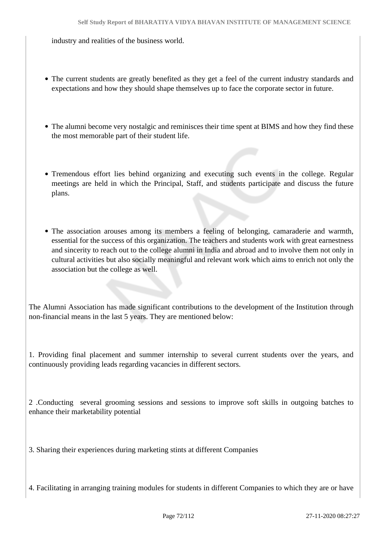industry and realities of the business world.

- The current students are greatly benefited as they get a feel of the current industry standards and expectations and how they should shape themselves up to face the corporate sector in future.
- The alumni become very nostalgic and reminisces their time spent at BIMS and how they find these the most memorable part of their student life.
- Tremendous effort lies behind organizing and executing such events in the college. Regular meetings are held in which the Principal, Staff, and students participate and discuss the future plans.
- The association arouses among its members a feeling of belonging, camaraderie and warmth, essential for the success of this organization. The teachers and students work with great earnestness and sincerity to reach out to the college alumni in India and abroad and to involve them not only in cultural activities but also socially meaningful and relevant work which aims to enrich not only the association but the college as well.

The Alumni Association has made significant contributions to the development of the Institution through non-financial means in the last 5 years. They are mentioned below:

1. Providing final placement and summer internship to several current students over the years, and continuously providing leads regarding vacancies in different sectors.

2 .Conducting several grooming sessions and sessions to improve soft skills in outgoing batches to enhance their marketability potential

3. Sharing their experiences during marketing stints at different Companies

4. Facilitating in arranging training modules for students in different Companies to which they are or have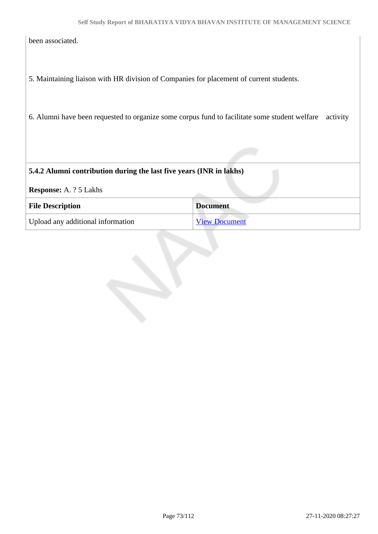been associated.

5. Maintaining liaison with HR division of Companies for placement of current students.

6. Alumni have been requested to organize some corpus fund to facilitate some student welfare activity

#### **5.4.2 Alumni contribution during the last five years (INR in lakhs)**

**Response:** A. ? 5 Lakhs

| <b>File Description</b>           | <b>Document</b>      |
|-----------------------------------|----------------------|
| Upload any additional information | <b>View Document</b> |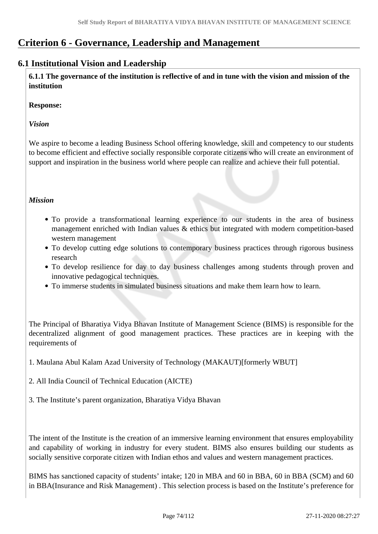# **Criterion 6 - Governance, Leadership and Management**

## **6.1 Institutional Vision and Leadership**

 **6.1.1 The governance of the institution is reflective of and in tune with the vision and mission of the institution**

**Response:** 

*Vision*

We aspire to become a leading Business School offering knowledge, skill and competency to our students to become efficient and effective socially responsible corporate citizens who will create an environment of support and inspiration in the business world where people can realize and achieve their full potential.

### *Mission*

- To provide a transformational learning experience to our students in the area of business management enriched with Indian values & ethics but integrated with modern competition-based western management
- To develop cutting edge solutions to contemporary business practices through rigorous business research
- To develop resilience for day to day business challenges among students through proven and innovative pedagogical techniques.
- To immerse students in simulated business situations and make them learn how to learn.

The Principal of Bharatiya Vidya Bhavan Institute of Management Science (BIMS) is responsible for the decentralized alignment of good management practices. These practices are in keeping with the requirements of

1. Maulana Abul Kalam Azad University of Technology (MAKAUT)[formerly WBUT]

- 2. All India Council of Technical Education (AICTE)
- 3. The Institute's parent organization, Bharatiya Vidya Bhavan

The intent of the Institute is the creation of an immersive learning environment that ensures employability and capability of working in industry for every student. BIMS also ensures building our students as socially sensitive corporate citizen with Indian ethos and values and western management practices.

BIMS has sanctioned capacity of students' intake; 120 in MBA and 60 in BBA, 60 in BBA (SCM) and 60 in BBA(Insurance and Risk Management) . This selection process is based on the Institute's preference for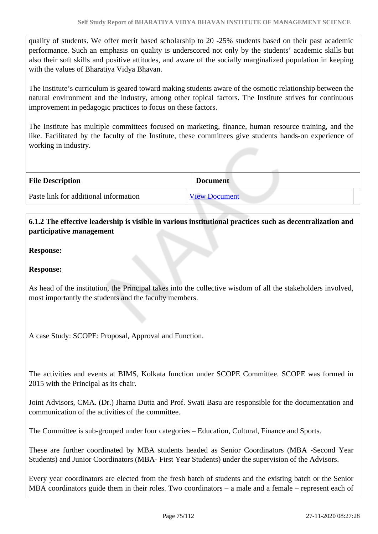quality of students. We offer merit based scholarship to 20 -25% students based on their past academic performance. Such an emphasis on quality is underscored not only by the students' academic skills but also their soft skills and positive attitudes, and aware of the socially marginalized population in keeping with the values of Bharatiya Vidya Bhavan.

The Institute's curriculum is geared toward making students aware of the osmotic relationship between the natural environment and the industry, among other topical factors. The Institute strives for continuous improvement in pedagogic practices to focus on these factors.

The Institute has multiple committees focused on marketing, finance, human resource training, and the like. Facilitated by the faculty of the Institute, these committees give students hands-on experience of working in industry.

| <b>File Description</b>               | <b>Document</b>      |
|---------------------------------------|----------------------|
| Paste link for additional information | <b>View Document</b> |

 **6.1.2 The effective leadership is visible in various institutional practices such as decentralization and participative management**

**Response:** 

**Response:** 

As head of the institution, the Principal takes into the collective wisdom of all the stakeholders involved, most importantly the students and the faculty members.

A case Study: SCOPE: Proposal, Approval and Function.

The activities and events at BIMS, Kolkata function under SCOPE Committee. SCOPE was formed in 2015 with the Principal as its chair.

Joint Advisors, CMA. (Dr.) Jharna Dutta and Prof. Swati Basu are responsible for the documentation and communication of the activities of the committee.

The Committee is sub-grouped under four categories – Education, Cultural, Finance and Sports.

These are further coordinated by MBA students headed as Senior Coordinators (MBA -Second Year Students) and Junior Coordinators (MBA- First Year Students) under the supervision of the Advisors.

Every year coordinators are elected from the fresh batch of students and the existing batch or the Senior MBA coordinators guide them in their roles. Two coordinators – a male and a female – represent each of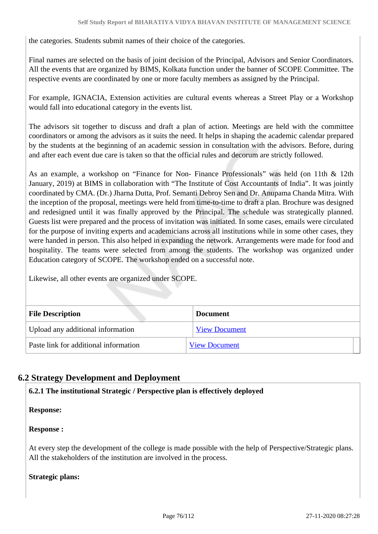the categories. Students submit names of their choice of the categories.

Final names are selected on the basis of joint decision of the Principal, Advisors and Senior Coordinators. All the events that are organized by BIMS, Kolkata function under the banner of SCOPE Committee. The respective events are coordinated by one or more faculty members as assigned by the Principal.

For example, IGNACIA, Extension activities are cultural events whereas a Street Play or a Workshop would fall into educational category in the events list.

The advisors sit together to discuss and draft a plan of action. Meetings are held with the committee coordinators or among the advisors as it suits the need. It helps in shaping the academic calendar prepared by the students at the beginning of an academic session in consultation with the advisors. Before, during and after each event due care is taken so that the official rules and decorum are strictly followed.

As an example, a workshop on "Finance for Non- Finance Professionals" was held (on 11th & 12th January, 2019) at BIMS in collaboration with "The Institute of Cost Accountants of India". It was jointly coordinated by CMA. (Dr.) Jharna Dutta, Prof. Semanti Debroy Sen and Dr. Anupama Chanda Mitra. With the inception of the proposal, meetings were held from time-to-time to draft a plan. Brochure was designed and redesigned until it was finally approved by the Principal. The schedule was strategically planned. Guests list were prepared and the process of invitation was initiated. In some cases, emails were circulated for the purpose of inviting experts and academicians across all institutions while in some other cases, they were handed in person. This also helped in expanding the network. Arrangements were made for food and hospitality. The teams were selected from among the students. The workshop was organized under Education category of SCOPE. The workshop ended on a successful note.

Likewise, all other events are organized under SCOPE.

| <b>File Description</b>               | <b>Document</b>      |  |
|---------------------------------------|----------------------|--|
| Upload any additional information     | <b>View Document</b> |  |
| Paste link for additional information | <b>View Document</b> |  |

### **6.2 Strategy Development and Deployment**

**6.2.1 The institutional Strategic / Perspective plan is effectively deployed**

**Response:** 

#### **Response :**

At every step the development of the college is made possible with the help of Perspective/Strategic plans. All the stakeholders of the institution are involved in the process.

**Strategic plans:**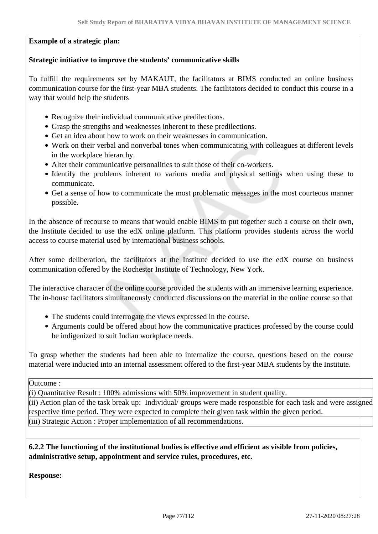### **Example of a strategic plan:**

#### **Strategic initiative to improve the students' communicative skills**

To fulfill the requirements set by MAKAUT, the facilitators at BIMS conducted an online business communication course for the first-year MBA students. The facilitators decided to conduct this course in a way that would help the students

- Recognize their individual communicative predilections.
- Grasp the strengths and weaknesses inherent to these predilections.
- Get an idea about how to work on their weaknesses in communication.
- Work on their verbal and nonverbal tones when communicating with colleagues at different levels in the workplace hierarchy.
- Alter their communicative personalities to suit those of their co-workers.
- Identify the problems inherent to various media and physical settings when using these to communicate.
- Get a sense of how to communicate the most problematic messages in the most courteous manner possible.

In the absence of recourse to means that would enable BIMS to put together such a course on their own, the Institute decided to use the edX online platform. This platform provides students across the world access to course material used by international business schools.

After some deliberation, the facilitators at the Institute decided to use the edX course on business communication offered by the Rochester Institute of Technology, New York.

The interactive character of the online course provided the students with an immersive learning experience. The in-house facilitators simultaneously conducted discussions on the material in the online course so that

- The students could interrogate the views expressed in the course.
- Arguments could be offered about how the communicative practices professed by the course could be indigenized to suit Indian workplace needs.

To grasp whether the students had been able to internalize the course, questions based on the course material were inducted into an internal assessment offered to the first-year MBA students by the Institute.

Outcome :

(i) Quantitative Result : 100% admissions with 50% improvement in student quality.

(ii) Action plan of the task break up: Individual/ groups were made responsible for each task and were assigned respective time period. They were expected to complete their given task within the given period. (iii) Strategic Action : Proper implementation of all recommendations.

 **6.2.2 The functioning of the institutional bodies is effective and efficient as visible from policies, administrative setup, appointment and service rules, procedures, etc.**

**Response:**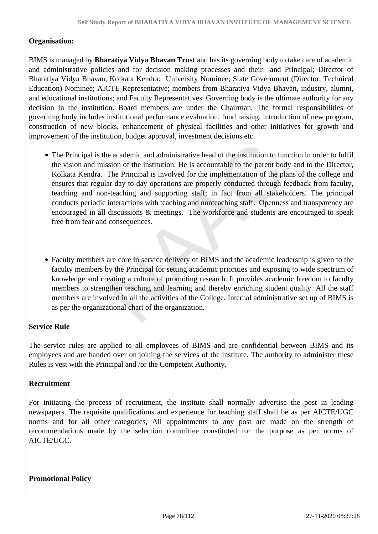#### **Organisation:**

BIMS is managed by **Bharatiya Vidya Bhavan Trust** and has its governing body to take care of academic and administrative policies and for decision making processes and their and Principal; Director of Bharatiya Vidya Bhavan, Kolkata Kendra; University Nominee; State Government (Director, Technical Education) Nominee; AICTE Representative; members from Bharatiya Vidya Bhavan, industry, alumni, and educational institutions; and Faculty Representatives. Governing body is the ultimate authority for any decision in the institution. Board members are under the Chairman. The formal responsibilities of governing body includes institutional performance evaluation, fund raising, introduction of new program, construction of new blocks, enhancement of physical facilities and other initiatives for growth and improvement of the institution, budget approval, investment decisions etc.

- The Principal is the academic and administrative head of the institution to function in order to fulfil the vision and mission of the institution. He is accountable to the parent body and to the Director, Kolkata Kendra. The Principal is involved for the implementation of the plans of the college and ensures that regular day to day operations are properly conducted through feedback from faculty, teaching and non-teaching and supporting staff; in fact from all stakeholders. The principal conducts periodic interactions with teaching and nonteaching staff. Openness and transparency are encouraged in all discussions & meetings. The workforce and students are encouraged to speak free from fear and consequences.
- Faculty members are core in service delivery of BIMS and the academic leadership is given to the faculty members by the Principal for setting academic priorities and exposing to wide spectrum of knowledge and creating a culture of promoting research. It provides academic freedom to faculty members to strengthen teaching and learning and thereby enriching student quality. All the staff members are involved in all the activities of the College. Internal administrative set up of BIMS is as per the organizational chart of the organization.

#### **Service Rule**

The service rules are applied to all employees of BIMS and are confidential between BIMS and its employees and are handed over on joining the services of the institute. The authority to administer these Rules is vest with the Principal and /or the Competent Authority.

#### **Recruitment**

For initiating the process of recruitment, the institute shall normally advertise the post in leading newspapers. The requisite qualifications and experience for teaching staff shall be as per AICTE/UGC norms and for all other categories, All appointments to any post are made on the strength of recommendations made by the selection committee constituted for the purpose as per norms of AICTE/UGC.

**Promotional Policy**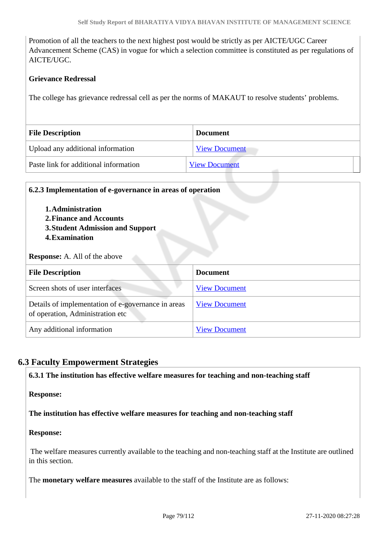Promotion of all the teachers to the next highest post would be strictly as per AICTE/UGC Career Advancement Scheme (CAS) in vogue for which a selection committee is constituted as per regulations of AICTE/UGC.

### **Grievance Redressal**

The college has grievance redressal cell as per the norms of MAKAUT to resolve students' problems.

| <b>File Description</b>               | <b>Document</b>      |
|---------------------------------------|----------------------|
| Upload any additional information     | <b>View Document</b> |
| Paste link for additional information | <b>View Document</b> |

| 6.2.3 Implementation of e-governance in areas of operation<br>1. Administration<br>2. Finance and Accounts<br>3. Student Admission and Support<br><b>4. Examination</b><br><b>Response:</b> A. All of the above |                      |  |  |
|-----------------------------------------------------------------------------------------------------------------------------------------------------------------------------------------------------------------|----------------------|--|--|
| <b>File Description</b>                                                                                                                                                                                         | <b>Document</b>      |  |  |
| Screen shots of user interfaces                                                                                                                                                                                 | <b>View Document</b> |  |  |
| Details of implementation of e-governance in areas<br>of operation, Administration etc                                                                                                                          | <b>View Document</b> |  |  |
| Any additional information                                                                                                                                                                                      | <b>View Document</b> |  |  |

## **6.3 Faculty Empowerment Strategies**

**6.3.1 The institution has effective welfare measures for teaching and non-teaching staff**

**Response:** 

**The institution has effective welfare measures for teaching and non-teaching staff**

#### **Response:**

 The welfare measures currently available to the teaching and non-teaching staff at the Institute are outlined in this section.

The **monetary welfare measures** available to the staff of the Institute are as follows: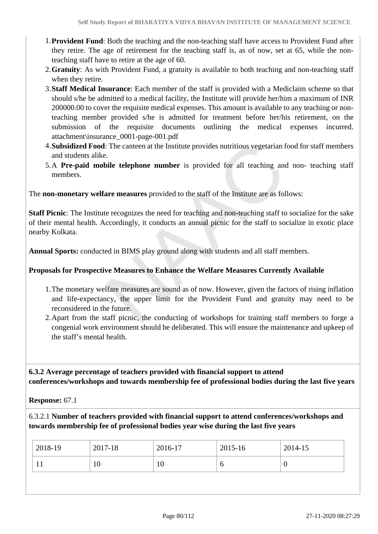- 1.**Provident Fund**: Both the teaching and the non-teaching staff have access to Provident Fund after they retire. The age of retirement for the teaching staff is, as of now, set at 65, while the nonteaching staff have to retire at the age of 60.
- 2.**Gratuity**: As with Provident Fund, a gratuity is available to both teaching and non-teaching staff when they retire.
- 3.**Staff Medical Insurance**: Each member of the staff is provided with a Mediclaim scheme so that should s/he be admitted to a medical facility, the Institute will provide her/him a maximum of INR 200000.00 to cover the requisite medical expenses. This amount is available to any teaching or nonteaching member provided s/he is admitted for treatment before her/his retirement, on the submission of the requisite documents outlining the medical expenses incurred. attachment\insurance\_0001-page-001.pdf
- 4.**Subsidized Food**: The canteen at the Institute provides nutritious vegetarian food for staff members and students alike.
- 5.A **Pre-paid mobile telephone number** is provided for all teaching and non- teaching staff members.

The **non-monetary welfare measures** provided to the staff of the Institute are as follows:

**Staff Picnic**: The Institute recognizes the need for teaching and non-teaching staff to socialize for the sake of their mental health. Accordingly, it conducts an annual picnic for the staff to socialize in exotic place nearby Kolkata.

**Annual Sports:** conducted in BIMS play ground along with students and all staff members.

### **Proposals for Prospective Measures to Enhance the Welfare Measures Currently Available**

- 1.The monetary welfare measures are sound as of now. However, given the factors of rising inflation and life-expectancy, the upper limit for the Provident Fund and gratuity may need to be reconsidered in the future.
- 2.Apart from the staff picnic, the conducting of workshops for training staff members to forge a congenial work environment should be deliberated. This will ensure the maintenance and upkeep of the staff's mental health.

 **6.3.2 Average percentage of teachers provided with financial support to attend conferences/workshops and towards membership fee of professional bodies during the last five years**

**Response:** 67.1

6.3.2.1 **Number of teachers provided with financial support to attend conferences/workshops and towards membership fee of professional bodies year wise during the last five years**

| 2018-19 | 2017-18 | 2016-17 | 2015-16 | 2014-15          |
|---------|---------|---------|---------|------------------|
| 1 L     | 10      | 10      | v       | $\boldsymbol{0}$ |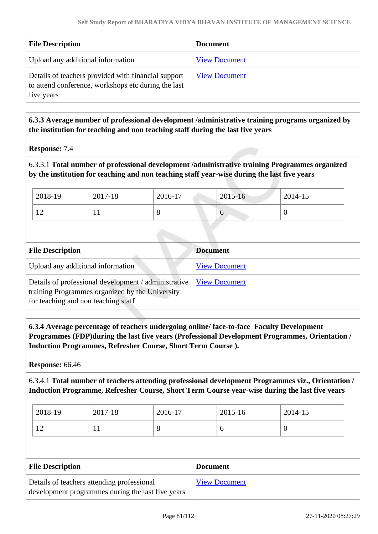| <b>File Description</b>                                                                                                  | <b>Document</b>      |
|--------------------------------------------------------------------------------------------------------------------------|----------------------|
| Upload any additional information                                                                                        | <b>View Document</b> |
| Details of teachers provided with financial support<br>to attend conference, workshops etc during the last<br>five years | <b>View Document</b> |

 **6.3.3 Average number of professional development /administrative training programs organized by the institution for teaching and non teaching staff during the last five years**

**Response:** 7.4

6.3.3.1 **Total number of professional development /administrative training Programmes organized by the institution for teaching and non teaching staff year-wise during the last five years**

| 2018-19             | 2017-18 | 2016-17 | 2015-16   | 2014-15 |
|---------------------|---------|---------|-----------|---------|
| 1 <sub>0</sub><br>∸ | . .     | о       | <b>17</b> | U       |

| <b>File Description</b>                                                                                                                        | <b>Document</b>      |
|------------------------------------------------------------------------------------------------------------------------------------------------|----------------------|
| Upload any additional information                                                                                                              | <b>View Document</b> |
| Details of professional development / administrative<br>training Programmes organized by the University<br>for teaching and non teaching staff | <b>View Document</b> |

 **6.3.4 Average percentage of teachers undergoing online/ face-to-face Faculty Development Programmes (FDP)during the last five years (Professional Development Programmes, Orientation / Induction Programmes, Refresher Course, Short Term Course ).**

**Response:** 66.46

6.3.4.1 **Total number of teachers attending professional development Programmes viz., Orientation / Induction Programme, Refresher Course, Short Term Course year-wise during the last five years**

| 2018-19                  | 2017-18 | 2016-17      | 2015-16 | 2014-15 |
|--------------------------|---------|--------------|---------|---------|
| $\sim$<br>$\overline{1}$ | . .     | O<br>$\circ$ |         |         |

| <b>File Description</b>                           | <b>Document</b>      |
|---------------------------------------------------|----------------------|
| Details of teachers attending professional        | <b>View Document</b> |
| development programmes during the last five years |                      |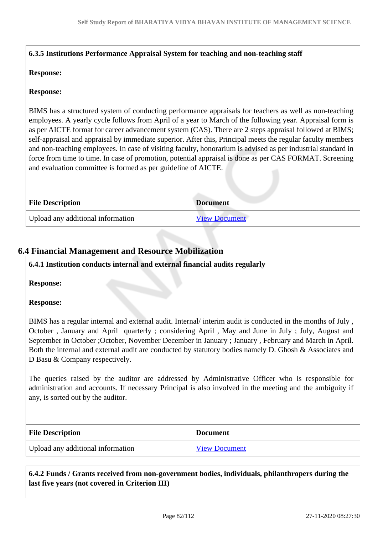### **6.3.5 Institutions Performance Appraisal System for teaching and non-teaching staff**

#### **Response:**

#### **Response:**

BIMS has a structured system of conducting performance appraisals for teachers as well as non-teaching employees. A yearly cycle follows from April of a year to March of the following year. Appraisal form is as per AICTE format for career advancement system (CAS). There are 2 steps appraisal followed at BIMS; self-appraisal and appraisal by immediate superior. After this, Principal meets the regular faculty members and non-teaching employees. In case of visiting faculty, honorarium is advised as per industrial standard in force from time to time. In case of promotion, potential appraisal is done as per CAS FORMAT. Screening and evaluation committee is formed as per guideline of AICTE.

| <b>File Description</b>           | <b>Document</b>      |
|-----------------------------------|----------------------|
| Upload any additional information | <b>View Document</b> |

### **6.4 Financial Management and Resource Mobilization**

#### **6.4.1 Institution conducts internal and external financial audits regularly**

**Response:** 

#### **Response:**

BIMS has a regular internal and external audit. Internal/ interim audit is conducted in the months of July , October , January and April quarterly ; considering April , May and June in July ; July, August and September in October ;October, November December in January ; January , February and March in April. Both the internal and external audit are conducted by statutory bodies namely D. Ghosh & Associates and D Basu & Company respectively.

The queries raised by the auditor are addressed by Administrative Officer who is responsible for administration and accounts. If necessary Principal is also involved in the meeting and the ambiguity if any, is sorted out by the auditor.

| <b>File Description</b>           | <b>Document</b>      |
|-----------------------------------|----------------------|
| Upload any additional information | <b>View Document</b> |

 **6.4.2 Funds / Grants received from non-government bodies, individuals, philanthropers during the last five years (not covered in Criterion III)**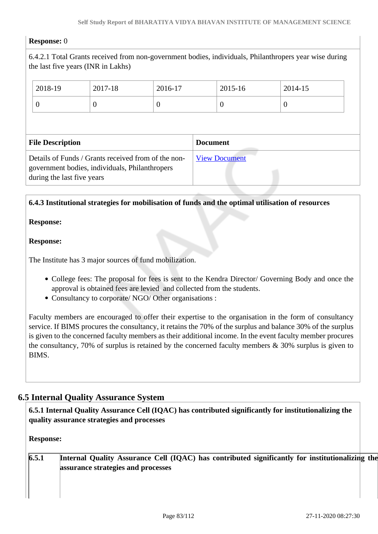#### **Response:** 0

6.4.2.1 Total Grants received from non-government bodies, individuals, Philanthropers year wise during the last five years (INR in Lakhs)

|                         | 2018-19                                                                                                                             | 2017-18          | 2016-17         |                      | 2015-16  | 2014-15  |  |
|-------------------------|-------------------------------------------------------------------------------------------------------------------------------------|------------------|-----------------|----------------------|----------|----------|--|
|                         | $\theta$                                                                                                                            | $\boldsymbol{0}$ | $\theta$        |                      | $\theta$ | $\theta$ |  |
|                         |                                                                                                                                     |                  |                 |                      |          |          |  |
| <b>File Description</b> |                                                                                                                                     |                  | <b>Document</b> |                      |          |          |  |
|                         | Details of Funds / Grants received from of the non-<br>government bodies, individuals, Philanthropers<br>during the last five years |                  |                 | <b>View Document</b> |          |          |  |

#### **6.4.3 Institutional strategies for mobilisation of funds and the optimal utilisation of resources**

#### **Response:**

#### **Response:**

The Institute has 3 major sources of fund mobilization.

- College fees: The proposal for fees is sent to the Kendra Director/ Governing Body and once the approval is obtained fees are levied and collected from the students.
- Consultancy to corporate/ NGO/ Other organisations :

Faculty members are encouraged to offer their expertise to the organisation in the form of consultancy service. If BIMS procures the consultancy, it retains the 70% of the surplus and balance 30% of the surplus is given to the concerned faculty members as their additional income. In the event faculty member procures the consultancy, 70% of surplus is retained by the concerned faculty members  $\&$  30% surplus is given to BIMS.

### **6.5 Internal Quality Assurance System**

 **6.5.1 Internal Quality Assurance Cell (IQAC) has contributed significantly for institutionalizing the quality assurance strategies and processes**

#### **Response:**

| 6.5.1 | Internal Quality Assurance Cell (IQAC) has contributed significantly for institutionalizing the |  |
|-------|-------------------------------------------------------------------------------------------------|--|
|       | assurance strategies and processes                                                              |  |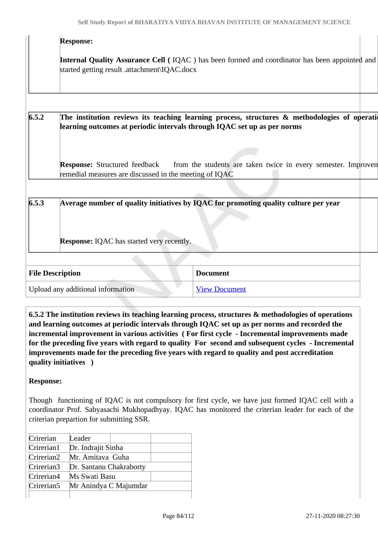|       | <b>Response:</b>                                                                               |                                                                                                   |  |
|-------|------------------------------------------------------------------------------------------------|---------------------------------------------------------------------------------------------------|--|
|       | started getting result .attachment\IQAC.docx                                                   | Internal Quality Assurance Cell (IQAC) has been formed and coordinator has been appointed and     |  |
|       |                                                                                                |                                                                                                   |  |
| 6.5.2 | learning outcomes at periodic intervals through IQAC set up as per norms                       | The institution reviews its teaching learning process, structures $\&$ methodologies of operation |  |
|       | <b>Response:</b> Structured feedback<br>remedial measures are discussed in the meeting of IQAC | from the students are taken twice in every semester. Improven                                     |  |
|       |                                                                                                |                                                                                                   |  |
| 6.5.3 |                                                                                                | Average number of quality initiatives by IQAC for promoting quality culture per year              |  |
|       | <b>Response:</b> IQAC has started very recently.                                               |                                                                                                   |  |
|       |                                                                                                |                                                                                                   |  |
|       | <b>File Description</b>                                                                        | <b>Document</b>                                                                                   |  |
|       | Upload any additional information                                                              | <b>View Document</b>                                                                              |  |
|       |                                                                                                |                                                                                                   |  |

 **6.5.2 The institution reviews its teaching learning process, structures & methodologies of operations and learning outcomes at periodic intervals through IQAC set up as per norms and recorded the incremental improvement in various activities ( For first cycle - Incremental improvements made for the preceding five years with regard to quality For second and subsequent cycles - Incremental improvements made for the preceding five years with regard to quality and post accreditation quality initiatives )** 

### **Response:**

Though functioning of IQAC is not compulsory for first cycle, we have just formed IQAC cell with a coordinator Prof. Sabyasachi Mukhopadhyay. IQAC has monitored the criterian leader for each of the criterian prepartion for submitting SSR.

| Crirerian              | Leader                  |                       |  |
|------------------------|-------------------------|-----------------------|--|
| Crirerian1             | Dr. Indrajit Sinha      |                       |  |
| Crirerian2             | Mr. Amitava Guha        |                       |  |
| Crirerian3             | Dr. Santanu Chakraborty |                       |  |
| Crirerian4             | Ms Swati Basu           |                       |  |
| Crirerian <sub>5</sub> |                         | Mr Anindya C Majumdar |  |
|                        |                         |                       |  |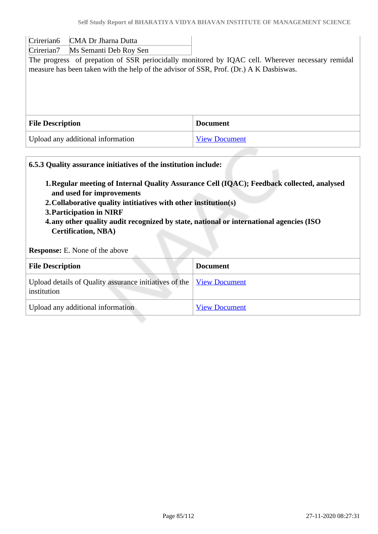Crirerian6 CMA Dr Jharna Dutta

Crirerian7 Ms Semanti Deb Roy Sen

The progress of prepation of SSR periocidally monitored by IQAC cell. Wherever necessary remidal measure has been taken with the help of the advisor of SSR, Prof. (Dr.) A K Dasbiswas.

| <b>File Description</b>           | <b>Document</b>      |
|-----------------------------------|----------------------|
| Upload any additional information | <b>View Document</b> |

# **6.5.3 Quality assurance initiatives of the institution include: 1.Regular meeting of Internal Quality Assurance Cell (IQAC); Feedback collected, analysed and used for improvements 2.Collaborative quality intitiatives with other institution(s) 3.Participation in NIRF 4.any other quality audit recognized by state, national or international agencies (ISO Certification, NBA) Response:** E. None of the above **File Description Document** Upload details of Quality assurance initiatives of the institution [View Document](https://assessmentonline.naac.gov.in/storage/app/hei/SSR/107369/6.5.3_1605957735_4567.xlsx) Upload any additional information [View Document](https://assessmentonline.naac.gov.in/storage/app/hei/SSR/107369/6.5.3_1605957766_4567.pdf)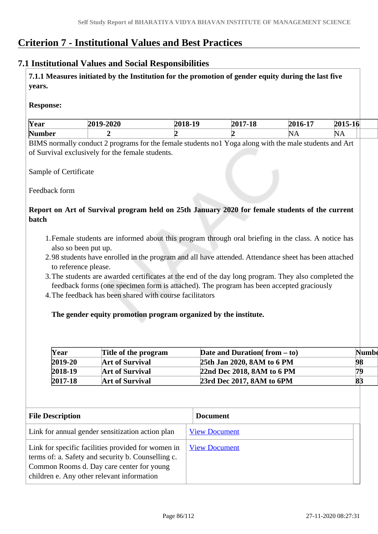# **Criterion 7 - Institutional Values and Best Practices**

### **7.1 Institutional Values and Social Responsibilities**

 **7.1.1 Measures initiated by the Institution for the promotion of gender equity during the last five years.**

#### **Response:**

| Year          | AAA<br>20<br>-4040<br>∽. | *^*^<br>$\rightarrow$<br>$\sim$ | $2017 - 1$ <sup>s</sup> | $\blacksquare$<br>201<br>TU<br>- | 0.01F<br>$\sim$<br>$5 - 10$<br>ZU<br>ື້ |
|---------------|--------------------------|---------------------------------|-------------------------|----------------------------------|-----------------------------------------|
| <b>Number</b> |                          |                                 |                         | ۱N۱.<br>$\mathbf{11}$            | 'N<br>$\mathbf{L} \mathbf{A}$           |

BIMS normally conduct 2 programs for the female students no1 Yoga along with the male students and Art of Survival exclusively for the female students.

Sample of Certificate

Feedback form

### **Report on Art of Survival program held on 25th January 2020 for female students of the current batch**

- 1.Female students are informed about this program through oral briefing in the class. A notice has also so been put up.
- 2.98 students have enrolled in the program and all have attended. Attendance sheet has been attached to reference please.
- 3.The students are awarded certificates at the end of the day long program. They also completed the feedback forms (one specimen form is attached). The program has been accepted graciously
- 4.The feedback has been shared with course facilitators

#### **The gender equity promotion program organized by the institute.**

| Year        | Title of the program   | Date and Duration( $from - to$ ) | Numbe |
|-------------|------------------------|----------------------------------|-------|
| $2019 - 20$ | <b>Art of Survival</b> | 25th Jan 2020, 8AM to 6 PM       | 98    |
| $2018-19$   | <b>Art of Survival</b> | 22nd Dec 2018, 8AM to 6 PM       | 79    |
| $2017 - 18$ | <b>Art of Survival</b> | 23rd Dec 2017, 8AM to 6PM        | 8:    |

| <b>File Description</b>                                                                                                                                                                             | <b>Document</b>      |
|-----------------------------------------------------------------------------------------------------------------------------------------------------------------------------------------------------|----------------------|
| Link for annual gender sensitization action plan                                                                                                                                                    | <b>View Document</b> |
| Link for specific facilities provided for women in<br>terms of: a. Safety and security b. Counselling c.<br>Common Rooms d. Day care center for young<br>children e. Any other relevant information | <b>View Document</b> |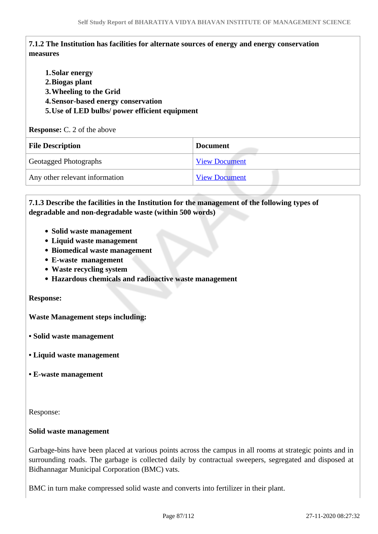### **7.1.2 The Institution has facilities for alternate sources of energy and energy conservation measures**

**1.Solar energy 2.Biogas plant 3.Wheeling to the Grid 4.Sensor-based energy conservation 5.Use of LED bulbs/ power efficient equipment** 

#### **Response:** C. 2 of the above

| <b>File Description</b>        | <b>Document</b>      |
|--------------------------------|----------------------|
| <b>Geotagged Photographs</b>   | <b>View Document</b> |
| Any other relevant information | <b>View Document</b> |

### **7.1.3 Describe the facilities in the Institution for the management of the following types of degradable and non-degradable waste (within 500 words)**

- **Solid waste management**
- **Liquid waste management**
- **Biomedical waste management**
- **E-waste management**
- **Waste recycling system**
- **Hazardous chemicals and radioactive waste management**

#### **Response:**

**Waste Management steps including:**

- **Solid waste management**
- **Liquid waste management**
- **E-waste management**

Response:

#### **Solid waste management**

Garbage-bins have been placed at various points across the campus in all rooms at strategic points and in surrounding roads. The garbage is collected daily by contractual sweepers, segregated and disposed at Bidhannagar Municipal Corporation (BMC) vats.

BMC in turn make compressed solid waste and converts into fertilizer in their plant.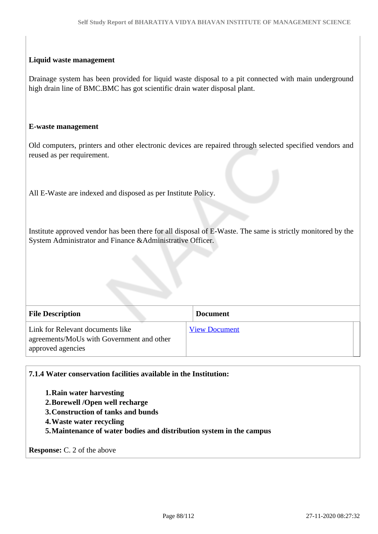#### **Liquid waste management**

Drainage system has been provided for liquid waste disposal to a pit connected with main underground high drain line of BMC.BMC has got scientific drain water disposal plant.

#### **E-waste management**

Old computers, printers and other electronic devices are repaired through selected specified vendors and reused as per requirement.

All E-Waste are indexed and disposed as per Institute Policy.

Institute approved vendor has been there for all disposal of E-Waste. The same is strictly monitored by the System Administrator and Finance &Administrative Officer.

| <b>File Description</b>                                                                            | <b>Document</b>      |  |
|----------------------------------------------------------------------------------------------------|----------------------|--|
| Link for Relevant documents like<br>agreements/MoUs with Government and other<br>approved agencies | <b>View Document</b> |  |

**7.1.4 Water conservation facilities available in the Institution:** 

**1.Rain water harvesting**

- **2.Borewell /Open well recharge**
- **3.Construction of tanks and bunds**
- **4.Waste water recycling**

**5.Maintenance of water bodies and distribution system in the campus**

**Response:** C. 2 of the above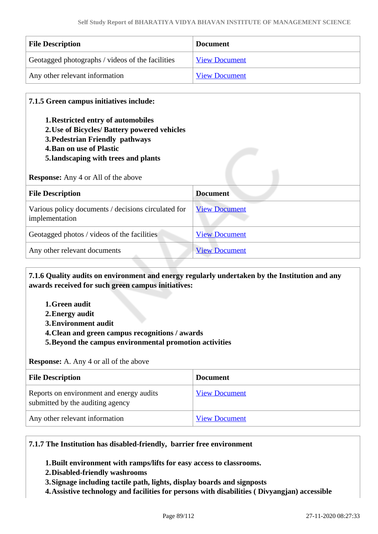| <b>File Description</b>                          | <b>Document</b>      |
|--------------------------------------------------|----------------------|
| Geotagged photographs / videos of the facilities | <b>View Document</b> |
| Any other relevant information                   | <b>View Document</b> |

#### **7.1.5 Green campus initiatives include:**

- **1.Restricted entry of automobiles**
- **2.Use of Bicycles/ Battery powered vehicles**
- **3.Pedestrian Friendly pathways**
- **4.Ban on use of Plastic**
- **5.landscaping with trees and plants**

**Response:** Any 4 or All of the above

| <b>File Description</b>                                               | <b>Document</b>      |
|-----------------------------------------------------------------------|----------------------|
| Various policy documents / decisions circulated for<br>implementation | <b>View Document</b> |
| Geotagged photos / videos of the facilities                           | <b>View Document</b> |
| Any other relevant documents                                          | <b>View Document</b> |

 **7.1.6 Quality audits on environment and energy regularly undertaken by the Institution and any awards received for such green campus initiatives:**

- **1.Green audit**
- **2.Energy audit**
- **3.Environment audit**
- **4.Clean and green campus recognitions / awards**
- **5.Beyond the campus environmental promotion activities**

**Response:** A. Any 4 or all of the above

| <b>File Description</b>                                                      | <b>Document</b>      |
|------------------------------------------------------------------------------|----------------------|
| Reports on environment and energy audits<br>submitted by the auditing agency | <b>View Document</b> |
| Any other relevant information                                               | <b>View Document</b> |

#### **7.1.7 The Institution has disabled-friendly, barrier free environment**

**1.Built environment with ramps/lifts for easy access to classrooms.**

- **2.Disabled-friendly washrooms**
- **3.Signage including tactile path, lights, display boards and signposts**
- **4.Assistive technology and facilities for persons with disabilities ( Divyangjan) accessible**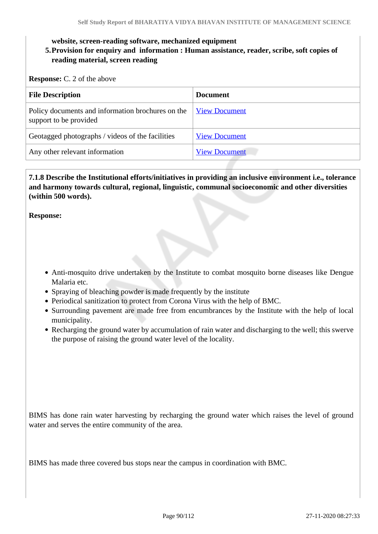#### **website, screen-reading software, mechanized equipment**

### **5.Provision for enquiry and information : Human assistance, reader, scribe, soft copies of reading material, screen reading**

**Response:** C. 2 of the above

| <b>File Description</b>                                                     | <b>Document</b>      |
|-----------------------------------------------------------------------------|----------------------|
| Policy documents and information brochures on the<br>support to be provided | <b>View Document</b> |
| Geotagged photographs / videos of the facilities                            | <b>View Document</b> |
| Any other relevant information                                              | <b>View Document</b> |

 **7.1.8 Describe the Institutional efforts/initiatives in providing an inclusive environment i.e., tolerance and harmony towards cultural, regional, linguistic, communal socioeconomic and other diversities (within 500 words).**

**Response:** 

- Anti-mosquito drive undertaken by the Institute to combat mosquito borne diseases like Dengue Malaria etc.
- Spraying of bleaching powder is made frequently by the institute
- Periodical sanitization to protect from Corona Virus with the help of BMC.
- Surrounding pavement are made free from encumbrances by the Institute with the help of local municipality.
- Recharging the ground water by accumulation of rain water and discharging to the well; this swerve the purpose of raising the ground water level of the locality.

BIMS has done rain water harvesting by recharging the ground water which raises the level of ground water and serves the entire community of the area.

BIMS has made three covered bus stops near the campus in coordination with BMC.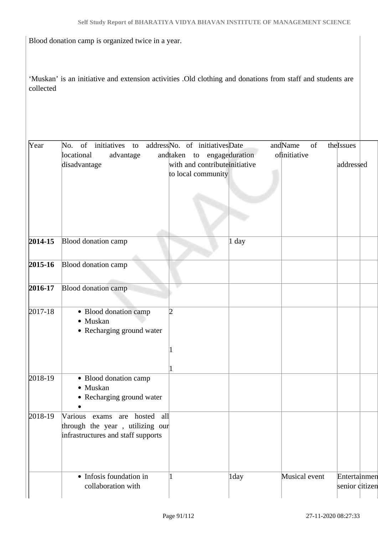Blood donation camp is organized twice in a year.

'Muskan' is an initiative and extension activities .Old clothing and donations from staff and students are collected

| Year        | of<br>initiatives<br>No.<br>to<br>locational<br>advantage<br>disadvantage                                | addressNo. of initiativesDate<br>andtaken to engageduration<br>with and contribute initiative<br>to local community |       | andName<br>of<br>ofinitiative | the Issues<br>addressed        |
|-------------|----------------------------------------------------------------------------------------------------------|---------------------------------------------------------------------------------------------------------------------|-------|-------------------------------|--------------------------------|
| $2014 - 15$ | Blood donation camp                                                                                      |                                                                                                                     | 1 day |                               |                                |
| $2015 - 16$ | <b>Blood donation camp</b>                                                                               |                                                                                                                     |       |                               |                                |
| 2016-17     | <b>Blood donation camp</b>                                                                               |                                                                                                                     |       |                               |                                |
| 2017-18     | • Blood donation camp<br>• Muskan<br>• Recharging ground water                                           | 2                                                                                                                   |       |                               |                                |
| 2018-19     | · Blood donation camp<br>• Muskan<br>• Recharging ground water                                           |                                                                                                                     |       |                               |                                |
| 2018-19     | Various<br>exams are hosted all<br>through the year, utilizing our<br>infrastructures and staff supports |                                                                                                                     |       |                               |                                |
|             | • Infosis foundation in<br>collaboration with                                                            |                                                                                                                     | 1day  | Musical event                 | Entertainmen<br>senior citizen |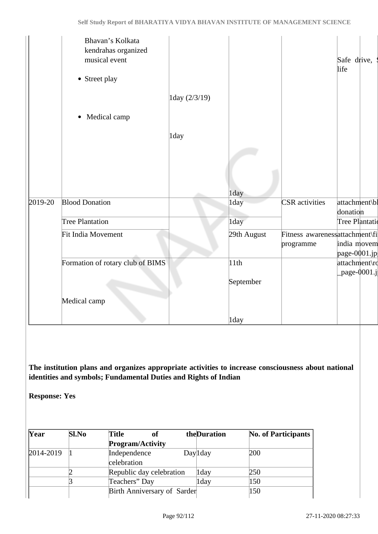|         | Bhavan's Kolkata<br>kendrahas organized<br>musical event<br>• Street play |               |             |                                             | Safe drive,<br>life         |  |
|---------|---------------------------------------------------------------------------|---------------|-------------|---------------------------------------------|-----------------------------|--|
|         |                                                                           | 1day (2/3/19) |             |                                             |                             |  |
|         | • Medical camp                                                            |               |             |                                             |                             |  |
|         |                                                                           | 1day          |             |                                             |                             |  |
|         |                                                                           |               |             |                                             |                             |  |
|         |                                                                           |               | 1day        |                                             |                             |  |
| 2019-20 | <b>Blood Donation</b>                                                     |               | 1day        | <b>CSR</b> activities                       | attachment\bl<br>donation   |  |
|         | <b>Tree Plantation</b>                                                    |               | 1day        |                                             | Tree Plantatio              |  |
|         | Fit India Movement                                                        |               | 29th August | Fitness awarenessattachment\fi<br>programme | india movem<br>page-0001.jp |  |
|         | Formation of rotary club of BIMS                                          |               | 11th        |                                             | attachment\rd               |  |
|         |                                                                           |               | September   |                                             | $_{\rm page\text{-}0001.j}$ |  |
|         | Medical camp                                                              |               |             |                                             |                             |  |
|         |                                                                           |               | 1day        |                                             |                             |  |

**The institution plans and organizes appropriate activities to increase consciousness about national identities and symbols; Fundamental Duties and Rights of Indian** 

**Response: Yes**

| Year      | <b>Sl.No</b> | <b>Title</b><br>оf          | theDuration | <b>No. of Participants</b> |
|-----------|--------------|-----------------------------|-------------|----------------------------|
|           |              | <b>Program/Activity</b>     |             |                            |
| 2014-2019 |              | Independence                | Day 1 day   | 200                        |
|           |              | celebration                 |             |                            |
|           |              | Republic day celebration    | 1day        | 250                        |
|           |              | Teachers" Day               | 1day        | 150                        |
|           |              | Birth Anniversary of Sarder |             | 150                        |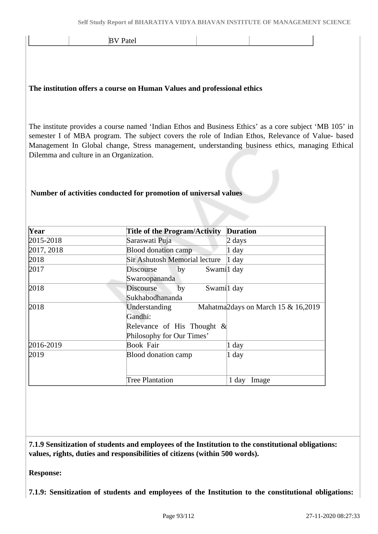BV Patel

#### **The institution offers a course on Human Values and professional ethics**

The institute provides a course named 'Indian Ethos and Business Ethics' as a core subject 'MB 105' in semester I of MBA program. The subject covers the role of Indian Ethos, Relevance of Value- based Management In Global change, Stress management, understanding business ethics, managing Ethical Dilemma and culture in an Organization.

#### **Number of activities conducted for promotion of universal values**

| Year       | <b>Title of the Program/Activity</b> | <b>Duration</b>                                 |
|------------|--------------------------------------|-------------------------------------------------|
| 2015-2018  | Saraswati Puja                       | 2 days                                          |
| 2017, 2018 | <b>Blood donation camp</b>           | $1$ day                                         |
| 2018       | <b>Sir Ashutosh Memorial lecture</b> | $1$ day                                         |
| 2017       | by<br>Discourse                      | Swamil day                                      |
|            | Swaroopananda                        |                                                 |
| 2018       | Discourse<br>by                      | Swamil day                                      |
|            | Sukhabodhananda                      |                                                 |
| 2018       | Understanding                        | Mahatma <sub>2</sub> days on March 15 & 16,2019 |
|            | Gandhi:                              |                                                 |
|            | Relevance of His Thought $\&$        |                                                 |
|            | Philosophy for Our Times'            |                                                 |
| 2016-2019  | Book Fair                            | 1 day                                           |
| 2019       | Blood donation camp                  | $1$ day                                         |
|            |                                      |                                                 |
|            | <b>Tree Plantation</b>               | $1$ day<br>Image                                |

 **7.1.9 Sensitization of students and employees of the Institution to the constitutional obligations: values, rights, duties and responsibilities of citizens (within 500 words).**

**Response:** 

**7.1.9: Sensitization of students and employees of the Institution to the constitutional obligations:**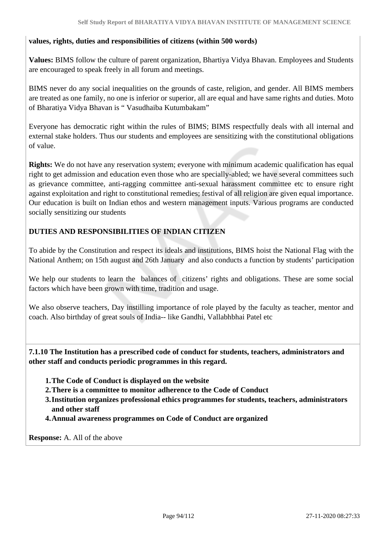#### **values, rights, duties and responsibilities of citizens (within 500 words)**

**Values:** BIMS follow the culture of parent organization, Bhartiya Vidya Bhavan. Employees and Students are encouraged to speak freely in all forum and meetings.

BIMS never do any social inequalities on the grounds of caste, religion, and gender. All BIMS members are treated as one family, no one is inferior or superior, all are equal and have same rights and duties. Moto of Bharatiya Vidya Bhavan is " Vasudhaiba Kutumbakam"

Everyone has democratic right within the rules of BIMS; BIMS respectfully deals with all internal and external stake holders. Thus our students and employees are sensitizing with the constitutional obligations of value.

**Rights:** We do not have any reservation system; everyone with minimum academic qualification has equal right to get admission and education even those who are specially-abled; we have several committees such as grievance committee, anti-ragging committee anti-sexual harassment committee etc to ensure right against exploitation and right to constitutional remedies; festival of all religion are given equal importance. Our education is built on Indian ethos and western management inputs. Various programs are conducted socially sensitizing our students

### **DUTIES AND RESPONSIBILITIES OF INDIAN CITIZEN**

To abide by the Constitution and respect its ideals and institutions, BIMS hoist the National Flag with the National Anthem; on 15th august and 26th January and also conducts a function by students' participation

We help our students to learn the balances of citizens' rights and obligations. These are some social factors which have been grown with time, tradition and usage.

We also observe teachers, Day instilling importance of role played by the faculty as teacher, mentor and coach. Also birthday of great souls of India-- like Gandhi, Vallabhbhai Patel etc

 **7.1.10 The Institution has a prescribed code of conduct for students, teachers, administrators and other staff and conducts periodic programmes in this regard.** 

- **1.The Code of Conduct is displayed on the website**
- **2.There is a committee to monitor adherence to the Code of Conduct**
- **3.Institution organizes professional ethics programmes for students, teachers, administrators and other staff**
- **4.Annual awareness programmes on Code of Conduct are organized**

**Response:** A. All of the above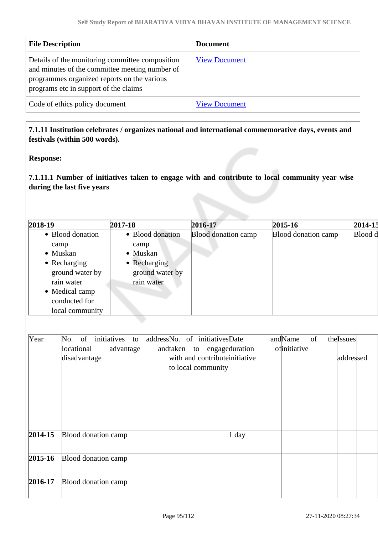| <b>File Description</b>                                                                                                                                                                   | <b>Document</b>      |
|-------------------------------------------------------------------------------------------------------------------------------------------------------------------------------------------|----------------------|
| Details of the monitoring committee composition<br>and minutes of the committee meeting number of<br>programmes organized reports on the various<br>programs etc in support of the claims | <b>View Document</b> |
| Code of ethics policy document                                                                                                                                                            | <b>View Document</b> |

### **7.1.11 Institution celebrates / organizes national and international commemorative days, events and festivals (within 500 words).**

**Response:** 

**7.1.11.1 Number of initiatives taken to engage with and contribute to local community year wise during the last five years**

| 2018-19                                                             | 2017-18                                                                                                                                                          | 2016-17                                                                            | 2015-16                    | 2014-15   |
|---------------------------------------------------------------------|------------------------------------------------------------------------------------------------------------------------------------------------------------------|------------------------------------------------------------------------------------|----------------------------|-----------|
| camp<br>• Muskan<br>Recharging<br>٠<br>rain water<br>• Medical camp | • Blood donation<br>• Blood donation<br>camp<br>· Muskan<br>• Recharging<br>ground water by<br>ground water by<br>rain water<br>conducted for<br>local community | <b>Blood donation camp</b>                                                         | <b>Blood donation camp</b> | Blood d   |
| Year<br>No.                                                         | of<br>initiatives<br>to                                                                                                                                          | address No. of initiatives Date                                                    | andName<br>thelssues<br>of |           |
|                                                                     | locational<br>advantage<br>disadvantage                                                                                                                          | andtaken to engageduration<br>with and contribute initiative<br>to local community | ofinitiative               | addressed |
| $2014 - 15$                                                         | <b>Blood donation camp</b>                                                                                                                                       | 1 day                                                                              |                            |           |
| $2015 - 16$                                                         | Blood donation camp                                                                                                                                              |                                                                                    |                            |           |
| 2016-17                                                             | Blood donation camp                                                                                                                                              |                                                                                    |                            |           |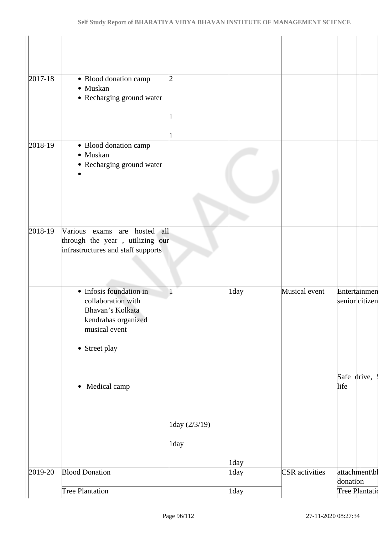| $2017 - 18$ | • Blood donation camp                                                                                                      | 2                  |      |                       |                                |
|-------------|----------------------------------------------------------------------------------------------------------------------------|--------------------|------|-----------------------|--------------------------------|
|             | · Muskan<br>• Recharging ground water                                                                                      |                    |      |                       |                                |
|             |                                                                                                                            |                    |      |                       |                                |
| 2018-19     | · Blood donation camp<br>· Muskan<br>• Recharging ground water                                                             |                    |      |                       |                                |
| 2018-19     | Various exams are hosted all                                                                                               |                    |      |                       |                                |
|             | through the year, utilizing our<br>infrastructures and staff supports                                                      |                    |      |                       |                                |
|             | • Infosis foundation in<br>collaboration with<br>Bhavan's Kolkata<br>kendrahas organized<br>musical event<br>• Street play |                    | 1day | Musical event         | Entertainmen<br>senior citizen |
|             | Medical camp<br>$\bullet$                                                                                                  |                    |      |                       | Safe drive,<br>life            |
|             |                                                                                                                            | $1$ day $(2/3/19)$ |      |                       |                                |
|             |                                                                                                                            | 1day               |      |                       |                                |
|             | <b>Blood Donation</b>                                                                                                      |                    | 1day |                       |                                |
| 2019-20     |                                                                                                                            |                    | 1day | <b>CSR</b> activities | attachment\bl<br>donation      |
|             | Tree Plantation                                                                                                            |                    | 1day |                       | Tree Plantatio                 |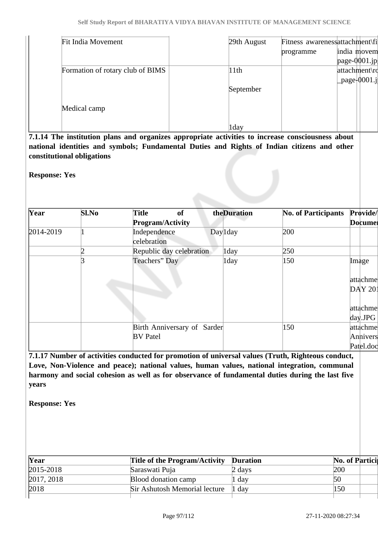| <b>Fit India Movement</b>        | 29th August |           | Fitness awarenessattachment\fi |
|----------------------------------|-------------|-----------|--------------------------------|
|                                  |             | programme | india movem                    |
|                                  |             |           | page- $0001$ .jp               |
| Formation of rotary club of BIMS | 11th        |           | attachment\rd                  |
|                                  |             |           | $\lvert$ _page $\lvert$ 0001.j |
|                                  | September   |           |                                |
| Medical camp                     |             |           |                                |
|                                  | 1day        |           |                                |

**7.1.14 The institution plans and organizes appropriate activities to increase consciousness about national identities and symbols; Fundamental Duties and Rights of Indian citizens and other constitutional obligations**

**Response: Yes**

| Year      | Sl.No | <b>Title</b><br><sub>of</sub><br><b>Program/Activity</b> | theDuration | <b>No. of Participants</b> | Provide/<br><b>Documer</b>  |
|-----------|-------|----------------------------------------------------------|-------------|----------------------------|-----------------------------|
| 2014-2019 |       | Independence<br>celebration                              | Day 1day    | 200                        |                             |
|           |       | Republic day celebration                                 | 1day        | 250                        |                             |
|           |       | Teachers" Day                                            | 1day        | 150                        | Image<br>attachme<br>DAY201 |
|           |       |                                                          |             |                            | attachme<br>$day$ .JPG      |
|           |       | Birth Anniversary of Sarder                              |             | 150                        | attachme                    |
|           |       | <b>BV</b> Patel                                          |             |                            | Annivers                    |
|           |       |                                                          |             |                            | Patel.doc                   |

**7.1.17 Number of activities conducted for promotion of universal values (Truth, Righteous conduct, Love, Non-Violence and peace); national values, human values, national integration, communal harmony and social cohesion as well as for observance of fundamental duties during the last five years**

**Response: Yes**

| Year          | Title of the Program/Activity Duration |        | <b>No. of Partici</b> |  |
|---------------|----------------------------------------|--------|-----------------------|--|
| $2015 - 2018$ | Saraswati Puja                         | 2 days | 200                   |  |
| 2017, 2018    | Blood donation camp                    | 1 day  | 50                    |  |
| 2018          | Sir Ashutosh Memorial lecture 1 day    |        | 150                   |  |
|               |                                        |        |                       |  |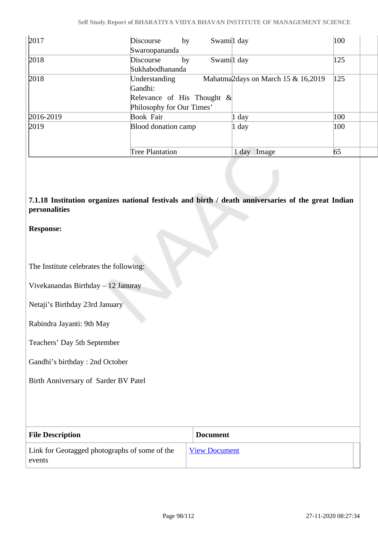| 2017      | Swamil day<br>Discourse<br>by                                   | 100 |
|-----------|-----------------------------------------------------------------|-----|
|           | Swaroopananda                                                   |     |
| 2018      | Swamil day<br>Discourse<br>by                                   | 125 |
|           | Sukhabodhananda                                                 |     |
| 2018      | Mahatma <sub>2days</sub> on March 15 & 16,2019<br>Understanding | 125 |
|           | Gandhi:                                                         |     |
|           | Relevance of His Thought $\&$                                   |     |
|           | Philosophy for Our Times'                                       |     |
| 2016-2019 | <b>Book Fair</b><br>1 day                                       | 100 |
| 2019      | Blood donation camp<br>1 day                                    | 100 |
|           |                                                                 |     |
|           |                                                                 |     |
|           | <b>Tree Plantation</b><br>1 day<br>Image                        | 65  |

### **7.1.18 Institution organizes national festivals and birth / death anniversaries of the great Indian personalities**

#### **Response:**

The Institute celebrates the following:

Vivekanandas Birthday – 12 Januray

Netaji's Birthday 23rd January

Rabindra Jayanti: 9th May

Teachers' Day 5th September

Gandhi's birthday : 2nd October

Birth Anniversary of Sarder BV Patel

| <b>File Description</b>                                 | <b>Document</b>      |
|---------------------------------------------------------|----------------------|
| Link for Geotagged photographs of some of the<br>events | <b>View Document</b> |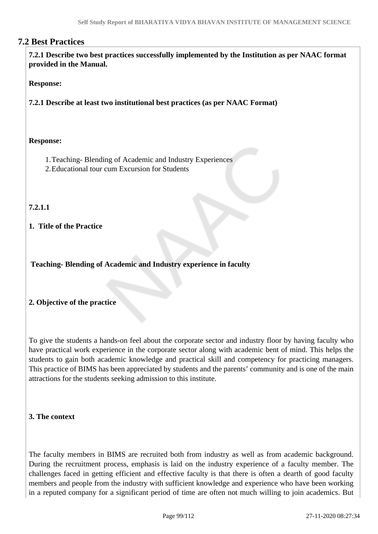### **7.2 Best Practices**

 **7.2.1 Describe two best practices successfully implemented by the Institution as per NAAC format provided in the Manual.**

#### **Response:**

**7.2.1 Describe at least two institutional best practices (as per NAAC Format)**

#### **Response:**

- 1.Teaching- Blending of Academic and Industry Experiences
- 2.Educational tour cum Excursion for Students

### **7.2.1.1**

#### **1. Title of the Practice**

**Teaching- Blending of Academic and Industry experience in faculty** 

#### **2. Objective of the practice**

To give the students a hands-on feel about the corporate sector and industry floor by having faculty who have practical work experience in the corporate sector along with academic bent of mind. This helps the students to gain both academic knowledge and practical skill and competency for practicing managers. This practice of BIMS has been appreciated by students and the parents' community and is one of the main attractions for the students seeking admission to this institute.

#### **3. The context**

The faculty members in BIMS are recruited both from industry as well as from academic background. During the recruitment process, emphasis is laid on the industry experience of a faculty member. The challenges faced in getting efficient and effective faculty is that there is often a dearth of good faculty members and people from the industry with sufficient knowledge and experience who have been working in a reputed company for a significant period of time are often not much willing to join academics. But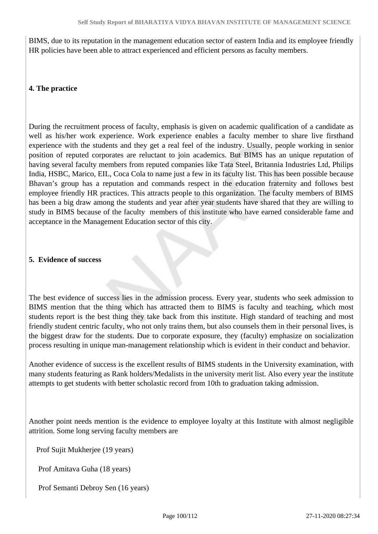BIMS, due to its reputation in the management education sector of eastern India and its employee friendly HR policies have been able to attract experienced and efficient persons as faculty members.

### **4. The practice**

During the recruitment process of faculty, emphasis is given on academic qualification of a candidate as well as his/her work experience. Work experience enables a faculty member to share live firsthand experience with the students and they get a real feel of the industry. Usually, people working in senior position of reputed corporates are reluctant to join academics. But BIMS has an unique reputation of having several faculty members from reputed companies like Tata Steel, Britannia Industries Ltd, Philips India, HSBC, Marico, EIL, Coca Cola to name just a few in its faculty list. This has been possible because Bhavan's group has a reputation and commands respect in the education fraternity and follows best employee friendly HR practices. This attracts people to this organization. The faculty members of BIMS has been a big draw among the students and year after year students have shared that they are willing to study in BIMS because of the faculty members of this institute who have earned considerable fame and acceptance in the Management Education sector of this city.

#### **5. Evidence of success**

The best evidence of success lies in the admission process. Every year, students who seek admission to BIMS mention that the thing which has attracted them to BIMS is faculty and teaching, which most students report is the best thing they take back from this institute. High standard of teaching and most friendly student centric faculty, who not only trains them, but also counsels them in their personal lives, is the biggest draw for the students. Due to corporate exposure, they (faculty) emphasize on socialization process resulting in unique man-management relationship which is evident in their conduct and behavior.

Another evidence of success is the excellent results of BIMS students in the University examination, with many students featuring as Rank holders/Medalists in the university merit list. Also every year the institute attempts to get students with better scholastic record from 10th to graduation taking admission.

Another point needs mention is the evidence to employee loyalty at this Institute with almost negligible attrition. Some long serving faculty members are

Prof Sujit Mukherjee (19 years)

Prof Amitava Guha (18 years)

Prof Semanti Debroy Sen (16 years)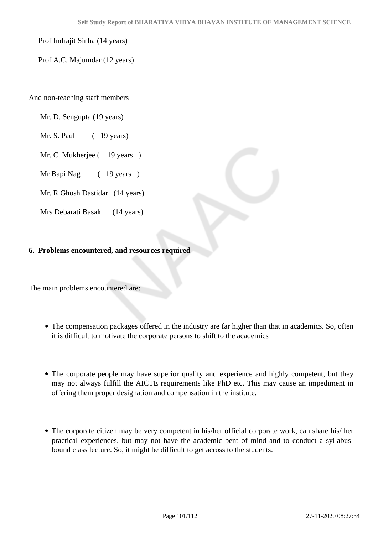Prof Indrajit Sinha (14 years)

Prof A.C. Majumdar (12 years)

And non-teaching staff members

Mr. D. Sengupta (19 years)

Mr. S. Paul (19 years)

Mr. C. Mukherjee (19 years)

Mr Bapi Nag (19 years)

Mr. R Ghosh Dastidar (14 years)

Mrs Debarati Basak (14 years)

#### **6. Problems encountered, and resources required**

The main problems encountered are:

- The compensation packages offered in the industry are far higher than that in academics. So, often it is difficult to motivate the corporate persons to shift to the academics
- The corporate people may have superior quality and experience and highly competent, but they may not always fulfill the AICTE requirements like PhD etc. This may cause an impediment in offering them proper designation and compensation in the institute.
- The corporate citizen may be very competent in his/her official corporate work, can share his/ her practical experiences, but may not have the academic bent of mind and to conduct a syllabusbound class lecture. So, it might be difficult to get across to the students.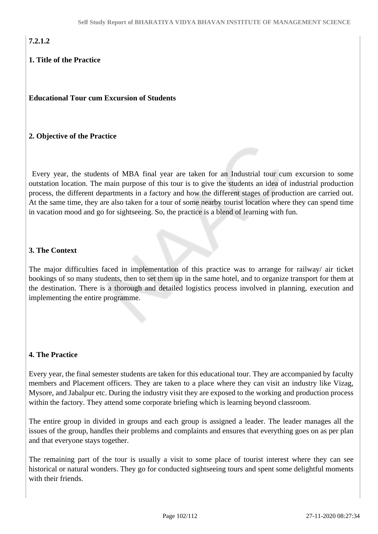# **7.2.1.2**

### **1. Title of the Practice**

**Educational Tour cum Excursion of Students**

### **2. Objective of the Practice**

 Every year, the students of MBA final year are taken for an Industrial tour cum excursion to some outstation location. The main purpose of this tour is to give the students an idea of industrial production process, the different departments in a factory and how the different stages of production are carried out. At the same time, they are also taken for a tour of some nearby tourist location where they can spend time in vacation mood and go for sightseeing. So, the practice is a blend of learning with fun.

### **3. The Context**

The major difficulties faced in implementation of this practice was to arrange for railway/ air ticket bookings of so many students, then to set them up in the same hotel, and to organize transport for them at the destination. There is a thorough and detailed logistics process involved in planning, execution and implementing the entire programme.

### **4. The Practice**

Every year, the final semester students are taken for this educational tour. They are accompanied by faculty members and Placement officers. They are taken to a place where they can visit an industry like Vizag, Mysore, and Jabalpur etc. During the industry visit they are exposed to the working and production process within the factory. They attend some corporate briefing which is learning beyond classroom.

The entire group in divided in groups and each group is assigned a leader. The leader manages all the issues of the group, handles their problems and complaints and ensures that everything goes on as per plan and that everyone stays together.

The remaining part of the tour is usually a visit to some place of tourist interest where they can see historical or natural wonders. They go for conducted sightseeing tours and spent some delightful moments with their friends.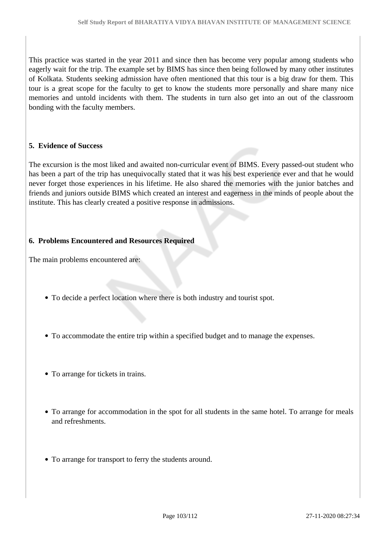This practice was started in the year 2011 and since then has become very popular among students who eagerly wait for the trip. The example set by BIMS has since then being followed by many other institutes of Kolkata. Students seeking admission have often mentioned that this tour is a big draw for them. This tour is a great scope for the faculty to get to know the students more personally and share many nice memories and untold incidents with them. The students in turn also get into an out of the classroom bonding with the faculty members.

#### **5. Evidence of Success**

The excursion is the most liked and awaited non-curricular event of BIMS. Every passed-out student who has been a part of the trip has unequivocally stated that it was his best experience ever and that he would never forget those experiences in his lifetime. He also shared the memories with the junior batches and friends and juniors outside BIMS which created an interest and eagerness in the minds of people about the institute. This has clearly created a positive response in admissions.

#### **6. Problems Encountered and Resources Required**

The main problems encountered are:

- To decide a perfect location where there is both industry and tourist spot.
- To accommodate the entire trip within a specified budget and to manage the expenses.
- To arrange for tickets in trains.
- To arrange for accommodation in the spot for all students in the same hotel. To arrange for meals and refreshments.
- To arrange for transport to ferry the students around.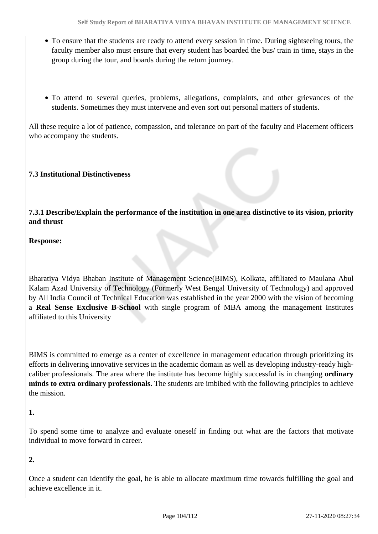- To ensure that the students are ready to attend every session in time. During sightseeing tours, the faculty member also must ensure that every student has boarded the bus/ train in time, stays in the group during the tour, and boards during the return journey.
- To attend to several queries, problems, allegations, complaints, and other grievances of the students. Sometimes they must intervene and even sort out personal matters of students.

All these require a lot of patience, compassion, and tolerance on part of the faculty and Placement officers who accompany the students.

### **7.3 Institutional Distinctiveness**

**7.3.1 Describe/Explain the performance of the institution in one area distinctive to its vision, priority and thrust**

**Response:**

Bharatiya Vidya Bhaban Institute of Management Science(BIMS), Kolkata, affiliated to Maulana Abul Kalam Azad University of Technology (Formerly West Bengal University of Technology) and approved by All India Council of Technical Education was established in the year 2000 with the vision of becoming a **Real Sense Exclusive B-School** with single program of MBA among the management Institutes affiliated to this University

BIMS is committed to emerge as a center of excellence in management education through prioritizing its efforts in delivering innovative services in the academic domain as well as developing industry-ready highcaliber professionals. The area where the institute has become highly successful is in changing **ordinary minds to extra ordinary professionals.** The students are imbibed with the following principles to achieve the mission.

**1.** 

To spend some time to analyze and evaluate oneself in finding out what are the factors that motivate individual to move forward in career.

**2.** 

Once a student can identify the goal, he is able to allocate maximum time towards fulfilling the goal and achieve excellence in it.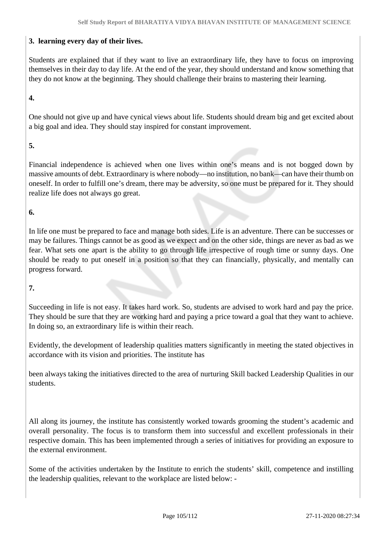### **3. learning every day of their lives.**

Students are explained that if they want to live an extraordinary life, they have to focus on improving themselves in their day to day life. At the end of the year, they should understand and know something that they do not know at the beginning. They should challenge their brains to mastering their learning.

### **4.**

One should not give up and have cynical views about life. Students should dream big and get excited about a big goal and idea. They should stay inspired for constant improvement.

### **5.**

Financial independence is achieved when one lives within one's means and is not bogged down by massive amounts of debt. Extraordinary is where nobody—no institution, no bank—can have their thumb on oneself. In order to fulfill one's dream, there may be adversity, so one must be prepared for it. They should realize life does not always go great.

### **6.**

In life one must be prepared to face and manage both sides. Life is an adventure. There can be successes or may be failures. Things cannot be as good as we expect and on the other side, things are never as bad as we fear. What sets one apart is the ability to go through life irrespective of rough time or sunny days. One should be ready to put oneself in a position so that they can financially, physically, and mentally can progress forward.

### **7.**

Succeeding in life is not easy. It takes hard work. So, students are advised to work hard and pay the price. They should be sure that they are working hard and paying a price toward a goal that they want to achieve. In doing so, an extraordinary life is within their reach.

Evidently, the development of leadership qualities matters significantly in meeting the stated objectives in accordance with its vision and priorities. The institute has

been always taking the initiatives directed to the area of nurturing Skill backed Leadership Qualities in our students.

All along its journey, the institute has consistently worked towards grooming the student's academic and overall personality. The focus is to transform them into successful and excellent professionals in their respective domain. This has been implemented through a series of initiatives for providing an exposure to the external environment.

Some of the activities undertaken by the Institute to enrich the students' skill, competence and instilling the leadership qualities, relevant to the workplace are listed below: -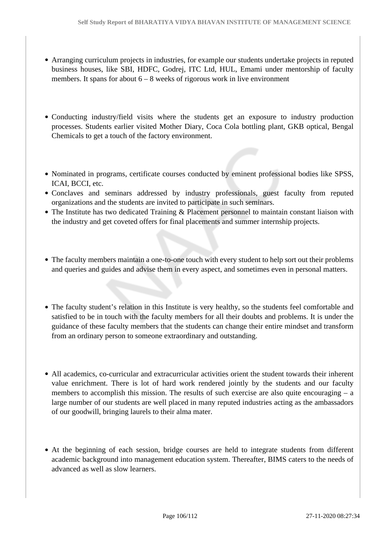- Arranging curriculum projects in industries, for example our students undertake projects in reputed business houses, like SBI, HDFC, Godrej, ITC Ltd, HUL, Emami under mentorship of faculty members. It spans for about  $6 - 8$  weeks of rigorous work in live environment
- Conducting industry/field visits where the students get an exposure to industry production processes. Students earlier visited Mother Diary, Coca Cola bottling plant, GKB optical, Bengal Chemicals to get a touch of the factory environment.
- Nominated in programs, certificate courses conducted by eminent professional bodies like SPSS, ICAI, BCCI, etc.
- Conclaves and seminars addressed by industry professionals, guest faculty from reputed organizations and the students are invited to participate in such seminars.
- The Institute has two dedicated Training & Placement personnel to maintain constant liaison with the industry and get coveted offers for final placements and summer internship projects.
- The faculty members maintain a one-to-one touch with every student to help sort out their problems and queries and guides and advise them in every aspect, and sometimes even in personal matters.
- The faculty student's relation in this Institute is very healthy, so the students feel comfortable and satisfied to be in touch with the faculty members for all their doubts and problems. It is under the guidance of these faculty members that the students can change their entire mindset and transform from an ordinary person to someone extraordinary and outstanding.
- All academics, co-curricular and extracurricular activities orient the student towards their inherent value enrichment. There is lot of hard work rendered jointly by the students and our faculty members to accomplish this mission. The results of such exercise are also quite encouraging  $-$  a large number of our students are well placed in many reputed industries acting as the ambassadors of our goodwill, bringing laurels to their alma mater.
- At the beginning of each session, bridge courses are held to integrate students from different academic background into management education system. Thereafter, BIMS caters to the needs of advanced as well as slow learners.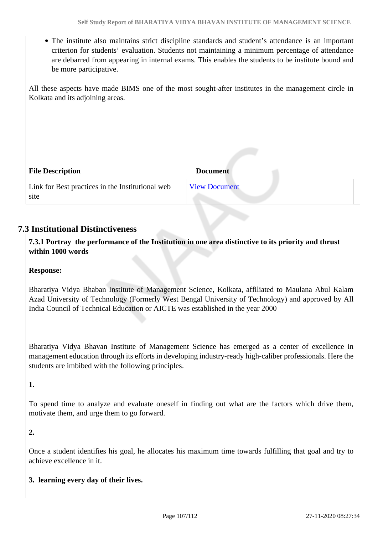The institute also maintains strict discipline standards and student's attendance is an important criterion for students' evaluation. Students not maintaining a minimum percentage of attendance are debarred from appearing in internal exams. This enables the students to be institute bound and be more participative.

All these aspects have made BIMS one of the most sought-after institutes in the management circle in Kolkata and its adjoining areas.

| <b>File Description</b>                                  | <b>Document</b>      |
|----------------------------------------------------------|----------------------|
| Link for Best practices in the Institutional web<br>site | <b>View Document</b> |

# **7.3 Institutional Distinctiveness**

 **7.3.1 Portray the performance of the Institution in one area distinctive to its priority and thrust within 1000 words**

### **Response:**

Bharatiya Vidya Bhaban Institute of Management Science, Kolkata, affiliated to Maulana Abul Kalam Azad University of Technology (Formerly West Bengal University of Technology) and approved by All India Council of Technical Education or AICTE was established in the year 2000

Bharatiya Vidya Bhavan Institute of Management Science has emerged as a center of excellence in management education through its efforts in developing industry-ready high-caliber professionals. Here the students are imbibed with the following principles.

#### **1.**

To spend time to analyze and evaluate oneself in finding out what are the factors which drive them, motivate them, and urge them to go forward.

**2.** 

Once a student identifies his goal, he allocates his maximum time towards fulfilling that goal and try to achieve excellence in it.

### **3. learning every day of their lives.**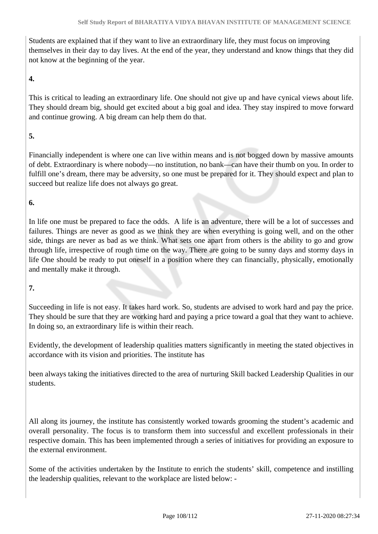Students are explained that if they want to live an extraordinary life, they must focus on improving themselves in their day to day lives. At the end of the year, they understand and know things that they did not know at the beginning of the year.

### **4.**

This is critical to leading an extraordinary life. One should not give up and have cynical views about life. They should dream big, should get excited about a big goal and idea. They stay inspired to move forward and continue growing. A big dream can help them do that.

### **5.**

Financially independent is where one can live within means and is not bogged down by massive amounts of debt. Extraordinary is where nobody—no institution, no bank—can have their thumb on you. In order to fulfill one's dream, there may be adversity, so one must be prepared for it. They should expect and plan to succeed but realize life does not always go great.

### **6.**

In life one must be prepared to face the odds. A life is an adventure, there will be a lot of successes and failures. Things are never as good as we think they are when everything is going well, and on the other side, things are never as bad as we think. What sets one apart from others is the ability to go and grow through life, irrespective of rough time on the way. There are going to be sunny days and stormy days in life One should be ready to put oneself in a position where they can financially, physically, emotionally and mentally make it through.

### **7.**

Succeeding in life is not easy. It takes hard work. So, students are advised to work hard and pay the price. They should be sure that they are working hard and paying a price toward a goal that they want to achieve. In doing so, an extraordinary life is within their reach.

Evidently, the development of leadership qualities matters significantly in meeting the stated objectives in accordance with its vision and priorities. The institute has

been always taking the initiatives directed to the area of nurturing Skill backed Leadership Qualities in our students.

All along its journey, the institute has consistently worked towards grooming the student's academic and overall personality. The focus is to transform them into successful and excellent professionals in their respective domain. This has been implemented through a series of initiatives for providing an exposure to the external environment.

Some of the activities undertaken by the Institute to enrich the students' skill, competence and instilling the leadership qualities, relevant to the workplace are listed below: -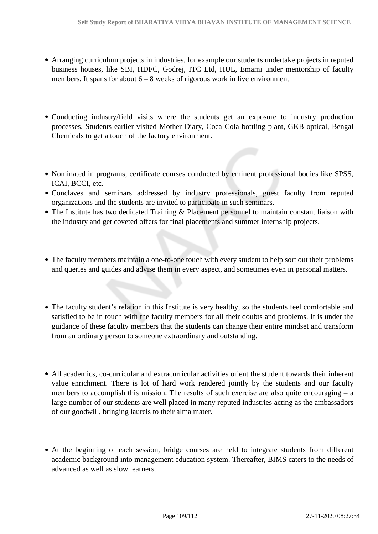- Arranging curriculum projects in industries, for example our students undertake projects in reputed business houses, like SBI, HDFC, Godrej, ITC Ltd, HUL, Emami under mentorship of faculty members. It spans for about  $6 - 8$  weeks of rigorous work in live environment
- Conducting industry/field visits where the students get an exposure to industry production processes. Students earlier visited Mother Diary, Coca Cola bottling plant, GKB optical, Bengal Chemicals to get a touch of the factory environment.
- Nominated in programs, certificate courses conducted by eminent professional bodies like SPSS, ICAI, BCCI, etc.
- Conclaves and seminars addressed by industry professionals, guest faculty from reputed organizations and the students are invited to participate in such seminars.
- The Institute has two dedicated Training & Placement personnel to maintain constant liaison with the industry and get coveted offers for final placements and summer internship projects.
- The faculty members maintain a one-to-one touch with every student to help sort out their problems and queries and guides and advise them in every aspect, and sometimes even in personal matters.
- The faculty student's relation in this Institute is very healthy, so the students feel comfortable and satisfied to be in touch with the faculty members for all their doubts and problems. It is under the guidance of these faculty members that the students can change their entire mindset and transform from an ordinary person to someone extraordinary and outstanding.
- All academics, co-curricular and extracurricular activities orient the student towards their inherent value enrichment. There is lot of hard work rendered jointly by the students and our faculty members to accomplish this mission. The results of such exercise are also quite encouraging  $-$  a large number of our students are well placed in many reputed industries acting as the ambassadors of our goodwill, bringing laurels to their alma mater.
- At the beginning of each session, bridge courses are held to integrate students from different academic background into management education system. Thereafter, BIMS caters to the needs of advanced as well as slow learners.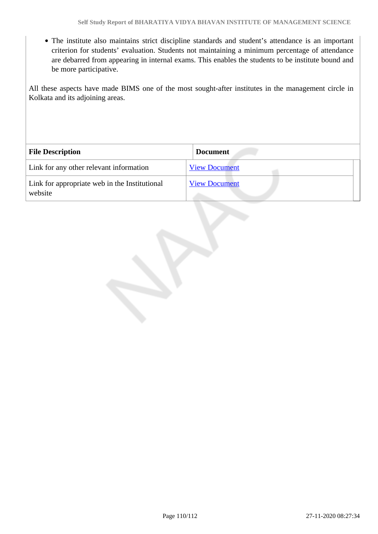The institute also maintains strict discipline standards and student's attendance is an important criterion for students' evaluation. Students not maintaining a minimum percentage of attendance are debarred from appearing in internal exams. This enables the students to be institute bound and be more participative.

All these aspects have made BIMS one of the most sought-after institutes in the management circle in Kolkata and its adjoining areas.

| <b>File Description</b>                                  | <b>Document</b>      |
|----------------------------------------------------------|----------------------|
| Link for any other relevant information                  | <b>View Document</b> |
| Link for appropriate web in the Institutional<br>website | <b>View Document</b> |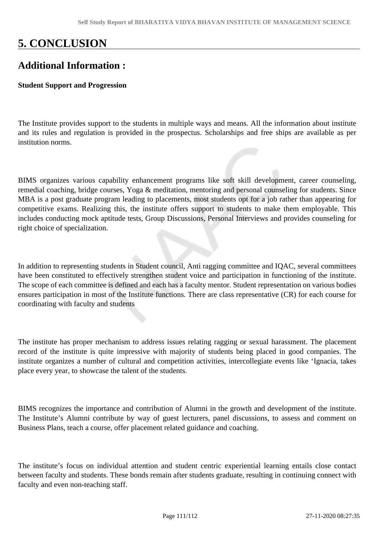# **5. CONCLUSION**

# **Additional Information :**

## **Student Support and Progression**

The Institute provides support to the students in multiple ways and means. All the information about institute and its rules and regulation is provided in the prospectus. Scholarships and free ships are available as per institution norms.

BIMS organizes various capability enhancement programs like soft skill development, career counseling, remedial coaching, bridge courses, Yoga & meditation, mentoring and personal counseling for students. Since MBA is a post graduate program leading to placements, most students opt for a job rather than appearing for competitive exams. Realizing this, the institute offers support to students to make them employable. This includes conducting mock aptitude tests, Group Discussions, Personal Interviews and provides counseling for right choice of specialization.

In addition to representing students in Student council, Anti ragging committee and IQAC, several committees have been constituted to effectively strengthen student voice and participation in functioning of the institute. The scope of each committee is defined and each has a faculty mentor. Student representation on various bodies ensures participation in most of the Institute functions. There are class representative (CR) for each course for coordinating with faculty and students

The institute has proper mechanism to address issues relating ragging or sexual harassment. The placement record of the institute is quite impressive with majority of students being placed in good companies. The institute organizes a number of cultural and competition activities, intercollegiate events like 'Ignacia, takes place every year, to showcase the talent of the students.

BIMS recognizes the importance and contribution of Alumni in the growth and development of the institute. The Institute's Alumni contribute by way of guest lecturers, panel discussions, to assess and comment on Business Plans, teach a course, offer placement related guidance and coaching.

The institute's focus on individual attention and student centric experiential learning entails close contact between faculty and students. These bonds remain after students graduate, resulting in continuing connect with faculty and even non-teaching staff.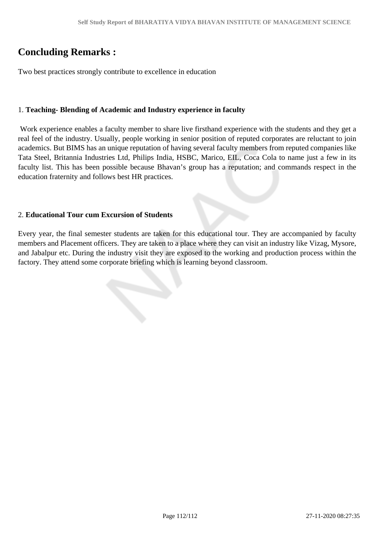# **Concluding Remarks :**

Two best practices strongly contribute to excellence in education

## 1. **Teaching- Blending of Academic and Industry experience in faculty**

 Work experience enables a faculty member to share live firsthand experience with the students and they get a real feel of the industry. Usually, people working in senior position of reputed corporates are reluctant to join academics. But BIMS has an unique reputation of having several faculty members from reputed companies like Tata Steel, Britannia Industries Ltd, Philips India, HSBC, Marico, EIL, Coca Cola to name just a few in its faculty list. This has been possible because Bhavan's group has a reputation; and commands respect in the education fraternity and follows best HR practices.

## 2. **Educational Tour cum Excursion of Students**

Every year, the final semester students are taken for this educational tour. They are accompanied by faculty members and Placement officers. They are taken to a place where they can visit an industry like Vizag, Mysore, and Jabalpur etc. During the industry visit they are exposed to the working and production process within the factory. They attend some corporate briefing which is learning beyond classroom.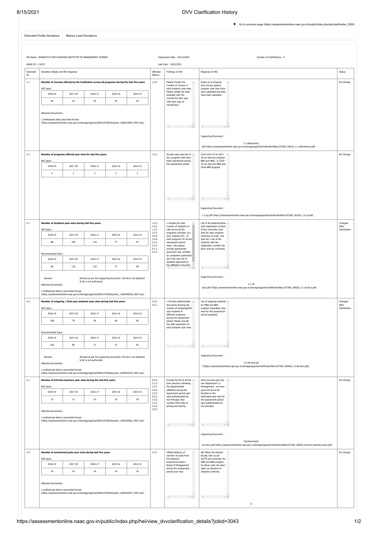[Go to previous page \(https://assessmentonline.naac.gov.in/public/index.php/hei/clarification\\_SSR\)](https://assessmentonline.naac.gov.in/public/index.php/hei/clarification_SSR)

<span id="page-112-0"></span>

| <b>Extended Profile Deviations</b> | Metrics Level Deviations |
|------------------------------------|--------------------------|
|                                    |                          |

|                      | HEI Name: BHARATIYA VIDYA BHAVAN INSTITUTE OF MANAGEMENT SCIENCE                                                                                                    |                |                           |                                                                   |                |                                              | Assignment Date: 26/12/2020                                                    | Number of Clarifications: 9                                                                                                                         |                        |  |
|----------------------|---------------------------------------------------------------------------------------------------------------------------------------------------------------------|----------------|---------------------------|-------------------------------------------------------------------|----------------|----------------------------------------------|--------------------------------------------------------------------------------|-----------------------------------------------------------------------------------------------------------------------------------------------------|------------------------|--|
| AISHE ID: C-6271     |                                                                                                                                                                     |                |                           |                                                                   |                |                                              | Last Date: 10/01/2021                                                          |                                                                                                                                                     |                        |  |
| Extended<br>$\rm ID$ | Deviation Details and HEI Response                                                                                                                                  |                |                           |                                                                   |                | Affected<br>Metrics                          | Findings of DVV                                                                | Response of HEI                                                                                                                                     | Status                 |  |
| $1.1\,$              | Number of courses offered by the Institution across all programs during the last five years                                                                         |                |                           |                                                                   |                | 1.3.2                                        | Please Provide the<br>$\mathcal{A}_1$                                          | Break up of program<br>$\Delta$                                                                                                                     | No Change              |  |
|                      | HEI Input:                                                                                                                                                          |                |                           |                                                                   |                |                                              | number of courses in<br>each program vear-wise.<br>Please update the data      | and courses against<br>program year wise have<br>been uploaded and data                                                                             |                        |  |
|                      | 2018-19                                                                                                                                                             | 2017-18        | 2016-17                   | 2015-16                                                           | 2014-15        |                                              | template with the<br>courses for each year                                     | have been uploaded.                                                                                                                                 |                        |  |
|                      | 84                                                                                                                                                                  | 54             | 54                        | 54                                                                | 54             |                                              | with their year of<br>introduction.                                            |                                                                                                                                                     |                        |  |
|                      |                                                                                                                                                                     |                |                           |                                                                   |                |                                              |                                                                                |                                                                                                                                                     |                        |  |
|                      | Attached Documents :<br>1.Institutional data prescribed format                                                                                                      |                |                           |                                                                   |                |                                              |                                                                                |                                                                                                                                                     |                        |  |
|                      | (https://assessmentonline.naac.gov.in/storage/app/hei/SSR/107369/dynamic_1606234064_4567.xlsx)                                                                      |                |                           |                                                                   |                |                                              |                                                                                |                                                                                                                                                     |                        |  |
|                      |                                                                                                                                                                     |                |                           |                                                                   |                |                                              |                                                                                |                                                                                                                                                     |                        |  |
|                      |                                                                                                                                                                     |                |                           |                                                                   |                |                                              |                                                                                | Supporting Document:                                                                                                                                |                        |  |
|                      |                                                                                                                                                                     |                |                           |                                                                   |                |                                              |                                                                                | 1.1-attachment.<br>pdf (https://assessmentonline.naac.gov.in/storage/app/hei/clarificationfiles/107369_2601id_1.1-attachment.pdf)                   |                        |  |
| 1.2                  | Number of programs offered year-wise for last five years                                                                                                            |                |                           |                                                                   |                | 1.2.1                                        | Provide year-wise list of A                                                    | From 2014-15 to 2017- A                                                                                                                             | No Change              |  |
|                      | HEI Input:                                                                                                                                                          |                |                           |                                                                   |                |                                              | ALL programs that have<br>been operational during<br>the assessment period     | 18 we had two program<br>BBA and MBA, in 2018-<br>19 we had one MBA and                                                                             |                        |  |
|                      | 2018-19                                                                                                                                                             | 2017-18        | 2016-17                   | 2015-16                                                           | 2014-15        |                                              |                                                                                | three BBA program.                                                                                                                                  |                        |  |
|                      | $\overline{4}$                                                                                                                                                      | $\overline{2}$ | $\overline{2}$            | $\mathbf{2}$                                                      | $\overline{2}$ |                                              |                                                                                |                                                                                                                                                     |                        |  |
|                      |                                                                                                                                                                     |                |                           |                                                                   |                |                                              |                                                                                |                                                                                                                                                     |                        |  |
|                      |                                                                                                                                                                     |                |                           |                                                                   |                |                                              |                                                                                |                                                                                                                                                     |                        |  |
|                      |                                                                                                                                                                     |                |                           |                                                                   |                |                                              |                                                                                |                                                                                                                                                     |                        |  |
|                      |                                                                                                                                                                     |                |                           |                                                                   |                |                                              |                                                                                |                                                                                                                                                     |                        |  |
|                      |                                                                                                                                                                     |                |                           |                                                                   |                |                                              |                                                                                | Supporting Document:                                                                                                                                |                        |  |
| 2.1                  |                                                                                                                                                                     |                |                           |                                                                   |                | 1.2.3                                        | . Include the total                                                            | 1.2-cp.pdf (https://assessmentonline.naac.gov.in/storage/app/hei/clarificationfiles/107369_2633id_1.2-cp.pdf)                                       | Changed                |  |
|                      | Number of students year-wise during last five years<br>HEI Input:                                                                                                   |                |                           |                                                                   |                | 4.3.2<br>1.3.3                               | number of students on<br>rolls across all the                                  | List of all students(name A<br>with registration number<br>of the university) year                                                                  | After<br>Clarification |  |
|                      | 2018-19                                                                                                                                                             | 2017-18        | 2016-17                   | 2015-16                                                           | 2014-15        | 2.3.3<br>4.2.4                               | programs (consider 1st,<br>2nd, 3rdyears etc., of                              | wise for each program<br>(showing 1st year, 2nd                                                                                                     |                        |  |
|                      | 88                                                                                                                                                                  | 109            | 119                       | 77                                                                | 47             | 3.4.4<br>5.1.2                               | each program) for all the<br>assessment period                                 | year etc.) List of the<br>students with the                                                                                                         |                        |  |
|                      |                                                                                                                                                                     |                |                           |                                                                   |                | 2.2.2<br>5.1.1<br>5.1.4                      | years. Also please<br>provide appropriate<br>document duly certified           | registration number has<br>been send by university.                                                                                                 |                        |  |
|                      | Recommended Input<br>2018-19                                                                                                                                        | 2017-18        | 2016-17                   | 2015-16                                                           | 2014-15        |                                              | by competent authorities<br>and Year wise list of                              |                                                                                                                                                     |                        |  |
|                      | 89                                                                                                                                                                  | 110            | 120                       | 77                                                                | 48             |                                              | students approved by<br>the affiliating University                             |                                                                                                                                                     |                        |  |
|                      |                                                                                                                                                                     |                |                           |                                                                   |                |                                              | ×.                                                                             |                                                                                                                                                     |                        |  |
|                      | Remark:                                                                                                                                                             |                | & list is not authorized. | Revised as per the supporting document. Full list is not attached |                |                                              |                                                                                | Supporting Document:                                                                                                                                |                        |  |
|                      | <b>Attached Documents:</b>                                                                                                                                          |                |                           |                                                                   |                |                                              |                                                                                | $2.1$ all<br>docs.pdf (https://assessmentonline.naac.gov.in/storage/app/hei/clarificationfiles/107369_2602id_2.1 all docs.pdf)                      |                        |  |
|                      | 1.Institutional data in prescribed format<br>(https://assessmentonline.naac.gov.in/storage/app/hei/SSR/107369/dynamic_1605940538_4567.xlsx)                         |                |                           |                                                                   |                |                                              |                                                                                |                                                                                                                                                     |                        |  |
| 2.3                  | Number of outgoing / final year students year-wise during last five years                                                                                           |                |                           |                                                                   |                | 5.2.2<br>5.2.1<br>document showing the       | • Provide authenticated 4                                                      | List of outgoing students -<br>for MBA and BBA                                                                                                      | Changed<br>After       |  |
|                      | HEI Input:                                                                                                                                                          |                |                           |                                                                   |                | number of outgoing/final<br>year students in | program separately year<br>wise for the assessment                             | Clarification                                                                                                                                       |                        |  |
|                      | 2018-19                                                                                                                                                             | 2017-18        | 2016-17                   | 2015-16                                                           | 2014-15        |                                              | different programs<br>during the assessment                                    | period uploaded.                                                                                                                                    |                        |  |
|                      | 108                                                                                                                                                                 | 74             | 40                        | 60                                                                | 60             |                                              | period. Please provide<br>the data separately for<br>each program year wise    |                                                                                                                                                     |                        |  |
|                      | Recommended Input                                                                                                                                                   |                |                           |                                                                   |                |                                              |                                                                                |                                                                                                                                                     |                        |  |
|                      | 2018-19                                                                                                                                                             | 2017-18        | 2016-17                   | 2015-16                                                           | 2014-15        |                                              | Supporting Document:                                                           |                                                                                                                                                     |                        |  |
|                      | 106                                                                                                                                                                 | 89             | 71                        | 37                                                                | 65             |                                              |                                                                                |                                                                                                                                                     |                        |  |
|                      | Remark:                                                                                                                                                             |                |                           | Revised as per the supporting document. Full list is not attached |                |                                              |                                                                                |                                                                                                                                                     |                        |  |
|                      | Attached Documents :                                                                                                                                                |                | & list is not authorized. |                                                                   |                |                                              |                                                                                | 2.3-all-docs.pd                                                                                                                                     |                        |  |
|                      | 1.Institutional data in prescribed format                                                                                                                           |                |                           |                                                                   |                |                                              |                                                                                | f (https://assessmentonline.naac.gov.in/storage/app/hei/clarificationfiles/107369_2604id_2.3-all-docs.pdf)                                          |                        |  |
|                      | (https://assessmentonline.naac.gov.in/storage/app/hei/SSR/107369/dynamic_1605941678_4567.xlsx)<br>Number of full time teachers year-wise during the last five years |                |                           |                                                                   |                |                                              |                                                                                |                                                                                                                                                     |                        |  |
| 3.1                  | HEI Input:                                                                                                                                                          |                |                           |                                                                   |                | 6.3.4<br>3.1.2<br>2.4.1                      | Provide the list of all full ^<br>time teachers indicating<br>the departmental | Since we have got only 4<br>one department i.e.<br>Management, we have                                                                              | No Change              |  |
|                      | 2018-19                                                                                                                                                             | 2017-18        | 2016-17                   | 2015-16                                                           | 2014-15        | 4.2.4<br>3.3.3                               | affiliation during the<br>assessment period year                               | given the list of all<br>faculties in the                                                                                                           |                        |  |
|                      | 13                                                                                                                                                                  | 11             | $10\,$                    | $10\,$                                                            | 10             | 6.3.2<br>2.4.2                               | wise authenticated by<br>the Principal. Also                                   | letterhead year wise for<br>the assessment neriod                                                                                                   |                        |  |
|                      |                                                                                                                                                                     |                |                           |                                                                   |                | 2.2.2<br>2.4.3<br>3.3.2                      | mention their date of<br>joining and leaving                                   | duly authenticated by<br>the principal.                                                                                                             |                        |  |
|                      | Attached Documents :                                                                                                                                                |                |                           |                                                                   |                |                                              |                                                                                |                                                                                                                                                     |                        |  |
|                      | 1.Institutional data in prescribed format<br>(https://assessmentonline.naac.gov.in/storage/app/hei/SSR/107369/dynamic_1605250563_4567.xlsx)                         |                |                           |                                                                   |                |                                              |                                                                                | $\leftarrow$                                                                                                                                        |                        |  |
|                      |                                                                                                                                                                     |                |                           |                                                                   |                |                                              |                                                                                |                                                                                                                                                     |                        |  |
|                      |                                                                                                                                                                     |                |                           |                                                                   |                |                                              |                                                                                | Supporting Document:                                                                                                                                |                        |  |
|                      |                                                                                                                                                                     |                |                           |                                                                   |                |                                              |                                                                                | full-time-teach<br>ers-docs.pdf (https://assessmentonline.naac.gov.in/storage/app/hei/clarificationfiles/107369_2605id_full-time-teachers-docs.pdf) |                        |  |
| 3.2                  | Number of sanctioned posts year-wise during last five years                                                                                                         |                |                           |                                                                   |                | 2.4.1                                        | Official letter(s) of                                                          | We follow the student                                                                                                                               | No Change              |  |
|                      | HEI Input:                                                                                                                                                          |                |                           |                                                                   |                |                                              | sanction of posts from<br>the statutory<br>body/Government /                   | faculty ratio as per<br>AICTE and university for<br>MBA and BBA program.                                                                            |                        |  |
|                      | 2018-19                                                                                                                                                             | 2017-18        | 2016-17                   | 2015-16                                                           | 2014-15        |                                              | Board of Management<br>during the assessment                                   | So above ratio has been<br>taken as directive of                                                                                                    |                        |  |
|                      | 16                                                                                                                                                                  | 16             | 16                        | $16\,$                                                            | $16\,$         |                                              | period year wise                                                               | statutory authority.                                                                                                                                |                        |  |
|                      | Attached Documents:                                                                                                                                                 |                |                           |                                                                   |                |                                              |                                                                                |                                                                                                                                                     |                        |  |
|                      | 1.Institutional data in prescribed format                                                                                                                           |                |                           |                                                                   |                |                                              |                                                                                |                                                                                                                                                     |                        |  |
|                      | (https://assessmentonline.naac.gov.in/storage/app/hei/SSR/107369/dynamic_1605250507_4567.xlsx)                                                                      |                |                           |                                                                   |                |                                              | design and the control                                                         | distances in the                                                                                                                                    |                        |  |
|                      |                                                                                                                                                                     |                |                           |                                                                   |                |                                              |                                                                                | $\circ$                                                                                                                                             |                        |  |
|                      |                                                                                                                                                                     |                |                           |                                                                   |                |                                              |                                                                                |                                                                                                                                                     |                        |  |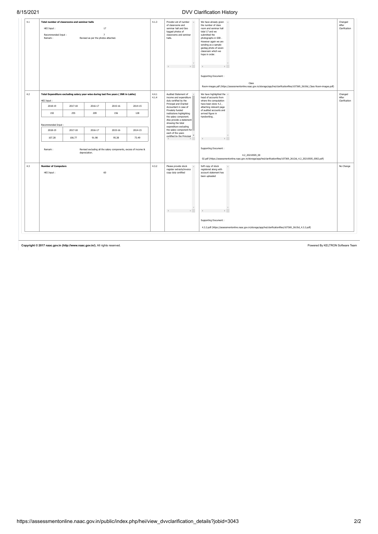|     |                                                                                                            | Total number of classrooms and seminar halls                                       |         |         |         | 4.1.3                                          | <b>A</b>                                                                                                                    |                                                                                                                                                                                                                                                                                               |                                   |
|-----|------------------------------------------------------------------------------------------------------------|------------------------------------------------------------------------------------|---------|---------|---------|------------------------------------------------|-----------------------------------------------------------------------------------------------------------------------------|-----------------------------------------------------------------------------------------------------------------------------------------------------------------------------------------------------------------------------------------------------------------------------------------------|-----------------------------------|
| 4.1 | 17<br>HEI Input:<br>Recommended Input:<br>$\overline{7}$<br>Remark:<br>Revised as per the photos attached. |                                                                                    |         |         |         |                                                | Provide List of number<br>of classrooms and<br>seminar hall and Geo<br>tagged photos of<br>classrooms and seminar<br>halls. | We have already given<br>$\Delta$<br>the number of class<br>room and seminar hall<br>total 17 and we<br>submitted the<br>photographs in SSR.<br>However again we are<br>sending as a sample<br>geotag photo of seven<br>classroom which we<br>hope in order.<br>Supporting Document:<br>Class | Changed<br>After<br>Clarification |
|     |                                                                                                            |                                                                                    |         |         |         |                                                |                                                                                                                             | Room-images.pdf (https://assessmentonline.naac.gov.in/storage/app/hei/clarificationfiles/107369_2610id_Class Room-images.pdf)                                                                                                                                                                 |                                   |
| 4.2 | HEI Input:                                                                                                 | Total Expenditure excluding salary year-wise during last five years (INR in Lakhs) |         |         |         | 4.4.1<br>4.1.4                                 | Audited Statement of<br>income and expenditure<br>duly certified by the                                                     | We have highlighted the $\sim$<br>head of accounts from<br>where the computation                                                                                                                                                                                                              | Changed<br>After<br>Clarification |
|     | 2018-19                                                                                                    | 2017-18<br>2016-17<br>2015-16                                                      |         | 2014-15 |         | Principal and Charted<br>Accountant in case of | have been done 4.2,<br>attaching relevant page                                                                              |                                                                                                                                                                                                                                                                                               |                                   |
|     | 192                                                                                                        | 255                                                                                | 209     | 156     | 128     |                                                | Privately funded<br>institutions highlighting<br>the salary component.                                                      | of audited accounts and<br>arrived figure in<br>handwriting.                                                                                                                                                                                                                                  |                                   |
|     | Recommended Input:                                                                                         |                                                                                    |         |         |         | showing the total<br>expenditure excluding     | Also provide a statement                                                                                                    |                                                                                                                                                                                                                                                                                               |                                   |
|     | 2018-19                                                                                                    | 2017-18                                                                            | 2016-17 | 2015-16 | 2014-15 |                                                | the salary component for<br>each of the years                                                                               |                                                                                                                                                                                                                                                                                               |                                   |
|     | 107.28                                                                                                     | 106.77                                                                             | 91.98   | 95.38   | 73.49   |                                                | certified by the Principal $*$                                                                                              |                                                                                                                                                                                                                                                                                               |                                   |
|     | Remark:<br>Revised excluding all the salary components, excess of income &<br>depreciation.                |                                                                                    |         |         |         |                                                |                                                                                                                             | Supporting Document:<br>4.2_20210505_00<br>02.pdf (https://assessmentonline.naac.gov.in/storage/app/hei/clarificationfiles/107369_2612id_4.2_20210505_0002.pdf)                                                                                                                               |                                   |
| 4.3 | <b>Number of Computers</b><br>HEI Input:                                                                   |                                                                                    | 60      |         |         | 4.3.2                                          | Please provide stock<br>register extracts/invoice<br>copy duly certified                                                    | Soft copy of stock<br>registered along with<br>account statement has                                                                                                                                                                                                                          | No Change                         |
|     |                                                                                                            |                                                                                    |         |         |         |                                                |                                                                                                                             | been uploaded<br>Supporting Document:<br>4.3.2.pdf (https://assessmentonline.naac.gov.in/storage/app/hei/clarificationfiles/107369_2615id_4.3.2.pdf)                                                                                                                                          |                                   |

Copyright © 2017 [naac.gov.in \(http://www.naac.gov.in/\).](http://www.naac.gov.in/) All rights reserved. **Powered By KELTRON Software Team**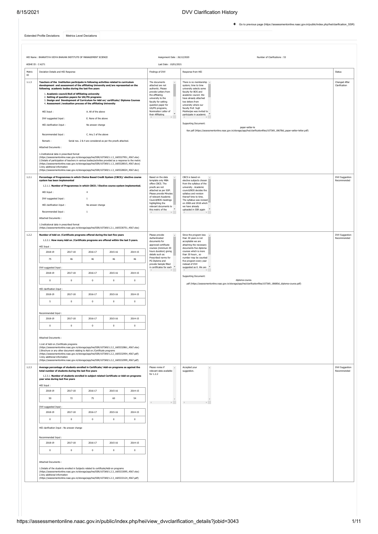[Go to previous page \(https://assessmentonline.naac.gov.in/public/index.php/hei/clarification\\_SSR\)](https://assessmentonline.naac.gov.in/public/index.php/hei/clarification_SSR)

<span id="page-114-0"></span>[Extended Profile Deviations](#page-112-0) [Metrics Level Deviations](#page-114-0)

|        | AISHE ID: C-6271                                                                                                                                                                                                                                                                                                                                                                                                                                                                                                                                                                                                                                                                                                                                         |                                                                                                                                                                           |                                                                                          |                                                                                                                                                  |                | Last Date: 10/01/2021                                                                                                                                                                                                                                                                                                                                                                                                                                                                                                                                                                                                                                                                                                                                                    |                                |
|--------|----------------------------------------------------------------------------------------------------------------------------------------------------------------------------------------------------------------------------------------------------------------------------------------------------------------------------------------------------------------------------------------------------------------------------------------------------------------------------------------------------------------------------------------------------------------------------------------------------------------------------------------------------------------------------------------------------------------------------------------------------------|---------------------------------------------------------------------------------------------------------------------------------------------------------------------------|------------------------------------------------------------------------------------------|--------------------------------------------------------------------------------------------------------------------------------------------------|----------------|--------------------------------------------------------------------------------------------------------------------------------------------------------------------------------------------------------------------------------------------------------------------------------------------------------------------------------------------------------------------------------------------------------------------------------------------------------------------------------------------------------------------------------------------------------------------------------------------------------------------------------------------------------------------------------------------------------------------------------------------------------------------------|--------------------------------|
| Metric | Deviation Details and HEI Response                                                                                                                                                                                                                                                                                                                                                                                                                                                                                                                                                                                                                                                                                                                       |                                                                                                                                                                           |                                                                                          |                                                                                                                                                  |                | Findings of DVV<br>Response from HEI                                                                                                                                                                                                                                                                                                                                                                                                                                                                                                                                                                                                                                                                                                                                     | Status                         |
| 1.1.3  | Teachers of the Institution participate in following activities related to curriculum<br>development and assessment of the affiliating University and/are represented on the<br>following academic bodies during the last five years<br>HEI Input:<br>DVV suggested Input:<br>HEI clarification Input:<br>Recommended Input:<br>Remark:<br>Attached Documents:<br>1.Institutional data in prescribed format<br>(https://assessmentonline.naac.gov.in/storage/app/hei/SSR/107369/1.1.3_1605327951_4567.xlsx)<br>2.Details of participation of teachers in various bodies/activities provided as a response to the metric<br>(https://assessmentonline.naac.gov.in/storage/app/hei/SSR/107369/1.1.3_1605328015_4567.docx)<br>3.Any additional information  | 1. Academic council/BoS of Affiliating university<br>2. Setting of question papers for UG/PG programs<br>4. Assessment / evaluation process of the affiliating University | A. All of the above<br>E. None of the above<br>No answer change<br>C. Any 2 of the above | 3. Design and Development of Curriculum for Add on/ certificate/ Diploma Courses<br>Serial nos. 2 & 4 are considered as per the proofs attached. |                | The documents<br>There is no membership<br>attached are not<br>system; time to time<br>authentic. Please<br>university selects some<br>provide Letters from<br>faculty for BOS and<br>the affiliating<br>academic council. We<br>university to the<br>have already attached<br>faculty for setting<br>two letters from<br>question paper for<br>university where our<br>UG/PG programs,<br>faculty Prof. Sujit<br>Nomination Letter of<br>Mukheriee was invited to<br>their Affiliating<br>participate in academic<br>$\mathbb{R}^{\mathbb{N} \times \mathbb{N}}$<br>$\mathbb{R}^{\mathbb{Z}}$ .<br>Supporting Document:<br>paper-setter-le<br>tter.pdf (https://assessmentonline.naac.gov.in/storage/app/hei/clarificationfiles/107369_18678id_paper-setter-letter.pdf) | Changed After<br>Clarification |
|        | (https://assessmentonline.naac.gov.in/storage/app/hei/SSR/107369/1.1.3_1605328024_4567.doc)                                                                                                                                                                                                                                                                                                                                                                                                                                                                                                                                                                                                                                                              |                                                                                                                                                                           |                                                                                          |                                                                                                                                                  |                |                                                                                                                                                                                                                                                                                                                                                                                                                                                                                                                                                                                                                                                                                                                                                                          |                                |
| 1.2.1  | Percentage of Programmes in which Choice Based Credit System (CBCS)/ elective course<br>system has been implemented<br>HEI Input:<br>DVV suggested Input:<br>HEI clarification Input:<br>Recommended Input:<br>Attached Documents:                                                                                                                                                                                                                                                                                                                                                                                                                                                                                                                       |                                                                                                                                                                           | $\overline{a}$<br>$\overline{1}$<br>No answer change<br>$1\,$                            | 1.2.1.1. Number of Programmes in which CBCS / Elective course system implemented.                                                                |                | Based on the data<br>CBCS is based on<br>elective subjects chosen<br>template only MBA<br>offers CBCS. The<br>from the syllabus of the<br>proofs are not<br>university . Academic<br>attached as per SOP.<br>council/BOS decides the<br>Please provide Minutes<br>syllabus and revision<br>thereof time to time.<br>of relevant Academic<br>Council/BOS meetings<br>The syllabus was revised<br>on 2008 and 2018 which<br>highlighting the<br>relevant documents to<br>we have already<br>this metric of the<br>uploaded in SSR again<br>$\mathbb{R}$                                                                                                                                                                                                                    | DVV Suggestion<br>Recommended  |
|        | 1.Institutional data in prescribed format<br>(https://assessmentonline.naac.gov.in/storage/app/hei/SSR/107369/1.2.1_1605330751_4567.xlsx)                                                                                                                                                                                                                                                                                                                                                                                                                                                                                                                                                                                                                |                                                                                                                                                                           |                                                                                          |                                                                                                                                                  |                |                                                                                                                                                                                                                                                                                                                                                                                                                                                                                                                                                                                                                                                                                                                                                                          |                                |
| 1.2.2  | Number of Add on / Certificate programs offered during the last five years                                                                                                                                                                                                                                                                                                                                                                                                                                                                                                                                                                                                                                                                               |                                                                                                                                                                           |                                                                                          | 1.2.2.1. How many Add on /Certificate programs are offered within the last 5 years.                                                              |                | Please provide<br>Since the program less<br>Authenticated<br>than 30 years is not<br>acceptable we are<br>documents for<br>approved certificate<br>attaching the necessary                                                                                                                                                                                                                                                                                                                                                                                                                                                                                                                                                                                               | DVV Suggestion<br>Recommended  |
|        | HEI Input:<br>2018-19                                                                                                                                                                                                                                                                                                                                                                                                                                                                                                                                                                                                                                                                                                                                    | 2017-18                                                                                                                                                                   | 2016-17                                                                                  | 2015-16                                                                                                                                          | 2014-15        | courses (minimum 30<br>documents five diploma<br>hours duration) giving<br>courses which is more                                                                                                                                                                                                                                                                                                                                                                                                                                                                                                                                                                                                                                                                         |                                |
|        | 75                                                                                                                                                                                                                                                                                                                                                                                                                                                                                                                                                                                                                                                                                                                                                       | 46                                                                                                                                                                        | $46\,$                                                                                   | 46                                                                                                                                               | 46             | details such as:<br>than 30 hours, so<br>Prescribed norms for<br>number may be counted<br>PG Diploma and                                                                                                                                                                                                                                                                                                                                                                                                                                                                                                                                                                                                                                                                 |                                |
|        | DVV suggested Input:                                                                                                                                                                                                                                                                                                                                                                                                                                                                                                                                                                                                                                                                                                                                     |                                                                                                                                                                           |                                                                                          |                                                                                                                                                  |                | five program every year<br>provide Sample filled<br>instead of DVV<br>in certificates for each<br>suggested as 0. We are                                                                                                                                                                                                                                                                                                                                                                                                                                                                                                                                                                                                                                                 |                                |
|        | 2018-19                                                                                                                                                                                                                                                                                                                                                                                                                                                                                                                                                                                                                                                                                                                                                  | 2017-18                                                                                                                                                                   | 2016-17                                                                                  | 2015-16                                                                                                                                          | 2014-15        |                                                                                                                                                                                                                                                                                                                                                                                                                                                                                                                                                                                                                                                                                                                                                                          |                                |
|        | $\mathbf 0$                                                                                                                                                                                                                                                                                                                                                                                                                                                                                                                                                                                                                                                                                                                                              | $\bf 0$                                                                                                                                                                   | $\mathbf 0$                                                                              | $\pmb{0}$                                                                                                                                        | $\mathbf{0}$   | Supporting Document:<br>diploma-course.<br>pdf (https://assessmentonline.naac.gov.in/storage/app/hei/clarificationfiles/107369_18680id_diploma-course.pdf)                                                                                                                                                                                                                                                                                                                                                                                                                                                                                                                                                                                                               |                                |
|        | HEI clarification Input :                                                                                                                                                                                                                                                                                                                                                                                                                                                                                                                                                                                                                                                                                                                                |                                                                                                                                                                           |                                                                                          |                                                                                                                                                  |                |                                                                                                                                                                                                                                                                                                                                                                                                                                                                                                                                                                                                                                                                                                                                                                          |                                |
|        | 2018-19                                                                                                                                                                                                                                                                                                                                                                                                                                                                                                                                                                                                                                                                                                                                                  | $2017 - 18$                                                                                                                                                               | 2016-17                                                                                  | 2015-16                                                                                                                                          | 2014-15        |                                                                                                                                                                                                                                                                                                                                                                                                                                                                                                                                                                                                                                                                                                                                                                          |                                |
|        | 5                                                                                                                                                                                                                                                                                                                                                                                                                                                                                                                                                                                                                                                                                                                                                        | $\mathbf 0$                                                                                                                                                               | $\mathbf 0$                                                                              | $\,0\,$                                                                                                                                          | $\mathbf 0$    |                                                                                                                                                                                                                                                                                                                                                                                                                                                                                                                                                                                                                                                                                                                                                                          |                                |
|        | Recommended Input:                                                                                                                                                                                                                                                                                                                                                                                                                                                                                                                                                                                                                                                                                                                                       |                                                                                                                                                                           |                                                                                          |                                                                                                                                                  |                |                                                                                                                                                                                                                                                                                                                                                                                                                                                                                                                                                                                                                                                                                                                                                                          |                                |
|        | 2018-19                                                                                                                                                                                                                                                                                                                                                                                                                                                                                                                                                                                                                                                                                                                                                  | 2017-18                                                                                                                                                                   | 2016-17                                                                                  | 2015-16                                                                                                                                          | 2014-15        |                                                                                                                                                                                                                                                                                                                                                                                                                                                                                                                                                                                                                                                                                                                                                                          |                                |
|        | $\mathbf 0$                                                                                                                                                                                                                                                                                                                                                                                                                                                                                                                                                                                                                                                                                                                                              | $\bf 0$                                                                                                                                                                   | $\mathbf 0$                                                                              | $\,$ 0                                                                                                                                           | $\,0\,$        |                                                                                                                                                                                                                                                                                                                                                                                                                                                                                                                                                                                                                                                                                                                                                                          |                                |
| 1.2.3  | Attached Documents:<br>1.List of Add on /Certificate programs<br>(https://assessmentonline.naac.gov.in/storage/app/hei/SSR/107369/1.2.2_1605332861_4567.xlsx)<br>2. Brochure or any other document relating to Add on /Certificate programs<br>(https://assessmentonline.naac.gov.in/storage/app/hei/SSR/107369/1.2.2_1605332954_4567.pdf)<br>3.Any additional information<br>(https://assessmentonline.naac.gov.in/storage/app/hei/SSR/107369/1.2.2_1605332999_4567.pdf)<br>Average percentage of students enrolled in Certificate/ Add-on programs as against the<br>total number of students during the last five years<br>1.2.3.1. Number of students enrolled in subject related Certificate or Add-on programs<br>year wise during last five years |                                                                                                                                                                           |                                                                                          |                                                                                                                                                  |                | Please revise if<br>Accepted your<br>$\Delta$<br>relevant data available<br>suggestion.<br>for 1.2.2                                                                                                                                                                                                                                                                                                                                                                                                                                                                                                                                                                                                                                                                     | DVV Suggestion<br>Recommended  |
|        | HEI Input:<br>2018-19                                                                                                                                                                                                                                                                                                                                                                                                                                                                                                                                                                                                                                                                                                                                    | 2017-18                                                                                                                                                                   | 2016-17                                                                                  | 2015-16                                                                                                                                          | 2014-15        |                                                                                                                                                                                                                                                                                                                                                                                                                                                                                                                                                                                                                                                                                                                                                                          |                                |
|        | 50                                                                                                                                                                                                                                                                                                                                                                                                                                                                                                                                                                                                                                                                                                                                                       | 72                                                                                                                                                                        | 75                                                                                       | 60                                                                                                                                               | 54             |                                                                                                                                                                                                                                                                                                                                                                                                                                                                                                                                                                                                                                                                                                                                                                          |                                |
|        | DVV suggested Input:                                                                                                                                                                                                                                                                                                                                                                                                                                                                                                                                                                                                                                                                                                                                     |                                                                                                                                                                           |                                                                                          |                                                                                                                                                  |                | $\Phi_{\rm{max}}$<br>$\begin{array}{ccc} \mathcal{A} & & \mathcal{A} & \mathcal{A} & \mathcal{A} & \mathcal{A} & \mathcal{A} & \mathcal{A} & \mathcal{A} & \mathcal{A} & \mathcal{A} & \mathcal{A} & \mathcal{A} & \mathcal{A} & \mathcal{A} & \mathcal{A} & \mathcal{A} & \mathcal{A} & \mathcal{A} & \mathcal{A} & \mathcal{A} & \mathcal{A} & \mathcal{A} & \mathcal{A} & \mathcal{A} & \mathcal{A} & \mathcal{A} & \mathcal{A} & \mathcal{A} & \mathcal{A} & \mathcal{A} & \math$                                                                                                                                                                                                                                                                                    |                                |
|        | 2018-19                                                                                                                                                                                                                                                                                                                                                                                                                                                                                                                                                                                                                                                                                                                                                  | 2017-18                                                                                                                                                                   | 2016-17                                                                                  | 2015-16                                                                                                                                          | 2014-15        |                                                                                                                                                                                                                                                                                                                                                                                                                                                                                                                                                                                                                                                                                                                                                                          |                                |
|        | $\mathbf 0$                                                                                                                                                                                                                                                                                                                                                                                                                                                                                                                                                                                                                                                                                                                                              | $\mathbf 0$                                                                                                                                                               | $\mathbf 0$                                                                              | $\,$ 0                                                                                                                                           | $\,0\,$        |                                                                                                                                                                                                                                                                                                                                                                                                                                                                                                                                                                                                                                                                                                                                                                          |                                |
|        | HEI clarification Input : No answer change                                                                                                                                                                                                                                                                                                                                                                                                                                                                                                                                                                                                                                                                                                               |                                                                                                                                                                           |                                                                                          |                                                                                                                                                  |                |                                                                                                                                                                                                                                                                                                                                                                                                                                                                                                                                                                                                                                                                                                                                                                          |                                |
|        | Recommended Input:                                                                                                                                                                                                                                                                                                                                                                                                                                                                                                                                                                                                                                                                                                                                       |                                                                                                                                                                           |                                                                                          |                                                                                                                                                  |                |                                                                                                                                                                                                                                                                                                                                                                                                                                                                                                                                                                                                                                                                                                                                                                          |                                |
|        | 2018-19                                                                                                                                                                                                                                                                                                                                                                                                                                                                                                                                                                                                                                                                                                                                                  | 2017-18                                                                                                                                                                   | 2016-17                                                                                  | 2015-16                                                                                                                                          | 2014-15        |                                                                                                                                                                                                                                                                                                                                                                                                                                                                                                                                                                                                                                                                                                                                                                          |                                |
|        | $\mathbf 0$                                                                                                                                                                                                                                                                                                                                                                                                                                                                                                                                                                                                                                                                                                                                              | $\mathbf{0}$                                                                                                                                                              | $\mathbf 0$                                                                              | $\overline{0}$                                                                                                                                   | $\overline{0}$ |                                                                                                                                                                                                                                                                                                                                                                                                                                                                                                                                                                                                                                                                                                                                                                          |                                |
|        | Attached Documents:                                                                                                                                                                                                                                                                                                                                                                                                                                                                                                                                                                                                                                                                                                                                      |                                                                                                                                                                           |                                                                                          |                                                                                                                                                  |                |                                                                                                                                                                                                                                                                                                                                                                                                                                                                                                                                                                                                                                                                                                                                                                          |                                |
|        | 1.Details of the students enrolled in Subjects related to certificate/Add-on programs<br>(https://assessmentonline.naac.gov.in/storage/app/hei/SSR/107369/1.2.3_1605333095_4567.xlsx)                                                                                                                                                                                                                                                                                                                                                                                                                                                                                                                                                                    |                                                                                                                                                                           |                                                                                          |                                                                                                                                                  |                |                                                                                                                                                                                                                                                                                                                                                                                                                                                                                                                                                                                                                                                                                                                                                                          |                                |
|        |                                                                                                                                                                                                                                                                                                                                                                                                                                                                                                                                                                                                                                                                                                                                                          | 2.Any additional information                                                                                                                                              |                                                                                          |                                                                                                                                                  |                |                                                                                                                                                                                                                                                                                                                                                                                                                                                                                                                                                                                                                                                                                                                                                                          |                                |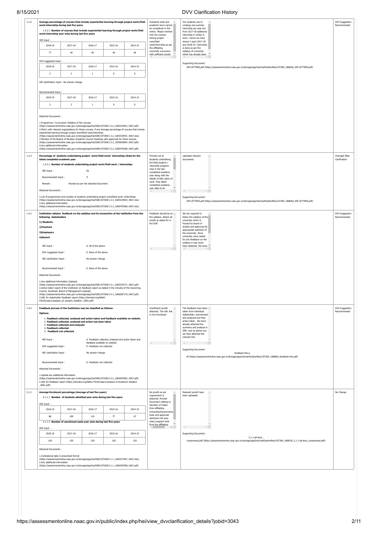| HEI Input:                                                                                                                                                                                      | work/internship during last five years<br>1.3.2.1. Number of courses that include experiential learning through project work/field<br>work/internship year-wise during last five years                                                                                                                                                                                                                                                                                                                                                                                                                                                                                                                                             |                                                                                         |                                                      | Average percentage of courses that include experiential learning through project work/field | Industrial visits and<br>Our students use to<br>academic tours cannot<br>undergo one summer<br>be considered in this<br>internship per year but<br>metric. Please mention<br>from 2017-18 additional<br>only the courses<br>internship in winter is<br>having project<br>done, hence we have                                                                                            | DVV Suggestion<br>Recommended        |
|-------------------------------------------------------------------------------------------------------------------------------------------------------------------------------------------------|------------------------------------------------------------------------------------------------------------------------------------------------------------------------------------------------------------------------------------------------------------------------------------------------------------------------------------------------------------------------------------------------------------------------------------------------------------------------------------------------------------------------------------------------------------------------------------------------------------------------------------------------------------------------------------------------------------------------------------|-----------------------------------------------------------------------------------------|------------------------------------------------------|---------------------------------------------------------------------------------------------|-----------------------------------------------------------------------------------------------------------------------------------------------------------------------------------------------------------------------------------------------------------------------------------------------------------------------------------------------------------------------------------------|--------------------------------------|
| 2018-19                                                                                                                                                                                         | 2017-18                                                                                                                                                                                                                                                                                                                                                                                                                                                                                                                                                                                                                                                                                                                            | 2016-17                                                                                 | 2015-16                                              | 2014-15                                                                                     | work/field<br>shown 2 each 2017-18<br>work/internship as per<br>and 2018-19. Internship                                                                                                                                                                                                                                                                                                 |                                      |
| 77                                                                                                                                                                                              | 46                                                                                                                                                                                                                                                                                                                                                                                                                                                                                                                                                                                                                                                                                                                                 | 46                                                                                      | 46                                                   | 46                                                                                          | the affiliating<br>is done as per the<br>university curriculum<br>syllabus of university<br>×.<br>with sufficient proofs<br>which has already been                                                                                                                                                                                                                                      |                                      |
| DVV suggested Input:                                                                                                                                                                            |                                                                                                                                                                                                                                                                                                                                                                                                                                                                                                                                                                                                                                                                                                                                    |                                                                                         |                                                      |                                                                                             | I.<br>Supporting Document:                                                                                                                                                                                                                                                                                                                                                              |                                      |
| 2018-19                                                                                                                                                                                         | 2017-18                                                                                                                                                                                                                                                                                                                                                                                                                                                                                                                                                                                                                                                                                                                            | 2016-17                                                                                 | 2015-16                                              | 2014-15                                                                                     | SIP-LETTERS.pdf (https://assessmentonline.naac.gov.in/storage/app/hei/clarificationfiles/107369_18683id_SIP-LETTERS.pdf)                                                                                                                                                                                                                                                                |                                      |
| $\overline{2}$                                                                                                                                                                                  | $\overline{2}$                                                                                                                                                                                                                                                                                                                                                                                                                                                                                                                                                                                                                                                                                                                     | 1                                                                                       | $\,0\,$                                              | $\mathbf{0}$                                                                                |                                                                                                                                                                                                                                                                                                                                                                                         |                                      |
|                                                                                                                                                                                                 | HEI clarification Input : No answer change                                                                                                                                                                                                                                                                                                                                                                                                                                                                                                                                                                                                                                                                                         |                                                                                         |                                                      |                                                                                             |                                                                                                                                                                                                                                                                                                                                                                                         |                                      |
| Recommended Input:                                                                                                                                                                              |                                                                                                                                                                                                                                                                                                                                                                                                                                                                                                                                                                                                                                                                                                                                    |                                                                                         |                                                      |                                                                                             |                                                                                                                                                                                                                                                                                                                                                                                         |                                      |
| 2018-19                                                                                                                                                                                         | 2017-18                                                                                                                                                                                                                                                                                                                                                                                                                                                                                                                                                                                                                                                                                                                            | 2016-17                                                                                 | 2015-16                                              | 2014-15                                                                                     |                                                                                                                                                                                                                                                                                                                                                                                         |                                      |
| $\overline{2}$                                                                                                                                                                                  | $\overline{2}$                                                                                                                                                                                                                                                                                                                                                                                                                                                                                                                                                                                                                                                                                                                     | $\mathbf{1}$                                                                            | $\,0\,$                                              | $\mathbf 0$                                                                                 |                                                                                                                                                                                                                                                                                                                                                                                         |                                      |
| Attached Documents:<br>4.Any additional information                                                                                                                                             | 1.Programme / Curriculum/ Syllabus of the courses<br>(https://assessmentonline.naac.gov.in/storage/app/hei/SSR/107369/1.3.2_1605333941_4567.pdf)<br>2. MoU's with relevant organizations for these courses, if any Average percentage of courses that include<br>experiential learning through project work/field work/internship<br>(https://assessmentonline.naac.gov.in/storage/app/hei/SSR/107369/1.3.2_1605335941_4567.xlsx)<br>3. Minutes of the Boards of Studies/ Academic Council meetings with approvals for these courses<br>(https://assessmentonline.naac.gov.in/storage/app/hei/SSR/107369/1.3.2_1605605864_4567.pdf)<br>(https://assessmentonline.naac.gov.in/storage/app/hei/SSR/107369/1.3.2_1606476268_4567.pdf) |                                                                                         |                                                      |                                                                                             |                                                                                                                                                                                                                                                                                                                                                                                         |                                      |
| latest completed academic year<br>HEI Input:<br>Recommended Input:<br>Remark:<br>Attached Documents:                                                                                            | Percentage of students undertaking project work/field work/ internships (Data for the<br>1.3.3.1. Number of students undertaking project work/field work / internships                                                                                                                                                                                                                                                                                                                                                                                                                                                                                                                                                             | 56<br>$\mathbf{q}$<br>Revised as per the attached document.                             |                                                      |                                                                                             | Provide List of<br>uploaded relevant<br>students undertaking<br>documents.<br>the field projects /<br>internship program-<br>wise in the last<br>completed academic<br>year along with the<br>details of title, place of<br>work. Only latest<br>completed academic<br>year data to be<br>$\mathbb{R}$<br>$\prec$                                                                       | Changed After<br>Clarification       |
| 2.Any additional information                                                                                                                                                                    | 1.List of programmes and number of students undertaking project work/field work/ /internships<br>(https://assessmentonline.naac.gov.in/storage/app/hei/SSR/107369/1.3.3_1605334924_4567.xlsx)<br>(https://assessmentonline.naac.gov.in/storage/app/hei/SSR/107369/1.3.3_1606476568_4567.xlsx)                                                                                                                                                                                                                                                                                                                                                                                                                                      |                                                                                         |                                                      |                                                                                             | Supporting Document:<br>SIP-LETTERS.pdf (https://assessmentonline.naac.gov.in/storage/app/hei/clarificationfiles/107369_18684id_SIP-LETTERS.pdf)                                                                                                                                                                                                                                        |                                      |
| following stakeholders<br>1) Students<br>2) Teachers<br>3)Employers<br>4) Alumni<br>HEI Input:<br>DVV suggested Input:<br>HEI clarification Input:<br>Recommended Input:<br>Attached Documents: | Institution obtains feedback on the syllabus and its transaction at the institution from the<br>1.Any additional information (Upload)<br>(https://assessmentonline.naac.gov.in/storage/app/hei/SSR/107369/1.4.1_1605335371_4567.pdf)<br>2.Action taken report of the Institution on feedback report as stated in the minutes of the Governing<br>Council, Syndicate, Board of Management (Unload)<br>(https://assessmentonline.naac.gov.in/storage/app/hei/SSR/107369/1.4.1_1606287170_4567.pdf)<br>3.URL for stakeholder feedback report (https://bimskol.org/NAAC-<br>FILES/naac1/analysis_of_student_feedbck_0001.pdf)                                                                                                          | A. All of the above<br>E. None of the above<br>No answer change<br>E. None of the above |                                                      |                                                                                             | Feedback should be on $\sim$<br>We are required to<br>the syllabus. Attach all<br>follow the syllabus of the<br>proofs as asked for in<br>university which is<br>the SOP.<br>framed by board of<br>studies and approved by<br>appropriate authority of<br>the university. Since<br>university never asked<br>for any feedback on the<br>syllabus it was never<br>been obtained. We have | DVV Suggestion<br>Recommended        |
| Options:<br>4. Feedback collected<br>HEI Input:                                                                                                                                                 | Feedback process of the Institution may be classified as follows:<br>1. Feedback collected, analysed and action taken and feedback available on website<br>2. Feedback collected, analysed and action has been taken<br>3. Feedback collected and analysed<br>5. Feedback not collected                                                                                                                                                                                                                                                                                                                                                                                                                                            | feedback available on website                                                           | A. Feedback collected, analysed and action taken and |                                                                                             | Insufficient proofs<br>The feedback have been<br>attached. The URL link<br>taken from individual<br>is non-functional<br>stakeholder, summarized<br>and analyzed and then<br>action taken . We have<br>already attached the<br>summery and analysis in<br>SSR; now as advice you<br>we have attached the<br>relevant link.<br>$\langle \cdot \rangle$                                   | <b>DVV Suggestion</b><br>Recommended |
| DVV suggested Input:                                                                                                                                                                            |                                                                                                                                                                                                                                                                                                                                                                                                                                                                                                                                                                                                                                                                                                                                    | E. Feedback not collected                                                               |                                                      |                                                                                             | Supporting Document:                                                                                                                                                                                                                                                                                                                                                                    |                                      |
| HEI clarification Input:<br>Recommended Input:<br>Attached Documents:                                                                                                                           |                                                                                                                                                                                                                                                                                                                                                                                                                                                                                                                                                                                                                                                                                                                                    | No answer change<br>E. Feedback not collected                                           |                                                      |                                                                                             | feedback-link.p<br>df (https://assessmentonline.naac.gov.in/storage/app/hei/clarificationfiles/107369_18686id_feedback-link.pdf)                                                                                                                                                                                                                                                        |                                      |
| 1.Upload any additional information<br>$_0001.pdf$                                                                                                                                              | (https://assessmentonline.naac.gov.in/storage/app/hei/SSR/107369/1.4.2_1606287863_4567.pdf)<br>2.URL for feedback report (https://bimskol.org/NAAC-FILES/naac1/analysis of students's feedbck                                                                                                                                                                                                                                                                                                                                                                                                                                                                                                                                      |                                                                                         |                                                      |                                                                                             |                                                                                                                                                                                                                                                                                                                                                                                         |                                      |
|                                                                                                                                                                                                 | Average Enrolment percentage (Average of last five years)<br>2.1.1.1. Number of students admitted year-wise during last five years                                                                                                                                                                                                                                                                                                                                                                                                                                                                                                                                                                                                 |                                                                                         |                                                      |                                                                                             | No proofs as per<br>Relevant proofs have<br>requirement is<br>been uploaded.<br>attached. Provide<br>Document relating to                                                                                                                                                                                                                                                               | No Change                            |
| HEI Input:<br>2018-19                                                                                                                                                                           | 2017-18                                                                                                                                                                                                                                                                                                                                                                                                                                                                                                                                                                                                                                                                                                                            | 2016-17                                                                                 | 2015-16                                              | 2014-15                                                                                     | Sanction of intake<br>from affiliating                                                                                                                                                                                                                                                                                                                                                  |                                      |
| 88                                                                                                                                                                                              | 109                                                                                                                                                                                                                                                                                                                                                                                                                                                                                                                                                                                                                                                                                                                                | 119                                                                                     | 77                                                   | 47                                                                                          | University/Government/<br>body and approved                                                                                                                                                                                                                                                                                                                                             |                                      |
|                                                                                                                                                                                                 | 2.1.1.2. Number of sanctioned seats year wise during last five years                                                                                                                                                                                                                                                                                                                                                                                                                                                                                                                                                                                                                                                               |                                                                                         |                                                      |                                                                                             | admission list year-<br>wise/ program-wise                                                                                                                                                                                                                                                                                                                                              |                                      |
| HEI Input:                                                                                                                                                                                      |                                                                                                                                                                                                                                                                                                                                                                                                                                                                                                                                                                                                                                                                                                                                    |                                                                                         |                                                      |                                                                                             | from the affiliating<br>$\mathbb{R}^{\mathbb{N}}$ .                                                                                                                                                                                                                                                                                                                                     |                                      |
| 2018-19                                                                                                                                                                                         | 2017-18                                                                                                                                                                                                                                                                                                                                                                                                                                                                                                                                                                                                                                                                                                                            | 2016-17                                                                                 | 2015-16                                              | 2014-15                                                                                     | Supporting Document:<br>$2.1.1$ -all-docs                                                                                                                                                                                                                                                                                                                                               |                                      |
| 120                                                                                                                                                                                             | 120                                                                                                                                                                                                                                                                                                                                                                                                                                                                                                                                                                                                                                                                                                                                | 120                                                                                     | 120                                                  | 120                                                                                         | compressed.pdf (https://assessmentonline.naac.gov.in/storage/app/hei/clarificationfiles/107369_18687id_2.1.1-all-docs_compressed.pdf)                                                                                                                                                                                                                                                   |                                      |
| Attached Documents:                                                                                                                                                                             | 1.Institutional data in prescribed format                                                                                                                                                                                                                                                                                                                                                                                                                                                                                                                                                                                                                                                                                          |                                                                                         |                                                      |                                                                                             |                                                                                                                                                                                                                                                                                                                                                                                         |                                      |
| 2.Any additional information                                                                                                                                                                    | (https://assessmentonline.naac.gov.in/storage/app/hei/SSR/107369/2.1.1_1605337407_4567.xlsx)<br>(https://assessmentonline.naac.gov.in/storage/app/hei/SSR/107369/2.1.1_1606293598_4567.pdf)                                                                                                                                                                                                                                                                                                                                                                                                                                                                                                                                        |                                                                                         |                                                      |                                                                                             |                                                                                                                                                                                                                                                                                                                                                                                         |                                      |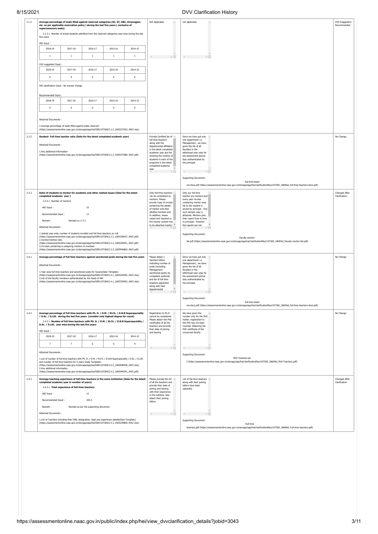| Average percentage of seats filled against reserved categories (SC, ST, OBC, Divyangjan,<br>Not Applicable<br>$\Delta$<br>$\Delta$<br>not applicable<br>etc. as per applicable reservation policy ) during the last five years (exclusive of<br>supernumerary seats)<br>2.1.2.1. Number of actual students admitted from the reserved categories year-wise during the last<br>five years<br>HEI Input:<br>2017-18<br>2018-19<br>2016-17<br>2015-16<br>2014-15<br>$\,$ 1<br>$\overline{1}$<br>$\mathbf{1}$<br>$1\,$<br>$1\,$<br>DVV suggested Input:<br>2018-19<br>2017-18<br>2016-17<br>2015-16<br>2014-15<br>$\mathbf 0$<br>$\overline{0}$<br>$\mathbf 0$<br>$\mathbf{0}$<br>$\mathbf{0}$<br>HEI clarification Input : No answer change<br>Recommended Input:<br>2018-19<br>2015-16<br>2017-18<br>2016-17<br>2014-15<br>$\overline{0}$<br>$\mathbf 0$<br>$\mathbf 0$<br>$\mathbf 0$<br>$\mathbf{0}$<br>Attached Documents:<br>1.Average percentage of seats filled against seats reserved<br>(https://assessmentonline.naac.gov.in/storage/app/hei/SSR/107369/2.1.2_1605337503_4567.xlsx)<br>2.2.2<br>Provide Certified list of ~<br>Student- Full time teacher ratio (Data for the latest completed academic year)<br>Since we have got only -<br>No Change<br>full time teachers<br>one department i.e.<br>along with the<br>Management, we have<br>Attached Documents:<br>departmental affiliation<br>given the list of all<br>in the latest completed<br>faculties in the<br>1.Any additional information<br>academic year and list<br>letterhead year wise for<br>(https://assessmentonline.naac.qov.in/storaqe/app/hei/SSR/107369/2.2.2_1605337680_4567.pdf)<br>showing the number of<br>the assessment period<br>students in each of the<br>duly authenticated by<br>programs in the latest<br>the principal.<br>completed academic<br>vear<br>$\mathbb{R}$<br>and the control of the state of<br><b>Supporting Document:</b><br>full-time-teach<br>ers-docs.pdf (https://assessmentonline.naac.gov.in/storage/app/hei/clarificationfiles/107369_18690id_full-time-teachers-docs.pdf)<br>2.3.3<br>Ratio of students to mentor for academic and other related issues (Data for the latest<br>Only full-time teachers -<br>Only our full time<br>Changed After<br>can be considered as<br>teacher are mentors and<br>Clarification<br>completed academic year)<br>mentors. Please<br>every year circular<br>2.3.3.1. Number of mentors<br>provde Copy of circular<br>containing mentor wise<br>pertaining the details<br>list to the student is<br>HEI Input:<br>15<br>of mentor and their<br>issued by principal . One<br>allotted mentees and<br>such sample copy is<br>13<br>Recommended Input:<br>In addition, issues<br>attached. Mentors give<br>raised and resolved in<br>their report time to time<br>Revised w.r.t 3.1<br>Remark:<br>the mentor system has<br>to principal ; however<br>to be attached mentor-<br>the reports are not<br>Attached Documents:<br>1. Upload year wise, number of students enrolled and full time teachers on roll.<br>Supporting Document:<br>(https://assessmentonline.naac.gov.in/storage/app/hei/SSR/107369/2.3.3_1605338427_4567.pdf)<br>Faculty-mentor-<br>2.mentor/mentee ratio<br>list.pdf (https://assessmentonline.naac.gov.in/storage/app/hei/clarificationfiles/107369_18693id_Faculty-mentor-list.pdf)<br>(https://assessmentonline.naac.gov.in/storage/app/hei/SSR/107369/2.3.3_1605338451_4567.pdf)<br>3. Circulars pertaining to assigning mentors to mentees<br>(https://assessmentonline.naac.gov.in/storage/app/hei/SSR/107369/2.3.3_1605946864_4567.pdf)<br>Average percentage of full time teachers against sanctioned posts during the last five years<br>Please attach .<br>Since we have got only<br>No Change<br>Sanction letters<br>one department i.e.<br>indicating number of<br>Management , we have<br>Attached Documents:<br>posts (including<br>given the list of all<br>Management<br>faculties in the<br>1.Year wise full time teachers and sanctioned posts for 5years(Data Template)<br>letterhead year wise for<br>sanctioned posts) by<br>(https://assessmentonline.naac.gov.in/storage/app/hei/SSR/107369/2.4.1_1605339492_4567.xlsx)<br>competent authority<br>the assessment period<br>2.List of the faculty members authenticated by the Head of HEI<br>and list of full time<br>duly authenticated by<br>(https://assessmentonline.naac.gov.in/storage/app/hei/SSR/107369/2.4.1_1605339503_4567.xlsx)<br>teachers appointed<br>the principal.<br>along with their<br>departmental<br>$\left\langle \cdot \right\rangle$<br>supporting Document:<br>full-time-teach<br>ers-docs.pdf (https://assessmentonline.naac.gov.in/storage/app/hei/clarificationfiles/107369_18694id_full-time-teachers-docs.pdf)<br>2.4.2<br>Average percentage of full time teachers with Ph. D. / D.M. / M.Ch. / D.N.B Superspeciality<br>Registration to Ph.D<br>We have given the<br>No Change<br>/ D.Sc. / D.Litt. during the last five years (consider only highest degree for count)<br>cannot be considered.<br>number only for the PhD<br>Please attach the Phd<br>holder: registration to<br>2.4.2.1. Number of full time teachers with Ph. D. / D.M. / M.Ch. / D.N.B Superspeciality /<br>certificates of all the<br>the PhD has not been<br>D.Sc. / D.Litt. year wise during the last five years<br>teachers and provide<br>counted. Attaching the<br>PhD certificate of the<br>their date of joining<br>HEI Input:<br>and leaving<br>concerned faculty.<br>2018-19<br>2017-18<br>2016-17<br>2015-16<br>2014-15<br>$\overline{7}$<br>6<br>6<br>$\overline{4}$<br>$\overline{7}$<br>$\mathbb{R}$<br>$\left\langle \cdot \right\rangle$<br>Attached Documents:<br>Supporting Document:<br>PhD-Teachers.pd<br>1.List of number of full time teachers with Ph. D. / D.M. / M.Ch. / D.N.B Superspeciality / D.Sc. / D.Litt.<br>f (https://assessmentonline.naac.gov.in/storage/app/hei/clarificationfiles/107369_18695id_PhD-Teachers.pdf)<br>and number of full time teachers for 5 years (Data Template)<br>(https://assessmentonline.naac.gov.in/storage/app/hei/SSR/107369/2.4.2_1605948458_4567.xlsx)<br>2.Any additional information<br>(https://assessmentonline.naac.gov.in/storage/app/hei/SSR/107369/2.4.2_1605949291_4567.pdf)<br>2.4.3<br>Average teaching experience of full time teachers in the same institution (Data for the latest<br>Please provide the list A<br>List of full time teachers $\rightarrow$<br>Changed After<br>completed academic year in number of years)<br>of all the teachers and<br>along with their joining<br>Clarification<br>provide their date of<br>letters have been<br>2.4.3.1. Total experience of full-time teachers<br>joining and leaving<br>uploaded.<br>with their experience<br>HEI Input:<br>13<br>in the institute. Also<br>attach their joining<br>Recommended Input:<br>204.3<br>letters<br>Remark:<br>Revised as per the supporting document.<br>Attached Documents:<br>$\left\{ \begin{array}{ccc} 0 & 0 & 0 \\ 0 & 0 & 0 \\ 0 & 0 & 0 \\ 0 & 0 & 0 \\ 0 & 0 & 0 \\ 0 & 0 & 0 \\ 0 & 0 & 0 \\ 0 & 0 & 0 \\ 0 & 0 & 0 \\ 0 & 0 & 0 \\ 0 & 0 & 0 \\ 0 & 0 & 0 & 0 \\ 0 & 0 & 0 & 0 \\ 0 & 0 & 0 & 0 \\ 0 & 0 & 0 & 0 & 0 \\ 0 & 0 & 0 & 0 & 0 \\ 0 & 0 & 0 & 0 & 0 \\ 0 & 0 & 0 & 0 & 0 \\ 0 & 0 & 0 & 0 & 0$<br>1.List of Teachers including their PAN, designation, dept and experience details(Data Template)<br><b>Supporting Document:</b><br>(https://assessmentonline.naac.gov.in/storage/app/hei/SSR/107369/2.4.3_1605339800_4567.xlsx)<br>Full time<br>teachers.pdf (https://assessmentonline.naac.gov.in/storage/app/hei/clarificationfiles/107369_18696id_Full time teachers.pdf) | $V = V - I$ |  |  |  |  |  | <u>De e Oldmoduon molon</u> |                               |
|------------------------------------------------------------------------------------------------------------------------------------------------------------------------------------------------------------------------------------------------------------------------------------------------------------------------------------------------------------------------------------------------------------------------------------------------------------------------------------------------------------------------------------------------------------------------------------------------------------------------------------------------------------------------------------------------------------------------------------------------------------------------------------------------------------------------------------------------------------------------------------------------------------------------------------------------------------------------------------------------------------------------------------------------------------------------------------------------------------------------------------------------------------------------------------------------------------------------------------------------------------------------------------------------------------------------------------------------------------------------------------------------------------------------------------------------------------------------------------------------------------------------------------------------------------------------------------------------------------------------------------------------------------------------------------------------------------------------------------------------------------------------------------------------------------------------------------------------------------------------------------------------------------------------------------------------------------------------------------------------------------------------------------------------------------------------------------------------------------------------------------------------------------------------------------------------------------------------------------------------------------------------------------------------------------------------------------------------------------------------------------------------------------------------------------------------------------------------------------------------------------------------------------------------------------------------------------------------------------------------------------------------------------------------------------------------------------------------------------------------------------------------------------------------------------------------------------------------------------------------------------------------------------------------------------------------------------------------------------------------------------------------------------------------------------------------------------------------------------------------------------------------------------------------------------------------------------------------------------------------------------------------------------------------------------------------------------------------------------------------------------------------------------------------------------------------------------------------------------------------------------------------------------------------------------------------------------------------------------------------------------------------------------------------------------------------------------------------------------------------------------------------------------------------------------------------------------------------------------------------------------------------------------------------------------------------------------------------------------------------------------------------------------------------------------------------------------------------------------------------------------------------------------------------------------------------------------------------------------------------------------------------------------------------------------------------------------------------------------------------------------------------------------------------------------------------------------------------------------------------------------------------------------------------------------------------------------------------------------------------------------------------------------------------------------------------------------------------------------------------------------------------------------------------------------------------------------------------------------------------------------------------------------------------------------------------------------------------------------------------------------------------------------------------------------------------------------------------------------------------------------------------------------------------------------------------------------------------------------------------------------------------------------------------------------------------------------------------------------------------------------------------------------------------------------------------------------------------------------------------------------------------------------------------------------------------------------------------------------------------------------------------------------------------------------------------------------------------------------------------------------------------------------------------------------------------------------------------------------------------------------------------------------------------------------------------------------------------------------------------------------------------------------------------------------------------------------------------------------------------------------------------------------------------------------------------------------------------------------------------------------------------------------------------------------------------------------------------------------------------------------------------------------------------------------------------------------------------------------------------------------------------------------------------------------------------------------------------------------------------------------------------------------------------------------------------------------------------------------------------------------------------------------------------------------------------------------------------------------------------------------------------------------------------------------------------------------------------------------------------------------------------------------------------------------------------------------------------------------------------------------------------------------------------------------------------------------------------------------------------------------------------------------------------------------------------------------------------------------------------------------------------------------------------------------------------------------------------------------------------------------------------------------------------------------------------------------------------------------------------------------------------------------------------------------------------------------------------------|-------------|--|--|--|--|--|-----------------------------|-------------------------------|
|                                                                                                                                                                                                                                                                                                                                                                                                                                                                                                                                                                                                                                                                                                                                                                                                                                                                                                                                                                                                                                                                                                                                                                                                                                                                                                                                                                                                                                                                                                                                                                                                                                                                                                                                                                                                                                                                                                                                                                                                                                                                                                                                                                                                                                                                                                                                                                                                                                                                                                                                                                                                                                                                                                                                                                                                                                                                                                                                                                                                                                                                                                                                                                                                                                                                                                                                                                                                                                                                                                                                                                                                                                                                                                                                                                                                                                                                                                                                                                                                                                                                                                                                                                                                                                                                                                                                                                                                                                                                                                                                                                                                                                                                                                                                                                                                                                                                                                                                                                                                                                                                                                                                                                                                                                                                                                                                                                                                                                                                                                                                                                                                                                                                                                                                                                                                                                                                                                                                                                                                                                                                                                                                                                                                                                                                                                                                                                                                                                                                                                                                                                                                                                                                                                                                                                                                                                                                                                                                                                                                                                                                                                                                                                                                                                                                                                                                                                                                                                                                                                                                                                                                                                                                                                                              | 2.1.2       |  |  |  |  |  |                             | DVV Suggestion<br>Recommended |
|                                                                                                                                                                                                                                                                                                                                                                                                                                                                                                                                                                                                                                                                                                                                                                                                                                                                                                                                                                                                                                                                                                                                                                                                                                                                                                                                                                                                                                                                                                                                                                                                                                                                                                                                                                                                                                                                                                                                                                                                                                                                                                                                                                                                                                                                                                                                                                                                                                                                                                                                                                                                                                                                                                                                                                                                                                                                                                                                                                                                                                                                                                                                                                                                                                                                                                                                                                                                                                                                                                                                                                                                                                                                                                                                                                                                                                                                                                                                                                                                                                                                                                                                                                                                                                                                                                                                                                                                                                                                                                                                                                                                                                                                                                                                                                                                                                                                                                                                                                                                                                                                                                                                                                                                                                                                                                                                                                                                                                                                                                                                                                                                                                                                                                                                                                                                                                                                                                                                                                                                                                                                                                                                                                                                                                                                                                                                                                                                                                                                                                                                                                                                                                                                                                                                                                                                                                                                                                                                                                                                                                                                                                                                                                                                                                                                                                                                                                                                                                                                                                                                                                                                                                                                                                                              |             |  |  |  |  |  |                             |                               |
|                                                                                                                                                                                                                                                                                                                                                                                                                                                                                                                                                                                                                                                                                                                                                                                                                                                                                                                                                                                                                                                                                                                                                                                                                                                                                                                                                                                                                                                                                                                                                                                                                                                                                                                                                                                                                                                                                                                                                                                                                                                                                                                                                                                                                                                                                                                                                                                                                                                                                                                                                                                                                                                                                                                                                                                                                                                                                                                                                                                                                                                                                                                                                                                                                                                                                                                                                                                                                                                                                                                                                                                                                                                                                                                                                                                                                                                                                                                                                                                                                                                                                                                                                                                                                                                                                                                                                                                                                                                                                                                                                                                                                                                                                                                                                                                                                                                                                                                                                                                                                                                                                                                                                                                                                                                                                                                                                                                                                                                                                                                                                                                                                                                                                                                                                                                                                                                                                                                                                                                                                                                                                                                                                                                                                                                                                                                                                                                                                                                                                                                                                                                                                                                                                                                                                                                                                                                                                                                                                                                                                                                                                                                                                                                                                                                                                                                                                                                                                                                                                                                                                                                                                                                                                                                              |             |  |  |  |  |  |                             |                               |
|                                                                                                                                                                                                                                                                                                                                                                                                                                                                                                                                                                                                                                                                                                                                                                                                                                                                                                                                                                                                                                                                                                                                                                                                                                                                                                                                                                                                                                                                                                                                                                                                                                                                                                                                                                                                                                                                                                                                                                                                                                                                                                                                                                                                                                                                                                                                                                                                                                                                                                                                                                                                                                                                                                                                                                                                                                                                                                                                                                                                                                                                                                                                                                                                                                                                                                                                                                                                                                                                                                                                                                                                                                                                                                                                                                                                                                                                                                                                                                                                                                                                                                                                                                                                                                                                                                                                                                                                                                                                                                                                                                                                                                                                                                                                                                                                                                                                                                                                                                                                                                                                                                                                                                                                                                                                                                                                                                                                                                                                                                                                                                                                                                                                                                                                                                                                                                                                                                                                                                                                                                                                                                                                                                                                                                                                                                                                                                                                                                                                                                                                                                                                                                                                                                                                                                                                                                                                                                                                                                                                                                                                                                                                                                                                                                                                                                                                                                                                                                                                                                                                                                                                                                                                                                                              |             |  |  |  |  |  |                             |                               |
|                                                                                                                                                                                                                                                                                                                                                                                                                                                                                                                                                                                                                                                                                                                                                                                                                                                                                                                                                                                                                                                                                                                                                                                                                                                                                                                                                                                                                                                                                                                                                                                                                                                                                                                                                                                                                                                                                                                                                                                                                                                                                                                                                                                                                                                                                                                                                                                                                                                                                                                                                                                                                                                                                                                                                                                                                                                                                                                                                                                                                                                                                                                                                                                                                                                                                                                                                                                                                                                                                                                                                                                                                                                                                                                                                                                                                                                                                                                                                                                                                                                                                                                                                                                                                                                                                                                                                                                                                                                                                                                                                                                                                                                                                                                                                                                                                                                                                                                                                                                                                                                                                                                                                                                                                                                                                                                                                                                                                                                                                                                                                                                                                                                                                                                                                                                                                                                                                                                                                                                                                                                                                                                                                                                                                                                                                                                                                                                                                                                                                                                                                                                                                                                                                                                                                                                                                                                                                                                                                                                                                                                                                                                                                                                                                                                                                                                                                                                                                                                                                                                                                                                                                                                                                                                              |             |  |  |  |  |  |                             |                               |
|                                                                                                                                                                                                                                                                                                                                                                                                                                                                                                                                                                                                                                                                                                                                                                                                                                                                                                                                                                                                                                                                                                                                                                                                                                                                                                                                                                                                                                                                                                                                                                                                                                                                                                                                                                                                                                                                                                                                                                                                                                                                                                                                                                                                                                                                                                                                                                                                                                                                                                                                                                                                                                                                                                                                                                                                                                                                                                                                                                                                                                                                                                                                                                                                                                                                                                                                                                                                                                                                                                                                                                                                                                                                                                                                                                                                                                                                                                                                                                                                                                                                                                                                                                                                                                                                                                                                                                                                                                                                                                                                                                                                                                                                                                                                                                                                                                                                                                                                                                                                                                                                                                                                                                                                                                                                                                                                                                                                                                                                                                                                                                                                                                                                                                                                                                                                                                                                                                                                                                                                                                                                                                                                                                                                                                                                                                                                                                                                                                                                                                                                                                                                                                                                                                                                                                                                                                                                                                                                                                                                                                                                                                                                                                                                                                                                                                                                                                                                                                                                                                                                                                                                                                                                                                                              |             |  |  |  |  |  |                             |                               |
|                                                                                                                                                                                                                                                                                                                                                                                                                                                                                                                                                                                                                                                                                                                                                                                                                                                                                                                                                                                                                                                                                                                                                                                                                                                                                                                                                                                                                                                                                                                                                                                                                                                                                                                                                                                                                                                                                                                                                                                                                                                                                                                                                                                                                                                                                                                                                                                                                                                                                                                                                                                                                                                                                                                                                                                                                                                                                                                                                                                                                                                                                                                                                                                                                                                                                                                                                                                                                                                                                                                                                                                                                                                                                                                                                                                                                                                                                                                                                                                                                                                                                                                                                                                                                                                                                                                                                                                                                                                                                                                                                                                                                                                                                                                                                                                                                                                                                                                                                                                                                                                                                                                                                                                                                                                                                                                                                                                                                                                                                                                                                                                                                                                                                                                                                                                                                                                                                                                                                                                                                                                                                                                                                                                                                                                                                                                                                                                                                                                                                                                                                                                                                                                                                                                                                                                                                                                                                                                                                                                                                                                                                                                                                                                                                                                                                                                                                                                                                                                                                                                                                                                                                                                                                                                              |             |  |  |  |  |  |                             |                               |
|                                                                                                                                                                                                                                                                                                                                                                                                                                                                                                                                                                                                                                                                                                                                                                                                                                                                                                                                                                                                                                                                                                                                                                                                                                                                                                                                                                                                                                                                                                                                                                                                                                                                                                                                                                                                                                                                                                                                                                                                                                                                                                                                                                                                                                                                                                                                                                                                                                                                                                                                                                                                                                                                                                                                                                                                                                                                                                                                                                                                                                                                                                                                                                                                                                                                                                                                                                                                                                                                                                                                                                                                                                                                                                                                                                                                                                                                                                                                                                                                                                                                                                                                                                                                                                                                                                                                                                                                                                                                                                                                                                                                                                                                                                                                                                                                                                                                                                                                                                                                                                                                                                                                                                                                                                                                                                                                                                                                                                                                                                                                                                                                                                                                                                                                                                                                                                                                                                                                                                                                                                                                                                                                                                                                                                                                                                                                                                                                                                                                                                                                                                                                                                                                                                                                                                                                                                                                                                                                                                                                                                                                                                                                                                                                                                                                                                                                                                                                                                                                                                                                                                                                                                                                                                                              |             |  |  |  |  |  |                             |                               |
|                                                                                                                                                                                                                                                                                                                                                                                                                                                                                                                                                                                                                                                                                                                                                                                                                                                                                                                                                                                                                                                                                                                                                                                                                                                                                                                                                                                                                                                                                                                                                                                                                                                                                                                                                                                                                                                                                                                                                                                                                                                                                                                                                                                                                                                                                                                                                                                                                                                                                                                                                                                                                                                                                                                                                                                                                                                                                                                                                                                                                                                                                                                                                                                                                                                                                                                                                                                                                                                                                                                                                                                                                                                                                                                                                                                                                                                                                                                                                                                                                                                                                                                                                                                                                                                                                                                                                                                                                                                                                                                                                                                                                                                                                                                                                                                                                                                                                                                                                                                                                                                                                                                                                                                                                                                                                                                                                                                                                                                                                                                                                                                                                                                                                                                                                                                                                                                                                                                                                                                                                                                                                                                                                                                                                                                                                                                                                                                                                                                                                                                                                                                                                                                                                                                                                                                                                                                                                                                                                                                                                                                                                                                                                                                                                                                                                                                                                                                                                                                                                                                                                                                                                                                                                                                              |             |  |  |  |  |  |                             |                               |
|                                                                                                                                                                                                                                                                                                                                                                                                                                                                                                                                                                                                                                                                                                                                                                                                                                                                                                                                                                                                                                                                                                                                                                                                                                                                                                                                                                                                                                                                                                                                                                                                                                                                                                                                                                                                                                                                                                                                                                                                                                                                                                                                                                                                                                                                                                                                                                                                                                                                                                                                                                                                                                                                                                                                                                                                                                                                                                                                                                                                                                                                                                                                                                                                                                                                                                                                                                                                                                                                                                                                                                                                                                                                                                                                                                                                                                                                                                                                                                                                                                                                                                                                                                                                                                                                                                                                                                                                                                                                                                                                                                                                                                                                                                                                                                                                                                                                                                                                                                                                                                                                                                                                                                                                                                                                                                                                                                                                                                                                                                                                                                                                                                                                                                                                                                                                                                                                                                                                                                                                                                                                                                                                                                                                                                                                                                                                                                                                                                                                                                                                                                                                                                                                                                                                                                                                                                                                                                                                                                                                                                                                                                                                                                                                                                                                                                                                                                                                                                                                                                                                                                                                                                                                                                                              |             |  |  |  |  |  |                             |                               |
|                                                                                                                                                                                                                                                                                                                                                                                                                                                                                                                                                                                                                                                                                                                                                                                                                                                                                                                                                                                                                                                                                                                                                                                                                                                                                                                                                                                                                                                                                                                                                                                                                                                                                                                                                                                                                                                                                                                                                                                                                                                                                                                                                                                                                                                                                                                                                                                                                                                                                                                                                                                                                                                                                                                                                                                                                                                                                                                                                                                                                                                                                                                                                                                                                                                                                                                                                                                                                                                                                                                                                                                                                                                                                                                                                                                                                                                                                                                                                                                                                                                                                                                                                                                                                                                                                                                                                                                                                                                                                                                                                                                                                                                                                                                                                                                                                                                                                                                                                                                                                                                                                                                                                                                                                                                                                                                                                                                                                                                                                                                                                                                                                                                                                                                                                                                                                                                                                                                                                                                                                                                                                                                                                                                                                                                                                                                                                                                                                                                                                                                                                                                                                                                                                                                                                                                                                                                                                                                                                                                                                                                                                                                                                                                                                                                                                                                                                                                                                                                                                                                                                                                                                                                                                                                              |             |  |  |  |  |  |                             |                               |
|                                                                                                                                                                                                                                                                                                                                                                                                                                                                                                                                                                                                                                                                                                                                                                                                                                                                                                                                                                                                                                                                                                                                                                                                                                                                                                                                                                                                                                                                                                                                                                                                                                                                                                                                                                                                                                                                                                                                                                                                                                                                                                                                                                                                                                                                                                                                                                                                                                                                                                                                                                                                                                                                                                                                                                                                                                                                                                                                                                                                                                                                                                                                                                                                                                                                                                                                                                                                                                                                                                                                                                                                                                                                                                                                                                                                                                                                                                                                                                                                                                                                                                                                                                                                                                                                                                                                                                                                                                                                                                                                                                                                                                                                                                                                                                                                                                                                                                                                                                                                                                                                                                                                                                                                                                                                                                                                                                                                                                                                                                                                                                                                                                                                                                                                                                                                                                                                                                                                                                                                                                                                                                                                                                                                                                                                                                                                                                                                                                                                                                                                                                                                                                                                                                                                                                                                                                                                                                                                                                                                                                                                                                                                                                                                                                                                                                                                                                                                                                                                                                                                                                                                                                                                                                                              |             |  |  |  |  |  |                             |                               |
|                                                                                                                                                                                                                                                                                                                                                                                                                                                                                                                                                                                                                                                                                                                                                                                                                                                                                                                                                                                                                                                                                                                                                                                                                                                                                                                                                                                                                                                                                                                                                                                                                                                                                                                                                                                                                                                                                                                                                                                                                                                                                                                                                                                                                                                                                                                                                                                                                                                                                                                                                                                                                                                                                                                                                                                                                                                                                                                                                                                                                                                                                                                                                                                                                                                                                                                                                                                                                                                                                                                                                                                                                                                                                                                                                                                                                                                                                                                                                                                                                                                                                                                                                                                                                                                                                                                                                                                                                                                                                                                                                                                                                                                                                                                                                                                                                                                                                                                                                                                                                                                                                                                                                                                                                                                                                                                                                                                                                                                                                                                                                                                                                                                                                                                                                                                                                                                                                                                                                                                                                                                                                                                                                                                                                                                                                                                                                                                                                                                                                                                                                                                                                                                                                                                                                                                                                                                                                                                                                                                                                                                                                                                                                                                                                                                                                                                                                                                                                                                                                                                                                                                                                                                                                                                              |             |  |  |  |  |  |                             |                               |
|                                                                                                                                                                                                                                                                                                                                                                                                                                                                                                                                                                                                                                                                                                                                                                                                                                                                                                                                                                                                                                                                                                                                                                                                                                                                                                                                                                                                                                                                                                                                                                                                                                                                                                                                                                                                                                                                                                                                                                                                                                                                                                                                                                                                                                                                                                                                                                                                                                                                                                                                                                                                                                                                                                                                                                                                                                                                                                                                                                                                                                                                                                                                                                                                                                                                                                                                                                                                                                                                                                                                                                                                                                                                                                                                                                                                                                                                                                                                                                                                                                                                                                                                                                                                                                                                                                                                                                                                                                                                                                                                                                                                                                                                                                                                                                                                                                                                                                                                                                                                                                                                                                                                                                                                                                                                                                                                                                                                                                                                                                                                                                                                                                                                                                                                                                                                                                                                                                                                                                                                                                                                                                                                                                                                                                                                                                                                                                                                                                                                                                                                                                                                                                                                                                                                                                                                                                                                                                                                                                                                                                                                                                                                                                                                                                                                                                                                                                                                                                                                                                                                                                                                                                                                                                                              |             |  |  |  |  |  |                             |                               |
|                                                                                                                                                                                                                                                                                                                                                                                                                                                                                                                                                                                                                                                                                                                                                                                                                                                                                                                                                                                                                                                                                                                                                                                                                                                                                                                                                                                                                                                                                                                                                                                                                                                                                                                                                                                                                                                                                                                                                                                                                                                                                                                                                                                                                                                                                                                                                                                                                                                                                                                                                                                                                                                                                                                                                                                                                                                                                                                                                                                                                                                                                                                                                                                                                                                                                                                                                                                                                                                                                                                                                                                                                                                                                                                                                                                                                                                                                                                                                                                                                                                                                                                                                                                                                                                                                                                                                                                                                                                                                                                                                                                                                                                                                                                                                                                                                                                                                                                                                                                                                                                                                                                                                                                                                                                                                                                                                                                                                                                                                                                                                                                                                                                                                                                                                                                                                                                                                                                                                                                                                                                                                                                                                                                                                                                                                                                                                                                                                                                                                                                                                                                                                                                                                                                                                                                                                                                                                                                                                                                                                                                                                                                                                                                                                                                                                                                                                                                                                                                                                                                                                                                                                                                                                                                              |             |  |  |  |  |  |                             |                               |
|                                                                                                                                                                                                                                                                                                                                                                                                                                                                                                                                                                                                                                                                                                                                                                                                                                                                                                                                                                                                                                                                                                                                                                                                                                                                                                                                                                                                                                                                                                                                                                                                                                                                                                                                                                                                                                                                                                                                                                                                                                                                                                                                                                                                                                                                                                                                                                                                                                                                                                                                                                                                                                                                                                                                                                                                                                                                                                                                                                                                                                                                                                                                                                                                                                                                                                                                                                                                                                                                                                                                                                                                                                                                                                                                                                                                                                                                                                                                                                                                                                                                                                                                                                                                                                                                                                                                                                                                                                                                                                                                                                                                                                                                                                                                                                                                                                                                                                                                                                                                                                                                                                                                                                                                                                                                                                                                                                                                                                                                                                                                                                                                                                                                                                                                                                                                                                                                                                                                                                                                                                                                                                                                                                                                                                                                                                                                                                                                                                                                                                                                                                                                                                                                                                                                                                                                                                                                                                                                                                                                                                                                                                                                                                                                                                                                                                                                                                                                                                                                                                                                                                                                                                                                                                                              |             |  |  |  |  |  |                             |                               |
|                                                                                                                                                                                                                                                                                                                                                                                                                                                                                                                                                                                                                                                                                                                                                                                                                                                                                                                                                                                                                                                                                                                                                                                                                                                                                                                                                                                                                                                                                                                                                                                                                                                                                                                                                                                                                                                                                                                                                                                                                                                                                                                                                                                                                                                                                                                                                                                                                                                                                                                                                                                                                                                                                                                                                                                                                                                                                                                                                                                                                                                                                                                                                                                                                                                                                                                                                                                                                                                                                                                                                                                                                                                                                                                                                                                                                                                                                                                                                                                                                                                                                                                                                                                                                                                                                                                                                                                                                                                                                                                                                                                                                                                                                                                                                                                                                                                                                                                                                                                                                                                                                                                                                                                                                                                                                                                                                                                                                                                                                                                                                                                                                                                                                                                                                                                                                                                                                                                                                                                                                                                                                                                                                                                                                                                                                                                                                                                                                                                                                                                                                                                                                                                                                                                                                                                                                                                                                                                                                                                                                                                                                                                                                                                                                                                                                                                                                                                                                                                                                                                                                                                                                                                                                                                              |             |  |  |  |  |  |                             |                               |
|                                                                                                                                                                                                                                                                                                                                                                                                                                                                                                                                                                                                                                                                                                                                                                                                                                                                                                                                                                                                                                                                                                                                                                                                                                                                                                                                                                                                                                                                                                                                                                                                                                                                                                                                                                                                                                                                                                                                                                                                                                                                                                                                                                                                                                                                                                                                                                                                                                                                                                                                                                                                                                                                                                                                                                                                                                                                                                                                                                                                                                                                                                                                                                                                                                                                                                                                                                                                                                                                                                                                                                                                                                                                                                                                                                                                                                                                                                                                                                                                                                                                                                                                                                                                                                                                                                                                                                                                                                                                                                                                                                                                                                                                                                                                                                                                                                                                                                                                                                                                                                                                                                                                                                                                                                                                                                                                                                                                                                                                                                                                                                                                                                                                                                                                                                                                                                                                                                                                                                                                                                                                                                                                                                                                                                                                                                                                                                                                                                                                                                                                                                                                                                                                                                                                                                                                                                                                                                                                                                                                                                                                                                                                                                                                                                                                                                                                                                                                                                                                                                                                                                                                                                                                                                                              |             |  |  |  |  |  |                             |                               |
|                                                                                                                                                                                                                                                                                                                                                                                                                                                                                                                                                                                                                                                                                                                                                                                                                                                                                                                                                                                                                                                                                                                                                                                                                                                                                                                                                                                                                                                                                                                                                                                                                                                                                                                                                                                                                                                                                                                                                                                                                                                                                                                                                                                                                                                                                                                                                                                                                                                                                                                                                                                                                                                                                                                                                                                                                                                                                                                                                                                                                                                                                                                                                                                                                                                                                                                                                                                                                                                                                                                                                                                                                                                                                                                                                                                                                                                                                                                                                                                                                                                                                                                                                                                                                                                                                                                                                                                                                                                                                                                                                                                                                                                                                                                                                                                                                                                                                                                                                                                                                                                                                                                                                                                                                                                                                                                                                                                                                                                                                                                                                                                                                                                                                                                                                                                                                                                                                                                                                                                                                                                                                                                                                                                                                                                                                                                                                                                                                                                                                                                                                                                                                                                                                                                                                                                                                                                                                                                                                                                                                                                                                                                                                                                                                                                                                                                                                                                                                                                                                                                                                                                                                                                                                                                              |             |  |  |  |  |  |                             |                               |
|                                                                                                                                                                                                                                                                                                                                                                                                                                                                                                                                                                                                                                                                                                                                                                                                                                                                                                                                                                                                                                                                                                                                                                                                                                                                                                                                                                                                                                                                                                                                                                                                                                                                                                                                                                                                                                                                                                                                                                                                                                                                                                                                                                                                                                                                                                                                                                                                                                                                                                                                                                                                                                                                                                                                                                                                                                                                                                                                                                                                                                                                                                                                                                                                                                                                                                                                                                                                                                                                                                                                                                                                                                                                                                                                                                                                                                                                                                                                                                                                                                                                                                                                                                                                                                                                                                                                                                                                                                                                                                                                                                                                                                                                                                                                                                                                                                                                                                                                                                                                                                                                                                                                                                                                                                                                                                                                                                                                                                                                                                                                                                                                                                                                                                                                                                                                                                                                                                                                                                                                                                                                                                                                                                                                                                                                                                                                                                                                                                                                                                                                                                                                                                                                                                                                                                                                                                                                                                                                                                                                                                                                                                                                                                                                                                                                                                                                                                                                                                                                                                                                                                                                                                                                                                                              |             |  |  |  |  |  |                             |                               |
|                                                                                                                                                                                                                                                                                                                                                                                                                                                                                                                                                                                                                                                                                                                                                                                                                                                                                                                                                                                                                                                                                                                                                                                                                                                                                                                                                                                                                                                                                                                                                                                                                                                                                                                                                                                                                                                                                                                                                                                                                                                                                                                                                                                                                                                                                                                                                                                                                                                                                                                                                                                                                                                                                                                                                                                                                                                                                                                                                                                                                                                                                                                                                                                                                                                                                                                                                                                                                                                                                                                                                                                                                                                                                                                                                                                                                                                                                                                                                                                                                                                                                                                                                                                                                                                                                                                                                                                                                                                                                                                                                                                                                                                                                                                                                                                                                                                                                                                                                                                                                                                                                                                                                                                                                                                                                                                                                                                                                                                                                                                                                                                                                                                                                                                                                                                                                                                                                                                                                                                                                                                                                                                                                                                                                                                                                                                                                                                                                                                                                                                                                                                                                                                                                                                                                                                                                                                                                                                                                                                                                                                                                                                                                                                                                                                                                                                                                                                                                                                                                                                                                                                                                                                                                                                              |             |  |  |  |  |  |                             |                               |
|                                                                                                                                                                                                                                                                                                                                                                                                                                                                                                                                                                                                                                                                                                                                                                                                                                                                                                                                                                                                                                                                                                                                                                                                                                                                                                                                                                                                                                                                                                                                                                                                                                                                                                                                                                                                                                                                                                                                                                                                                                                                                                                                                                                                                                                                                                                                                                                                                                                                                                                                                                                                                                                                                                                                                                                                                                                                                                                                                                                                                                                                                                                                                                                                                                                                                                                                                                                                                                                                                                                                                                                                                                                                                                                                                                                                                                                                                                                                                                                                                                                                                                                                                                                                                                                                                                                                                                                                                                                                                                                                                                                                                                                                                                                                                                                                                                                                                                                                                                                                                                                                                                                                                                                                                                                                                                                                                                                                                                                                                                                                                                                                                                                                                                                                                                                                                                                                                                                                                                                                                                                                                                                                                                                                                                                                                                                                                                                                                                                                                                                                                                                                                                                                                                                                                                                                                                                                                                                                                                                                                                                                                                                                                                                                                                                                                                                                                                                                                                                                                                                                                                                                                                                                                                                              |             |  |  |  |  |  |                             |                               |
|                                                                                                                                                                                                                                                                                                                                                                                                                                                                                                                                                                                                                                                                                                                                                                                                                                                                                                                                                                                                                                                                                                                                                                                                                                                                                                                                                                                                                                                                                                                                                                                                                                                                                                                                                                                                                                                                                                                                                                                                                                                                                                                                                                                                                                                                                                                                                                                                                                                                                                                                                                                                                                                                                                                                                                                                                                                                                                                                                                                                                                                                                                                                                                                                                                                                                                                                                                                                                                                                                                                                                                                                                                                                                                                                                                                                                                                                                                                                                                                                                                                                                                                                                                                                                                                                                                                                                                                                                                                                                                                                                                                                                                                                                                                                                                                                                                                                                                                                                                                                                                                                                                                                                                                                                                                                                                                                                                                                                                                                                                                                                                                                                                                                                                                                                                                                                                                                                                                                                                                                                                                                                                                                                                                                                                                                                                                                                                                                                                                                                                                                                                                                                                                                                                                                                                                                                                                                                                                                                                                                                                                                                                                                                                                                                                                                                                                                                                                                                                                                                                                                                                                                                                                                                                                              |             |  |  |  |  |  |                             |                               |
|                                                                                                                                                                                                                                                                                                                                                                                                                                                                                                                                                                                                                                                                                                                                                                                                                                                                                                                                                                                                                                                                                                                                                                                                                                                                                                                                                                                                                                                                                                                                                                                                                                                                                                                                                                                                                                                                                                                                                                                                                                                                                                                                                                                                                                                                                                                                                                                                                                                                                                                                                                                                                                                                                                                                                                                                                                                                                                                                                                                                                                                                                                                                                                                                                                                                                                                                                                                                                                                                                                                                                                                                                                                                                                                                                                                                                                                                                                                                                                                                                                                                                                                                                                                                                                                                                                                                                                                                                                                                                                                                                                                                                                                                                                                                                                                                                                                                                                                                                                                                                                                                                                                                                                                                                                                                                                                                                                                                                                                                                                                                                                                                                                                                                                                                                                                                                                                                                                                                                                                                                                                                                                                                                                                                                                                                                                                                                                                                                                                                                                                                                                                                                                                                                                                                                                                                                                                                                                                                                                                                                                                                                                                                                                                                                                                                                                                                                                                                                                                                                                                                                                                                                                                                                                                              |             |  |  |  |  |  |                             |                               |
|                                                                                                                                                                                                                                                                                                                                                                                                                                                                                                                                                                                                                                                                                                                                                                                                                                                                                                                                                                                                                                                                                                                                                                                                                                                                                                                                                                                                                                                                                                                                                                                                                                                                                                                                                                                                                                                                                                                                                                                                                                                                                                                                                                                                                                                                                                                                                                                                                                                                                                                                                                                                                                                                                                                                                                                                                                                                                                                                                                                                                                                                                                                                                                                                                                                                                                                                                                                                                                                                                                                                                                                                                                                                                                                                                                                                                                                                                                                                                                                                                                                                                                                                                                                                                                                                                                                                                                                                                                                                                                                                                                                                                                                                                                                                                                                                                                                                                                                                                                                                                                                                                                                                                                                                                                                                                                                                                                                                                                                                                                                                                                                                                                                                                                                                                                                                                                                                                                                                                                                                                                                                                                                                                                                                                                                                                                                                                                                                                                                                                                                                                                                                                                                                                                                                                                                                                                                                                                                                                                                                                                                                                                                                                                                                                                                                                                                                                                                                                                                                                                                                                                                                                                                                                                                              |             |  |  |  |  |  |                             |                               |
|                                                                                                                                                                                                                                                                                                                                                                                                                                                                                                                                                                                                                                                                                                                                                                                                                                                                                                                                                                                                                                                                                                                                                                                                                                                                                                                                                                                                                                                                                                                                                                                                                                                                                                                                                                                                                                                                                                                                                                                                                                                                                                                                                                                                                                                                                                                                                                                                                                                                                                                                                                                                                                                                                                                                                                                                                                                                                                                                                                                                                                                                                                                                                                                                                                                                                                                                                                                                                                                                                                                                                                                                                                                                                                                                                                                                                                                                                                                                                                                                                                                                                                                                                                                                                                                                                                                                                                                                                                                                                                                                                                                                                                                                                                                                                                                                                                                                                                                                                                                                                                                                                                                                                                                                                                                                                                                                                                                                                                                                                                                                                                                                                                                                                                                                                                                                                                                                                                                                                                                                                                                                                                                                                                                                                                                                                                                                                                                                                                                                                                                                                                                                                                                                                                                                                                                                                                                                                                                                                                                                                                                                                                                                                                                                                                                                                                                                                                                                                                                                                                                                                                                                                                                                                                                              |             |  |  |  |  |  |                             |                               |
|                                                                                                                                                                                                                                                                                                                                                                                                                                                                                                                                                                                                                                                                                                                                                                                                                                                                                                                                                                                                                                                                                                                                                                                                                                                                                                                                                                                                                                                                                                                                                                                                                                                                                                                                                                                                                                                                                                                                                                                                                                                                                                                                                                                                                                                                                                                                                                                                                                                                                                                                                                                                                                                                                                                                                                                                                                                                                                                                                                                                                                                                                                                                                                                                                                                                                                                                                                                                                                                                                                                                                                                                                                                                                                                                                                                                                                                                                                                                                                                                                                                                                                                                                                                                                                                                                                                                                                                                                                                                                                                                                                                                                                                                                                                                                                                                                                                                                                                                                                                                                                                                                                                                                                                                                                                                                                                                                                                                                                                                                                                                                                                                                                                                                                                                                                                                                                                                                                                                                                                                                                                                                                                                                                                                                                                                                                                                                                                                                                                                                                                                                                                                                                                                                                                                                                                                                                                                                                                                                                                                                                                                                                                                                                                                                                                                                                                                                                                                                                                                                                                                                                                                                                                                                                                              |             |  |  |  |  |  |                             |                               |
|                                                                                                                                                                                                                                                                                                                                                                                                                                                                                                                                                                                                                                                                                                                                                                                                                                                                                                                                                                                                                                                                                                                                                                                                                                                                                                                                                                                                                                                                                                                                                                                                                                                                                                                                                                                                                                                                                                                                                                                                                                                                                                                                                                                                                                                                                                                                                                                                                                                                                                                                                                                                                                                                                                                                                                                                                                                                                                                                                                                                                                                                                                                                                                                                                                                                                                                                                                                                                                                                                                                                                                                                                                                                                                                                                                                                                                                                                                                                                                                                                                                                                                                                                                                                                                                                                                                                                                                                                                                                                                                                                                                                                                                                                                                                                                                                                                                                                                                                                                                                                                                                                                                                                                                                                                                                                                                                                                                                                                                                                                                                                                                                                                                                                                                                                                                                                                                                                                                                                                                                                                                                                                                                                                                                                                                                                                                                                                                                                                                                                                                                                                                                                                                                                                                                                                                                                                                                                                                                                                                                                                                                                                                                                                                                                                                                                                                                                                                                                                                                                                                                                                                                                                                                                                                              |             |  |  |  |  |  |                             |                               |
|                                                                                                                                                                                                                                                                                                                                                                                                                                                                                                                                                                                                                                                                                                                                                                                                                                                                                                                                                                                                                                                                                                                                                                                                                                                                                                                                                                                                                                                                                                                                                                                                                                                                                                                                                                                                                                                                                                                                                                                                                                                                                                                                                                                                                                                                                                                                                                                                                                                                                                                                                                                                                                                                                                                                                                                                                                                                                                                                                                                                                                                                                                                                                                                                                                                                                                                                                                                                                                                                                                                                                                                                                                                                                                                                                                                                                                                                                                                                                                                                                                                                                                                                                                                                                                                                                                                                                                                                                                                                                                                                                                                                                                                                                                                                                                                                                                                                                                                                                                                                                                                                                                                                                                                                                                                                                                                                                                                                                                                                                                                                                                                                                                                                                                                                                                                                                                                                                                                                                                                                                                                                                                                                                                                                                                                                                                                                                                                                                                                                                                                                                                                                                                                                                                                                                                                                                                                                                                                                                                                                                                                                                                                                                                                                                                                                                                                                                                                                                                                                                                                                                                                                                                                                                                                              |             |  |  |  |  |  |                             |                               |
|                                                                                                                                                                                                                                                                                                                                                                                                                                                                                                                                                                                                                                                                                                                                                                                                                                                                                                                                                                                                                                                                                                                                                                                                                                                                                                                                                                                                                                                                                                                                                                                                                                                                                                                                                                                                                                                                                                                                                                                                                                                                                                                                                                                                                                                                                                                                                                                                                                                                                                                                                                                                                                                                                                                                                                                                                                                                                                                                                                                                                                                                                                                                                                                                                                                                                                                                                                                                                                                                                                                                                                                                                                                                                                                                                                                                                                                                                                                                                                                                                                                                                                                                                                                                                                                                                                                                                                                                                                                                                                                                                                                                                                                                                                                                                                                                                                                                                                                                                                                                                                                                                                                                                                                                                                                                                                                                                                                                                                                                                                                                                                                                                                                                                                                                                                                                                                                                                                                                                                                                                                                                                                                                                                                                                                                                                                                                                                                                                                                                                                                                                                                                                                                                                                                                                                                                                                                                                                                                                                                                                                                                                                                                                                                                                                                                                                                                                                                                                                                                                                                                                                                                                                                                                                                              |             |  |  |  |  |  |                             |                               |
|                                                                                                                                                                                                                                                                                                                                                                                                                                                                                                                                                                                                                                                                                                                                                                                                                                                                                                                                                                                                                                                                                                                                                                                                                                                                                                                                                                                                                                                                                                                                                                                                                                                                                                                                                                                                                                                                                                                                                                                                                                                                                                                                                                                                                                                                                                                                                                                                                                                                                                                                                                                                                                                                                                                                                                                                                                                                                                                                                                                                                                                                                                                                                                                                                                                                                                                                                                                                                                                                                                                                                                                                                                                                                                                                                                                                                                                                                                                                                                                                                                                                                                                                                                                                                                                                                                                                                                                                                                                                                                                                                                                                                                                                                                                                                                                                                                                                                                                                                                                                                                                                                                                                                                                                                                                                                                                                                                                                                                                                                                                                                                                                                                                                                                                                                                                                                                                                                                                                                                                                                                                                                                                                                                                                                                                                                                                                                                                                                                                                                                                                                                                                                                                                                                                                                                                                                                                                                                                                                                                                                                                                                                                                                                                                                                                                                                                                                                                                                                                                                                                                                                                                                                                                                                                              |             |  |  |  |  |  |                             |                               |
|                                                                                                                                                                                                                                                                                                                                                                                                                                                                                                                                                                                                                                                                                                                                                                                                                                                                                                                                                                                                                                                                                                                                                                                                                                                                                                                                                                                                                                                                                                                                                                                                                                                                                                                                                                                                                                                                                                                                                                                                                                                                                                                                                                                                                                                                                                                                                                                                                                                                                                                                                                                                                                                                                                                                                                                                                                                                                                                                                                                                                                                                                                                                                                                                                                                                                                                                                                                                                                                                                                                                                                                                                                                                                                                                                                                                                                                                                                                                                                                                                                                                                                                                                                                                                                                                                                                                                                                                                                                                                                                                                                                                                                                                                                                                                                                                                                                                                                                                                                                                                                                                                                                                                                                                                                                                                                                                                                                                                                                                                                                                                                                                                                                                                                                                                                                                                                                                                                                                                                                                                                                                                                                                                                                                                                                                                                                                                                                                                                                                                                                                                                                                                                                                                                                                                                                                                                                                                                                                                                                                                                                                                                                                                                                                                                                                                                                                                                                                                                                                                                                                                                                                                                                                                                                              |             |  |  |  |  |  |                             |                               |
|                                                                                                                                                                                                                                                                                                                                                                                                                                                                                                                                                                                                                                                                                                                                                                                                                                                                                                                                                                                                                                                                                                                                                                                                                                                                                                                                                                                                                                                                                                                                                                                                                                                                                                                                                                                                                                                                                                                                                                                                                                                                                                                                                                                                                                                                                                                                                                                                                                                                                                                                                                                                                                                                                                                                                                                                                                                                                                                                                                                                                                                                                                                                                                                                                                                                                                                                                                                                                                                                                                                                                                                                                                                                                                                                                                                                                                                                                                                                                                                                                                                                                                                                                                                                                                                                                                                                                                                                                                                                                                                                                                                                                                                                                                                                                                                                                                                                                                                                                                                                                                                                                                                                                                                                                                                                                                                                                                                                                                                                                                                                                                                                                                                                                                                                                                                                                                                                                                                                                                                                                                                                                                                                                                                                                                                                                                                                                                                                                                                                                                                                                                                                                                                                                                                                                                                                                                                                                                                                                                                                                                                                                                                                                                                                                                                                                                                                                                                                                                                                                                                                                                                                                                                                                                                              |             |  |  |  |  |  |                             |                               |
|                                                                                                                                                                                                                                                                                                                                                                                                                                                                                                                                                                                                                                                                                                                                                                                                                                                                                                                                                                                                                                                                                                                                                                                                                                                                                                                                                                                                                                                                                                                                                                                                                                                                                                                                                                                                                                                                                                                                                                                                                                                                                                                                                                                                                                                                                                                                                                                                                                                                                                                                                                                                                                                                                                                                                                                                                                                                                                                                                                                                                                                                                                                                                                                                                                                                                                                                                                                                                                                                                                                                                                                                                                                                                                                                                                                                                                                                                                                                                                                                                                                                                                                                                                                                                                                                                                                                                                                                                                                                                                                                                                                                                                                                                                                                                                                                                                                                                                                                                                                                                                                                                                                                                                                                                                                                                                                                                                                                                                                                                                                                                                                                                                                                                                                                                                                                                                                                                                                                                                                                                                                                                                                                                                                                                                                                                                                                                                                                                                                                                                                                                                                                                                                                                                                                                                                                                                                                                                                                                                                                                                                                                                                                                                                                                                                                                                                                                                                                                                                                                                                                                                                                                                                                                                                              |             |  |  |  |  |  |                             |                               |
|                                                                                                                                                                                                                                                                                                                                                                                                                                                                                                                                                                                                                                                                                                                                                                                                                                                                                                                                                                                                                                                                                                                                                                                                                                                                                                                                                                                                                                                                                                                                                                                                                                                                                                                                                                                                                                                                                                                                                                                                                                                                                                                                                                                                                                                                                                                                                                                                                                                                                                                                                                                                                                                                                                                                                                                                                                                                                                                                                                                                                                                                                                                                                                                                                                                                                                                                                                                                                                                                                                                                                                                                                                                                                                                                                                                                                                                                                                                                                                                                                                                                                                                                                                                                                                                                                                                                                                                                                                                                                                                                                                                                                                                                                                                                                                                                                                                                                                                                                                                                                                                                                                                                                                                                                                                                                                                                                                                                                                                                                                                                                                                                                                                                                                                                                                                                                                                                                                                                                                                                                                                                                                                                                                                                                                                                                                                                                                                                                                                                                                                                                                                                                                                                                                                                                                                                                                                                                                                                                                                                                                                                                                                                                                                                                                                                                                                                                                                                                                                                                                                                                                                                                                                                                                                              |             |  |  |  |  |  |                             |                               |
|                                                                                                                                                                                                                                                                                                                                                                                                                                                                                                                                                                                                                                                                                                                                                                                                                                                                                                                                                                                                                                                                                                                                                                                                                                                                                                                                                                                                                                                                                                                                                                                                                                                                                                                                                                                                                                                                                                                                                                                                                                                                                                                                                                                                                                                                                                                                                                                                                                                                                                                                                                                                                                                                                                                                                                                                                                                                                                                                                                                                                                                                                                                                                                                                                                                                                                                                                                                                                                                                                                                                                                                                                                                                                                                                                                                                                                                                                                                                                                                                                                                                                                                                                                                                                                                                                                                                                                                                                                                                                                                                                                                                                                                                                                                                                                                                                                                                                                                                                                                                                                                                                                                                                                                                                                                                                                                                                                                                                                                                                                                                                                                                                                                                                                                                                                                                                                                                                                                                                                                                                                                                                                                                                                                                                                                                                                                                                                                                                                                                                                                                                                                                                                                                                                                                                                                                                                                                                                                                                                                                                                                                                                                                                                                                                                                                                                                                                                                                                                                                                                                                                                                                                                                                                                                              |             |  |  |  |  |  |                             |                               |
|                                                                                                                                                                                                                                                                                                                                                                                                                                                                                                                                                                                                                                                                                                                                                                                                                                                                                                                                                                                                                                                                                                                                                                                                                                                                                                                                                                                                                                                                                                                                                                                                                                                                                                                                                                                                                                                                                                                                                                                                                                                                                                                                                                                                                                                                                                                                                                                                                                                                                                                                                                                                                                                                                                                                                                                                                                                                                                                                                                                                                                                                                                                                                                                                                                                                                                                                                                                                                                                                                                                                                                                                                                                                                                                                                                                                                                                                                                                                                                                                                                                                                                                                                                                                                                                                                                                                                                                                                                                                                                                                                                                                                                                                                                                                                                                                                                                                                                                                                                                                                                                                                                                                                                                                                                                                                                                                                                                                                                                                                                                                                                                                                                                                                                                                                                                                                                                                                                                                                                                                                                                                                                                                                                                                                                                                                                                                                                                                                                                                                                                                                                                                                                                                                                                                                                                                                                                                                                                                                                                                                                                                                                                                                                                                                                                                                                                                                                                                                                                                                                                                                                                                                                                                                                                              | 2.4.1       |  |  |  |  |  |                             |                               |
|                                                                                                                                                                                                                                                                                                                                                                                                                                                                                                                                                                                                                                                                                                                                                                                                                                                                                                                                                                                                                                                                                                                                                                                                                                                                                                                                                                                                                                                                                                                                                                                                                                                                                                                                                                                                                                                                                                                                                                                                                                                                                                                                                                                                                                                                                                                                                                                                                                                                                                                                                                                                                                                                                                                                                                                                                                                                                                                                                                                                                                                                                                                                                                                                                                                                                                                                                                                                                                                                                                                                                                                                                                                                                                                                                                                                                                                                                                                                                                                                                                                                                                                                                                                                                                                                                                                                                                                                                                                                                                                                                                                                                                                                                                                                                                                                                                                                                                                                                                                                                                                                                                                                                                                                                                                                                                                                                                                                                                                                                                                                                                                                                                                                                                                                                                                                                                                                                                                                                                                                                                                                                                                                                                                                                                                                                                                                                                                                                                                                                                                                                                                                                                                                                                                                                                                                                                                                                                                                                                                                                                                                                                                                                                                                                                                                                                                                                                                                                                                                                                                                                                                                                                                                                                                              |             |  |  |  |  |  |                             |                               |
|                                                                                                                                                                                                                                                                                                                                                                                                                                                                                                                                                                                                                                                                                                                                                                                                                                                                                                                                                                                                                                                                                                                                                                                                                                                                                                                                                                                                                                                                                                                                                                                                                                                                                                                                                                                                                                                                                                                                                                                                                                                                                                                                                                                                                                                                                                                                                                                                                                                                                                                                                                                                                                                                                                                                                                                                                                                                                                                                                                                                                                                                                                                                                                                                                                                                                                                                                                                                                                                                                                                                                                                                                                                                                                                                                                                                                                                                                                                                                                                                                                                                                                                                                                                                                                                                                                                                                                                                                                                                                                                                                                                                                                                                                                                                                                                                                                                                                                                                                                                                                                                                                                                                                                                                                                                                                                                                                                                                                                                                                                                                                                                                                                                                                                                                                                                                                                                                                                                                                                                                                                                                                                                                                                                                                                                                                                                                                                                                                                                                                                                                                                                                                                                                                                                                                                                                                                                                                                                                                                                                                                                                                                                                                                                                                                                                                                                                                                                                                                                                                                                                                                                                                                                                                                                              |             |  |  |  |  |  |                             |                               |
|                                                                                                                                                                                                                                                                                                                                                                                                                                                                                                                                                                                                                                                                                                                                                                                                                                                                                                                                                                                                                                                                                                                                                                                                                                                                                                                                                                                                                                                                                                                                                                                                                                                                                                                                                                                                                                                                                                                                                                                                                                                                                                                                                                                                                                                                                                                                                                                                                                                                                                                                                                                                                                                                                                                                                                                                                                                                                                                                                                                                                                                                                                                                                                                                                                                                                                                                                                                                                                                                                                                                                                                                                                                                                                                                                                                                                                                                                                                                                                                                                                                                                                                                                                                                                                                                                                                                                                                                                                                                                                                                                                                                                                                                                                                                                                                                                                                                                                                                                                                                                                                                                                                                                                                                                                                                                                                                                                                                                                                                                                                                                                                                                                                                                                                                                                                                                                                                                                                                                                                                                                                                                                                                                                                                                                                                                                                                                                                                                                                                                                                                                                                                                                                                                                                                                                                                                                                                                                                                                                                                                                                                                                                                                                                                                                                                                                                                                                                                                                                                                                                                                                                                                                                                                                                              |             |  |  |  |  |  |                             |                               |
|                                                                                                                                                                                                                                                                                                                                                                                                                                                                                                                                                                                                                                                                                                                                                                                                                                                                                                                                                                                                                                                                                                                                                                                                                                                                                                                                                                                                                                                                                                                                                                                                                                                                                                                                                                                                                                                                                                                                                                                                                                                                                                                                                                                                                                                                                                                                                                                                                                                                                                                                                                                                                                                                                                                                                                                                                                                                                                                                                                                                                                                                                                                                                                                                                                                                                                                                                                                                                                                                                                                                                                                                                                                                                                                                                                                                                                                                                                                                                                                                                                                                                                                                                                                                                                                                                                                                                                                                                                                                                                                                                                                                                                                                                                                                                                                                                                                                                                                                                                                                                                                                                                                                                                                                                                                                                                                                                                                                                                                                                                                                                                                                                                                                                                                                                                                                                                                                                                                                                                                                                                                                                                                                                                                                                                                                                                                                                                                                                                                                                                                                                                                                                                                                                                                                                                                                                                                                                                                                                                                                                                                                                                                                                                                                                                                                                                                                                                                                                                                                                                                                                                                                                                                                                                                              |             |  |  |  |  |  |                             |                               |
|                                                                                                                                                                                                                                                                                                                                                                                                                                                                                                                                                                                                                                                                                                                                                                                                                                                                                                                                                                                                                                                                                                                                                                                                                                                                                                                                                                                                                                                                                                                                                                                                                                                                                                                                                                                                                                                                                                                                                                                                                                                                                                                                                                                                                                                                                                                                                                                                                                                                                                                                                                                                                                                                                                                                                                                                                                                                                                                                                                                                                                                                                                                                                                                                                                                                                                                                                                                                                                                                                                                                                                                                                                                                                                                                                                                                                                                                                                                                                                                                                                                                                                                                                                                                                                                                                                                                                                                                                                                                                                                                                                                                                                                                                                                                                                                                                                                                                                                                                                                                                                                                                                                                                                                                                                                                                                                                                                                                                                                                                                                                                                                                                                                                                                                                                                                                                                                                                                                                                                                                                                                                                                                                                                                                                                                                                                                                                                                                                                                                                                                                                                                                                                                                                                                                                                                                                                                                                                                                                                                                                                                                                                                                                                                                                                                                                                                                                                                                                                                                                                                                                                                                                                                                                                                              |             |  |  |  |  |  |                             |                               |
|                                                                                                                                                                                                                                                                                                                                                                                                                                                                                                                                                                                                                                                                                                                                                                                                                                                                                                                                                                                                                                                                                                                                                                                                                                                                                                                                                                                                                                                                                                                                                                                                                                                                                                                                                                                                                                                                                                                                                                                                                                                                                                                                                                                                                                                                                                                                                                                                                                                                                                                                                                                                                                                                                                                                                                                                                                                                                                                                                                                                                                                                                                                                                                                                                                                                                                                                                                                                                                                                                                                                                                                                                                                                                                                                                                                                                                                                                                                                                                                                                                                                                                                                                                                                                                                                                                                                                                                                                                                                                                                                                                                                                                                                                                                                                                                                                                                                                                                                                                                                                                                                                                                                                                                                                                                                                                                                                                                                                                                                                                                                                                                                                                                                                                                                                                                                                                                                                                                                                                                                                                                                                                                                                                                                                                                                                                                                                                                                                                                                                                                                                                                                                                                                                                                                                                                                                                                                                                                                                                                                                                                                                                                                                                                                                                                                                                                                                                                                                                                                                                                                                                                                                                                                                                                              |             |  |  |  |  |  |                             |                               |
|                                                                                                                                                                                                                                                                                                                                                                                                                                                                                                                                                                                                                                                                                                                                                                                                                                                                                                                                                                                                                                                                                                                                                                                                                                                                                                                                                                                                                                                                                                                                                                                                                                                                                                                                                                                                                                                                                                                                                                                                                                                                                                                                                                                                                                                                                                                                                                                                                                                                                                                                                                                                                                                                                                                                                                                                                                                                                                                                                                                                                                                                                                                                                                                                                                                                                                                                                                                                                                                                                                                                                                                                                                                                                                                                                                                                                                                                                                                                                                                                                                                                                                                                                                                                                                                                                                                                                                                                                                                                                                                                                                                                                                                                                                                                                                                                                                                                                                                                                                                                                                                                                                                                                                                                                                                                                                                                                                                                                                                                                                                                                                                                                                                                                                                                                                                                                                                                                                                                                                                                                                                                                                                                                                                                                                                                                                                                                                                                                                                                                                                                                                                                                                                                                                                                                                                                                                                                                                                                                                                                                                                                                                                                                                                                                                                                                                                                                                                                                                                                                                                                                                                                                                                                                                                              |             |  |  |  |  |  |                             |                               |
|                                                                                                                                                                                                                                                                                                                                                                                                                                                                                                                                                                                                                                                                                                                                                                                                                                                                                                                                                                                                                                                                                                                                                                                                                                                                                                                                                                                                                                                                                                                                                                                                                                                                                                                                                                                                                                                                                                                                                                                                                                                                                                                                                                                                                                                                                                                                                                                                                                                                                                                                                                                                                                                                                                                                                                                                                                                                                                                                                                                                                                                                                                                                                                                                                                                                                                                                                                                                                                                                                                                                                                                                                                                                                                                                                                                                                                                                                                                                                                                                                                                                                                                                                                                                                                                                                                                                                                                                                                                                                                                                                                                                                                                                                                                                                                                                                                                                                                                                                                                                                                                                                                                                                                                                                                                                                                                                                                                                                                                                                                                                                                                                                                                                                                                                                                                                                                                                                                                                                                                                                                                                                                                                                                                                                                                                                                                                                                                                                                                                                                                                                                                                                                                                                                                                                                                                                                                                                                                                                                                                                                                                                                                                                                                                                                                                                                                                                                                                                                                                                                                                                                                                                                                                                                                              |             |  |  |  |  |  |                             |                               |
|                                                                                                                                                                                                                                                                                                                                                                                                                                                                                                                                                                                                                                                                                                                                                                                                                                                                                                                                                                                                                                                                                                                                                                                                                                                                                                                                                                                                                                                                                                                                                                                                                                                                                                                                                                                                                                                                                                                                                                                                                                                                                                                                                                                                                                                                                                                                                                                                                                                                                                                                                                                                                                                                                                                                                                                                                                                                                                                                                                                                                                                                                                                                                                                                                                                                                                                                                                                                                                                                                                                                                                                                                                                                                                                                                                                                                                                                                                                                                                                                                                                                                                                                                                                                                                                                                                                                                                                                                                                                                                                                                                                                                                                                                                                                                                                                                                                                                                                                                                                                                                                                                                                                                                                                                                                                                                                                                                                                                                                                                                                                                                                                                                                                                                                                                                                                                                                                                                                                                                                                                                                                                                                                                                                                                                                                                                                                                                                                                                                                                                                                                                                                                                                                                                                                                                                                                                                                                                                                                                                                                                                                                                                                                                                                                                                                                                                                                                                                                                                                                                                                                                                                                                                                                                                              |             |  |  |  |  |  |                             |                               |
|                                                                                                                                                                                                                                                                                                                                                                                                                                                                                                                                                                                                                                                                                                                                                                                                                                                                                                                                                                                                                                                                                                                                                                                                                                                                                                                                                                                                                                                                                                                                                                                                                                                                                                                                                                                                                                                                                                                                                                                                                                                                                                                                                                                                                                                                                                                                                                                                                                                                                                                                                                                                                                                                                                                                                                                                                                                                                                                                                                                                                                                                                                                                                                                                                                                                                                                                                                                                                                                                                                                                                                                                                                                                                                                                                                                                                                                                                                                                                                                                                                                                                                                                                                                                                                                                                                                                                                                                                                                                                                                                                                                                                                                                                                                                                                                                                                                                                                                                                                                                                                                                                                                                                                                                                                                                                                                                                                                                                                                                                                                                                                                                                                                                                                                                                                                                                                                                                                                                                                                                                                                                                                                                                                                                                                                                                                                                                                                                                                                                                                                                                                                                                                                                                                                                                                                                                                                                                                                                                                                                                                                                                                                                                                                                                                                                                                                                                                                                                                                                                                                                                                                                                                                                                                                              |             |  |  |  |  |  |                             |                               |
|                                                                                                                                                                                                                                                                                                                                                                                                                                                                                                                                                                                                                                                                                                                                                                                                                                                                                                                                                                                                                                                                                                                                                                                                                                                                                                                                                                                                                                                                                                                                                                                                                                                                                                                                                                                                                                                                                                                                                                                                                                                                                                                                                                                                                                                                                                                                                                                                                                                                                                                                                                                                                                                                                                                                                                                                                                                                                                                                                                                                                                                                                                                                                                                                                                                                                                                                                                                                                                                                                                                                                                                                                                                                                                                                                                                                                                                                                                                                                                                                                                                                                                                                                                                                                                                                                                                                                                                                                                                                                                                                                                                                                                                                                                                                                                                                                                                                                                                                                                                                                                                                                                                                                                                                                                                                                                                                                                                                                                                                                                                                                                                                                                                                                                                                                                                                                                                                                                                                                                                                                                                                                                                                                                                                                                                                                                                                                                                                                                                                                                                                                                                                                                                                                                                                                                                                                                                                                                                                                                                                                                                                                                                                                                                                                                                                                                                                                                                                                                                                                                                                                                                                                                                                                                                              |             |  |  |  |  |  |                             |                               |
|                                                                                                                                                                                                                                                                                                                                                                                                                                                                                                                                                                                                                                                                                                                                                                                                                                                                                                                                                                                                                                                                                                                                                                                                                                                                                                                                                                                                                                                                                                                                                                                                                                                                                                                                                                                                                                                                                                                                                                                                                                                                                                                                                                                                                                                                                                                                                                                                                                                                                                                                                                                                                                                                                                                                                                                                                                                                                                                                                                                                                                                                                                                                                                                                                                                                                                                                                                                                                                                                                                                                                                                                                                                                                                                                                                                                                                                                                                                                                                                                                                                                                                                                                                                                                                                                                                                                                                                                                                                                                                                                                                                                                                                                                                                                                                                                                                                                                                                                                                                                                                                                                                                                                                                                                                                                                                                                                                                                                                                                                                                                                                                                                                                                                                                                                                                                                                                                                                                                                                                                                                                                                                                                                                                                                                                                                                                                                                                                                                                                                                                                                                                                                                                                                                                                                                                                                                                                                                                                                                                                                                                                                                                                                                                                                                                                                                                                                                                                                                                                                                                                                                                                                                                                                                                              |             |  |  |  |  |  |                             |                               |
|                                                                                                                                                                                                                                                                                                                                                                                                                                                                                                                                                                                                                                                                                                                                                                                                                                                                                                                                                                                                                                                                                                                                                                                                                                                                                                                                                                                                                                                                                                                                                                                                                                                                                                                                                                                                                                                                                                                                                                                                                                                                                                                                                                                                                                                                                                                                                                                                                                                                                                                                                                                                                                                                                                                                                                                                                                                                                                                                                                                                                                                                                                                                                                                                                                                                                                                                                                                                                                                                                                                                                                                                                                                                                                                                                                                                                                                                                                                                                                                                                                                                                                                                                                                                                                                                                                                                                                                                                                                                                                                                                                                                                                                                                                                                                                                                                                                                                                                                                                                                                                                                                                                                                                                                                                                                                                                                                                                                                                                                                                                                                                                                                                                                                                                                                                                                                                                                                                                                                                                                                                                                                                                                                                                                                                                                                                                                                                                                                                                                                                                                                                                                                                                                                                                                                                                                                                                                                                                                                                                                                                                                                                                                                                                                                                                                                                                                                                                                                                                                                                                                                                                                                                                                                                                              |             |  |  |  |  |  |                             |                               |
|                                                                                                                                                                                                                                                                                                                                                                                                                                                                                                                                                                                                                                                                                                                                                                                                                                                                                                                                                                                                                                                                                                                                                                                                                                                                                                                                                                                                                                                                                                                                                                                                                                                                                                                                                                                                                                                                                                                                                                                                                                                                                                                                                                                                                                                                                                                                                                                                                                                                                                                                                                                                                                                                                                                                                                                                                                                                                                                                                                                                                                                                                                                                                                                                                                                                                                                                                                                                                                                                                                                                                                                                                                                                                                                                                                                                                                                                                                                                                                                                                                                                                                                                                                                                                                                                                                                                                                                                                                                                                                                                                                                                                                                                                                                                                                                                                                                                                                                                                                                                                                                                                                                                                                                                                                                                                                                                                                                                                                                                                                                                                                                                                                                                                                                                                                                                                                                                                                                                                                                                                                                                                                                                                                                                                                                                                                                                                                                                                                                                                                                                                                                                                                                                                                                                                                                                                                                                                                                                                                                                                                                                                                                                                                                                                                                                                                                                                                                                                                                                                                                                                                                                                                                                                                                              |             |  |  |  |  |  |                             |                               |
|                                                                                                                                                                                                                                                                                                                                                                                                                                                                                                                                                                                                                                                                                                                                                                                                                                                                                                                                                                                                                                                                                                                                                                                                                                                                                                                                                                                                                                                                                                                                                                                                                                                                                                                                                                                                                                                                                                                                                                                                                                                                                                                                                                                                                                                                                                                                                                                                                                                                                                                                                                                                                                                                                                                                                                                                                                                                                                                                                                                                                                                                                                                                                                                                                                                                                                                                                                                                                                                                                                                                                                                                                                                                                                                                                                                                                                                                                                                                                                                                                                                                                                                                                                                                                                                                                                                                                                                                                                                                                                                                                                                                                                                                                                                                                                                                                                                                                                                                                                                                                                                                                                                                                                                                                                                                                                                                                                                                                                                                                                                                                                                                                                                                                                                                                                                                                                                                                                                                                                                                                                                                                                                                                                                                                                                                                                                                                                                                                                                                                                                                                                                                                                                                                                                                                                                                                                                                                                                                                                                                                                                                                                                                                                                                                                                                                                                                                                                                                                                                                                                                                                                                                                                                                                                              |             |  |  |  |  |  |                             |                               |
|                                                                                                                                                                                                                                                                                                                                                                                                                                                                                                                                                                                                                                                                                                                                                                                                                                                                                                                                                                                                                                                                                                                                                                                                                                                                                                                                                                                                                                                                                                                                                                                                                                                                                                                                                                                                                                                                                                                                                                                                                                                                                                                                                                                                                                                                                                                                                                                                                                                                                                                                                                                                                                                                                                                                                                                                                                                                                                                                                                                                                                                                                                                                                                                                                                                                                                                                                                                                                                                                                                                                                                                                                                                                                                                                                                                                                                                                                                                                                                                                                                                                                                                                                                                                                                                                                                                                                                                                                                                                                                                                                                                                                                                                                                                                                                                                                                                                                                                                                                                                                                                                                                                                                                                                                                                                                                                                                                                                                                                                                                                                                                                                                                                                                                                                                                                                                                                                                                                                                                                                                                                                                                                                                                                                                                                                                                                                                                                                                                                                                                                                                                                                                                                                                                                                                                                                                                                                                                                                                                                                                                                                                                                                                                                                                                                                                                                                                                                                                                                                                                                                                                                                                                                                                                                              |             |  |  |  |  |  |                             |                               |
|                                                                                                                                                                                                                                                                                                                                                                                                                                                                                                                                                                                                                                                                                                                                                                                                                                                                                                                                                                                                                                                                                                                                                                                                                                                                                                                                                                                                                                                                                                                                                                                                                                                                                                                                                                                                                                                                                                                                                                                                                                                                                                                                                                                                                                                                                                                                                                                                                                                                                                                                                                                                                                                                                                                                                                                                                                                                                                                                                                                                                                                                                                                                                                                                                                                                                                                                                                                                                                                                                                                                                                                                                                                                                                                                                                                                                                                                                                                                                                                                                                                                                                                                                                                                                                                                                                                                                                                                                                                                                                                                                                                                                                                                                                                                                                                                                                                                                                                                                                                                                                                                                                                                                                                                                                                                                                                                                                                                                                                                                                                                                                                                                                                                                                                                                                                                                                                                                                                                                                                                                                                                                                                                                                                                                                                                                                                                                                                                                                                                                                                                                                                                                                                                                                                                                                                                                                                                                                                                                                                                                                                                                                                                                                                                                                                                                                                                                                                                                                                                                                                                                                                                                                                                                                                              |             |  |  |  |  |  |                             |                               |
|                                                                                                                                                                                                                                                                                                                                                                                                                                                                                                                                                                                                                                                                                                                                                                                                                                                                                                                                                                                                                                                                                                                                                                                                                                                                                                                                                                                                                                                                                                                                                                                                                                                                                                                                                                                                                                                                                                                                                                                                                                                                                                                                                                                                                                                                                                                                                                                                                                                                                                                                                                                                                                                                                                                                                                                                                                                                                                                                                                                                                                                                                                                                                                                                                                                                                                                                                                                                                                                                                                                                                                                                                                                                                                                                                                                                                                                                                                                                                                                                                                                                                                                                                                                                                                                                                                                                                                                                                                                                                                                                                                                                                                                                                                                                                                                                                                                                                                                                                                                                                                                                                                                                                                                                                                                                                                                                                                                                                                                                                                                                                                                                                                                                                                                                                                                                                                                                                                                                                                                                                                                                                                                                                                                                                                                                                                                                                                                                                                                                                                                                                                                                                                                                                                                                                                                                                                                                                                                                                                                                                                                                                                                                                                                                                                                                                                                                                                                                                                                                                                                                                                                                                                                                                                                              |             |  |  |  |  |  |                             |                               |
|                                                                                                                                                                                                                                                                                                                                                                                                                                                                                                                                                                                                                                                                                                                                                                                                                                                                                                                                                                                                                                                                                                                                                                                                                                                                                                                                                                                                                                                                                                                                                                                                                                                                                                                                                                                                                                                                                                                                                                                                                                                                                                                                                                                                                                                                                                                                                                                                                                                                                                                                                                                                                                                                                                                                                                                                                                                                                                                                                                                                                                                                                                                                                                                                                                                                                                                                                                                                                                                                                                                                                                                                                                                                                                                                                                                                                                                                                                                                                                                                                                                                                                                                                                                                                                                                                                                                                                                                                                                                                                                                                                                                                                                                                                                                                                                                                                                                                                                                                                                                                                                                                                                                                                                                                                                                                                                                                                                                                                                                                                                                                                                                                                                                                                                                                                                                                                                                                                                                                                                                                                                                                                                                                                                                                                                                                                                                                                                                                                                                                                                                                                                                                                                                                                                                                                                                                                                                                                                                                                                                                                                                                                                                                                                                                                                                                                                                                                                                                                                                                                                                                                                                                                                                                                                              |             |  |  |  |  |  |                             |                               |
|                                                                                                                                                                                                                                                                                                                                                                                                                                                                                                                                                                                                                                                                                                                                                                                                                                                                                                                                                                                                                                                                                                                                                                                                                                                                                                                                                                                                                                                                                                                                                                                                                                                                                                                                                                                                                                                                                                                                                                                                                                                                                                                                                                                                                                                                                                                                                                                                                                                                                                                                                                                                                                                                                                                                                                                                                                                                                                                                                                                                                                                                                                                                                                                                                                                                                                                                                                                                                                                                                                                                                                                                                                                                                                                                                                                                                                                                                                                                                                                                                                                                                                                                                                                                                                                                                                                                                                                                                                                                                                                                                                                                                                                                                                                                                                                                                                                                                                                                                                                                                                                                                                                                                                                                                                                                                                                                                                                                                                                                                                                                                                                                                                                                                                                                                                                                                                                                                                                                                                                                                                                                                                                                                                                                                                                                                                                                                                                                                                                                                                                                                                                                                                                                                                                                                                                                                                                                                                                                                                                                                                                                                                                                                                                                                                                                                                                                                                                                                                                                                                                                                                                                                                                                                                                              |             |  |  |  |  |  |                             |                               |
|                                                                                                                                                                                                                                                                                                                                                                                                                                                                                                                                                                                                                                                                                                                                                                                                                                                                                                                                                                                                                                                                                                                                                                                                                                                                                                                                                                                                                                                                                                                                                                                                                                                                                                                                                                                                                                                                                                                                                                                                                                                                                                                                                                                                                                                                                                                                                                                                                                                                                                                                                                                                                                                                                                                                                                                                                                                                                                                                                                                                                                                                                                                                                                                                                                                                                                                                                                                                                                                                                                                                                                                                                                                                                                                                                                                                                                                                                                                                                                                                                                                                                                                                                                                                                                                                                                                                                                                                                                                                                                                                                                                                                                                                                                                                                                                                                                                                                                                                                                                                                                                                                                                                                                                                                                                                                                                                                                                                                                                                                                                                                                                                                                                                                                                                                                                                                                                                                                                                                                                                                                                                                                                                                                                                                                                                                                                                                                                                                                                                                                                                                                                                                                                                                                                                                                                                                                                                                                                                                                                                                                                                                                                                                                                                                                                                                                                                                                                                                                                                                                                                                                                                                                                                                                                              |             |  |  |  |  |  |                             |                               |
|                                                                                                                                                                                                                                                                                                                                                                                                                                                                                                                                                                                                                                                                                                                                                                                                                                                                                                                                                                                                                                                                                                                                                                                                                                                                                                                                                                                                                                                                                                                                                                                                                                                                                                                                                                                                                                                                                                                                                                                                                                                                                                                                                                                                                                                                                                                                                                                                                                                                                                                                                                                                                                                                                                                                                                                                                                                                                                                                                                                                                                                                                                                                                                                                                                                                                                                                                                                                                                                                                                                                                                                                                                                                                                                                                                                                                                                                                                                                                                                                                                                                                                                                                                                                                                                                                                                                                                                                                                                                                                                                                                                                                                                                                                                                                                                                                                                                                                                                                                                                                                                                                                                                                                                                                                                                                                                                                                                                                                                                                                                                                                                                                                                                                                                                                                                                                                                                                                                                                                                                                                                                                                                                                                                                                                                                                                                                                                                                                                                                                                                                                                                                                                                                                                                                                                                                                                                                                                                                                                                                                                                                                                                                                                                                                                                                                                                                                                                                                                                                                                                                                                                                                                                                                                                              |             |  |  |  |  |  |                             |                               |
|                                                                                                                                                                                                                                                                                                                                                                                                                                                                                                                                                                                                                                                                                                                                                                                                                                                                                                                                                                                                                                                                                                                                                                                                                                                                                                                                                                                                                                                                                                                                                                                                                                                                                                                                                                                                                                                                                                                                                                                                                                                                                                                                                                                                                                                                                                                                                                                                                                                                                                                                                                                                                                                                                                                                                                                                                                                                                                                                                                                                                                                                                                                                                                                                                                                                                                                                                                                                                                                                                                                                                                                                                                                                                                                                                                                                                                                                                                                                                                                                                                                                                                                                                                                                                                                                                                                                                                                                                                                                                                                                                                                                                                                                                                                                                                                                                                                                                                                                                                                                                                                                                                                                                                                                                                                                                                                                                                                                                                                                                                                                                                                                                                                                                                                                                                                                                                                                                                                                                                                                                                                                                                                                                                                                                                                                                                                                                                                                                                                                                                                                                                                                                                                                                                                                                                                                                                                                                                                                                                                                                                                                                                                                                                                                                                                                                                                                                                                                                                                                                                                                                                                                                                                                                                                              |             |  |  |  |  |  |                             |                               |
|                                                                                                                                                                                                                                                                                                                                                                                                                                                                                                                                                                                                                                                                                                                                                                                                                                                                                                                                                                                                                                                                                                                                                                                                                                                                                                                                                                                                                                                                                                                                                                                                                                                                                                                                                                                                                                                                                                                                                                                                                                                                                                                                                                                                                                                                                                                                                                                                                                                                                                                                                                                                                                                                                                                                                                                                                                                                                                                                                                                                                                                                                                                                                                                                                                                                                                                                                                                                                                                                                                                                                                                                                                                                                                                                                                                                                                                                                                                                                                                                                                                                                                                                                                                                                                                                                                                                                                                                                                                                                                                                                                                                                                                                                                                                                                                                                                                                                                                                                                                                                                                                                                                                                                                                                                                                                                                                                                                                                                                                                                                                                                                                                                                                                                                                                                                                                                                                                                                                                                                                                                                                                                                                                                                                                                                                                                                                                                                                                                                                                                                                                                                                                                                                                                                                                                                                                                                                                                                                                                                                                                                                                                                                                                                                                                                                                                                                                                                                                                                                                                                                                                                                                                                                                                                              |             |  |  |  |  |  |                             |                               |
|                                                                                                                                                                                                                                                                                                                                                                                                                                                                                                                                                                                                                                                                                                                                                                                                                                                                                                                                                                                                                                                                                                                                                                                                                                                                                                                                                                                                                                                                                                                                                                                                                                                                                                                                                                                                                                                                                                                                                                                                                                                                                                                                                                                                                                                                                                                                                                                                                                                                                                                                                                                                                                                                                                                                                                                                                                                                                                                                                                                                                                                                                                                                                                                                                                                                                                                                                                                                                                                                                                                                                                                                                                                                                                                                                                                                                                                                                                                                                                                                                                                                                                                                                                                                                                                                                                                                                                                                                                                                                                                                                                                                                                                                                                                                                                                                                                                                                                                                                                                                                                                                                                                                                                                                                                                                                                                                                                                                                                                                                                                                                                                                                                                                                                                                                                                                                                                                                                                                                                                                                                                                                                                                                                                                                                                                                                                                                                                                                                                                                                                                                                                                                                                                                                                                                                                                                                                                                                                                                                                                                                                                                                                                                                                                                                                                                                                                                                                                                                                                                                                                                                                                                                                                                                                              |             |  |  |  |  |  |                             |                               |
|                                                                                                                                                                                                                                                                                                                                                                                                                                                                                                                                                                                                                                                                                                                                                                                                                                                                                                                                                                                                                                                                                                                                                                                                                                                                                                                                                                                                                                                                                                                                                                                                                                                                                                                                                                                                                                                                                                                                                                                                                                                                                                                                                                                                                                                                                                                                                                                                                                                                                                                                                                                                                                                                                                                                                                                                                                                                                                                                                                                                                                                                                                                                                                                                                                                                                                                                                                                                                                                                                                                                                                                                                                                                                                                                                                                                                                                                                                                                                                                                                                                                                                                                                                                                                                                                                                                                                                                                                                                                                                                                                                                                                                                                                                                                                                                                                                                                                                                                                                                                                                                                                                                                                                                                                                                                                                                                                                                                                                                                                                                                                                                                                                                                                                                                                                                                                                                                                                                                                                                                                                                                                                                                                                                                                                                                                                                                                                                                                                                                                                                                                                                                                                                                                                                                                                                                                                                                                                                                                                                                                                                                                                                                                                                                                                                                                                                                                                                                                                                                                                                                                                                                                                                                                                                              |             |  |  |  |  |  |                             |                               |
|                                                                                                                                                                                                                                                                                                                                                                                                                                                                                                                                                                                                                                                                                                                                                                                                                                                                                                                                                                                                                                                                                                                                                                                                                                                                                                                                                                                                                                                                                                                                                                                                                                                                                                                                                                                                                                                                                                                                                                                                                                                                                                                                                                                                                                                                                                                                                                                                                                                                                                                                                                                                                                                                                                                                                                                                                                                                                                                                                                                                                                                                                                                                                                                                                                                                                                                                                                                                                                                                                                                                                                                                                                                                                                                                                                                                                                                                                                                                                                                                                                                                                                                                                                                                                                                                                                                                                                                                                                                                                                                                                                                                                                                                                                                                                                                                                                                                                                                                                                                                                                                                                                                                                                                                                                                                                                                                                                                                                                                                                                                                                                                                                                                                                                                                                                                                                                                                                                                                                                                                                                                                                                                                                                                                                                                                                                                                                                                                                                                                                                                                                                                                                                                                                                                                                                                                                                                                                                                                                                                                                                                                                                                                                                                                                                                                                                                                                                                                                                                                                                                                                                                                                                                                                                                              |             |  |  |  |  |  |                             |                               |
|                                                                                                                                                                                                                                                                                                                                                                                                                                                                                                                                                                                                                                                                                                                                                                                                                                                                                                                                                                                                                                                                                                                                                                                                                                                                                                                                                                                                                                                                                                                                                                                                                                                                                                                                                                                                                                                                                                                                                                                                                                                                                                                                                                                                                                                                                                                                                                                                                                                                                                                                                                                                                                                                                                                                                                                                                                                                                                                                                                                                                                                                                                                                                                                                                                                                                                                                                                                                                                                                                                                                                                                                                                                                                                                                                                                                                                                                                                                                                                                                                                                                                                                                                                                                                                                                                                                                                                                                                                                                                                                                                                                                                                                                                                                                                                                                                                                                                                                                                                                                                                                                                                                                                                                                                                                                                                                                                                                                                                                                                                                                                                                                                                                                                                                                                                                                                                                                                                                                                                                                                                                                                                                                                                                                                                                                                                                                                                                                                                                                                                                                                                                                                                                                                                                                                                                                                                                                                                                                                                                                                                                                                                                                                                                                                                                                                                                                                                                                                                                                                                                                                                                                                                                                                                                              |             |  |  |  |  |  |                             |                               |
|                                                                                                                                                                                                                                                                                                                                                                                                                                                                                                                                                                                                                                                                                                                                                                                                                                                                                                                                                                                                                                                                                                                                                                                                                                                                                                                                                                                                                                                                                                                                                                                                                                                                                                                                                                                                                                                                                                                                                                                                                                                                                                                                                                                                                                                                                                                                                                                                                                                                                                                                                                                                                                                                                                                                                                                                                                                                                                                                                                                                                                                                                                                                                                                                                                                                                                                                                                                                                                                                                                                                                                                                                                                                                                                                                                                                                                                                                                                                                                                                                                                                                                                                                                                                                                                                                                                                                                                                                                                                                                                                                                                                                                                                                                                                                                                                                                                                                                                                                                                                                                                                                                                                                                                                                                                                                                                                                                                                                                                                                                                                                                                                                                                                                                                                                                                                                                                                                                                                                                                                                                                                                                                                                                                                                                                                                                                                                                                                                                                                                                                                                                                                                                                                                                                                                                                                                                                                                                                                                                                                                                                                                                                                                                                                                                                                                                                                                                                                                                                                                                                                                                                                                                                                                                                              |             |  |  |  |  |  |                             |                               |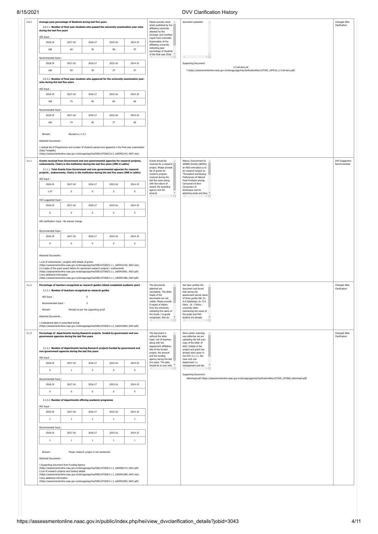8/15/2021 DVV Clarification History

| HEI Input:                                                                                                                                                                                                                                                                                                                                                                                                                                                                 | 2.6.3.1. Number of final year students who passed the university examination year-wise<br>during the last five years |                                           |             |             | affiliating university<br>attested by the<br>principal. and Certified<br>report from Controller                                               |                                      |
|----------------------------------------------------------------------------------------------------------------------------------------------------------------------------------------------------------------------------------------------------------------------------------------------------------------------------------------------------------------------------------------------------------------------------------------------------------------------------|----------------------------------------------------------------------------------------------------------------------|-------------------------------------------|-------------|-------------|-----------------------------------------------------------------------------------------------------------------------------------------------|--------------------------------------|
| 2018-19                                                                                                                                                                                                                                                                                                                                                                                                                                                                    | 2017-18                                                                                                              | 2016-17                                   | 2015-16     | 2014-15     | Examination of the<br>affiliating university                                                                                                  |                                      |
| 108                                                                                                                                                                                                                                                                                                                                                                                                                                                                        | 69                                                                                                                   | 39                                        | 58          | 57          | indicating pass<br>percentage of students<br>of the final vear (final $*$                                                                     |                                      |
| Recommended Input:<br>2018-19                                                                                                                                                                                                                                                                                                                                                                                                                                              | 2017-18                                                                                                              | 2016-17                                   | 2015-16     | 2014-15     | $\mathbb{R}^{\mathbb{N}}$ .<br>$\mathbb{R}^+$<br>Supporting Document:                                                                         |                                      |
| 106                                                                                                                                                                                                                                                                                                                                                                                                                                                                        | 69                                                                                                                   | 39                                        | 37          | 57          | 2.3-all-docs.pd<br>f (https://assessmentonline.naac.gov.in/storage/app/hei/clarificationfiles/107369_18701id_2.3-all-docs.pdf)                |                                      |
|                                                                                                                                                                                                                                                                                                                                                                                                                                                                            | 2.6.3.2. Number of final year students who appeared for the university examination year-                             |                                           |             |             |                                                                                                                                               |                                      |
| wise during the last five years<br>HEI Input:                                                                                                                                                                                                                                                                                                                                                                                                                              |                                                                                                                      |                                           |             |             |                                                                                                                                               |                                      |
| 2018-19                                                                                                                                                                                                                                                                                                                                                                                                                                                                    | 2017-18                                                                                                              | 2016-17                                   | 2015-16     | 2014-15     |                                                                                                                                               |                                      |
| 108                                                                                                                                                                                                                                                                                                                                                                                                                                                                        | 74                                                                                                                   | 40                                        | 60          | 60          |                                                                                                                                               |                                      |
| Recommended Input:                                                                                                                                                                                                                                                                                                                                                                                                                                                         |                                                                                                                      |                                           |             |             |                                                                                                                                               |                                      |
| 2018-19                                                                                                                                                                                                                                                                                                                                                                                                                                                                    | 2017-18                                                                                                              | 2016-17                                   | 2015-16     | 2014-15     |                                                                                                                                               |                                      |
| 106                                                                                                                                                                                                                                                                                                                                                                                                                                                                        | 74                                                                                                                   | $40$                                      | 37          | 60          |                                                                                                                                               |                                      |
| Remark:<br>Attached Documents:                                                                                                                                                                                                                                                                                                                                                                                                                                             | Revised w.r.t 2.3                                                                                                    |                                           |             |             |                                                                                                                                               |                                      |
| 1. Upload list of Programmes and number of students passed and appeared in the final year examination                                                                                                                                                                                                                                                                                                                                                                      |                                                                                                                      |                                           |             |             |                                                                                                                                               |                                      |
| (Data Template)<br>(https://assessmentonline.naac.gov.in/storage/app/hei/SSR/107369/2.6.3_1605952143_4567.xlsx)                                                                                                                                                                                                                                                                                                                                                            |                                                                                                                      |                                           |             |             |                                                                                                                                               |                                      |
| Grants received from Government and non-governmental agencies for research projects,<br>endowments, Chairs in the institution during the last five years (INR in Lakhs)                                                                                                                                                                                                                                                                                                    |                                                                                                                      |                                           |             |             | Grants should be<br>Nature, Environment &<br>received for a research<br>Wildlife Society (NEWS),                                              | <b>DVV Suggestion</b><br>Recommended |
| projects, endowments, Chairs in the institution during the last five years (INR in Lakhs)                                                                                                                                                                                                                                                                                                                                                                                  | 3.1.1.1. Total Grants from Government and non-governmental agencies for research                                     |                                           |             |             | project. Please provide<br>an NGO entrusted us to<br>list of grants for<br>do research project on                                             |                                      |
| HEI Input:                                                                                                                                                                                                                                                                                                                                                                                                                                                                 |                                                                                                                      |                                           |             |             | research projects<br>"Perception and Buying<br>received during the<br>Preferences of Natural<br>last five years along<br>Food Products among  |                                      |
| 2018-19                                                                                                                                                                                                                                                                                                                                                                                                                                                                    | 2017-18                                                                                                              | 2016-17                                   | 2015-16     | 2014-15     | with the nature of<br>Consumers & Non-<br>award, the awarding<br>Consumers of                                                                 |                                      |
| 1.47                                                                                                                                                                                                                                                                                                                                                                                                                                                                       | $\mathbf 0$                                                                                                          | $\mathbf 0$                               | $\mathbf 0$ | $\bf{0}$    | agency and the<br>Krishnapur and its<br>adjoining areas and they<br>amount                                                                    |                                      |
| DVV suggested Input:                                                                                                                                                                                                                                                                                                                                                                                                                                                       |                                                                                                                      |                                           |             |             |                                                                                                                                               |                                      |
| 2018-19                                                                                                                                                                                                                                                                                                                                                                                                                                                                    | 2017-18                                                                                                              | 2016-17                                   | 2015-16     | 2014-15     |                                                                                                                                               |                                      |
| $\mathbf 0$                                                                                                                                                                                                                                                                                                                                                                                                                                                                | $\mathbf 0$                                                                                                          | $\mathbf 0$                               | $\mathbf 0$ | $\mathbf 0$ |                                                                                                                                               |                                      |
| HEI clarification Input : No answer change                                                                                                                                                                                                                                                                                                                                                                                                                                 |                                                                                                                      |                                           |             |             |                                                                                                                                               |                                      |
| Recommended Input:                                                                                                                                                                                                                                                                                                                                                                                                                                                         |                                                                                                                      |                                           |             |             |                                                                                                                                               |                                      |
| 2018-19                                                                                                                                                                                                                                                                                                                                                                                                                                                                    | 2017-18                                                                                                              | 2016-17                                   | 2015-16     | 2014-15     |                                                                                                                                               |                                      |
| $\mathbf 0$                                                                                                                                                                                                                                                                                                                                                                                                                                                                | $\mathbf 0$                                                                                                          | $\mathbf 0$                               | $\mathbf 0$ | $\mathbf 0$ |                                                                                                                                               |                                      |
| 1.List of endowments / projects with details of grants<br>(https://assessmentonline.naac.gov.in/storage/app/hei/SSR/107369/3.1.1_1605410140_4567.xlsx)<br>2.e-copies of the grant award letters for sponsored research projects / endowments<br>(https://assessmentonline.naac.gov.in/storage/app/hei/SSR/107369/3.1.1_1605410581_4567.pdf)<br>3.Any additional information<br>(https://assessmentonline.naac.gov.in/storage/app/hei/SSR/107369/3.1.1_1605951486_4567.pdf) |                                                                                                                      |                                           |             |             |                                                                                                                                               |                                      |
|                                                                                                                                                                                                                                                                                                                                                                                                                                                                            |                                                                                                                      |                                           |             |             | We have verified the<br>The documents<br>attached are<br>document and found<br>incomplete. The letter<br>that during the                      | Changed After<br>Clarification       |
| Percentage of teachers recognized as research guides (latest completed academic year)                                                                                                                                                                                                                                                                                                                                                                                      | 3.1.2.1. Number of teachers recognized as research guides                                                            |                                           |             |             | heads of the<br>assessment period name<br>documents are not<br>of three guides fall; Dr.<br>A K Dasbiswas, Dr. R K<br>visible. Please provide |                                      |
| HFT Tnnut:                                                                                                                                                                                                                                                                                                                                                                                                                                                                 |                                                                                                                      | 5                                         |             |             | E-copies of letters<br>Patra, Dr. I Sinha;                                                                                                    |                                      |
| Recommended Innut:                                                                                                                                                                                                                                                                                                                                                                                                                                                         |                                                                                                                      | $\overline{\phantom{a}}$                  |             |             | from the University<br>university letter                                                                                                      |                                      |
| Remark:<br>Attached Documents:                                                                                                                                                                                                                                                                                                                                                                                                                                             |                                                                                                                      | Revised as per the supporting proof.      |             |             | indicating the name of<br>mentioning the name of<br>the Guide / co-guide<br>the guide and PhD<br>$\rightarrow$                                |                                      |
| 1.Institutional data in prescribed format                                                                                                                                                                                                                                                                                                                                                                                                                                  |                                                                                                                      |                                           |             |             | recognized. Also do<br>student are already<br>$\mathbb{R}^{\mathbb{Z}^{\times}}$<br>$\mathbb{R}^n$ .                                          |                                      |
| (https://assessmentonline.naac.gov.in/storage/app/hei/SSR/107369/3.1.2_1605410909_4567.pdf)<br>Percentage of departments having Research projects funded by government and non                                                                                                                                                                                                                                                                                             |                                                                                                                      |                                           |             |             | Since earlier scanning<br>The document is                                                                                                     |                                      |
| government agencies during the last five years                                                                                                                                                                                                                                                                                                                                                                                                                             |                                                                                                                      |                                           |             |             | without the letter<br>was defective we are<br>head. List of teachers<br>uploading the full scan<br>along with the<br>copy of the letter of    |                                      |
| non-government agencies during the last five years                                                                                                                                                                                                                                                                                                                                                                                                                         | 3.1.3.1. Number of departments having Research projects funded by government and                                     |                                           |             |             | department affiliation,<br>NGO. Details of the<br>title of the funded<br>project and grant has                                                |                                      |
| HEI Input:                                                                                                                                                                                                                                                                                                                                                                                                                                                                 |                                                                                                                      |                                           |             |             | project, the amount<br>already been given in<br>and the funding<br>the DVV 3.1.1.1. We<br>agency during the last<br>have only one             |                                      |
| 2018-19                                                                                                                                                                                                                                                                                                                                                                                                                                                                    | 2017-18                                                                                                              | 2016-17                                   | 2015-16     | 2014-15     | five years. The data<br>department i.e.<br>management and the                                                                                 | Changed After<br>Clarification       |
| $\mathbf 0$                                                                                                                                                                                                                                                                                                                                                                                                                                                                | $\overline{1}$                                                                                                       | $\bf{0}$                                  | $\mathbf 0$ | $\mathbf 0$ | should be in sync with<br>Supporting Document:                                                                                                |                                      |
| Recommended Input:                                                                                                                                                                                                                                                                                                                                                                                                                                                         |                                                                                                                      |                                           |             |             | letterhead.pdf (https://assessmentonline.naac.gov.in/storage/app/hei/clarificationfiles/107369_18758id_letterhead.pdf)                        |                                      |
| 2018-19                                                                                                                                                                                                                                                                                                                                                                                                                                                                    | 2017-18                                                                                                              | 2016-17                                   | 2015-16     | 2014-15     |                                                                                                                                               |                                      |
| $\mathbf 0$                                                                                                                                                                                                                                                                                                                                                                                                                                                                | $\mathbf 0$                                                                                                          | $\mathbf 0$                               | $\mathbf 0$ | $\mathbf 0$ |                                                                                                                                               |                                      |
|                                                                                                                                                                                                                                                                                                                                                                                                                                                                            | 3.1.3.2. Number of departments offering academic programes                                                           |                                           |             |             |                                                                                                                                               |                                      |
| HEI Input:<br>2018-19                                                                                                                                                                                                                                                                                                                                                                                                                                                      | 2017-18                                                                                                              | 2016-17                                   | 2015-16     | 2014-15     |                                                                                                                                               |                                      |
| $\,1\,$                                                                                                                                                                                                                                                                                                                                                                                                                                                                    | $1\,$                                                                                                                | $1\,$                                     | $1\,$       | $1\,$       |                                                                                                                                               |                                      |
| Recommended Input:                                                                                                                                                                                                                                                                                                                                                                                                                                                         |                                                                                                                      |                                           |             |             |                                                                                                                                               |                                      |
| 2018-19                                                                                                                                                                                                                                                                                                                                                                                                                                                                    | 2017-18                                                                                                              | 2016-17                                   | 2015-16     | 2014-15     |                                                                                                                                               |                                      |
| $1\,$                                                                                                                                                                                                                                                                                                                                                                                                                                                                      | $1\,$                                                                                                                | $1\,$                                     | $1\,$       | $1\,$       |                                                                                                                                               |                                      |
|                                                                                                                                                                                                                                                                                                                                                                                                                                                                            |                                                                                                                      |                                           |             |             |                                                                                                                                               |                                      |
| Remark:<br>Attached Documents:                                                                                                                                                                                                                                                                                                                                                                                                                                             |                                                                                                                      | Proper research project is not mentioned. |             |             |                                                                                                                                               |                                      |
| 1.Supporting document from Funding Agency                                                                                                                                                                                                                                                                                                                                                                                                                                  |                                                                                                                      |                                           |             |             |                                                                                                                                               |                                      |
| (https://assessmentonline.naac.gov.in/storage/app/hei/SSR/107369/3.1.3_1605950174_4567.pdf)<br>2.List of research projects and funding details<br>(https://assessmentonline.naac.gov.in/storage/app/hei/SSR/107369/3.1.3_1605951289_4567.xlsx)                                                                                                                                                                                                                             |                                                                                                                      |                                           |             |             |                                                                                                                                               |                                      |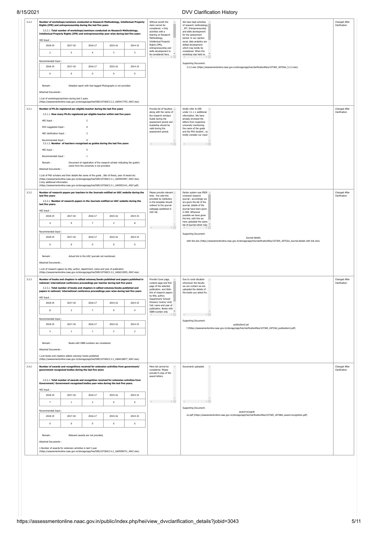## 8/15/2021

|                                                            |                         | Rights (IPR) and entrepreneurship during the last five years                                                                                                                                        |                         | Number of workshops/seminars conducted on Research Methodology, Intellectual Property     | Without proofs the<br>We have kept activities<br>claim cannot be<br>of research methodology<br>considered. . Only<br>, IPT, Entrepreneurship              |  |
|------------------------------------------------------------|-------------------------|-----------------------------------------------------------------------------------------------------------------------------------------------------------------------------------------------------|-------------------------|-------------------------------------------------------------------------------------------|-----------------------------------------------------------------------------------------------------------------------------------------------------------|--|
|                                                            |                         | 3.2.2.1. Total number of workshops/seminars conducted on Research Methodology,<br>Intellectual Property Rights (IPR) and entrepreneurship year-wise during last five years                          |                         |                                                                                           | activities with a<br>and skills development<br>bearing on Research<br>for the assessment                                                                  |  |
| HEI Input:                                                 |                         |                                                                                                                                                                                                     |                         |                                                                                           | Methodology,<br>period. In our opinion<br><b>Intellectual Property</b><br>excel, data analytics are                                                       |  |
| 2018-19                                                    | 2017-18                 | 2016-17                                                                                                                                                                                             | 2015-16                 | 2014-15                                                                                   | Rights (IPR),<br>skilled development<br>entrepreneurship and<br>which may kindly be<br>skills development to<br>considered. When the                      |  |
| $\overline{2}$                                             | $\sqrt{5}$              | $\overline{4}$                                                                                                                                                                                      | $\overline{\mathbf{3}}$ | $\overline{\mathbf{3}}$                                                                   | $b$ considered here.<br>workshop was held no                                                                                                              |  |
| Recommended Input:                                         |                         |                                                                                                                                                                                                     |                         |                                                                                           | Supporting Document:                                                                                                                                      |  |
| 2018-19                                                    | 2017-18                 | 2016-17                                                                                                                                                                                             | 2015-16                 | 2014-15                                                                                   | 3.2.2.xlsx (https://assessmentonline.naac.gov.in/storage/app/hei/clarificationfiles/107369_18755id_3.2.2.xlsx)                                            |  |
| $\mathbb O$                                                | $\,0\,$                 | $\mathbf 0$                                                                                                                                                                                         | $\,$ 0                  | $\,0\,$                                                                                   |                                                                                                                                                           |  |
| Remark:                                                    |                         | Detailed report with Geo-tagged Photographs is not provided.                                                                                                                                        |                         |                                                                                           |                                                                                                                                                           |  |
| Attached Documents:                                        |                         |                                                                                                                                                                                                     |                         |                                                                                           |                                                                                                                                                           |  |
| 1.List of workshops/seminars during last 5 years           |                         | (https://assessmentonline.naac.gov.in/storage/app/hei/SSR/107369/3.2.2_1605417755_4567.xlsx)                                                                                                        |                         |                                                                                           |                                                                                                                                                           |  |
|                                                            |                         | Number of Ph.Ds registered per eligible teacher during the last five years                                                                                                                          |                         |                                                                                           | Provide list of faculties -<br>Kindly refer to SSR                                                                                                        |  |
|                                                            |                         | 3.3.1.1. How many Ph.Ds registered per eligible teacher within last five years                                                                                                                      |                         |                                                                                           | along with the name of<br>under 3.1.1.1 additional<br>the research scholars<br>information. We have                                                       |  |
| HEI Input:                                                 |                         | $\overline{2}$                                                                                                                                                                                      |                         |                                                                                           | Guide during the<br>already enclosed the<br>assessment period and<br>letters from respective<br>Guideship should be                                       |  |
| DVV suggested Input:                                       |                         | $\overline{0}$                                                                                                                                                                                      |                         |                                                                                           | university mentioning<br>valid during the<br>the name of the quide<br>assessment period.<br>and the PhD student, so                                       |  |
| HEI clarification Input:                                   |                         | $\overline{2}$                                                                                                                                                                                      |                         |                                                                                           | kindly consider our input                                                                                                                                 |  |
| Recommended Input:                                         |                         | $\Omega$<br>3.3.1.2. Number of teachers recognized as guides during the last five years                                                                                                             |                         |                                                                                           |                                                                                                                                                           |  |
| HEI Input:                                                 |                         | 5                                                                                                                                                                                                   |                         |                                                                                           |                                                                                                                                                           |  |
| Recommended Input:                                         |                         | 1                                                                                                                                                                                                   |                         |                                                                                           |                                                                                                                                                           |  |
| Remark:                                                    |                         | Document of registration of the research scholar indicating the guide's<br>name from the university is not provided.                                                                                |                         |                                                                                           |                                                                                                                                                           |  |
| Attached Documents:                                        |                         |                                                                                                                                                                                                     |                         |                                                                                           |                                                                                                                                                           |  |
|                                                            |                         | 1.List of PhD scholars and their details like name of the guide, title of thesis, year of award etc<br>(https://assessmentonline.naac.gov.in/storage/app/hei/SSR/107369/3.3.1_1605952997_4567.xlsx) |                         |                                                                                           |                                                                                                                                                           |  |
| 2.Any additional information                               |                         | (https://assessmentonline.naac.gov.in/storage/app/hei/SSR/107369/3.3.1_1605953141_4567.pdf)                                                                                                         |                         |                                                                                           |                                                                                                                                                           |  |
|                                                            |                         |                                                                                                                                                                                                     |                         | Number of research papers per teachers in the Journals notified on UGC website during the | Please provide relevant -<br>Earlier system was PEER ^                                                                                                    |  |
| last five years                                            |                         |                                                                                                                                                                                                     |                         |                                                                                           | links - the web-link<br>reviewed research<br>provided by institution<br>journal ; accordingly we                                                          |  |
| last five years.                                           |                         | 3.3.2.1. Number of research papers in the Journals notified on UGC website during the                                                                                                               |                         |                                                                                           | in the template should<br>are given the list of the<br>redirect to the journal<br>journal; details of the                                                 |  |
| HEI Input:                                                 |                         |                                                                                                                                                                                                     |                         |                                                                                           | webpage published in<br>journal have been given<br>UGC list.<br>in SSR .Wherever                                                                          |  |
| 2018-19                                                    | 2017-18                 | 2016-17                                                                                                                                                                                             | 2015-16                 | 2014-15                                                                                   | possible we have given<br>the link; with link we<br>have uploaded the same                                                                                |  |
| $\overline{4}$                                             | $\overline{9}$          | $\overline{\phantom{a}}$                                                                                                                                                                            | $\overline{\mathbf{3}}$ | 8                                                                                         | list of journal which may                                                                                                                                 |  |
| Recommended Input:                                         |                         |                                                                                                                                                                                                     |                         |                                                                                           | Supporting Document:                                                                                                                                      |  |
| 2018-19                                                    | 2017-18                 | 2016-17                                                                                                                                                                                             | 2015-16                 | 2014-15                                                                                   | Journal-details<br>with link.xlsx (https://assessmentonline.naac.gov.in/storage/app/hei/clarificationfiles/107369_18752id_Journal-details with link.xlsx) |  |
| $\mathbf 0$                                                | $\mathbf{0}$            | $\mathbf{0}$                                                                                                                                                                                        | $\,0\,$                 | $\mathbf 0$                                                                               |                                                                                                                                                           |  |
|                                                            |                         |                                                                                                                                                                                                     |                         |                                                                                           |                                                                                                                                                           |  |
| Remark:<br>Attached Documents:                             |                         | Actual link to the UGC journals not mentioned.                                                                                                                                                      |                         |                                                                                           |                                                                                                                                                           |  |
|                                                            |                         | 1.List of research papers by title, author, department, name and year of publication                                                                                                                |                         |                                                                                           |                                                                                                                                                           |  |
|                                                            |                         | (https://assessmentonline.naac.gov.in/storage/app/hei/SSR/107369/3.3.2_1606215055_4567.xlsx)                                                                                                        |                         |                                                                                           |                                                                                                                                                           |  |
|                                                            |                         | Number of books and chapters in edited volumes/books published and papers published in<br>national/ international conference proceedings per teacher during last five years                         |                         |                                                                                           | Due to covid situation<br>Provide Cover page,<br>content page and first<br>whomever the faculty                                                           |  |
|                                                            |                         | 3.3.3.1. Total number of books and chapters in edited volumes/books published and<br>papers in national/ international conference proceedings year-wise during last five years                      |                         |                                                                                           | page of the selected<br>we can contact we are<br>publication. and Web-<br>uploaded the details of                                                         |  |
| HEI Input :                                                |                         |                                                                                                                                                                                                     |                         |                                                                                           | link of research papers<br>the books you asked for.<br>by title, author,                                                                                  |  |
| 2018-19                                                    | 2017-18                 | 2016-17                                                                                                                                                                                             | 2015-16                 | 2014-15                                                                                   | Department/ School/<br>Division/ Centre/ Unit/<br>Cell, name and year of                                                                                  |  |
| 8                                                          | $\overline{\mathbf{3}}$ | $\overline{7}$                                                                                                                                                                                      | 9                       | $\overline{4}$                                                                            | publication. Books with<br>ISBN number only                                                                                                               |  |
| Recommended Input:                                         |                         |                                                                                                                                                                                                     |                         |                                                                                           | $\mathbb{R}$                                                                                                                                              |  |
| 2018-19                                                    | 2017-18                 | 2016-17                                                                                                                                                                                             | 2015-16                 | 2014-15                                                                                   | Supporting Document:<br>publication2.pd                                                                                                                   |  |
| $\overline{\mathbf{3}}$                                    | $\,1\,$                 | $\,$ 1 $\,$                                                                                                                                                                                         | $\overline{2}$          | $\overline{2}$                                                                            | f (https://assessmentonline.naac.gov.in/storage/app/hei/clarificationfiles/107369_18753id_publication2.pdf)                                               |  |
|                                                            |                         |                                                                                                                                                                                                     |                         |                                                                                           |                                                                                                                                                           |  |
| Remark:                                                    |                         | Books with ISBN numbers are considered.                                                                                                                                                             |                         |                                                                                           |                                                                                                                                                           |  |
| Attached Documents:                                        |                         |                                                                                                                                                                                                     |                         |                                                                                           |                                                                                                                                                           |  |
| 1.List books and chapters edited volumes/ books published  |                         | (https://assessmentonline.naac.gov.in/storage/app/hei/SSR/107369/3.3.3_1606218877_4567.xlsx)                                                                                                        |                         |                                                                                           |                                                                                                                                                           |  |
|                                                            |                         | Number of awards and recognitions received for extension activities from government/                                                                                                                |                         |                                                                                           | Mere list cannot be<br>Documents uploaded.                                                                                                                |  |
|                                                            |                         | government recognised bodies during the last five years                                                                                                                                             |                         |                                                                                           | considered. Please<br>provide E-copy of the                                                                                                               |  |
|                                                            |                         | 3.4.2.1. Total number of awards and recognition received for extension activities from                                                                                                              |                         |                                                                                           | award letters.                                                                                                                                            |  |
|                                                            |                         | Government/ Government recognised bodies year-wise during the last five years.                                                                                                                      |                         |                                                                                           |                                                                                                                                                           |  |
| HEI Input:<br>2018-19                                      | 2017-18                 | 2016-17                                                                                                                                                                                             | 2015-16                 | 2014-15                                                                                   |                                                                                                                                                           |  |
| $\overline{7}$                                             | $\mathbf{1}$            | $\overline{2}$                                                                                                                                                                                      | $\,0\,$                 | $\,0\,$                                                                                   | design and the con-<br>of the control of the control of                                                                                                   |  |
|                                                            |                         |                                                                                                                                                                                                     |                         |                                                                                           | Supporting Document:                                                                                                                                      |  |
| Recommended Input:<br>2018-19                              | 2017-18                 | 2016-17                                                                                                                                                                                             | 2015-16                 | 2014-15                                                                                   | award-recogniti<br>on.pdf (https://assessmentonline.naac.gov.in/storage/app/hei/clarificationfiles/107369_18748id_award-recognition.pdf)                  |  |
| $^{\circ}$                                                 | $\mathbf{0}$            | $\circ$                                                                                                                                                                                             | $\overline{0}$          | $\mathbf{0}$                                                                              |                                                                                                                                                           |  |
|                                                            |                         |                                                                                                                                                                                                     |                         |                                                                                           |                                                                                                                                                           |  |
|                                                            |                         | Relevant awards are not provided.                                                                                                                                                                   |                         |                                                                                           |                                                                                                                                                           |  |
| Remark:                                                    |                         |                                                                                                                                                                                                     |                         |                                                                                           |                                                                                                                                                           |  |
| Attached Documents :                                       |                         |                                                                                                                                                                                                     |                         |                                                                                           |                                                                                                                                                           |  |
| 1.Number of awards for extension activities in last 5 year |                         | (https://assessmentonline.naac.gov.in/storage/app/hei/SSR/107369/3.4.2_1605958731_4567.xlsx)                                                                                                        |                         |                                                                                           |                                                                                                                                                           |  |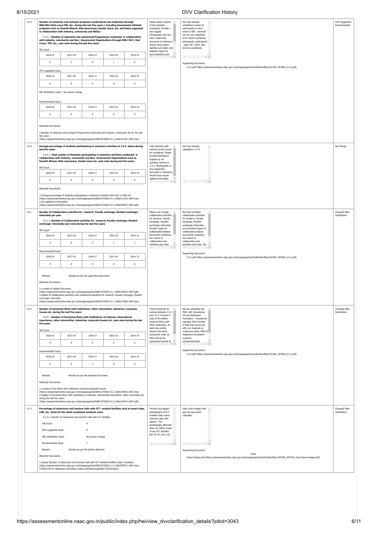|                                                                                           | Number of extension and outreach programs conducted by the institution through<br>NSS/NCC/Red cross/YRC etc., during the last five years (including Government initiated<br>programs such as Swachh Bharat, Aids Awareness, Gender Issue, etc. and those organised<br>in collaboration with industry, community and NGOs)<br>3.4.3.1. Number of extension and outreached Programmes conducted in collaboration<br>with industry, community and Non- Government Organizations through NSS/ NCC/ Red<br>Cross/YRC etc., year-wise during the last five years |                                         |              |                                                                                                                                       | Please attach reports<br>We have already<br>of the activities<br>submitted number of<br>conducted. Provide .<br>participants in excel<br>Geo tagged<br>sheet in SSR. However<br>Photographs and any<br>we are now uploading<br>other supporting<br>short report containing<br>document of relevance<br>photograph, participants<br>should have proper<br>, place etc. which may | DVV Suggestion<br>Recommended  |
|-------------------------------------------------------------------------------------------|------------------------------------------------------------------------------------------------------------------------------------------------------------------------------------------------------------------------------------------------------------------------------------------------------------------------------------------------------------------------------------------------------------------------------------------------------------------------------------------------------------------------------------------------------------|-----------------------------------------|--------------|---------------------------------------------------------------------------------------------------------------------------------------|---------------------------------------------------------------------------------------------------------------------------------------------------------------------------------------------------------------------------------------------------------------------------------------------------------------------------------------------------------------------------------|--------------------------------|
| HEI Input:                                                                                |                                                                                                                                                                                                                                                                                                                                                                                                                                                                                                                                                            |                                         |              |                                                                                                                                       | captions and dates and<br>kind be considered.<br>Detailed report for                                                                                                                                                                                                                                                                                                            |                                |
| 2018-19                                                                                   | 2017-18                                                                                                                                                                                                                                                                                                                                                                                                                                                                                                                                                    | 2016-17                                 | 2015-16      | 2014-15                                                                                                                               | each extension and<br>$\mathbb{R}^{\mathbb{Z}^{\times}}$<br>$\left($                                                                                                                                                                                                                                                                                                            |                                |
| $\mathbf{0}$                                                                              | $1\,$                                                                                                                                                                                                                                                                                                                                                                                                                                                                                                                                                      | $\mathbb O$                             | $\mathbf{1}$ | $\mathbf 0$                                                                                                                           | <b>Supporting Document:</b>                                                                                                                                                                                                                                                                                                                                                     |                                |
| DVV suggested Input:                                                                      |                                                                                                                                                                                                                                                                                                                                                                                                                                                                                                                                                            |                                         |              |                                                                                                                                       | 3.4.3.pdf (https://assessmentonline.naac.gov.in/storage/app/hei/clarificationfiles/107369_18749id_3.4.3.pdf)                                                                                                                                                                                                                                                                    |                                |
| 2018-19                                                                                   | 2017-18                                                                                                                                                                                                                                                                                                                                                                                                                                                                                                                                                    | 2016-17                                 | 2015-16      | 2014-15                                                                                                                               |                                                                                                                                                                                                                                                                                                                                                                                 |                                |
| $\mathbf 0$                                                                               | $\mathbf{0}$                                                                                                                                                                                                                                                                                                                                                                                                                                                                                                                                               | $\mathbf 0$                             | $\mathbf 0$  | $\,0\,$                                                                                                                               |                                                                                                                                                                                                                                                                                                                                                                                 |                                |
|                                                                                           | HEI clarification Input : No answer change                                                                                                                                                                                                                                                                                                                                                                                                                                                                                                                 |                                         |              |                                                                                                                                       |                                                                                                                                                                                                                                                                                                                                                                                 |                                |
| Recommended Input                                                                         |                                                                                                                                                                                                                                                                                                                                                                                                                                                                                                                                                            |                                         |              |                                                                                                                                       |                                                                                                                                                                                                                                                                                                                                                                                 |                                |
| 2018-19                                                                                   | 2017-18                                                                                                                                                                                                                                                                                                                                                                                                                                                                                                                                                    | 2016-17                                 | 2015-16      | 2014-15                                                                                                                               |                                                                                                                                                                                                                                                                                                                                                                                 |                                |
| $\mathbf 0$                                                                               | $\,0\,$                                                                                                                                                                                                                                                                                                                                                                                                                                                                                                                                                    | $\bf 0$                                 | $\bf 0$      | $\pmb{0}$                                                                                                                             |                                                                                                                                                                                                                                                                                                                                                                                 |                                |
|                                                                                           |                                                                                                                                                                                                                                                                                                                                                                                                                                                                                                                                                            |                                         |              |                                                                                                                                       |                                                                                                                                                                                                                                                                                                                                                                                 |                                |
| Attached Documents:<br>five years                                                         | 1.Number of extension and outreach Programmes conducted with industry, community etc for the last<br>(https://assessmentonline.naac.qov.in/storaqe/app/hei/SSR/107369/3.4.3_1606141365_4567.xlsx)                                                                                                                                                                                                                                                                                                                                                          |                                         |              |                                                                                                                                       |                                                                                                                                                                                                                                                                                                                                                                                 |                                |
|                                                                                           | Average percentage of students participating in extension activities at 3.4.3. above during                                                                                                                                                                                                                                                                                                                                                                                                                                                                |                                         |              |                                                                                                                                       | Only activities with<br>We have already                                                                                                                                                                                                                                                                                                                                         | No Change                      |
| last five years                                                                           | 3.4.4.1. Total number of Students participating in extension activities conducted in<br>collaboration with industry, community and Non- Government Organizations such as<br>Swachh Bharat, AIDs awareness, Gender issue etc. year-wise during last five years                                                                                                                                                                                                                                                                                              |                                         |              | uploaded in 3.4.3<br>relevant proofs would<br>be considered. Please<br>provide attendance<br>register for eh<br>activities claimed in |                                                                                                                                                                                                                                                                                                                                                                                 |                                |
| HEI Input:<br>2018-19                                                                     | 2017-18                                                                                                                                                                                                                                                                                                                                                                                                                                                                                                                                                    | 2016-17                                 | 2015-16      | 2014-15                                                                                                                               | 3.4.3. Photographs or<br>any supporting<br>document of relevance<br>should have proper                                                                                                                                                                                                                                                                                          |                                |
| $\mathbf 0$                                                                               | $\mathbf 0$                                                                                                                                                                                                                                                                                                                                                                                                                                                                                                                                                | $\mathbf 0$                             | $\mathbf 0$  | $\mathbf 0$                                                                                                                           | $\mathbf{v}$<br>captions and dates                                                                                                                                                                                                                                                                                                                                              |                                |
| <b>Attached Documents:</b><br>2.Any additional information                                | 1.Average percentage of students participating in extension activities with Govt or NGO etc<br>(https://assessmentonline.naac.gov.in/storage/app/hei/SSR/107369/3.4.4_1606141518_4567.xlsx)                                                                                                                                                                                                                                                                                                                                                                |                                         |              |                                                                                                                                       |                                                                                                                                                                                                                                                                                                                                                                                 |                                |
|                                                                                           | (https://assessmentonline.naac.gov.in/storage/app/hei/SSR/107369/3.4.4_1606478204_4567.pdf)                                                                                                                                                                                                                                                                                                                                                                                                                                                                |                                         |              |                                                                                                                                       |                                                                                                                                                                                                                                                                                                                                                                                 |                                |
| internship per year                                                                       | Number of Collaborative activities for research, Faculty exchange, Student exchange/                                                                                                                                                                                                                                                                                                                                                                                                                                                                       |                                         |              |                                                                                                                                       | Please only include<br>We have included<br>collaborative activities<br>collaborative activities                                                                                                                                                                                                                                                                                 | Changed After<br>Clarification |
| HEI Input:                                                                                | 3.5.1.1. Number of Collaborative activities for research, Faculty exchange, Student<br>exchange/ internship year-wise during the last five years                                                                                                                                                                                                                                                                                                                                                                                                           |                                         |              |                                                                                                                                       | for research, Faculty<br>for research, Faculty<br>exchange, Student<br>exchange, Student<br>exchange/ internship.<br>exchange/ internship;<br>Provide Copies of<br>and provided Copies of                                                                                                                                                                                       |                                |
| 2018-19                                                                                   | 2017-18                                                                                                                                                                                                                                                                                                                                                                                                                                                                                                                                                    | 2016-17                                 | 2015-16      | 2014-15                                                                                                                               | collaboration/related<br>collaboration/related<br>documents indicating<br>documents indicating                                                                                                                                                                                                                                                                                  |                                |
| $\overline{4}$                                                                            | 5                                                                                                                                                                                                                                                                                                                                                                                                                                                                                                                                                          | $\overline{\mathbf{3}}$                 | $1\,$        | $1\,$                                                                                                                                 | the nature of<br>the nature of<br>collaboration and<br>collaboration and                                                                                                                                                                                                                                                                                                        |                                |
|                                                                                           |                                                                                                                                                                                                                                                                                                                                                                                                                                                                                                                                                            |                                         |              |                                                                                                                                       | activities year-wise.<br>activities year-wise. We<br>$\mathbb{R}^{\mathbb{N}^{\times}}$                                                                                                                                                                                                                                                                                         |                                |
| Recommended Input:                                                                        |                                                                                                                                                                                                                                                                                                                                                                                                                                                                                                                                                            |                                         |              |                                                                                                                                       | <b>Supporting Document:</b>                                                                                                                                                                                                                                                                                                                                                     |                                |
| 2018-19                                                                                   | 2017-18                                                                                                                                                                                                                                                                                                                                                                                                                                                                                                                                                    | 2016-17                                 | 2015-16      | 2014-15                                                                                                                               | 3.5.1.pdf (https://assessmentonline.naac.gov.in/storage/app/hei/clarificationfiles/107369_18745id_3.5.1.pdf)                                                                                                                                                                                                                                                                    |                                |
| $\overline{\mathbf{3}}$                                                                   | $\mathbf 0$                                                                                                                                                                                                                                                                                                                                                                                                                                                                                                                                                | $\mathbf 0$                             | $\mathbf 0$  | $\mathbf 0$                                                                                                                           |                                                                                                                                                                                                                                                                                                                                                                                 |                                |
| Remark:<br>Attached Documents :<br>1.e-copies of related Document<br>exchange/ internship | (https://assessmentonline.naac.gov.in/storage/app/hei/SSR/107369/3.5.1_1606143670_4567.pdf)<br>2.Details of Collaborative activities with institutions/industries for research, Faculty exchange, Student                                                                                                                                                                                                                                                                                                                                                  | Revised as per the supporting document. |              |                                                                                                                                       |                                                                                                                                                                                                                                                                                                                                                                                 |                                |
|                                                                                           | (https://assessmentonline.naac.gov.in/storage/app/hei/SSR/107369/3.5.1_1606143368_4567.xlsx)                                                                                                                                                                                                                                                                                                                                                                                                                                                               |                                         |              |                                                                                                                                       |                                                                                                                                                                                                                                                                                                                                                                                 |                                |
|                                                                                           | Number of functional MoUs with institutions, other universities, industries, corporate<br>houses etc. during the last five years                                                                                                                                                                                                                                                                                                                                                                                                                           |                                         |              |                                                                                                                                       | There should be no<br>We are uploading the<br>overlap between 3.5.1<br>MOU with Cloudsense,                                                                                                                                                                                                                                                                                     | Changed After<br>Clarification |
| five years                                                                                | 3.5.2.1. Number of functional MoUs with Institutions of national, international<br>importance, other universities, industries, corporate houses etc. year-wise during the last                                                                                                                                                                                                                                                                                                                                                                             |                                         |              |                                                                                                                                       | and 3.5.2. Provide E-<br>UK and Wadhwani<br>copy of the letters<br>foundation . Cloudsense<br>showing MOUs with<br>operates their function<br>other institutions. At<br>of field trial survey etc.                                                                                                                                                                              |                                |
| HEI Input:                                                                                |                                                                                                                                                                                                                                                                                                                                                                                                                                                                                                                                                            |                                         |              |                                                                                                                                       | with our students as<br>least one activity<br>continuous basis. NEN of<br>should have been<br>conducted under an<br>Wadhwani foundation                                                                                                                                                                                                                                         |                                |
| 2018-19                                                                                   | 2017-18                                                                                                                                                                                                                                                                                                                                                                                                                                                                                                                                                    | 2016-17                                 | 2015-16      | 2014-15                                                                                                                               | MOU during the<br>conducts<br>entrepreneurship                                                                                                                                                                                                                                                                                                                                  |                                |
| $\overline{4}$                                                                            | $\mathbf{0}$                                                                                                                                                                                                                                                                                                                                                                                                                                                                                                                                               | $\mathbb O$                             | $\,0\,$      | $\mathbf 0$                                                                                                                           | assessment period to<br>$\mathbb{R}$                                                                                                                                                                                                                                                                                                                                            |                                |
| Recommended Input                                                                         |                                                                                                                                                                                                                                                                                                                                                                                                                                                                                                                                                            |                                         |              |                                                                                                                                       | <b>Supporting Document:</b><br>3.5.2.pdf (https://assessmentonline.naac.gov.in/storage/app/hei/clarificationfiles/107369_18746id_3.5.2.pdf)                                                                                                                                                                                                                                     |                                |
| 2018-19                                                                                   | 2017-18                                                                                                                                                                                                                                                                                                                                                                                                                                                                                                                                                    | 2016-17                                 | 2015-16      | 2014-15                                                                                                                               |                                                                                                                                                                                                                                                                                                                                                                                 |                                |
| $\mathbf 0$                                                                               | $\mathbf{0}$                                                                                                                                                                                                                                                                                                                                                                                                                                                                                                                                               | $\mathbf{1}$                            | $\mathbf{0}$ | $\mathbf 0$                                                                                                                           |                                                                                                                                                                                                                                                                                                                                                                                 |                                |
|                                                                                           |                                                                                                                                                                                                                                                                                                                                                                                                                                                                                                                                                            |                                         |              |                                                                                                                                       |                                                                                                                                                                                                                                                                                                                                                                                 |                                |
| Remark:                                                                                   |                                                                                                                                                                                                                                                                                                                                                                                                                                                                                                                                                            | Revised as per the attached document.   |              |                                                                                                                                       |                                                                                                                                                                                                                                                                                                                                                                                 |                                |
| Attached Documents:                                                                       |                                                                                                                                                                                                                                                                                                                                                                                                                                                                                                                                                            |                                         |              |                                                                                                                                       |                                                                                                                                                                                                                                                                                                                                                                                 |                                |
| during the last five years                                                                | 1.e-Copies of the MoUs with institution/ industry/corporate houses<br>(https://assessmentonline.naac.gov.in/storage/app/hei/SSR/107369/3.5.2_1606144340_4567.xlsx)<br>2.Details of functional MoUs with institutions of national, international importance, other universities etc<br>(https://assessmentonline.naac.gov.in/storage/app/hei/SSR/107369/3.5.2_1606144479_4567.pdf)                                                                                                                                                                          |                                         |              |                                                                                                                                       |                                                                                                                                                                                                                                                                                                                                                                                 |                                |
|                                                                                           | Percentage of classrooms and seminar halls with ICT- enabled facilities such as smart class,                                                                                                                                                                                                                                                                                                                                                                                                                                                               |                                         |              |                                                                                                                                       | Provide Geo-tagged<br>class room images with $\sim$                                                                                                                                                                                                                                                                                                                             | Changed After                  |
|                                                                                           | LMS, etc. (Data for the latest completed academic year)                                                                                                                                                                                                                                                                                                                                                                                                                                                                                                    |                                         |              |                                                                                                                                       | photographs of ICT<br>geo tag have been<br>enabled class rooms<br>uploaded.                                                                                                                                                                                                                                                                                                     | Clarification                  |
|                                                                                           |                                                                                                                                                                                                                                                                                                                                                                                                                                                                                                                                                            | 9                                       |              |                                                                                                                                       | /seminar halls with<br>caption. The                                                                                                                                                                                                                                                                                                                                             |                                |
| 4.1.3.1. Number of classrooms and seminar halls with ICT facilities                       |                                                                                                                                                                                                                                                                                                                                                                                                                                                                                                                                                            |                                         |              |                                                                                                                                       | photographs attached<br>does not reflect usage                                                                                                                                                                                                                                                                                                                                  |                                |
| HEI Input:                                                                                |                                                                                                                                                                                                                                                                                                                                                                                                                                                                                                                                                            |                                         |              |                                                                                                                                       | of any ICT facilities<br>like for F4, LH4, LH1.                                                                                                                                                                                                                                                                                                                                 |                                |
| DVV suggested Input:                                                                      |                                                                                                                                                                                                                                                                                                                                                                                                                                                                                                                                                            | 8                                       |              |                                                                                                                                       |                                                                                                                                                                                                                                                                                                                                                                                 |                                |
| HEI clarification Input:                                                                  |                                                                                                                                                                                                                                                                                                                                                                                                                                                                                                                                                            | No answer change                        |              |                                                                                                                                       |                                                                                                                                                                                                                                                                                                                                                                                 |                                |
| Recommended Input:                                                                        |                                                                                                                                                                                                                                                                                                                                                                                                                                                                                                                                                            | $\overline{7}$                          |              |                                                                                                                                       | $\mathbb{R}^+$<br>All control of the State                                                                                                                                                                                                                                                                                                                                      |                                |
| Remark:                                                                                   |                                                                                                                                                                                                                                                                                                                                                                                                                                                                                                                                                            | Revised as per the photos attached.     |              |                                                                                                                                       | <b>Supporting Document:</b>                                                                                                                                                                                                                                                                                                                                                     |                                |
| Attached Documents:                                                                       |                                                                                                                                                                                                                                                                                                                                                                                                                                                                                                                                                            |                                         |              |                                                                                                                                       | Class<br>Room-images.pdf (https://assessmentonline.naac.gov.in/storage/app/hei/clarificationfiles/107369_18734id_Class Room-images.pdf)                                                                                                                                                                                                                                         |                                |
|                                                                                           | 1. Upload Number of classrooms and seminar halls with ICT enabled facilities (Data Template)<br>(https://assessmentonline.naac.gov.in/storage/app/hei/SSR/107369/4.1.3_1605599573_4567.xlsx)                                                                                                                                                                                                                                                                                                                                                               |                                         |              |                                                                                                                                       |                                                                                                                                                                                                                                                                                                                                                                                 |                                |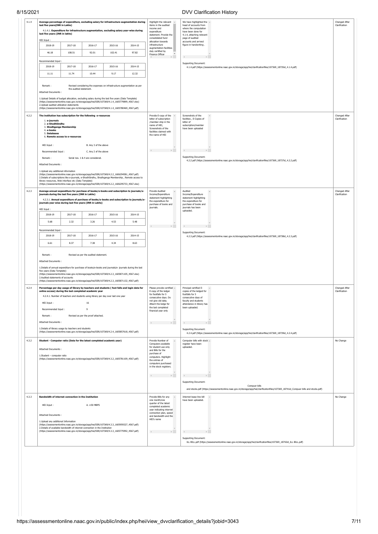# 8/15/2021

|  | DVV Clarification History |  |
|--|---------------------------|--|
|--|---------------------------|--|

| 4.1.4<br>Average percentage of expenditure, excluding salary for infrastructure augmentation during<br>Highlight the relevant -<br>We have highlighted the $\sim$<br>last five years(INR in Lakhs)<br>items in the audited<br>Clarification<br>head of accounts from<br>income and<br>where the computation<br>4.1.4.1. Expenditure for infrastructure augmentation, excluding salary year-wise during<br>expenditure<br>have been done for<br>last five years (INR in lakhs)<br>statement. Provide the<br>4.1.4, attaching relevant<br>consolidated fund<br>page of audited<br>HEI Input:<br>allocation towards<br>accounts and arrived<br>infrastructure<br>figure in handwriting.<br>2018-19<br>2017-18<br>2016-17<br>2015-16<br>2014-15<br>augmentation facilities<br>duly certified by<br>108.51<br>102.41<br>97.82<br>46.18<br>92.01<br>Finance Officer<br>All control of the Rent<br>$\mathbb{R}^{n-1}$<br>Recommended Input:<br>Supporting Document:<br>2018-19<br>2017-18<br>2016-17<br>2015-16<br>2014-15<br>4.1.4.pdf (https://assessmentonline.naac.gov.in/storage/app/hei/clarificationfiles/107369_18735id_4.1.4.pdf)<br>11.11<br>11.74<br>9.17<br>12.32<br>10.44<br>Remark:<br>Revised considering the expenses on infrastructure augmentation as per<br>the audited statement.<br>Attached Documents:<br>1. Upload Details of budget allocation, excluding salary during the last five years (Data Template)<br>(https://assessmentonline.naac.gov.in/storage/app/hei/SSR/107369/4.1.4_1605779899_4567.xlsx)<br>2. Upload audited utilization statements<br>(https://assessmentonline.naac.gov.in/storage/app/hei/SSR/107369/4.1.4_1605780469_4567.pdf)<br>4.2.2<br>Provide E-copy of the A<br>Screenshots of the<br>The institution has subscription for the following e-resources<br>letter of subscription<br>facilities, E-Copies of<br>Clarification<br>1. e-journals<br>/member ship in the<br>letter of<br>2. e-ShodhSindhu<br>name of HEI,<br>subscription/member<br>3. Shodhganga Membership<br>Screenshots of the<br>have been uploaded<br>4. e-books<br>facilities claimed with<br>5. Databases<br>the name of HEI<br>6. Remote access to e-resources<br>HEI Input:<br>B. Any 3 of the above<br>$\mathbb{R}$<br>$\mathbb{E}[\cdot]$<br>$\left\langle \cdot \right\rangle$<br>Recommended Input:<br>C. Any 2 of the above<br>Supporting Document:<br>Remark:<br>Serial nos. 1 & 4 are considered.<br>4.2.2.pdf (https://assessmentonline.naac.gov.in/storage/app/hei/clarificationfiles/107369_18737id_4.2.2.pdf)<br>Attached Documents:<br>1. Upload any additional information<br>(https://assessmentonline.naac.gov.in/storage/app/hei/SSR/107369/4.2.2_1606294581_4567.pdf)<br>2.Details of subscriptions like e-journals, e-ShodhSindhu, Shodhganga Membership, Remote access to<br>library resources, Web interface etc (Data Template)<br>(https://assessmentonline.naac.gov.in/storage/app/hei/SSR/107369/4.2.2_1606295733_4567.xlsx)<br>4.2.3<br>Average annual expenditure for purchase of books/e-books and subscription to journals/e-<br>Provide Audited<br>Audited<br>Income/Expenditure<br>Income/Expenditure<br>Clarification<br>journals during the last five years (INR in Lakhs)<br>statement highlighting<br>statement highlighting<br>4.2.3.1. Annual expenditure of purchase of books/e-books and subscription to journals/e-<br>the expenditure for<br>the expenditure for<br>journals year wise during last five years (INR in Lakhs)<br>purchase of books and<br>purchase of books and<br>journals.<br>journals has been<br>HEI Input:<br>uploaded.<br>2018-19<br>2017-18<br>2016-17<br>2015-16<br>2014-15<br>2.32<br>5.68<br>3.26<br>4.53<br>5.48<br>All control of the Rent<br>distances in the<br>Recommended Input<br>Supporting Document:<br>2018-19<br>2017-18<br>2016-17<br>2015-16<br>2014-15<br>4.2.3.pdf (https://assessmentonline.naac.gov.in/storage/app/hei/clarificationfiles/107369_18738id_4.2.3.pdf)<br>6.61<br>8.37<br>7.38<br>4.34<br>8.63<br>Remark:<br>Revised as per the audited statement.<br>Attached Documents:<br>1.Details of annual expenditure for purchase of books/e-books and journals/e- journals during the last<br>five years (Data Template)<br>(https://assessmentonline.naac.gov.in/storage/app/hei/SSR/107369/4.2.3_1605871105_4567.xlsx)<br>2.Audited statements of accounts<br>(https://assessmentonline.naac.gov.in/storage/app/hei/SSR/107369/4.2.3_1605871132_4567.pdf)<br>4.2.4<br>Principal certified E-<br>Percentage per day usage of library by teachers and students (foot falls and login data for<br>Please provide certified ^<br>E-copy of the ledger<br>copies of the ledged for<br>online access) during the last completed academic year<br>Clarification<br>for footfalls for 5<br>footfalls for 5<br>4.2.4.1. Number of teachers and students using library per day over last one year<br>consecutive days. Do<br>consecutive days of<br>not give old data.<br>faculty and students<br>HEI Input:<br>16<br>Attach the ledge for<br>attendance in library has<br>the last completed<br>been uploaded.<br>Recommended Input:<br>$\overline{9}$<br>financial year only<br>Remark:<br>Revised as per the proof attached.<br>Attached Documents:<br>$\mathbb{R}$<br>1.Details of library usage by teachers and students<br>Supporting Document:<br>(https://assessmentonline.naac.gov.in/storage/app/hei/SSR/107369/4.2.4_1605857618_4567.pdf)<br>4.2.4.pdf (https://assessmentonline.naac.gov.in/storage/app/hei/clarificationfiles/107369_18739id_4.2.4.pdf)<br>4.3.2<br>Student - Computer ratio (Data for the latest completed academic year)<br>Provide Number of<br>Computer bills with stock -<br>No Change<br>Computers available<br>register have been<br>for student use only<br>uploaded.<br>Attached Documents:<br>and Bills for the<br>purchase of<br>1.Student - computer ratio<br>computers. Highlight<br>(https://assessmentonline.naac.gov.in/storage/app/hei/SSR/107369/4.3.2_1605781109_4567.pdf)<br>the entries of<br>computers purchased<br>in the stock registers.<br>Supporting Document:<br>Compuer bills<br>and stocks.pdf (https://assessmentonline.naac.gov.in/storage/app/hei/clarificationfiles/107369_18741id_Compuer bills and stocks.pdf)<br>4.3.3<br>Bandwidth of internet connection in the Institution<br>Provide Bills for any<br>Internet lease line bill<br>No Change<br>one month/one<br>have been uploaded.<br>quarter of the latest<br>HEI Input:<br>A. $\geq$ 50 MBPS<br>completed academic<br>year indicating internet<br>connection plan, speed<br>Attached Documents:<br>and bandwidth and the<br>HEI's name<br>1. Upload any additional Information<br>(https://assessmentonline.naac.gov.in/storage/app/hei/SSR/107369/4.3.3_1605959327_4567.pdf)<br>2.Details of available bandwidth of internet connection in the Institution<br>(https://assessmentonline.naac.gov.in/storage/app/hei/SSR/107369/4.3.3_1605775992_4567.pdf)<br><b>Contract Contract Party</b><br>Reserves the Party<br>Supporting Document:<br>ILL BILL.pdf (https://assessmentonline.naac.gov.in/storage/app/hei/clarificationfiles/107369_18742id_ILL BILL.pdf) | 15/2021 |  |  |  |  |  |  | <b>DVV Clarification History</b> |               |  |
|----------------------------------------------------------------------------------------------------------------------------------------------------------------------------------------------------------------------------------------------------------------------------------------------------------------------------------------------------------------------------------------------------------------------------------------------------------------------------------------------------------------------------------------------------------------------------------------------------------------------------------------------------------------------------------------------------------------------------------------------------------------------------------------------------------------------------------------------------------------------------------------------------------------------------------------------------------------------------------------------------------------------------------------------------------------------------------------------------------------------------------------------------------------------------------------------------------------------------------------------------------------------------------------------------------------------------------------------------------------------------------------------------------------------------------------------------------------------------------------------------------------------------------------------------------------------------------------------------------------------------------------------------------------------------------------------------------------------------------------------------------------------------------------------------------------------------------------------------------------------------------------------------------------------------------------------------------------------------------------------------------------------------------------------------------------------------------------------------------------------------------------------------------------------------------------------------------------------------------------------------------------------------------------------------------------------------------------------------------------------------------------------------------------------------------------------------------------------------------------------------------------------------------------------------------------------------------------------------------------------------------------------------------------------------------------------------------------------------------------------------------------------------------------------------------------------------------------------------------------------------------------------------------------------------------------------------------------------------------------------------------------------------------------------------------------------------------------------------------------------------------------------------------------------------------------------------------------------------------------------------------------------------------------------------------------------------------------------------------------------------------------------------------------------------------------------------------------------------------------------------------------------------------------------------------------------------------------------------------------------------------------------------------------------------------------------------------------------------------------------------------------------------------------------------------------------------------------------------------------------------------------------------------------------------------------------------------------------------------------------------------------------------------------------------------------------------------------------------------------------------------------------------------------------------------------------------------------------------------------------------------------------------------------------------------------------------------------------------------------------------------------------------------------------------------------------------------------------------------------------------------------------------------------------------------------------------------------------------------------------------------------------------------------------------------------------------------------------------------------------------------------------------------------------------------------------------------------------------------------------------------------------------------------------------------------------------------------------------------------------------------------------------------------------------------------------------------------------------------------------------------------------------------------------------------------------------------------------------------------------------------------------------------------------------------------------------------------------------------------------------------------------------------------------------------------------------------------------------------------------------------------------------------------------------------------------------------------------------------------------------------------------------------------------------------------------------------------------------------------------------------------------------------------------------------------------------------------------------------------------------------------------------------------------------------------------------------------------------------------------------------------------------------------------------------------------------------------------------------------------------------------------------------------------------------------------------------------------------------------------------------------------------------------------------------------------------------------------------------------------------------------------------------------------------------------------------------------------------------------------------------------------------------------------------------------------------------------------------------------------------------------------------------------------------------------------------------------------------------------------------------------------------------------------------------------------------------------------------------------------------------------------------------------------------------------------------------------------------------------------------------------------------------------------------------------------------------------------------------------------------------------------------------------------------------------------|---------|--|--|--|--|--|--|----------------------------------|---------------|--|
|                                                                                                                                                                                                                                                                                                                                                                                                                                                                                                                                                                                                                                                                                                                                                                                                                                                                                                                                                                                                                                                                                                                                                                                                                                                                                                                                                                                                                                                                                                                                                                                                                                                                                                                                                                                                                                                                                                                                                                                                                                                                                                                                                                                                                                                                                                                                                                                                                                                                                                                                                                                                                                                                                                                                                                                                                                                                                                                                                                                                                                                                                                                                                                                                                                                                                                                                                                                                                                                                                                                                                                                                                                                                                                                                                                                                                                                                                                                                                                                                                                                                                                                                                                                                                                                                                                                                                                                                                                                                                                                                                                                                                                                                                                                                                                                                                                                                                                                                                                                                                                                                                                                                                                                                                                                                                                                                                                                                                                                                                                                                                                                                                                                                                                                                                                                                                                                                                                                                                                                                                                                                                                                                                                                                                                                                                                                                                                                                                                                                                                                                                                                                                                                                                                                                                                                                                                                                                                                                                                                                                                                                                                                                                                                              |         |  |  |  |  |  |  |                                  | Changed After |  |
|                                                                                                                                                                                                                                                                                                                                                                                                                                                                                                                                                                                                                                                                                                                                                                                                                                                                                                                                                                                                                                                                                                                                                                                                                                                                                                                                                                                                                                                                                                                                                                                                                                                                                                                                                                                                                                                                                                                                                                                                                                                                                                                                                                                                                                                                                                                                                                                                                                                                                                                                                                                                                                                                                                                                                                                                                                                                                                                                                                                                                                                                                                                                                                                                                                                                                                                                                                                                                                                                                                                                                                                                                                                                                                                                                                                                                                                                                                                                                                                                                                                                                                                                                                                                                                                                                                                                                                                                                                                                                                                                                                                                                                                                                                                                                                                                                                                                                                                                                                                                                                                                                                                                                                                                                                                                                                                                                                                                                                                                                                                                                                                                                                                                                                                                                                                                                                                                                                                                                                                                                                                                                                                                                                                                                                                                                                                                                                                                                                                                                                                                                                                                                                                                                                                                                                                                                                                                                                                                                                                                                                                                                                                                                                                              |         |  |  |  |  |  |  |                                  |               |  |
|                                                                                                                                                                                                                                                                                                                                                                                                                                                                                                                                                                                                                                                                                                                                                                                                                                                                                                                                                                                                                                                                                                                                                                                                                                                                                                                                                                                                                                                                                                                                                                                                                                                                                                                                                                                                                                                                                                                                                                                                                                                                                                                                                                                                                                                                                                                                                                                                                                                                                                                                                                                                                                                                                                                                                                                                                                                                                                                                                                                                                                                                                                                                                                                                                                                                                                                                                                                                                                                                                                                                                                                                                                                                                                                                                                                                                                                                                                                                                                                                                                                                                                                                                                                                                                                                                                                                                                                                                                                                                                                                                                                                                                                                                                                                                                                                                                                                                                                                                                                                                                                                                                                                                                                                                                                                                                                                                                                                                                                                                                                                                                                                                                                                                                                                                                                                                                                                                                                                                                                                                                                                                                                                                                                                                                                                                                                                                                                                                                                                                                                                                                                                                                                                                                                                                                                                                                                                                                                                                                                                                                                                                                                                                                                              |         |  |  |  |  |  |  |                                  |               |  |
|                                                                                                                                                                                                                                                                                                                                                                                                                                                                                                                                                                                                                                                                                                                                                                                                                                                                                                                                                                                                                                                                                                                                                                                                                                                                                                                                                                                                                                                                                                                                                                                                                                                                                                                                                                                                                                                                                                                                                                                                                                                                                                                                                                                                                                                                                                                                                                                                                                                                                                                                                                                                                                                                                                                                                                                                                                                                                                                                                                                                                                                                                                                                                                                                                                                                                                                                                                                                                                                                                                                                                                                                                                                                                                                                                                                                                                                                                                                                                                                                                                                                                                                                                                                                                                                                                                                                                                                                                                                                                                                                                                                                                                                                                                                                                                                                                                                                                                                                                                                                                                                                                                                                                                                                                                                                                                                                                                                                                                                                                                                                                                                                                                                                                                                                                                                                                                                                                                                                                                                                                                                                                                                                                                                                                                                                                                                                                                                                                                                                                                                                                                                                                                                                                                                                                                                                                                                                                                                                                                                                                                                                                                                                                                                              |         |  |  |  |  |  |  |                                  |               |  |
|                                                                                                                                                                                                                                                                                                                                                                                                                                                                                                                                                                                                                                                                                                                                                                                                                                                                                                                                                                                                                                                                                                                                                                                                                                                                                                                                                                                                                                                                                                                                                                                                                                                                                                                                                                                                                                                                                                                                                                                                                                                                                                                                                                                                                                                                                                                                                                                                                                                                                                                                                                                                                                                                                                                                                                                                                                                                                                                                                                                                                                                                                                                                                                                                                                                                                                                                                                                                                                                                                                                                                                                                                                                                                                                                                                                                                                                                                                                                                                                                                                                                                                                                                                                                                                                                                                                                                                                                                                                                                                                                                                                                                                                                                                                                                                                                                                                                                                                                                                                                                                                                                                                                                                                                                                                                                                                                                                                                                                                                                                                                                                                                                                                                                                                                                                                                                                                                                                                                                                                                                                                                                                                                                                                                                                                                                                                                                                                                                                                                                                                                                                                                                                                                                                                                                                                                                                                                                                                                                                                                                                                                                                                                                                                              |         |  |  |  |  |  |  |                                  |               |  |
|                                                                                                                                                                                                                                                                                                                                                                                                                                                                                                                                                                                                                                                                                                                                                                                                                                                                                                                                                                                                                                                                                                                                                                                                                                                                                                                                                                                                                                                                                                                                                                                                                                                                                                                                                                                                                                                                                                                                                                                                                                                                                                                                                                                                                                                                                                                                                                                                                                                                                                                                                                                                                                                                                                                                                                                                                                                                                                                                                                                                                                                                                                                                                                                                                                                                                                                                                                                                                                                                                                                                                                                                                                                                                                                                                                                                                                                                                                                                                                                                                                                                                                                                                                                                                                                                                                                                                                                                                                                                                                                                                                                                                                                                                                                                                                                                                                                                                                                                                                                                                                                                                                                                                                                                                                                                                                                                                                                                                                                                                                                                                                                                                                                                                                                                                                                                                                                                                                                                                                                                                                                                                                                                                                                                                                                                                                                                                                                                                                                                                                                                                                                                                                                                                                                                                                                                                                                                                                                                                                                                                                                                                                                                                                                              |         |  |  |  |  |  |  |                                  |               |  |
|                                                                                                                                                                                                                                                                                                                                                                                                                                                                                                                                                                                                                                                                                                                                                                                                                                                                                                                                                                                                                                                                                                                                                                                                                                                                                                                                                                                                                                                                                                                                                                                                                                                                                                                                                                                                                                                                                                                                                                                                                                                                                                                                                                                                                                                                                                                                                                                                                                                                                                                                                                                                                                                                                                                                                                                                                                                                                                                                                                                                                                                                                                                                                                                                                                                                                                                                                                                                                                                                                                                                                                                                                                                                                                                                                                                                                                                                                                                                                                                                                                                                                                                                                                                                                                                                                                                                                                                                                                                                                                                                                                                                                                                                                                                                                                                                                                                                                                                                                                                                                                                                                                                                                                                                                                                                                                                                                                                                                                                                                                                                                                                                                                                                                                                                                                                                                                                                                                                                                                                                                                                                                                                                                                                                                                                                                                                                                                                                                                                                                                                                                                                                                                                                                                                                                                                                                                                                                                                                                                                                                                                                                                                                                                                              |         |  |  |  |  |  |  |                                  |               |  |
|                                                                                                                                                                                                                                                                                                                                                                                                                                                                                                                                                                                                                                                                                                                                                                                                                                                                                                                                                                                                                                                                                                                                                                                                                                                                                                                                                                                                                                                                                                                                                                                                                                                                                                                                                                                                                                                                                                                                                                                                                                                                                                                                                                                                                                                                                                                                                                                                                                                                                                                                                                                                                                                                                                                                                                                                                                                                                                                                                                                                                                                                                                                                                                                                                                                                                                                                                                                                                                                                                                                                                                                                                                                                                                                                                                                                                                                                                                                                                                                                                                                                                                                                                                                                                                                                                                                                                                                                                                                                                                                                                                                                                                                                                                                                                                                                                                                                                                                                                                                                                                                                                                                                                                                                                                                                                                                                                                                                                                                                                                                                                                                                                                                                                                                                                                                                                                                                                                                                                                                                                                                                                                                                                                                                                                                                                                                                                                                                                                                                                                                                                                                                                                                                                                                                                                                                                                                                                                                                                                                                                                                                                                                                                                                              |         |  |  |  |  |  |  |                                  |               |  |
|                                                                                                                                                                                                                                                                                                                                                                                                                                                                                                                                                                                                                                                                                                                                                                                                                                                                                                                                                                                                                                                                                                                                                                                                                                                                                                                                                                                                                                                                                                                                                                                                                                                                                                                                                                                                                                                                                                                                                                                                                                                                                                                                                                                                                                                                                                                                                                                                                                                                                                                                                                                                                                                                                                                                                                                                                                                                                                                                                                                                                                                                                                                                                                                                                                                                                                                                                                                                                                                                                                                                                                                                                                                                                                                                                                                                                                                                                                                                                                                                                                                                                                                                                                                                                                                                                                                                                                                                                                                                                                                                                                                                                                                                                                                                                                                                                                                                                                                                                                                                                                                                                                                                                                                                                                                                                                                                                                                                                                                                                                                                                                                                                                                                                                                                                                                                                                                                                                                                                                                                                                                                                                                                                                                                                                                                                                                                                                                                                                                                                                                                                                                                                                                                                                                                                                                                                                                                                                                                                                                                                                                                                                                                                                                              |         |  |  |  |  |  |  |                                  |               |  |
|                                                                                                                                                                                                                                                                                                                                                                                                                                                                                                                                                                                                                                                                                                                                                                                                                                                                                                                                                                                                                                                                                                                                                                                                                                                                                                                                                                                                                                                                                                                                                                                                                                                                                                                                                                                                                                                                                                                                                                                                                                                                                                                                                                                                                                                                                                                                                                                                                                                                                                                                                                                                                                                                                                                                                                                                                                                                                                                                                                                                                                                                                                                                                                                                                                                                                                                                                                                                                                                                                                                                                                                                                                                                                                                                                                                                                                                                                                                                                                                                                                                                                                                                                                                                                                                                                                                                                                                                                                                                                                                                                                                                                                                                                                                                                                                                                                                                                                                                                                                                                                                                                                                                                                                                                                                                                                                                                                                                                                                                                                                                                                                                                                                                                                                                                                                                                                                                                                                                                                                                                                                                                                                                                                                                                                                                                                                                                                                                                                                                                                                                                                                                                                                                                                                                                                                                                                                                                                                                                                                                                                                                                                                                                                                              |         |  |  |  |  |  |  |                                  |               |  |
|                                                                                                                                                                                                                                                                                                                                                                                                                                                                                                                                                                                                                                                                                                                                                                                                                                                                                                                                                                                                                                                                                                                                                                                                                                                                                                                                                                                                                                                                                                                                                                                                                                                                                                                                                                                                                                                                                                                                                                                                                                                                                                                                                                                                                                                                                                                                                                                                                                                                                                                                                                                                                                                                                                                                                                                                                                                                                                                                                                                                                                                                                                                                                                                                                                                                                                                                                                                                                                                                                                                                                                                                                                                                                                                                                                                                                                                                                                                                                                                                                                                                                                                                                                                                                                                                                                                                                                                                                                                                                                                                                                                                                                                                                                                                                                                                                                                                                                                                                                                                                                                                                                                                                                                                                                                                                                                                                                                                                                                                                                                                                                                                                                                                                                                                                                                                                                                                                                                                                                                                                                                                                                                                                                                                                                                                                                                                                                                                                                                                                                                                                                                                                                                                                                                                                                                                                                                                                                                                                                                                                                                                                                                                                                                              |         |  |  |  |  |  |  |                                  |               |  |
|                                                                                                                                                                                                                                                                                                                                                                                                                                                                                                                                                                                                                                                                                                                                                                                                                                                                                                                                                                                                                                                                                                                                                                                                                                                                                                                                                                                                                                                                                                                                                                                                                                                                                                                                                                                                                                                                                                                                                                                                                                                                                                                                                                                                                                                                                                                                                                                                                                                                                                                                                                                                                                                                                                                                                                                                                                                                                                                                                                                                                                                                                                                                                                                                                                                                                                                                                                                                                                                                                                                                                                                                                                                                                                                                                                                                                                                                                                                                                                                                                                                                                                                                                                                                                                                                                                                                                                                                                                                                                                                                                                                                                                                                                                                                                                                                                                                                                                                                                                                                                                                                                                                                                                                                                                                                                                                                                                                                                                                                                                                                                                                                                                                                                                                                                                                                                                                                                                                                                                                                                                                                                                                                                                                                                                                                                                                                                                                                                                                                                                                                                                                                                                                                                                                                                                                                                                                                                                                                                                                                                                                                                                                                                                                              |         |  |  |  |  |  |  |                                  |               |  |
|                                                                                                                                                                                                                                                                                                                                                                                                                                                                                                                                                                                                                                                                                                                                                                                                                                                                                                                                                                                                                                                                                                                                                                                                                                                                                                                                                                                                                                                                                                                                                                                                                                                                                                                                                                                                                                                                                                                                                                                                                                                                                                                                                                                                                                                                                                                                                                                                                                                                                                                                                                                                                                                                                                                                                                                                                                                                                                                                                                                                                                                                                                                                                                                                                                                                                                                                                                                                                                                                                                                                                                                                                                                                                                                                                                                                                                                                                                                                                                                                                                                                                                                                                                                                                                                                                                                                                                                                                                                                                                                                                                                                                                                                                                                                                                                                                                                                                                                                                                                                                                                                                                                                                                                                                                                                                                                                                                                                                                                                                                                                                                                                                                                                                                                                                                                                                                                                                                                                                                                                                                                                                                                                                                                                                                                                                                                                                                                                                                                                                                                                                                                                                                                                                                                                                                                                                                                                                                                                                                                                                                                                                                                                                                                              |         |  |  |  |  |  |  |                                  |               |  |
|                                                                                                                                                                                                                                                                                                                                                                                                                                                                                                                                                                                                                                                                                                                                                                                                                                                                                                                                                                                                                                                                                                                                                                                                                                                                                                                                                                                                                                                                                                                                                                                                                                                                                                                                                                                                                                                                                                                                                                                                                                                                                                                                                                                                                                                                                                                                                                                                                                                                                                                                                                                                                                                                                                                                                                                                                                                                                                                                                                                                                                                                                                                                                                                                                                                                                                                                                                                                                                                                                                                                                                                                                                                                                                                                                                                                                                                                                                                                                                                                                                                                                                                                                                                                                                                                                                                                                                                                                                                                                                                                                                                                                                                                                                                                                                                                                                                                                                                                                                                                                                                                                                                                                                                                                                                                                                                                                                                                                                                                                                                                                                                                                                                                                                                                                                                                                                                                                                                                                                                                                                                                                                                                                                                                                                                                                                                                                                                                                                                                                                                                                                                                                                                                                                                                                                                                                                                                                                                                                                                                                                                                                                                                                                                              |         |  |  |  |  |  |  |                                  |               |  |
|                                                                                                                                                                                                                                                                                                                                                                                                                                                                                                                                                                                                                                                                                                                                                                                                                                                                                                                                                                                                                                                                                                                                                                                                                                                                                                                                                                                                                                                                                                                                                                                                                                                                                                                                                                                                                                                                                                                                                                                                                                                                                                                                                                                                                                                                                                                                                                                                                                                                                                                                                                                                                                                                                                                                                                                                                                                                                                                                                                                                                                                                                                                                                                                                                                                                                                                                                                                                                                                                                                                                                                                                                                                                                                                                                                                                                                                                                                                                                                                                                                                                                                                                                                                                                                                                                                                                                                                                                                                                                                                                                                                                                                                                                                                                                                                                                                                                                                                                                                                                                                                                                                                                                                                                                                                                                                                                                                                                                                                                                                                                                                                                                                                                                                                                                                                                                                                                                                                                                                                                                                                                                                                                                                                                                                                                                                                                                                                                                                                                                                                                                                                                                                                                                                                                                                                                                                                                                                                                                                                                                                                                                                                                                                                              |         |  |  |  |  |  |  |                                  |               |  |
|                                                                                                                                                                                                                                                                                                                                                                                                                                                                                                                                                                                                                                                                                                                                                                                                                                                                                                                                                                                                                                                                                                                                                                                                                                                                                                                                                                                                                                                                                                                                                                                                                                                                                                                                                                                                                                                                                                                                                                                                                                                                                                                                                                                                                                                                                                                                                                                                                                                                                                                                                                                                                                                                                                                                                                                                                                                                                                                                                                                                                                                                                                                                                                                                                                                                                                                                                                                                                                                                                                                                                                                                                                                                                                                                                                                                                                                                                                                                                                                                                                                                                                                                                                                                                                                                                                                                                                                                                                                                                                                                                                                                                                                                                                                                                                                                                                                                                                                                                                                                                                                                                                                                                                                                                                                                                                                                                                                                                                                                                                                                                                                                                                                                                                                                                                                                                                                                                                                                                                                                                                                                                                                                                                                                                                                                                                                                                                                                                                                                                                                                                                                                                                                                                                                                                                                                                                                                                                                                                                                                                                                                                                                                                                                              |         |  |  |  |  |  |  |                                  | Changed After |  |
|                                                                                                                                                                                                                                                                                                                                                                                                                                                                                                                                                                                                                                                                                                                                                                                                                                                                                                                                                                                                                                                                                                                                                                                                                                                                                                                                                                                                                                                                                                                                                                                                                                                                                                                                                                                                                                                                                                                                                                                                                                                                                                                                                                                                                                                                                                                                                                                                                                                                                                                                                                                                                                                                                                                                                                                                                                                                                                                                                                                                                                                                                                                                                                                                                                                                                                                                                                                                                                                                                                                                                                                                                                                                                                                                                                                                                                                                                                                                                                                                                                                                                                                                                                                                                                                                                                                                                                                                                                                                                                                                                                                                                                                                                                                                                                                                                                                                                                                                                                                                                                                                                                                                                                                                                                                                                                                                                                                                                                                                                                                                                                                                                                                                                                                                                                                                                                                                                                                                                                                                                                                                                                                                                                                                                                                                                                                                                                                                                                                                                                                                                                                                                                                                                                                                                                                                                                                                                                                                                                                                                                                                                                                                                                                              |         |  |  |  |  |  |  |                                  |               |  |
|                                                                                                                                                                                                                                                                                                                                                                                                                                                                                                                                                                                                                                                                                                                                                                                                                                                                                                                                                                                                                                                                                                                                                                                                                                                                                                                                                                                                                                                                                                                                                                                                                                                                                                                                                                                                                                                                                                                                                                                                                                                                                                                                                                                                                                                                                                                                                                                                                                                                                                                                                                                                                                                                                                                                                                                                                                                                                                                                                                                                                                                                                                                                                                                                                                                                                                                                                                                                                                                                                                                                                                                                                                                                                                                                                                                                                                                                                                                                                                                                                                                                                                                                                                                                                                                                                                                                                                                                                                                                                                                                                                                                                                                                                                                                                                                                                                                                                                                                                                                                                                                                                                                                                                                                                                                                                                                                                                                                                                                                                                                                                                                                                                                                                                                                                                                                                                                                                                                                                                                                                                                                                                                                                                                                                                                                                                                                                                                                                                                                                                                                                                                                                                                                                                                                                                                                                                                                                                                                                                                                                                                                                                                                                                                              |         |  |  |  |  |  |  |                                  |               |  |
|                                                                                                                                                                                                                                                                                                                                                                                                                                                                                                                                                                                                                                                                                                                                                                                                                                                                                                                                                                                                                                                                                                                                                                                                                                                                                                                                                                                                                                                                                                                                                                                                                                                                                                                                                                                                                                                                                                                                                                                                                                                                                                                                                                                                                                                                                                                                                                                                                                                                                                                                                                                                                                                                                                                                                                                                                                                                                                                                                                                                                                                                                                                                                                                                                                                                                                                                                                                                                                                                                                                                                                                                                                                                                                                                                                                                                                                                                                                                                                                                                                                                                                                                                                                                                                                                                                                                                                                                                                                                                                                                                                                                                                                                                                                                                                                                                                                                                                                                                                                                                                                                                                                                                                                                                                                                                                                                                                                                                                                                                                                                                                                                                                                                                                                                                                                                                                                                                                                                                                                                                                                                                                                                                                                                                                                                                                                                                                                                                                                                                                                                                                                                                                                                                                                                                                                                                                                                                                                                                                                                                                                                                                                                                                                              |         |  |  |  |  |  |  |                                  |               |  |
|                                                                                                                                                                                                                                                                                                                                                                                                                                                                                                                                                                                                                                                                                                                                                                                                                                                                                                                                                                                                                                                                                                                                                                                                                                                                                                                                                                                                                                                                                                                                                                                                                                                                                                                                                                                                                                                                                                                                                                                                                                                                                                                                                                                                                                                                                                                                                                                                                                                                                                                                                                                                                                                                                                                                                                                                                                                                                                                                                                                                                                                                                                                                                                                                                                                                                                                                                                                                                                                                                                                                                                                                                                                                                                                                                                                                                                                                                                                                                                                                                                                                                                                                                                                                                                                                                                                                                                                                                                                                                                                                                                                                                                                                                                                                                                                                                                                                                                                                                                                                                                                                                                                                                                                                                                                                                                                                                                                                                                                                                                                                                                                                                                                                                                                                                                                                                                                                                                                                                                                                                                                                                                                                                                                                                                                                                                                                                                                                                                                                                                                                                                                                                                                                                                                                                                                                                                                                                                                                                                                                                                                                                                                                                                                              |         |  |  |  |  |  |  |                                  |               |  |
|                                                                                                                                                                                                                                                                                                                                                                                                                                                                                                                                                                                                                                                                                                                                                                                                                                                                                                                                                                                                                                                                                                                                                                                                                                                                                                                                                                                                                                                                                                                                                                                                                                                                                                                                                                                                                                                                                                                                                                                                                                                                                                                                                                                                                                                                                                                                                                                                                                                                                                                                                                                                                                                                                                                                                                                                                                                                                                                                                                                                                                                                                                                                                                                                                                                                                                                                                                                                                                                                                                                                                                                                                                                                                                                                                                                                                                                                                                                                                                                                                                                                                                                                                                                                                                                                                                                                                                                                                                                                                                                                                                                                                                                                                                                                                                                                                                                                                                                                                                                                                                                                                                                                                                                                                                                                                                                                                                                                                                                                                                                                                                                                                                                                                                                                                                                                                                                                                                                                                                                                                                                                                                                                                                                                                                                                                                                                                                                                                                                                                                                                                                                                                                                                                                                                                                                                                                                                                                                                                                                                                                                                                                                                                                                              |         |  |  |  |  |  |  |                                  |               |  |
|                                                                                                                                                                                                                                                                                                                                                                                                                                                                                                                                                                                                                                                                                                                                                                                                                                                                                                                                                                                                                                                                                                                                                                                                                                                                                                                                                                                                                                                                                                                                                                                                                                                                                                                                                                                                                                                                                                                                                                                                                                                                                                                                                                                                                                                                                                                                                                                                                                                                                                                                                                                                                                                                                                                                                                                                                                                                                                                                                                                                                                                                                                                                                                                                                                                                                                                                                                                                                                                                                                                                                                                                                                                                                                                                                                                                                                                                                                                                                                                                                                                                                                                                                                                                                                                                                                                                                                                                                                                                                                                                                                                                                                                                                                                                                                                                                                                                                                                                                                                                                                                                                                                                                                                                                                                                                                                                                                                                                                                                                                                                                                                                                                                                                                                                                                                                                                                                                                                                                                                                                                                                                                                                                                                                                                                                                                                                                                                                                                                                                                                                                                                                                                                                                                                                                                                                                                                                                                                                                                                                                                                                                                                                                                                              |         |  |  |  |  |  |  |                                  |               |  |
|                                                                                                                                                                                                                                                                                                                                                                                                                                                                                                                                                                                                                                                                                                                                                                                                                                                                                                                                                                                                                                                                                                                                                                                                                                                                                                                                                                                                                                                                                                                                                                                                                                                                                                                                                                                                                                                                                                                                                                                                                                                                                                                                                                                                                                                                                                                                                                                                                                                                                                                                                                                                                                                                                                                                                                                                                                                                                                                                                                                                                                                                                                                                                                                                                                                                                                                                                                                                                                                                                                                                                                                                                                                                                                                                                                                                                                                                                                                                                                                                                                                                                                                                                                                                                                                                                                                                                                                                                                                                                                                                                                                                                                                                                                                                                                                                                                                                                                                                                                                                                                                                                                                                                                                                                                                                                                                                                                                                                                                                                                                                                                                                                                                                                                                                                                                                                                                                                                                                                                                                                                                                                                                                                                                                                                                                                                                                                                                                                                                                                                                                                                                                                                                                                                                                                                                                                                                                                                                                                                                                                                                                                                                                                                                              |         |  |  |  |  |  |  |                                  |               |  |
|                                                                                                                                                                                                                                                                                                                                                                                                                                                                                                                                                                                                                                                                                                                                                                                                                                                                                                                                                                                                                                                                                                                                                                                                                                                                                                                                                                                                                                                                                                                                                                                                                                                                                                                                                                                                                                                                                                                                                                                                                                                                                                                                                                                                                                                                                                                                                                                                                                                                                                                                                                                                                                                                                                                                                                                                                                                                                                                                                                                                                                                                                                                                                                                                                                                                                                                                                                                                                                                                                                                                                                                                                                                                                                                                                                                                                                                                                                                                                                                                                                                                                                                                                                                                                                                                                                                                                                                                                                                                                                                                                                                                                                                                                                                                                                                                                                                                                                                                                                                                                                                                                                                                                                                                                                                                                                                                                                                                                                                                                                                                                                                                                                                                                                                                                                                                                                                                                                                                                                                                                                                                                                                                                                                                                                                                                                                                                                                                                                                                                                                                                                                                                                                                                                                                                                                                                                                                                                                                                                                                                                                                                                                                                                                              |         |  |  |  |  |  |  |                                  |               |  |
|                                                                                                                                                                                                                                                                                                                                                                                                                                                                                                                                                                                                                                                                                                                                                                                                                                                                                                                                                                                                                                                                                                                                                                                                                                                                                                                                                                                                                                                                                                                                                                                                                                                                                                                                                                                                                                                                                                                                                                                                                                                                                                                                                                                                                                                                                                                                                                                                                                                                                                                                                                                                                                                                                                                                                                                                                                                                                                                                                                                                                                                                                                                                                                                                                                                                                                                                                                                                                                                                                                                                                                                                                                                                                                                                                                                                                                                                                                                                                                                                                                                                                                                                                                                                                                                                                                                                                                                                                                                                                                                                                                                                                                                                                                                                                                                                                                                                                                                                                                                                                                                                                                                                                                                                                                                                                                                                                                                                                                                                                                                                                                                                                                                                                                                                                                                                                                                                                                                                                                                                                                                                                                                                                                                                                                                                                                                                                                                                                                                                                                                                                                                                                                                                                                                                                                                                                                                                                                                                                                                                                                                                                                                                                                                              |         |  |  |  |  |  |  |                                  |               |  |
|                                                                                                                                                                                                                                                                                                                                                                                                                                                                                                                                                                                                                                                                                                                                                                                                                                                                                                                                                                                                                                                                                                                                                                                                                                                                                                                                                                                                                                                                                                                                                                                                                                                                                                                                                                                                                                                                                                                                                                                                                                                                                                                                                                                                                                                                                                                                                                                                                                                                                                                                                                                                                                                                                                                                                                                                                                                                                                                                                                                                                                                                                                                                                                                                                                                                                                                                                                                                                                                                                                                                                                                                                                                                                                                                                                                                                                                                                                                                                                                                                                                                                                                                                                                                                                                                                                                                                                                                                                                                                                                                                                                                                                                                                                                                                                                                                                                                                                                                                                                                                                                                                                                                                                                                                                                                                                                                                                                                                                                                                                                                                                                                                                                                                                                                                                                                                                                                                                                                                                                                                                                                                                                                                                                                                                                                                                                                                                                                                                                                                                                                                                                                                                                                                                                                                                                                                                                                                                                                                                                                                                                                                                                                                                                              |         |  |  |  |  |  |  |                                  |               |  |
|                                                                                                                                                                                                                                                                                                                                                                                                                                                                                                                                                                                                                                                                                                                                                                                                                                                                                                                                                                                                                                                                                                                                                                                                                                                                                                                                                                                                                                                                                                                                                                                                                                                                                                                                                                                                                                                                                                                                                                                                                                                                                                                                                                                                                                                                                                                                                                                                                                                                                                                                                                                                                                                                                                                                                                                                                                                                                                                                                                                                                                                                                                                                                                                                                                                                                                                                                                                                                                                                                                                                                                                                                                                                                                                                                                                                                                                                                                                                                                                                                                                                                                                                                                                                                                                                                                                                                                                                                                                                                                                                                                                                                                                                                                                                                                                                                                                                                                                                                                                                                                                                                                                                                                                                                                                                                                                                                                                                                                                                                                                                                                                                                                                                                                                                                                                                                                                                                                                                                                                                                                                                                                                                                                                                                                                                                                                                                                                                                                                                                                                                                                                                                                                                                                                                                                                                                                                                                                                                                                                                                                                                                                                                                                                              |         |  |  |  |  |  |  |                                  |               |  |
|                                                                                                                                                                                                                                                                                                                                                                                                                                                                                                                                                                                                                                                                                                                                                                                                                                                                                                                                                                                                                                                                                                                                                                                                                                                                                                                                                                                                                                                                                                                                                                                                                                                                                                                                                                                                                                                                                                                                                                                                                                                                                                                                                                                                                                                                                                                                                                                                                                                                                                                                                                                                                                                                                                                                                                                                                                                                                                                                                                                                                                                                                                                                                                                                                                                                                                                                                                                                                                                                                                                                                                                                                                                                                                                                                                                                                                                                                                                                                                                                                                                                                                                                                                                                                                                                                                                                                                                                                                                                                                                                                                                                                                                                                                                                                                                                                                                                                                                                                                                                                                                                                                                                                                                                                                                                                                                                                                                                                                                                                                                                                                                                                                                                                                                                                                                                                                                                                                                                                                                                                                                                                                                                                                                                                                                                                                                                                                                                                                                                                                                                                                                                                                                                                                                                                                                                                                                                                                                                                                                                                                                                                                                                                                                              |         |  |  |  |  |  |  |                                  | Changed After |  |
|                                                                                                                                                                                                                                                                                                                                                                                                                                                                                                                                                                                                                                                                                                                                                                                                                                                                                                                                                                                                                                                                                                                                                                                                                                                                                                                                                                                                                                                                                                                                                                                                                                                                                                                                                                                                                                                                                                                                                                                                                                                                                                                                                                                                                                                                                                                                                                                                                                                                                                                                                                                                                                                                                                                                                                                                                                                                                                                                                                                                                                                                                                                                                                                                                                                                                                                                                                                                                                                                                                                                                                                                                                                                                                                                                                                                                                                                                                                                                                                                                                                                                                                                                                                                                                                                                                                                                                                                                                                                                                                                                                                                                                                                                                                                                                                                                                                                                                                                                                                                                                                                                                                                                                                                                                                                                                                                                                                                                                                                                                                                                                                                                                                                                                                                                                                                                                                                                                                                                                                                                                                                                                                                                                                                                                                                                                                                                                                                                                                                                                                                                                                                                                                                                                                                                                                                                                                                                                                                                                                                                                                                                                                                                                                              |         |  |  |  |  |  |  |                                  |               |  |
|                                                                                                                                                                                                                                                                                                                                                                                                                                                                                                                                                                                                                                                                                                                                                                                                                                                                                                                                                                                                                                                                                                                                                                                                                                                                                                                                                                                                                                                                                                                                                                                                                                                                                                                                                                                                                                                                                                                                                                                                                                                                                                                                                                                                                                                                                                                                                                                                                                                                                                                                                                                                                                                                                                                                                                                                                                                                                                                                                                                                                                                                                                                                                                                                                                                                                                                                                                                                                                                                                                                                                                                                                                                                                                                                                                                                                                                                                                                                                                                                                                                                                                                                                                                                                                                                                                                                                                                                                                                                                                                                                                                                                                                                                                                                                                                                                                                                                                                                                                                                                                                                                                                                                                                                                                                                                                                                                                                                                                                                                                                                                                                                                                                                                                                                                                                                                                                                                                                                                                                                                                                                                                                                                                                                                                                                                                                                                                                                                                                                                                                                                                                                                                                                                                                                                                                                                                                                                                                                                                                                                                                                                                                                                                                              |         |  |  |  |  |  |  |                                  |               |  |
|                                                                                                                                                                                                                                                                                                                                                                                                                                                                                                                                                                                                                                                                                                                                                                                                                                                                                                                                                                                                                                                                                                                                                                                                                                                                                                                                                                                                                                                                                                                                                                                                                                                                                                                                                                                                                                                                                                                                                                                                                                                                                                                                                                                                                                                                                                                                                                                                                                                                                                                                                                                                                                                                                                                                                                                                                                                                                                                                                                                                                                                                                                                                                                                                                                                                                                                                                                                                                                                                                                                                                                                                                                                                                                                                                                                                                                                                                                                                                                                                                                                                                                                                                                                                                                                                                                                                                                                                                                                                                                                                                                                                                                                                                                                                                                                                                                                                                                                                                                                                                                                                                                                                                                                                                                                                                                                                                                                                                                                                                                                                                                                                                                                                                                                                                                                                                                                                                                                                                                                                                                                                                                                                                                                                                                                                                                                                                                                                                                                                                                                                                                                                                                                                                                                                                                                                                                                                                                                                                                                                                                                                                                                                                                                              |         |  |  |  |  |  |  |                                  |               |  |
|                                                                                                                                                                                                                                                                                                                                                                                                                                                                                                                                                                                                                                                                                                                                                                                                                                                                                                                                                                                                                                                                                                                                                                                                                                                                                                                                                                                                                                                                                                                                                                                                                                                                                                                                                                                                                                                                                                                                                                                                                                                                                                                                                                                                                                                                                                                                                                                                                                                                                                                                                                                                                                                                                                                                                                                                                                                                                                                                                                                                                                                                                                                                                                                                                                                                                                                                                                                                                                                                                                                                                                                                                                                                                                                                                                                                                                                                                                                                                                                                                                                                                                                                                                                                                                                                                                                                                                                                                                                                                                                                                                                                                                                                                                                                                                                                                                                                                                                                                                                                                                                                                                                                                                                                                                                                                                                                                                                                                                                                                                                                                                                                                                                                                                                                                                                                                                                                                                                                                                                                                                                                                                                                                                                                                                                                                                                                                                                                                                                                                                                                                                                                                                                                                                                                                                                                                                                                                                                                                                                                                                                                                                                                                                                              |         |  |  |  |  |  |  |                                  |               |  |
|                                                                                                                                                                                                                                                                                                                                                                                                                                                                                                                                                                                                                                                                                                                                                                                                                                                                                                                                                                                                                                                                                                                                                                                                                                                                                                                                                                                                                                                                                                                                                                                                                                                                                                                                                                                                                                                                                                                                                                                                                                                                                                                                                                                                                                                                                                                                                                                                                                                                                                                                                                                                                                                                                                                                                                                                                                                                                                                                                                                                                                                                                                                                                                                                                                                                                                                                                                                                                                                                                                                                                                                                                                                                                                                                                                                                                                                                                                                                                                                                                                                                                                                                                                                                                                                                                                                                                                                                                                                                                                                                                                                                                                                                                                                                                                                                                                                                                                                                                                                                                                                                                                                                                                                                                                                                                                                                                                                                                                                                                                                                                                                                                                                                                                                                                                                                                                                                                                                                                                                                                                                                                                                                                                                                                                                                                                                                                                                                                                                                                                                                                                                                                                                                                                                                                                                                                                                                                                                                                                                                                                                                                                                                                                                              |         |  |  |  |  |  |  |                                  |               |  |
|                                                                                                                                                                                                                                                                                                                                                                                                                                                                                                                                                                                                                                                                                                                                                                                                                                                                                                                                                                                                                                                                                                                                                                                                                                                                                                                                                                                                                                                                                                                                                                                                                                                                                                                                                                                                                                                                                                                                                                                                                                                                                                                                                                                                                                                                                                                                                                                                                                                                                                                                                                                                                                                                                                                                                                                                                                                                                                                                                                                                                                                                                                                                                                                                                                                                                                                                                                                                                                                                                                                                                                                                                                                                                                                                                                                                                                                                                                                                                                                                                                                                                                                                                                                                                                                                                                                                                                                                                                                                                                                                                                                                                                                                                                                                                                                                                                                                                                                                                                                                                                                                                                                                                                                                                                                                                                                                                                                                                                                                                                                                                                                                                                                                                                                                                                                                                                                                                                                                                                                                                                                                                                                                                                                                                                                                                                                                                                                                                                                                                                                                                                                                                                                                                                                                                                                                                                                                                                                                                                                                                                                                                                                                                                                              |         |  |  |  |  |  |  |                                  |               |  |
|                                                                                                                                                                                                                                                                                                                                                                                                                                                                                                                                                                                                                                                                                                                                                                                                                                                                                                                                                                                                                                                                                                                                                                                                                                                                                                                                                                                                                                                                                                                                                                                                                                                                                                                                                                                                                                                                                                                                                                                                                                                                                                                                                                                                                                                                                                                                                                                                                                                                                                                                                                                                                                                                                                                                                                                                                                                                                                                                                                                                                                                                                                                                                                                                                                                                                                                                                                                                                                                                                                                                                                                                                                                                                                                                                                                                                                                                                                                                                                                                                                                                                                                                                                                                                                                                                                                                                                                                                                                                                                                                                                                                                                                                                                                                                                                                                                                                                                                                                                                                                                                                                                                                                                                                                                                                                                                                                                                                                                                                                                                                                                                                                                                                                                                                                                                                                                                                                                                                                                                                                                                                                                                                                                                                                                                                                                                                                                                                                                                                                                                                                                                                                                                                                                                                                                                                                                                                                                                                                                                                                                                                                                                                                                                              |         |  |  |  |  |  |  |                                  |               |  |
|                                                                                                                                                                                                                                                                                                                                                                                                                                                                                                                                                                                                                                                                                                                                                                                                                                                                                                                                                                                                                                                                                                                                                                                                                                                                                                                                                                                                                                                                                                                                                                                                                                                                                                                                                                                                                                                                                                                                                                                                                                                                                                                                                                                                                                                                                                                                                                                                                                                                                                                                                                                                                                                                                                                                                                                                                                                                                                                                                                                                                                                                                                                                                                                                                                                                                                                                                                                                                                                                                                                                                                                                                                                                                                                                                                                                                                                                                                                                                                                                                                                                                                                                                                                                                                                                                                                                                                                                                                                                                                                                                                                                                                                                                                                                                                                                                                                                                                                                                                                                                                                                                                                                                                                                                                                                                                                                                                                                                                                                                                                                                                                                                                                                                                                                                                                                                                                                                                                                                                                                                                                                                                                                                                                                                                                                                                                                                                                                                                                                                                                                                                                                                                                                                                                                                                                                                                                                                                                                                                                                                                                                                                                                                                                              |         |  |  |  |  |  |  |                                  |               |  |
|                                                                                                                                                                                                                                                                                                                                                                                                                                                                                                                                                                                                                                                                                                                                                                                                                                                                                                                                                                                                                                                                                                                                                                                                                                                                                                                                                                                                                                                                                                                                                                                                                                                                                                                                                                                                                                                                                                                                                                                                                                                                                                                                                                                                                                                                                                                                                                                                                                                                                                                                                                                                                                                                                                                                                                                                                                                                                                                                                                                                                                                                                                                                                                                                                                                                                                                                                                                                                                                                                                                                                                                                                                                                                                                                                                                                                                                                                                                                                                                                                                                                                                                                                                                                                                                                                                                                                                                                                                                                                                                                                                                                                                                                                                                                                                                                                                                                                                                                                                                                                                                                                                                                                                                                                                                                                                                                                                                                                                                                                                                                                                                                                                                                                                                                                                                                                                                                                                                                                                                                                                                                                                                                                                                                                                                                                                                                                                                                                                                                                                                                                                                                                                                                                                                                                                                                                                                                                                                                                                                                                                                                                                                                                                                              |         |  |  |  |  |  |  |                                  |               |  |
|                                                                                                                                                                                                                                                                                                                                                                                                                                                                                                                                                                                                                                                                                                                                                                                                                                                                                                                                                                                                                                                                                                                                                                                                                                                                                                                                                                                                                                                                                                                                                                                                                                                                                                                                                                                                                                                                                                                                                                                                                                                                                                                                                                                                                                                                                                                                                                                                                                                                                                                                                                                                                                                                                                                                                                                                                                                                                                                                                                                                                                                                                                                                                                                                                                                                                                                                                                                                                                                                                                                                                                                                                                                                                                                                                                                                                                                                                                                                                                                                                                                                                                                                                                                                                                                                                                                                                                                                                                                                                                                                                                                                                                                                                                                                                                                                                                                                                                                                                                                                                                                                                                                                                                                                                                                                                                                                                                                                                                                                                                                                                                                                                                                                                                                                                                                                                                                                                                                                                                                                                                                                                                                                                                                                                                                                                                                                                                                                                                                                                                                                                                                                                                                                                                                                                                                                                                                                                                                                                                                                                                                                                                                                                                                              |         |  |  |  |  |  |  |                                  |               |  |
|                                                                                                                                                                                                                                                                                                                                                                                                                                                                                                                                                                                                                                                                                                                                                                                                                                                                                                                                                                                                                                                                                                                                                                                                                                                                                                                                                                                                                                                                                                                                                                                                                                                                                                                                                                                                                                                                                                                                                                                                                                                                                                                                                                                                                                                                                                                                                                                                                                                                                                                                                                                                                                                                                                                                                                                                                                                                                                                                                                                                                                                                                                                                                                                                                                                                                                                                                                                                                                                                                                                                                                                                                                                                                                                                                                                                                                                                                                                                                                                                                                                                                                                                                                                                                                                                                                                                                                                                                                                                                                                                                                                                                                                                                                                                                                                                                                                                                                                                                                                                                                                                                                                                                                                                                                                                                                                                                                                                                                                                                                                                                                                                                                                                                                                                                                                                                                                                                                                                                                                                                                                                                                                                                                                                                                                                                                                                                                                                                                                                                                                                                                                                                                                                                                                                                                                                                                                                                                                                                                                                                                                                                                                                                                                              |         |  |  |  |  |  |  |                                  |               |  |
|                                                                                                                                                                                                                                                                                                                                                                                                                                                                                                                                                                                                                                                                                                                                                                                                                                                                                                                                                                                                                                                                                                                                                                                                                                                                                                                                                                                                                                                                                                                                                                                                                                                                                                                                                                                                                                                                                                                                                                                                                                                                                                                                                                                                                                                                                                                                                                                                                                                                                                                                                                                                                                                                                                                                                                                                                                                                                                                                                                                                                                                                                                                                                                                                                                                                                                                                                                                                                                                                                                                                                                                                                                                                                                                                                                                                                                                                                                                                                                                                                                                                                                                                                                                                                                                                                                                                                                                                                                                                                                                                                                                                                                                                                                                                                                                                                                                                                                                                                                                                                                                                                                                                                                                                                                                                                                                                                                                                                                                                                                                                                                                                                                                                                                                                                                                                                                                                                                                                                                                                                                                                                                                                                                                                                                                                                                                                                                                                                                                                                                                                                                                                                                                                                                                                                                                                                                                                                                                                                                                                                                                                                                                                                                                              |         |  |  |  |  |  |  |                                  |               |  |
|                                                                                                                                                                                                                                                                                                                                                                                                                                                                                                                                                                                                                                                                                                                                                                                                                                                                                                                                                                                                                                                                                                                                                                                                                                                                                                                                                                                                                                                                                                                                                                                                                                                                                                                                                                                                                                                                                                                                                                                                                                                                                                                                                                                                                                                                                                                                                                                                                                                                                                                                                                                                                                                                                                                                                                                                                                                                                                                                                                                                                                                                                                                                                                                                                                                                                                                                                                                                                                                                                                                                                                                                                                                                                                                                                                                                                                                                                                                                                                                                                                                                                                                                                                                                                                                                                                                                                                                                                                                                                                                                                                                                                                                                                                                                                                                                                                                                                                                                                                                                                                                                                                                                                                                                                                                                                                                                                                                                                                                                                                                                                                                                                                                                                                                                                                                                                                                                                                                                                                                                                                                                                                                                                                                                                                                                                                                                                                                                                                                                                                                                                                                                                                                                                                                                                                                                                                                                                                                                                                                                                                                                                                                                                                                              |         |  |  |  |  |  |  |                                  |               |  |
|                                                                                                                                                                                                                                                                                                                                                                                                                                                                                                                                                                                                                                                                                                                                                                                                                                                                                                                                                                                                                                                                                                                                                                                                                                                                                                                                                                                                                                                                                                                                                                                                                                                                                                                                                                                                                                                                                                                                                                                                                                                                                                                                                                                                                                                                                                                                                                                                                                                                                                                                                                                                                                                                                                                                                                                                                                                                                                                                                                                                                                                                                                                                                                                                                                                                                                                                                                                                                                                                                                                                                                                                                                                                                                                                                                                                                                                                                                                                                                                                                                                                                                                                                                                                                                                                                                                                                                                                                                                                                                                                                                                                                                                                                                                                                                                                                                                                                                                                                                                                                                                                                                                                                                                                                                                                                                                                                                                                                                                                                                                                                                                                                                                                                                                                                                                                                                                                                                                                                                                                                                                                                                                                                                                                                                                                                                                                                                                                                                                                                                                                                                                                                                                                                                                                                                                                                                                                                                                                                                                                                                                                                                                                                                                              |         |  |  |  |  |  |  |                                  |               |  |
|                                                                                                                                                                                                                                                                                                                                                                                                                                                                                                                                                                                                                                                                                                                                                                                                                                                                                                                                                                                                                                                                                                                                                                                                                                                                                                                                                                                                                                                                                                                                                                                                                                                                                                                                                                                                                                                                                                                                                                                                                                                                                                                                                                                                                                                                                                                                                                                                                                                                                                                                                                                                                                                                                                                                                                                                                                                                                                                                                                                                                                                                                                                                                                                                                                                                                                                                                                                                                                                                                                                                                                                                                                                                                                                                                                                                                                                                                                                                                                                                                                                                                                                                                                                                                                                                                                                                                                                                                                                                                                                                                                                                                                                                                                                                                                                                                                                                                                                                                                                                                                                                                                                                                                                                                                                                                                                                                                                                                                                                                                                                                                                                                                                                                                                                                                                                                                                                                                                                                                                                                                                                                                                                                                                                                                                                                                                                                                                                                                                                                                                                                                                                                                                                                                                                                                                                                                                                                                                                                                                                                                                                                                                                                                                              |         |  |  |  |  |  |  |                                  |               |  |
|                                                                                                                                                                                                                                                                                                                                                                                                                                                                                                                                                                                                                                                                                                                                                                                                                                                                                                                                                                                                                                                                                                                                                                                                                                                                                                                                                                                                                                                                                                                                                                                                                                                                                                                                                                                                                                                                                                                                                                                                                                                                                                                                                                                                                                                                                                                                                                                                                                                                                                                                                                                                                                                                                                                                                                                                                                                                                                                                                                                                                                                                                                                                                                                                                                                                                                                                                                                                                                                                                                                                                                                                                                                                                                                                                                                                                                                                                                                                                                                                                                                                                                                                                                                                                                                                                                                                                                                                                                                                                                                                                                                                                                                                                                                                                                                                                                                                                                                                                                                                                                                                                                                                                                                                                                                                                                                                                                                                                                                                                                                                                                                                                                                                                                                                                                                                                                                                                                                                                                                                                                                                                                                                                                                                                                                                                                                                                                                                                                                                                                                                                                                                                                                                                                                                                                                                                                                                                                                                                                                                                                                                                                                                                                                              |         |  |  |  |  |  |  |                                  | Changed After |  |
|                                                                                                                                                                                                                                                                                                                                                                                                                                                                                                                                                                                                                                                                                                                                                                                                                                                                                                                                                                                                                                                                                                                                                                                                                                                                                                                                                                                                                                                                                                                                                                                                                                                                                                                                                                                                                                                                                                                                                                                                                                                                                                                                                                                                                                                                                                                                                                                                                                                                                                                                                                                                                                                                                                                                                                                                                                                                                                                                                                                                                                                                                                                                                                                                                                                                                                                                                                                                                                                                                                                                                                                                                                                                                                                                                                                                                                                                                                                                                                                                                                                                                                                                                                                                                                                                                                                                                                                                                                                                                                                                                                                                                                                                                                                                                                                                                                                                                                                                                                                                                                                                                                                                                                                                                                                                                                                                                                                                                                                                                                                                                                                                                                                                                                                                                                                                                                                                                                                                                                                                                                                                                                                                                                                                                                                                                                                                                                                                                                                                                                                                                                                                                                                                                                                                                                                                                                                                                                                                                                                                                                                                                                                                                                                              |         |  |  |  |  |  |  |                                  |               |  |
|                                                                                                                                                                                                                                                                                                                                                                                                                                                                                                                                                                                                                                                                                                                                                                                                                                                                                                                                                                                                                                                                                                                                                                                                                                                                                                                                                                                                                                                                                                                                                                                                                                                                                                                                                                                                                                                                                                                                                                                                                                                                                                                                                                                                                                                                                                                                                                                                                                                                                                                                                                                                                                                                                                                                                                                                                                                                                                                                                                                                                                                                                                                                                                                                                                                                                                                                                                                                                                                                                                                                                                                                                                                                                                                                                                                                                                                                                                                                                                                                                                                                                                                                                                                                                                                                                                                                                                                                                                                                                                                                                                                                                                                                                                                                                                                                                                                                                                                                                                                                                                                                                                                                                                                                                                                                                                                                                                                                                                                                                                                                                                                                                                                                                                                                                                                                                                                                                                                                                                                                                                                                                                                                                                                                                                                                                                                                                                                                                                                                                                                                                                                                                                                                                                                                                                                                                                                                                                                                                                                                                                                                                                                                                                                              |         |  |  |  |  |  |  |                                  |               |  |
|                                                                                                                                                                                                                                                                                                                                                                                                                                                                                                                                                                                                                                                                                                                                                                                                                                                                                                                                                                                                                                                                                                                                                                                                                                                                                                                                                                                                                                                                                                                                                                                                                                                                                                                                                                                                                                                                                                                                                                                                                                                                                                                                                                                                                                                                                                                                                                                                                                                                                                                                                                                                                                                                                                                                                                                                                                                                                                                                                                                                                                                                                                                                                                                                                                                                                                                                                                                                                                                                                                                                                                                                                                                                                                                                                                                                                                                                                                                                                                                                                                                                                                                                                                                                                                                                                                                                                                                                                                                                                                                                                                                                                                                                                                                                                                                                                                                                                                                                                                                                                                                                                                                                                                                                                                                                                                                                                                                                                                                                                                                                                                                                                                                                                                                                                                                                                                                                                                                                                                                                                                                                                                                                                                                                                                                                                                                                                                                                                                                                                                                                                                                                                                                                                                                                                                                                                                                                                                                                                                                                                                                                                                                                                                                              |         |  |  |  |  |  |  |                                  |               |  |
|                                                                                                                                                                                                                                                                                                                                                                                                                                                                                                                                                                                                                                                                                                                                                                                                                                                                                                                                                                                                                                                                                                                                                                                                                                                                                                                                                                                                                                                                                                                                                                                                                                                                                                                                                                                                                                                                                                                                                                                                                                                                                                                                                                                                                                                                                                                                                                                                                                                                                                                                                                                                                                                                                                                                                                                                                                                                                                                                                                                                                                                                                                                                                                                                                                                                                                                                                                                                                                                                                                                                                                                                                                                                                                                                                                                                                                                                                                                                                                                                                                                                                                                                                                                                                                                                                                                                                                                                                                                                                                                                                                                                                                                                                                                                                                                                                                                                                                                                                                                                                                                                                                                                                                                                                                                                                                                                                                                                                                                                                                                                                                                                                                                                                                                                                                                                                                                                                                                                                                                                                                                                                                                                                                                                                                                                                                                                                                                                                                                                                                                                                                                                                                                                                                                                                                                                                                                                                                                                                                                                                                                                                                                                                                                              |         |  |  |  |  |  |  |                                  |               |  |
|                                                                                                                                                                                                                                                                                                                                                                                                                                                                                                                                                                                                                                                                                                                                                                                                                                                                                                                                                                                                                                                                                                                                                                                                                                                                                                                                                                                                                                                                                                                                                                                                                                                                                                                                                                                                                                                                                                                                                                                                                                                                                                                                                                                                                                                                                                                                                                                                                                                                                                                                                                                                                                                                                                                                                                                                                                                                                                                                                                                                                                                                                                                                                                                                                                                                                                                                                                                                                                                                                                                                                                                                                                                                                                                                                                                                                                                                                                                                                                                                                                                                                                                                                                                                                                                                                                                                                                                                                                                                                                                                                                                                                                                                                                                                                                                                                                                                                                                                                                                                                                                                                                                                                                                                                                                                                                                                                                                                                                                                                                                                                                                                                                                                                                                                                                                                                                                                                                                                                                                                                                                                                                                                                                                                                                                                                                                                                                                                                                                                                                                                                                                                                                                                                                                                                                                                                                                                                                                                                                                                                                                                                                                                                                                              |         |  |  |  |  |  |  |                                  |               |  |
|                                                                                                                                                                                                                                                                                                                                                                                                                                                                                                                                                                                                                                                                                                                                                                                                                                                                                                                                                                                                                                                                                                                                                                                                                                                                                                                                                                                                                                                                                                                                                                                                                                                                                                                                                                                                                                                                                                                                                                                                                                                                                                                                                                                                                                                                                                                                                                                                                                                                                                                                                                                                                                                                                                                                                                                                                                                                                                                                                                                                                                                                                                                                                                                                                                                                                                                                                                                                                                                                                                                                                                                                                                                                                                                                                                                                                                                                                                                                                                                                                                                                                                                                                                                                                                                                                                                                                                                                                                                                                                                                                                                                                                                                                                                                                                                                                                                                                                                                                                                                                                                                                                                                                                                                                                                                                                                                                                                                                                                                                                                                                                                                                                                                                                                                                                                                                                                                                                                                                                                                                                                                                                                                                                                                                                                                                                                                                                                                                                                                                                                                                                                                                                                                                                                                                                                                                                                                                                                                                                                                                                                                                                                                                                                              |         |  |  |  |  |  |  |                                  |               |  |
|                                                                                                                                                                                                                                                                                                                                                                                                                                                                                                                                                                                                                                                                                                                                                                                                                                                                                                                                                                                                                                                                                                                                                                                                                                                                                                                                                                                                                                                                                                                                                                                                                                                                                                                                                                                                                                                                                                                                                                                                                                                                                                                                                                                                                                                                                                                                                                                                                                                                                                                                                                                                                                                                                                                                                                                                                                                                                                                                                                                                                                                                                                                                                                                                                                                                                                                                                                                                                                                                                                                                                                                                                                                                                                                                                                                                                                                                                                                                                                                                                                                                                                                                                                                                                                                                                                                                                                                                                                                                                                                                                                                                                                                                                                                                                                                                                                                                                                                                                                                                                                                                                                                                                                                                                                                                                                                                                                                                                                                                                                                                                                                                                                                                                                                                                                                                                                                                                                                                                                                                                                                                                                                                                                                                                                                                                                                                                                                                                                                                                                                                                                                                                                                                                                                                                                                                                                                                                                                                                                                                                                                                                                                                                                                              |         |  |  |  |  |  |  |                                  |               |  |
|                                                                                                                                                                                                                                                                                                                                                                                                                                                                                                                                                                                                                                                                                                                                                                                                                                                                                                                                                                                                                                                                                                                                                                                                                                                                                                                                                                                                                                                                                                                                                                                                                                                                                                                                                                                                                                                                                                                                                                                                                                                                                                                                                                                                                                                                                                                                                                                                                                                                                                                                                                                                                                                                                                                                                                                                                                                                                                                                                                                                                                                                                                                                                                                                                                                                                                                                                                                                                                                                                                                                                                                                                                                                                                                                                                                                                                                                                                                                                                                                                                                                                                                                                                                                                                                                                                                                                                                                                                                                                                                                                                                                                                                                                                                                                                                                                                                                                                                                                                                                                                                                                                                                                                                                                                                                                                                                                                                                                                                                                                                                                                                                                                                                                                                                                                                                                                                                                                                                                                                                                                                                                                                                                                                                                                                                                                                                                                                                                                                                                                                                                                                                                                                                                                                                                                                                                                                                                                                                                                                                                                                                                                                                                                                              |         |  |  |  |  |  |  |                                  |               |  |
|                                                                                                                                                                                                                                                                                                                                                                                                                                                                                                                                                                                                                                                                                                                                                                                                                                                                                                                                                                                                                                                                                                                                                                                                                                                                                                                                                                                                                                                                                                                                                                                                                                                                                                                                                                                                                                                                                                                                                                                                                                                                                                                                                                                                                                                                                                                                                                                                                                                                                                                                                                                                                                                                                                                                                                                                                                                                                                                                                                                                                                                                                                                                                                                                                                                                                                                                                                                                                                                                                                                                                                                                                                                                                                                                                                                                                                                                                                                                                                                                                                                                                                                                                                                                                                                                                                                                                                                                                                                                                                                                                                                                                                                                                                                                                                                                                                                                                                                                                                                                                                                                                                                                                                                                                                                                                                                                                                                                                                                                                                                                                                                                                                                                                                                                                                                                                                                                                                                                                                                                                                                                                                                                                                                                                                                                                                                                                                                                                                                                                                                                                                                                                                                                                                                                                                                                                                                                                                                                                                                                                                                                                                                                                                                              |         |  |  |  |  |  |  |                                  |               |  |
|                                                                                                                                                                                                                                                                                                                                                                                                                                                                                                                                                                                                                                                                                                                                                                                                                                                                                                                                                                                                                                                                                                                                                                                                                                                                                                                                                                                                                                                                                                                                                                                                                                                                                                                                                                                                                                                                                                                                                                                                                                                                                                                                                                                                                                                                                                                                                                                                                                                                                                                                                                                                                                                                                                                                                                                                                                                                                                                                                                                                                                                                                                                                                                                                                                                                                                                                                                                                                                                                                                                                                                                                                                                                                                                                                                                                                                                                                                                                                                                                                                                                                                                                                                                                                                                                                                                                                                                                                                                                                                                                                                                                                                                                                                                                                                                                                                                                                                                                                                                                                                                                                                                                                                                                                                                                                                                                                                                                                                                                                                                                                                                                                                                                                                                                                                                                                                                                                                                                                                                                                                                                                                                                                                                                                                                                                                                                                                                                                                                                                                                                                                                                                                                                                                                                                                                                                                                                                                                                                                                                                                                                                                                                                                                              |         |  |  |  |  |  |  |                                  |               |  |
|                                                                                                                                                                                                                                                                                                                                                                                                                                                                                                                                                                                                                                                                                                                                                                                                                                                                                                                                                                                                                                                                                                                                                                                                                                                                                                                                                                                                                                                                                                                                                                                                                                                                                                                                                                                                                                                                                                                                                                                                                                                                                                                                                                                                                                                                                                                                                                                                                                                                                                                                                                                                                                                                                                                                                                                                                                                                                                                                                                                                                                                                                                                                                                                                                                                                                                                                                                                                                                                                                                                                                                                                                                                                                                                                                                                                                                                                                                                                                                                                                                                                                                                                                                                                                                                                                                                                                                                                                                                                                                                                                                                                                                                                                                                                                                                                                                                                                                                                                                                                                                                                                                                                                                                                                                                                                                                                                                                                                                                                                                                                                                                                                                                                                                                                                                                                                                                                                                                                                                                                                                                                                                                                                                                                                                                                                                                                                                                                                                                                                                                                                                                                                                                                                                                                                                                                                                                                                                                                                                                                                                                                                                                                                                                              |         |  |  |  |  |  |  |                                  |               |  |
|                                                                                                                                                                                                                                                                                                                                                                                                                                                                                                                                                                                                                                                                                                                                                                                                                                                                                                                                                                                                                                                                                                                                                                                                                                                                                                                                                                                                                                                                                                                                                                                                                                                                                                                                                                                                                                                                                                                                                                                                                                                                                                                                                                                                                                                                                                                                                                                                                                                                                                                                                                                                                                                                                                                                                                                                                                                                                                                                                                                                                                                                                                                                                                                                                                                                                                                                                                                                                                                                                                                                                                                                                                                                                                                                                                                                                                                                                                                                                                                                                                                                                                                                                                                                                                                                                                                                                                                                                                                                                                                                                                                                                                                                                                                                                                                                                                                                                                                                                                                                                                                                                                                                                                                                                                                                                                                                                                                                                                                                                                                                                                                                                                                                                                                                                                                                                                                                                                                                                                                                                                                                                                                                                                                                                                                                                                                                                                                                                                                                                                                                                                                                                                                                                                                                                                                                                                                                                                                                                                                                                                                                                                                                                                                              |         |  |  |  |  |  |  |                                  |               |  |
|                                                                                                                                                                                                                                                                                                                                                                                                                                                                                                                                                                                                                                                                                                                                                                                                                                                                                                                                                                                                                                                                                                                                                                                                                                                                                                                                                                                                                                                                                                                                                                                                                                                                                                                                                                                                                                                                                                                                                                                                                                                                                                                                                                                                                                                                                                                                                                                                                                                                                                                                                                                                                                                                                                                                                                                                                                                                                                                                                                                                                                                                                                                                                                                                                                                                                                                                                                                                                                                                                                                                                                                                                                                                                                                                                                                                                                                                                                                                                                                                                                                                                                                                                                                                                                                                                                                                                                                                                                                                                                                                                                                                                                                                                                                                                                                                                                                                                                                                                                                                                                                                                                                                                                                                                                                                                                                                                                                                                                                                                                                                                                                                                                                                                                                                                                                                                                                                                                                                                                                                                                                                                                                                                                                                                                                                                                                                                                                                                                                                                                                                                                                                                                                                                                                                                                                                                                                                                                                                                                                                                                                                                                                                                                                              |         |  |  |  |  |  |  |                                  |               |  |
|                                                                                                                                                                                                                                                                                                                                                                                                                                                                                                                                                                                                                                                                                                                                                                                                                                                                                                                                                                                                                                                                                                                                                                                                                                                                                                                                                                                                                                                                                                                                                                                                                                                                                                                                                                                                                                                                                                                                                                                                                                                                                                                                                                                                                                                                                                                                                                                                                                                                                                                                                                                                                                                                                                                                                                                                                                                                                                                                                                                                                                                                                                                                                                                                                                                                                                                                                                                                                                                                                                                                                                                                                                                                                                                                                                                                                                                                                                                                                                                                                                                                                                                                                                                                                                                                                                                                                                                                                                                                                                                                                                                                                                                                                                                                                                                                                                                                                                                                                                                                                                                                                                                                                                                                                                                                                                                                                                                                                                                                                                                                                                                                                                                                                                                                                                                                                                                                                                                                                                                                                                                                                                                                                                                                                                                                                                                                                                                                                                                                                                                                                                                                                                                                                                                                                                                                                                                                                                                                                                                                                                                                                                                                                                                              |         |  |  |  |  |  |  |                                  |               |  |
|                                                                                                                                                                                                                                                                                                                                                                                                                                                                                                                                                                                                                                                                                                                                                                                                                                                                                                                                                                                                                                                                                                                                                                                                                                                                                                                                                                                                                                                                                                                                                                                                                                                                                                                                                                                                                                                                                                                                                                                                                                                                                                                                                                                                                                                                                                                                                                                                                                                                                                                                                                                                                                                                                                                                                                                                                                                                                                                                                                                                                                                                                                                                                                                                                                                                                                                                                                                                                                                                                                                                                                                                                                                                                                                                                                                                                                                                                                                                                                                                                                                                                                                                                                                                                                                                                                                                                                                                                                                                                                                                                                                                                                                                                                                                                                                                                                                                                                                                                                                                                                                                                                                                                                                                                                                                                                                                                                                                                                                                                                                                                                                                                                                                                                                                                                                                                                                                                                                                                                                                                                                                                                                                                                                                                                                                                                                                                                                                                                                                                                                                                                                                                                                                                                                                                                                                                                                                                                                                                                                                                                                                                                                                                                                              |         |  |  |  |  |  |  |                                  |               |  |
|                                                                                                                                                                                                                                                                                                                                                                                                                                                                                                                                                                                                                                                                                                                                                                                                                                                                                                                                                                                                                                                                                                                                                                                                                                                                                                                                                                                                                                                                                                                                                                                                                                                                                                                                                                                                                                                                                                                                                                                                                                                                                                                                                                                                                                                                                                                                                                                                                                                                                                                                                                                                                                                                                                                                                                                                                                                                                                                                                                                                                                                                                                                                                                                                                                                                                                                                                                                                                                                                                                                                                                                                                                                                                                                                                                                                                                                                                                                                                                                                                                                                                                                                                                                                                                                                                                                                                                                                                                                                                                                                                                                                                                                                                                                                                                                                                                                                                                                                                                                                                                                                                                                                                                                                                                                                                                                                                                                                                                                                                                                                                                                                                                                                                                                                                                                                                                                                                                                                                                                                                                                                                                                                                                                                                                                                                                                                                                                                                                                                                                                                                                                                                                                                                                                                                                                                                                                                                                                                                                                                                                                                                                                                                                                              |         |  |  |  |  |  |  |                                  |               |  |
|                                                                                                                                                                                                                                                                                                                                                                                                                                                                                                                                                                                                                                                                                                                                                                                                                                                                                                                                                                                                                                                                                                                                                                                                                                                                                                                                                                                                                                                                                                                                                                                                                                                                                                                                                                                                                                                                                                                                                                                                                                                                                                                                                                                                                                                                                                                                                                                                                                                                                                                                                                                                                                                                                                                                                                                                                                                                                                                                                                                                                                                                                                                                                                                                                                                                                                                                                                                                                                                                                                                                                                                                                                                                                                                                                                                                                                                                                                                                                                                                                                                                                                                                                                                                                                                                                                                                                                                                                                                                                                                                                                                                                                                                                                                                                                                                                                                                                                                                                                                                                                                                                                                                                                                                                                                                                                                                                                                                                                                                                                                                                                                                                                                                                                                                                                                                                                                                                                                                                                                                                                                                                                                                                                                                                                                                                                                                                                                                                                                                                                                                                                                                                                                                                                                                                                                                                                                                                                                                                                                                                                                                                                                                                                                              |         |  |  |  |  |  |  |                                  |               |  |
|                                                                                                                                                                                                                                                                                                                                                                                                                                                                                                                                                                                                                                                                                                                                                                                                                                                                                                                                                                                                                                                                                                                                                                                                                                                                                                                                                                                                                                                                                                                                                                                                                                                                                                                                                                                                                                                                                                                                                                                                                                                                                                                                                                                                                                                                                                                                                                                                                                                                                                                                                                                                                                                                                                                                                                                                                                                                                                                                                                                                                                                                                                                                                                                                                                                                                                                                                                                                                                                                                                                                                                                                                                                                                                                                                                                                                                                                                                                                                                                                                                                                                                                                                                                                                                                                                                                                                                                                                                                                                                                                                                                                                                                                                                                                                                                                                                                                                                                                                                                                                                                                                                                                                                                                                                                                                                                                                                                                                                                                                                                                                                                                                                                                                                                                                                                                                                                                                                                                                                                                                                                                                                                                                                                                                                                                                                                                                                                                                                                                                                                                                                                                                                                                                                                                                                                                                                                                                                                                                                                                                                                                                                                                                                                              |         |  |  |  |  |  |  |                                  |               |  |
|                                                                                                                                                                                                                                                                                                                                                                                                                                                                                                                                                                                                                                                                                                                                                                                                                                                                                                                                                                                                                                                                                                                                                                                                                                                                                                                                                                                                                                                                                                                                                                                                                                                                                                                                                                                                                                                                                                                                                                                                                                                                                                                                                                                                                                                                                                                                                                                                                                                                                                                                                                                                                                                                                                                                                                                                                                                                                                                                                                                                                                                                                                                                                                                                                                                                                                                                                                                                                                                                                                                                                                                                                                                                                                                                                                                                                                                                                                                                                                                                                                                                                                                                                                                                                                                                                                                                                                                                                                                                                                                                                                                                                                                                                                                                                                                                                                                                                                                                                                                                                                                                                                                                                                                                                                                                                                                                                                                                                                                                                                                                                                                                                                                                                                                                                                                                                                                                                                                                                                                                                                                                                                                                                                                                                                                                                                                                                                                                                                                                                                                                                                                                                                                                                                                                                                                                                                                                                                                                                                                                                                                                                                                                                                                              |         |  |  |  |  |  |  |                                  |               |  |
|                                                                                                                                                                                                                                                                                                                                                                                                                                                                                                                                                                                                                                                                                                                                                                                                                                                                                                                                                                                                                                                                                                                                                                                                                                                                                                                                                                                                                                                                                                                                                                                                                                                                                                                                                                                                                                                                                                                                                                                                                                                                                                                                                                                                                                                                                                                                                                                                                                                                                                                                                                                                                                                                                                                                                                                                                                                                                                                                                                                                                                                                                                                                                                                                                                                                                                                                                                                                                                                                                                                                                                                                                                                                                                                                                                                                                                                                                                                                                                                                                                                                                                                                                                                                                                                                                                                                                                                                                                                                                                                                                                                                                                                                                                                                                                                                                                                                                                                                                                                                                                                                                                                                                                                                                                                                                                                                                                                                                                                                                                                                                                                                                                                                                                                                                                                                                                                                                                                                                                                                                                                                                                                                                                                                                                                                                                                                                                                                                                                                                                                                                                                                                                                                                                                                                                                                                                                                                                                                                                                                                                                                                                                                                                                              |         |  |  |  |  |  |  |                                  |               |  |
|                                                                                                                                                                                                                                                                                                                                                                                                                                                                                                                                                                                                                                                                                                                                                                                                                                                                                                                                                                                                                                                                                                                                                                                                                                                                                                                                                                                                                                                                                                                                                                                                                                                                                                                                                                                                                                                                                                                                                                                                                                                                                                                                                                                                                                                                                                                                                                                                                                                                                                                                                                                                                                                                                                                                                                                                                                                                                                                                                                                                                                                                                                                                                                                                                                                                                                                                                                                                                                                                                                                                                                                                                                                                                                                                                                                                                                                                                                                                                                                                                                                                                                                                                                                                                                                                                                                                                                                                                                                                                                                                                                                                                                                                                                                                                                                                                                                                                                                                                                                                                                                                                                                                                                                                                                                                                                                                                                                                                                                                                                                                                                                                                                                                                                                                                                                                                                                                                                                                                                                                                                                                                                                                                                                                                                                                                                                                                                                                                                                                                                                                                                                                                                                                                                                                                                                                                                                                                                                                                                                                                                                                                                                                                                                              |         |  |  |  |  |  |  |                                  |               |  |
|                                                                                                                                                                                                                                                                                                                                                                                                                                                                                                                                                                                                                                                                                                                                                                                                                                                                                                                                                                                                                                                                                                                                                                                                                                                                                                                                                                                                                                                                                                                                                                                                                                                                                                                                                                                                                                                                                                                                                                                                                                                                                                                                                                                                                                                                                                                                                                                                                                                                                                                                                                                                                                                                                                                                                                                                                                                                                                                                                                                                                                                                                                                                                                                                                                                                                                                                                                                                                                                                                                                                                                                                                                                                                                                                                                                                                                                                                                                                                                                                                                                                                                                                                                                                                                                                                                                                                                                                                                                                                                                                                                                                                                                                                                                                                                                                                                                                                                                                                                                                                                                                                                                                                                                                                                                                                                                                                                                                                                                                                                                                                                                                                                                                                                                                                                                                                                                                                                                                                                                                                                                                                                                                                                                                                                                                                                                                                                                                                                                                                                                                                                                                                                                                                                                                                                                                                                                                                                                                                                                                                                                                                                                                                                                              |         |  |  |  |  |  |  |                                  |               |  |
|                                                                                                                                                                                                                                                                                                                                                                                                                                                                                                                                                                                                                                                                                                                                                                                                                                                                                                                                                                                                                                                                                                                                                                                                                                                                                                                                                                                                                                                                                                                                                                                                                                                                                                                                                                                                                                                                                                                                                                                                                                                                                                                                                                                                                                                                                                                                                                                                                                                                                                                                                                                                                                                                                                                                                                                                                                                                                                                                                                                                                                                                                                                                                                                                                                                                                                                                                                                                                                                                                                                                                                                                                                                                                                                                                                                                                                                                                                                                                                                                                                                                                                                                                                                                                                                                                                                                                                                                                                                                                                                                                                                                                                                                                                                                                                                                                                                                                                                                                                                                                                                                                                                                                                                                                                                                                                                                                                                                                                                                                                                                                                                                                                                                                                                                                                                                                                                                                                                                                                                                                                                                                                                                                                                                                                                                                                                                                                                                                                                                                                                                                                                                                                                                                                                                                                                                                                                                                                                                                                                                                                                                                                                                                                                              |         |  |  |  |  |  |  |                                  |               |  |
|                                                                                                                                                                                                                                                                                                                                                                                                                                                                                                                                                                                                                                                                                                                                                                                                                                                                                                                                                                                                                                                                                                                                                                                                                                                                                                                                                                                                                                                                                                                                                                                                                                                                                                                                                                                                                                                                                                                                                                                                                                                                                                                                                                                                                                                                                                                                                                                                                                                                                                                                                                                                                                                                                                                                                                                                                                                                                                                                                                                                                                                                                                                                                                                                                                                                                                                                                                                                                                                                                                                                                                                                                                                                                                                                                                                                                                                                                                                                                                                                                                                                                                                                                                                                                                                                                                                                                                                                                                                                                                                                                                                                                                                                                                                                                                                                                                                                                                                                                                                                                                                                                                                                                                                                                                                                                                                                                                                                                                                                                                                                                                                                                                                                                                                                                                                                                                                                                                                                                                                                                                                                                                                                                                                                                                                                                                                                                                                                                                                                                                                                                                                                                                                                                                                                                                                                                                                                                                                                                                                                                                                                                                                                                                                              |         |  |  |  |  |  |  |                                  |               |  |
|                                                                                                                                                                                                                                                                                                                                                                                                                                                                                                                                                                                                                                                                                                                                                                                                                                                                                                                                                                                                                                                                                                                                                                                                                                                                                                                                                                                                                                                                                                                                                                                                                                                                                                                                                                                                                                                                                                                                                                                                                                                                                                                                                                                                                                                                                                                                                                                                                                                                                                                                                                                                                                                                                                                                                                                                                                                                                                                                                                                                                                                                                                                                                                                                                                                                                                                                                                                                                                                                                                                                                                                                                                                                                                                                                                                                                                                                                                                                                                                                                                                                                                                                                                                                                                                                                                                                                                                                                                                                                                                                                                                                                                                                                                                                                                                                                                                                                                                                                                                                                                                                                                                                                                                                                                                                                                                                                                                                                                                                                                                                                                                                                                                                                                                                                                                                                                                                                                                                                                                                                                                                                                                                                                                                                                                                                                                                                                                                                                                                                                                                                                                                                                                                                                                                                                                                                                                                                                                                                                                                                                                                                                                                                                                              |         |  |  |  |  |  |  |                                  |               |  |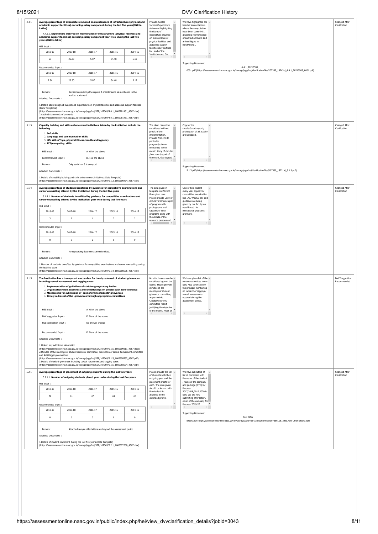| 8/15/2021 |                                                                                                                                                                                                                                                                                                                                                                                                                                                                                                                                                                                                                                                                                                                                                                                                                                                                                                                                                                                                                                                                                       |                                      |                                                                                                                                                                                                                                                                                                                                                                                                                                       |                |                                                            |                                                                                                                                                                                                                                                                            | <b>DVV Clarification History</b>                                                                                                                                                                                                           |                                       |
|-----------|---------------------------------------------------------------------------------------------------------------------------------------------------------------------------------------------------------------------------------------------------------------------------------------------------------------------------------------------------------------------------------------------------------------------------------------------------------------------------------------------------------------------------------------------------------------------------------------------------------------------------------------------------------------------------------------------------------------------------------------------------------------------------------------------------------------------------------------------------------------------------------------------------------------------------------------------------------------------------------------------------------------------------------------------------------------------------------------|--------------------------------------|---------------------------------------------------------------------------------------------------------------------------------------------------------------------------------------------------------------------------------------------------------------------------------------------------------------------------------------------------------------------------------------------------------------------------------------|----------------|------------------------------------------------------------|----------------------------------------------------------------------------------------------------------------------------------------------------------------------------------------------------------------------------------------------------------------------------|--------------------------------------------------------------------------------------------------------------------------------------------------------------------------------------------------------------------------------------------|---------------------------------------|
| 4.4.1     | Average percentage of expenditure incurred on maintenance of infrastructure (physical and<br>academic support facilities) excluding salary component during the last five years(INR in<br>Lakhs)<br>academic support facilities) excluding salary component year-wise during the last five<br>years (INR in lakhs)                                                                                                                                                                                                                                                                                                                                                                                                                                                                                                                                                                                                                                                                                                                                                                    |                                      | 4.4.1.1. Expenditure incurred on maintenance of infrastructure (physical facilities and                                                                                                                                                                                                                                                                                                                                               |                |                                                            | Provide Audited<br>Income/Expenditure<br>statement highlighting<br>the items of<br>expenditure incurred<br>on maintenance of<br>physical facilities and                                                                                                                    | We have highlighted the $\sim$<br>head of accounts from<br>where the computation<br>have been done 4.4.1,<br>attaching relevant page<br>of audited accounts and<br>arrived figure in                                                       |                                       |
|           | HEI Input:                                                                                                                                                                                                                                                                                                                                                                                                                                                                                                                                                                                                                                                                                                                                                                                                                                                                                                                                                                                                                                                                            |                                      |                                                                                                                                                                                                                                                                                                                                                                                                                                       |                |                                                            | academic support<br>facilities duly certified                                                                                                                                                                                                                              | handwriting.                                                                                                                                                                                                                               |                                       |
|           | 2018-19                                                                                                                                                                                                                                                                                                                                                                                                                                                                                                                                                                                                                                                                                                                                                                                                                                                                                                                                                                                                                                                                               | 2017-18                              | 2016-17                                                                                                                                                                                                                                                                                                                                                                                                                               | 2015-16        | 2014-15                                                    | by Head of the<br>$\rightarrow$<br>Institution and CA.                                                                                                                                                                                                                     |                                                                                                                                                                                                                                            |                                       |
|           | 63                                                                                                                                                                                                                                                                                                                                                                                                                                                                                                                                                                                                                                                                                                                                                                                                                                                                                                                                                                                                                                                                                    | 26.30                                | 5.07                                                                                                                                                                                                                                                                                                                                                                                                                                  | 34.48          | 5.12                                                       | $\mathbb{R}^{\mathbb{N}}$ .                                                                                                                                                                                                                                                | $\leftarrow$<br>Supporting Document:                                                                                                                                                                                                       |                                       |
|           | Recommended Input                                                                                                                                                                                                                                                                                                                                                                                                                                                                                                                                                                                                                                                                                                                                                                                                                                                                                                                                                                                                                                                                     |                                      |                                                                                                                                                                                                                                                                                                                                                                                                                                       |                |                                                            |                                                                                                                                                                                                                                                                            | 4.4.1_20210505_                                                                                                                                                                                                                            |                                       |
|           | 2018-19<br>2017-18<br>2016-17<br>2015-16<br>2014-15                                                                                                                                                                                                                                                                                                                                                                                                                                                                                                                                                                                                                                                                                                                                                                                                                                                                                                                                                                                                                                   |                                      |                                                                                                                                                                                                                                                                                                                                                                                                                                       |                |                                                            |                                                                                                                                                                                                                                                                            | 0001.pdf (https://assessmentonline.naac.gov.in/storage/app/hei/clarificationfiles/107369_18743id_4.4.1_20210505_0001.pdf)                                                                                                                  |                                       |
|           | 9.54                                                                                                                                                                                                                                                                                                                                                                                                                                                                                                                                                                                                                                                                                                                                                                                                                                                                                                                                                                                                                                                                                  | 26.30                                | 5.07                                                                                                                                                                                                                                                                                                                                                                                                                                  | 34.48          | 5.12                                                       |                                                                                                                                                                                                                                                                            |                                                                                                                                                                                                                                            |                                       |
|           | Remark:<br>Attached Documents:                                                                                                                                                                                                                                                                                                                                                                                                                                                                                                                                                                                                                                                                                                                                                                                                                                                                                                                                                                                                                                                        | audited statement.                   | Revised considering the repairs & maintenance as mentioned in the                                                                                                                                                                                                                                                                                                                                                                     |                |                                                            |                                                                                                                                                                                                                                                                            |                                                                                                                                                                                                                                            |                                       |
|           | 1. Details about assigned budget and expenditure on physical facilities and academic support facilities<br>(Data Templates)<br>(https://assessmentonline.naac.gov.in/storage/app/hei/SSR/107369/4.4.1_1605781431_4567.xlsx)<br>2.Audited statements of accounts<br>(https://assessmentonline.naac.gov.in/storage/app/hei/SSR/107369/4.4.1_1605781451_4567.pdf)                                                                                                                                                                                                                                                                                                                                                                                                                                                                                                                                                                                                                                                                                                                        |                                      |                                                                                                                                                                                                                                                                                                                                                                                                                                       |                |                                                            |                                                                                                                                                                                                                                                                            |                                                                                                                                                                                                                                            |                                       |
| 5.1.3     | Capacity building and skills enhancement initiatives taken by the institution include the<br>following<br>1. Soft skills<br>4. ICT/computing skills                                                                                                                                                                                                                                                                                                                                                                                                                                                                                                                                                                                                                                                                                                                                                                                                                                                                                                                                   | 2. Language and communication skills | 3. Life skills (Yoga, physical fitness, health and hygiene)                                                                                                                                                                                                                                                                                                                                                                           |                |                                                            | The claim cannot be<br>considered without<br>proofs of the<br>implementation.<br>Provide Web-link to<br>particular<br>program/scheme                                                                                                                                       | Copy of the<br>circular/short report /<br>photograph of all activity<br>are uploaded.                                                                                                                                                      | <b>Changed After</b><br>Clarification |
|           | HEI Input:                                                                                                                                                                                                                                                                                                                                                                                                                                                                                                                                                                                                                                                                                                                                                                                                                                                                                                                                                                                                                                                                            |                                      | A. All of the above                                                                                                                                                                                                                                                                                                                                                                                                                   |                |                                                            | mentioned in the<br>metric, Copy of circular                                                                                                                                                                                                                               |                                                                                                                                                                                                                                            |                                       |
|           | Recommended Input:                                                                                                                                                                                                                                                                                                                                                                                                                                                                                                                                                                                                                                                                                                                                                                                                                                                                                                                                                                                                                                                                    |                                      | D. 1 of the above                                                                                                                                                                                                                                                                                                                                                                                                                     |                |                                                            | /brochure /report of<br>the event. Geo tagged                                                                                                                                                                                                                              | $\leftarrow$                                                                                                                                                                                                                               |                                       |
|           | Remark:                                                                                                                                                                                                                                                                                                                                                                                                                                                                                                                                                                                                                                                                                                                                                                                                                                                                                                                                                                                                                                                                               |                                      | Only serial no. 3 is accepted.                                                                                                                                                                                                                                                                                                                                                                                                        |                |                                                            |                                                                                                                                                                                                                                                                            | Supporting Document:                                                                                                                                                                                                                       |                                       |
|           | <b>Attached Documents:</b>                                                                                                                                                                                                                                                                                                                                                                                                                                                                                                                                                                                                                                                                                                                                                                                                                                                                                                                                                                                                                                                            |                                      |                                                                                                                                                                                                                                                                                                                                                                                                                                       |                |                                                            |                                                                                                                                                                                                                                                                            | 5.1.3.pdf (https://assessmentonline.naac.gov.in/storage/app/hei/clarificationfiles/107369_18721id_5.1.3.pdf)                                                                                                                               |                                       |
|           | 1. Details of capability building and skills enhancement initiatives (Data Template)<br>(https://assessmentonline.naac.gov.in/storage/app/hei/SSR/107369/5.1.3_1605600434_4567.xlsx)                                                                                                                                                                                                                                                                                                                                                                                                                                                                                                                                                                                                                                                                                                                                                                                                                                                                                                  |                                      |                                                                                                                                                                                                                                                                                                                                                                                                                                       |                |                                                            |                                                                                                                                                                                                                                                                            |                                                                                                                                                                                                                                            |                                       |
| 5.1.4     | Average percentage of students benefitted by guidance for competitive examinations and                                                                                                                                                                                                                                                                                                                                                                                                                                                                                                                                                                                                                                                                                                                                                                                                                                                                                                                                                                                                |                                      |                                                                                                                                                                                                                                                                                                                                                                                                                                       |                |                                                            | The data given in                                                                                                                                                                                                                                                          | One or two student                                                                                                                                                                                                                         | Changed After                         |
|           | career counselling offered by the Institution during the last five years<br>career counselling offered by the institution year wise during last five years                                                                                                                                                                                                                                                                                                                                                                                                                                                                                                                                                                                                                                                                                                                                                                                                                                                                                                                            |                                      | 5.1.4.1. Number of students benefitted by guidance for competitive examinations and                                                                                                                                                                                                                                                                                                                                                   |                |                                                            | template is different<br>than given here.<br>Please provide Copy of                                                                                                                                                                                                        | every year appear for<br>competitive examination<br>like IAS, WBBCS etc. and                                                                                                                                                               | Clarification                         |
|           | HEI Input:                                                                                                                                                                                                                                                                                                                                                                                                                                                                                                                                                                                                                                                                                                                                                                                                                                                                                                                                                                                                                                                                            |                                      |                                                                                                                                                                                                                                                                                                                                                                                                                                       |                |                                                            | circular/brochure/reporl<br>of program with                                                                                                                                                                                                                                | guidance are being<br>given by our faculty on                                                                                                                                                                                              |                                       |
|           | 2018-19<br>2017-18<br>2016-17<br>2015-16                                                                                                                                                                                                                                                                                                                                                                                                                                                                                                                                                                                                                                                                                                                                                                                                                                                                                                                                                                                                                                              |                                      |                                                                                                                                                                                                                                                                                                                                                                                                                                       | 2014-15        | photographs and<br>captions of such<br>programs along with | need based. No<br>institutional programs<br>are there.                                                                                                                                                                                                                     |                                                                                                                                                                                                                                            |                                       |
|           | 3                                                                                                                                                                                                                                                                                                                                                                                                                                                                                                                                                                                                                                                                                                                                                                                                                                                                                                                                                                                                                                                                                     | $\overline{2}$                       | <sup>1</sup>                                                                                                                                                                                                                                                                                                                                                                                                                          | $\overline{2}$ | $\overline{2}$                                             | the details of the<br>resource persons and                                                                                                                                                                                                                                 |                                                                                                                                                                                                                                            |                                       |
|           | Recommended Input                                                                                                                                                                                                                                                                                                                                                                                                                                                                                                                                                                                                                                                                                                                                                                                                                                                                                                                                                                                                                                                                     |                                      |                                                                                                                                                                                                                                                                                                                                                                                                                                       |                |                                                            |                                                                                                                                                                                                                                                                            |                                                                                                                                                                                                                                            |                                       |
|           | 2018-19                                                                                                                                                                                                                                                                                                                                                                                                                                                                                                                                                                                                                                                                                                                                                                                                                                                                                                                                                                                                                                                                               | 2017-18                              | 2016-17                                                                                                                                                                                                                                                                                                                                                                                                                               | 2015-16        | 2014-15                                                    |                                                                                                                                                                                                                                                                            |                                                                                                                                                                                                                                            |                                       |
|           | $\mathbf 0$                                                                                                                                                                                                                                                                                                                                                                                                                                                                                                                                                                                                                                                                                                                                                                                                                                                                                                                                                                                                                                                                           | $\mathbf{0}$                         | $\overline{0}$                                                                                                                                                                                                                                                                                                                                                                                                                        | $\mathbf{0}$   | $\overline{0}$                                             |                                                                                                                                                                                                                                                                            |                                                                                                                                                                                                                                            |                                       |
| 5.1.5     | Remark:<br>Attached Documents:<br>1.Number of students benefited by guidance for competitive examinations and career counselling during<br>the last five years<br>(https://assessmentonline.naac.gov.in/storage/app/hei/SSR/107369/5.1.4_1605608696_4567.xlsx)<br>The Institution has a transparent mechanism for timely redressal of student grievances<br>including sexual harassment and ragging cases<br>HEI Input:<br>DVV suggested Input:<br>HEI clarification Input:<br>Recommended Input:<br>Attached Documents:<br>1.Upload any additional information<br>(https://assessmentonline.naac.qov.in/storaqe/app/hei/SSR/107369/5.1.5_1605609811_4567.docx)<br>2. Minutes of the meetings of student redressal committee, prevention of sexual harassment committee<br>and Anti Ragging committee<br>(https://assessmentonline.naac.gov.in/storage/app/hei/SSR/107369/5.1.5_1605958732_4567.pdf)<br>3. Details of student grievances including sexual harassment and ragging cases<br>(https://assessmentonline.naac.gov.in/storage/app/hei/SSR/107369/5.1.5_1605958694_4567.pdf) |                                      | No supporting documents are submitted.<br>1. Implementation of guidelines of statutory/regulatory bodies<br>2. Organisation wide awareness and undertakings on policies with zero tolerance<br>3. Mechanisms for submission of online/offline students' grievances<br>4. Timely redressal of the grievances through appropriate committees<br>A. All of the above<br>E. None of the above<br>No answer change<br>E. None of the above |                |                                                            | No attachments can be -<br>considered against the<br>claims. Please provide<br>minutes of the<br>meetings of student<br>grievance committee,<br>as per metric,<br>Circular/web-link/<br>committee report<br>justifying the objective<br>of the metric, Proof of $\sqrt{*}$ | We have given list of the $\sim$<br>various committee in our<br>SSR. Also certificate by<br>the principal mentioning<br>no incident of ragging /<br>sexual harassments<br>occured during the<br>assessment period.<br>4.11<br>$\mathbb{R}$ | DVV Suggestion<br>Recommended         |
| 5.2.1     | Average percentage of placement of outgoing students during the last five years                                                                                                                                                                                                                                                                                                                                                                                                                                                                                                                                                                                                                                                                                                                                                                                                                                                                                                                                                                                                       |                                      |                                                                                                                                                                                                                                                                                                                                                                                                                                       |                |                                                            | Please provide the list A<br>of students with their                                                                                                                                                                                                                        | We have submitted of<br>list of placement with                                                                                                                                                                                             | Changed After<br>Clarification        |
|           |                                                                                                                                                                                                                                                                                                                                                                                                                                                                                                                                                                                                                                                                                                                                                                                                                                                                                                                                                                                                                                                                                       |                                      | 5.2.1.1. Number of outgoing students placed year - wise during the last five years.                                                                                                                                                                                                                                                                                                                                                   |                |                                                            | outgoing year and the<br>placement proofs for                                                                                                                                                                                                                              | the name of the student<br>, name of the company                                                                                                                                                                                           |                                       |
|           | HEI Input:<br>2018-19                                                                                                                                                                                                                                                                                                                                                                                                                                                                                                                                                                                                                                                                                                                                                                                                                                                                                                                                                                                                                                                                 | 2017-18                              | 2016-17                                                                                                                                                                                                                                                                                                                                                                                                                               | 2015-16        | 2014-15                                                    | each. The data given<br>should be in sync with                                                                                                                                                                                                                             | and package (CTC) for<br>the year<br>2017,2018,2019,2020 in<br>SSR. We are now<br>submitting offer letter /<br>email of the company for<br>the year 2019-20.                                                                               |                                       |
|           | 72                                                                                                                                                                                                                                                                                                                                                                                                                                                                                                                                                                                                                                                                                                                                                                                                                                                                                                                                                                                                                                                                                    | 61                                   | 47                                                                                                                                                                                                                                                                                                                                                                                                                                    | 61             | 60                                                         | the student list<br>attached in the<br>extended profile.                                                                                                                                                                                                                   |                                                                                                                                                                                                                                            |                                       |
|           | Recommended Input                                                                                                                                                                                                                                                                                                                                                                                                                                                                                                                                                                                                                                                                                                                                                                                                                                                                                                                                                                                                                                                                     |                                      |                                                                                                                                                                                                                                                                                                                                                                                                                                       |                |                                                            |                                                                                                                                                                                                                                                                            |                                                                                                                                                                                                                                            |                                       |
|           | 2018-19                                                                                                                                                                                                                                                                                                                                                                                                                                                                                                                                                                                                                                                                                                                                                                                                                                                                                                                                                                                                                                                                               | 2017-18                              | 2016-17                                                                                                                                                                                                                                                                                                                                                                                                                               | 2015-16        | 2014-15                                                    | $\mathbb{R}^{\mathbb{N}}$ .                                                                                                                                                                                                                                                | $\mathbb{R}$                                                                                                                                                                                                                               |                                       |
|           | $\mathbf 0$                                                                                                                                                                                                                                                                                                                                                                                                                                                                                                                                                                                                                                                                                                                                                                                                                                                                                                                                                                                                                                                                           | $\mathbf 0$                          | $\overline{0}$                                                                                                                                                                                                                                                                                                                                                                                                                        | $\mathbf 0$    | $\,$ 0                                                     |                                                                                                                                                                                                                                                                            | Supporting Document:<br>Few Offer                                                                                                                                                                                                          |                                       |
|           | Remark:                                                                                                                                                                                                                                                                                                                                                                                                                                                                                                                                                                                                                                                                                                                                                                                                                                                                                                                                                                                                                                                                               |                                      | Attached sample offer letters are beyond the assessment period.                                                                                                                                                                                                                                                                                                                                                                       |                |                                                            |                                                                                                                                                                                                                                                                            | letters.pdf (https://assessmentonline.naac.gov.in/storage/app/hei/clarificationfiles/107369_18724id_Few Offer letters.pdf)                                                                                                                 |                                       |
|           | Attached Documents:                                                                                                                                                                                                                                                                                                                                                                                                                                                                                                                                                                                                                                                                                                                                                                                                                                                                                                                                                                                                                                                                   |                                      |                                                                                                                                                                                                                                                                                                                                                                                                                                       |                |                                                            |                                                                                                                                                                                                                                                                            |                                                                                                                                                                                                                                            |                                       |
|           | 1. Details of student placement during the last five years (Data Template)<br>(https://assessmentonline.naac.gov.in/storage/app/hei/SSR/107369/5.2.1_1605872560_4567.xlsx)                                                                                                                                                                                                                                                                                                                                                                                                                                                                                                                                                                                                                                                                                                                                                                                                                                                                                                            |                                      |                                                                                                                                                                                                                                                                                                                                                                                                                                       |                |                                                            |                                                                                                                                                                                                                                                                            |                                                                                                                                                                                                                                            |                                       |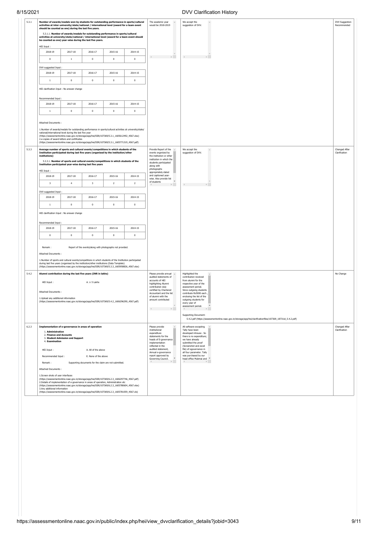| 5.3.1 |                                                                                                                                                                                                                                                                                                                           | should be counted as one) during the last five years.                                                  |                      | activities at inter-university/state/national / international level (award for a team event                                                                                                                                                                                                                                                                   | Number of awards/medals won by students for outstanding performance in sports/cultural | The academic year<br>We accept the<br>$\Delta$<br>would be 2018-2019<br>suggestion of DVV.                                                  | DVV Suggestion<br>Recommended                                                                                                                                     |                                |
|-------|---------------------------------------------------------------------------------------------------------------------------------------------------------------------------------------------------------------------------------------------------------------------------------------------------------------------------|--------------------------------------------------------------------------------------------------------|----------------------|---------------------------------------------------------------------------------------------------------------------------------------------------------------------------------------------------------------------------------------------------------------------------------------------------------------------------------------------------------------|----------------------------------------------------------------------------------------|---------------------------------------------------------------------------------------------------------------------------------------------|-------------------------------------------------------------------------------------------------------------------------------------------------------------------|--------------------------------|
|       |                                                                                                                                                                                                                                                                                                                           | be counted as one) year-wise during the last five years.                                               |                      | 5.3.1.1. Number of awards/medals for outstanding performance in sports/cultural<br>activities at university/state/national / international level (award for a team event should                                                                                                                                                                               |                                                                                        |                                                                                                                                             |                                                                                                                                                                   |                                |
|       | HEI Input:                                                                                                                                                                                                                                                                                                                |                                                                                                        |                      |                                                                                                                                                                                                                                                                                                                                                               |                                                                                        |                                                                                                                                             |                                                                                                                                                                   |                                |
|       | 2018-19<br>2017-18<br>2016-17<br>2015-16<br>2014-15                                                                                                                                                                                                                                                                       |                                                                                                        |                      |                                                                                                                                                                                                                                                                                                                                                               |                                                                                        |                                                                                                                                             |                                                                                                                                                                   |                                |
|       | $\mathbf 0$                                                                                                                                                                                                                                                                                                               | $\mathbf{1}$                                                                                           | $\circ$              | $\mathbf{0}$                                                                                                                                                                                                                                                                                                                                                  | $\mathbf 0$                                                                            |                                                                                                                                             |                                                                                                                                                                   |                                |
|       | DVV suggested Input:                                                                                                                                                                                                                                                                                                      |                                                                                                        |                      |                                                                                                                                                                                                                                                                                                                                                               |                                                                                        |                                                                                                                                             |                                                                                                                                                                   |                                |
|       | 2018-19                                                                                                                                                                                                                                                                                                                   | 2017-18                                                                                                | 2016-17              | 2015-16                                                                                                                                                                                                                                                                                                                                                       | 2014-15                                                                                |                                                                                                                                             |                                                                                                                                                                   |                                |
|       | $\,1\,$                                                                                                                                                                                                                                                                                                                   | $\,0\,$                                                                                                | $\mathbf 0$          | $\,0\,$                                                                                                                                                                                                                                                                                                                                                       | $\mathbf 0$                                                                            |                                                                                                                                             |                                                                                                                                                                   |                                |
|       |                                                                                                                                                                                                                                                                                                                           | HEI clarification Input : No answer change                                                             |                      |                                                                                                                                                                                                                                                                                                                                                               |                                                                                        |                                                                                                                                             |                                                                                                                                                                   |                                |
|       | Recommended Input:                                                                                                                                                                                                                                                                                                        |                                                                                                        |                      |                                                                                                                                                                                                                                                                                                                                                               |                                                                                        |                                                                                                                                             |                                                                                                                                                                   |                                |
|       | 2018-19                                                                                                                                                                                                                                                                                                                   | 2017-18                                                                                                | 2016-17              | 2015-16                                                                                                                                                                                                                                                                                                                                                       | 2014-15                                                                                |                                                                                                                                             |                                                                                                                                                                   |                                |
|       | $1\,$                                                                                                                                                                                                                                                                                                                     | $\mathbf 0$                                                                                            | $\pmb{0}$            | $\,0\,$                                                                                                                                                                                                                                                                                                                                                       | $\pmb{0}$                                                                              |                                                                                                                                             |                                                                                                                                                                   |                                |
|       | Attached Documents:                                                                                                                                                                                                                                                                                                       | national/international level during the last five year<br>2.e-copies of award letters and certificates |                      | 1.Number of awards/medals for outstanding performance in sports/cultural activities at university/state/<br>(https://assessmentonline.naac.gov.in/storage/app/hei/SSR/107369/5.3.1_1605612492_4567.xlsx)<br>(https://assessmentonline.naac.gov.in/storage/app/hei/SSR/107369/5.3.1_1605771319_4567.pdf)                                                       |                                                                                        |                                                                                                                                             |                                                                                                                                                                   |                                |
|       | institutions)                                                                                                                                                                                                                                                                                                             | Institution participated year-wise during last five years                                              |                      | Average number of sports and cultural events/competitions in which students of the<br>Institution participated during last five years (organised by the institution/other<br>5.3.3.1. Number of sports and cultural events/competitions in which students of the                                                                                              |                                                                                        | Provide Report of the<br>events organized by<br>the institution or other<br>institution in which the<br>students participated<br>along with | We accept the<br>suggestion of DVV.                                                                                                                               | Changed After<br>Clarification |
|       | HEI Input:<br>2018-19                                                                                                                                                                                                                                                                                                     | 2017-18                                                                                                | 2016-17              | 2015-16                                                                                                                                                                                                                                                                                                                                                       | 2014-15                                                                                | photographs<br>appropriately dated<br>and captioned year-                                                                                   |                                                                                                                                                                   |                                |
|       | 3                                                                                                                                                                                                                                                                                                                         | $\overline{4}$                                                                                         | 3                    | $\overline{2}$                                                                                                                                                                                                                                                                                                                                                | $\mathbf 2$                                                                            | wise. Also provide list<br>of students                                                                                                      | $\leftarrow$                                                                                                                                                      |                                |
|       |                                                                                                                                                                                                                                                                                                                           |                                                                                                        |                      |                                                                                                                                                                                                                                                                                                                                                               |                                                                                        |                                                                                                                                             |                                                                                                                                                                   |                                |
|       | DVV suggested Input:<br>2018-19                                                                                                                                                                                                                                                                                           | 2017-18                                                                                                | 2016-17              | 2015-16                                                                                                                                                                                                                                                                                                                                                       | 2014-15                                                                                |                                                                                                                                             |                                                                                                                                                                   |                                |
|       | 1                                                                                                                                                                                                                                                                                                                         | $\mathbf{0}$                                                                                           | $\mathbf 0$          | $\mathbf 0$                                                                                                                                                                                                                                                                                                                                                   | $\mathbf 0$                                                                            |                                                                                                                                             |                                                                                                                                                                   |                                |
|       | HEI clarification Input : No answer change<br>Recommended Input                                                                                                                                                                                                                                                           |                                                                                                        |                      |                                                                                                                                                                                                                                                                                                                                                               |                                                                                        |                                                                                                                                             |                                                                                                                                                                   |                                |
|       | 2018-19                                                                                                                                                                                                                                                                                                                   | 2017-18                                                                                                | 2016-17              | 2015-16                                                                                                                                                                                                                                                                                                                                                       | 2014-15                                                                                |                                                                                                                                             |                                                                                                                                                                   |                                |
|       | $\mathbf 0$                                                                                                                                                                                                                                                                                                               | $\,0\,$                                                                                                | $\mathbf 0$          | $\,0\,$                                                                                                                                                                                                                                                                                                                                                       | $\mathbf 0$                                                                            |                                                                                                                                             |                                                                                                                                                                   |                                |
|       | Remark:<br>Attached Documents :                                                                                                                                                                                                                                                                                           |                                                                                                        |                      | Report of the events/along with photographs not provided.<br>1.Number of sports and cultural events/competitions in which students of the Institution participated<br>during last five years (organised by the institution/other institutions (Data Template)<br>(https://assessmentonline.naac.gov.in/storage/app/hei/SSR/107369/5.3.3_1605958826_4567.xlsx) |                                                                                        |                                                                                                                                             |                                                                                                                                                                   |                                |
|       |                                                                                                                                                                                                                                                                                                                           | Alumni contribution during the last five years (INR in lakhs)                                          |                      |                                                                                                                                                                                                                                                                                                                                                               |                                                                                        | Please provide annual -<br>audited statements of                                                                                            | Highlighted the<br>contribution received                                                                                                                          | No Change                      |
|       | HEI Input:                                                                                                                                                                                                                                                                                                                |                                                                                                        | A. $\geq$ 5 Lakhs    |                                                                                                                                                                                                                                                                                                                                                               |                                                                                        | accounts of HEI<br>highlighting Alumni                                                                                                      | from alumni for the<br>respective year of the                                                                                                                     |                                |
|       |                                                                                                                                                                                                                                                                                                                           |                                                                                                        |                      |                                                                                                                                                                                                                                                                                                                                                               |                                                                                        | contribution duly<br>certified by Chartered                                                                                                 | assessment period.<br>Since outgoing students                                                                                                                     |                                |
|       | Attached Documents:                                                                                                                                                                                                                                                                                                       |                                                                                                        |                      |                                                                                                                                                                                                                                                                                                                                                               |                                                                                        | Accountant and the list<br>of alumni with the                                                                                               | contribute Rs5000 each<br>enclosing the list of the                                                                                                               |                                |
|       | 1.Upload any additional information                                                                                                                                                                                                                                                                                       |                                                                                                        |                      | (https://assessmentonline.naac.gov.in/storage/app/hei/SSR/107369/5.4.2_1606296290_4567.pdf)                                                                                                                                                                                                                                                                   |                                                                                        | amount contributed                                                                                                                          | outgoing students for<br>every year of<br>$\mathbf{v}$<br>assessment period.                                                                                      |                                |
|       |                                                                                                                                                                                                                                                                                                                           |                                                                                                        |                      |                                                                                                                                                                                                                                                                                                                                                               |                                                                                        | $\mathbb{R}$                                                                                                                                | $\mathbb{R}^n$<br>Supporting Document:                                                                                                                            |                                |
|       |                                                                                                                                                                                                                                                                                                                           |                                                                                                        |                      |                                                                                                                                                                                                                                                                                                                                                               |                                                                                        |                                                                                                                                             | 5.4.2.pdf (https://assessmentonline.naac.gov.in/storage/app/hei/clarificationfiles/107369_18731id_5.4.2.pdf)                                                      |                                |
|       | 1. Administration<br>2. Finance and Accounts<br>4. Examination                                                                                                                                                                                                                                                            | Implementation of e-governance in areas of operation<br>3. Student Admission and Support               |                      |                                                                                                                                                                                                                                                                                                                                                               |                                                                                        | Please provide<br>Institutional<br>expenditure<br>statements for the<br>heads of E-governance<br>implementation<br>reflected in the         | All software excepting<br>Tally have been<br>developed inhouse. So<br>there is no expenditure;<br>we have already<br>submitted the proof<br>(Screenshot and excel | Changed After<br>Clarification |
|       | HEI Input:<br>A. All of the above                                                                                                                                                                                                                                                                                         |                                                                                                        |                      |                                                                                                                                                                                                                                                                                                                                                               |                                                                                        | audited statement,<br>Annual e-governance                                                                                                   | file) of egovernance in                                                                                                                                           |                                |
|       | Recommended Input:                                                                                                                                                                                                                                                                                                        |                                                                                                        | E. None of the above |                                                                                                                                                                                                                                                                                                                                                               |                                                                                        | report approved by<br>Governing Council.                                                                                                    | all four parameter. Tally<br>was purchased by our<br>head office Mubmai and *                                                                                     |                                |
|       | Remark:<br>Supporting documents for the claim are not submitted.                                                                                                                                                                                                                                                          |                                                                                                        |                      |                                                                                                                                                                                                                                                                                                                                                               |                                                                                        | $\mathbb{R}^{n-1}$                                                                                                                          |                                                                                                                                                                   |                                |
|       | Attached Documents :                                                                                                                                                                                                                                                                                                      |                                                                                                        |                      |                                                                                                                                                                                                                                                                                                                                                               |                                                                                        |                                                                                                                                             |                                                                                                                                                                   |                                |
|       | 1.Screen shots of user interfaces<br>(https://assessmentonline.naac.gov.in/storage/app/hei/SSR/107369/6.2.3_1606297746_4567.pdf)<br>2.Details of implementation of e-governance in areas of operation, Administration etc<br>(https://assessmentonline.naac.gov.in/storage/app/hei/SSR/107369/6.2.3_1605780604_4567.xlsx) |                                                                                                        |                      |                                                                                                                                                                                                                                                                                                                                                               |                                                                                        |                                                                                                                                             |                                                                                                                                                                   |                                |
|       | 3.Any additional information                                                                                                                                                                                                                                                                                              |                                                                                                        |                      | (https://assessmentonline.naac.gov.in/storage/app/hei/SSR/107369/6.2.3_1605781059_4567.xls)                                                                                                                                                                                                                                                                   |                                                                                        |                                                                                                                                             |                                                                                                                                                                   |                                |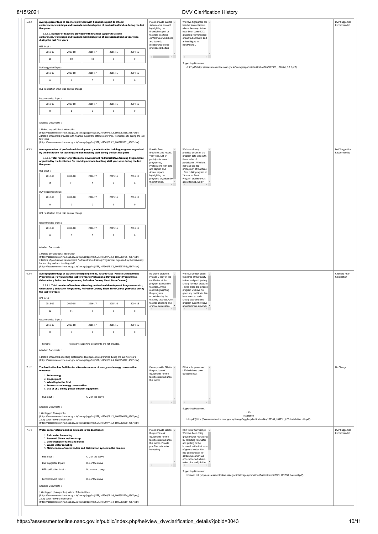8/15/2021 DVV Clarification History

| 6.3.2 | Average percentage of teachers provided with financial support to attend<br>conferences/workshops and towards membership fee of professional bodies during the last<br>five years<br>conferences/workshops and towards membership fee of professional bodies year wise<br>during the last five years                                                                                                                                                                                                                         |                                                                                                                                                                                                                                                                                                                                        | 6.3.2.1. Number of teachers provided with financial support to attend                 |             |             | Please provide audited ~<br>statement of account<br>highlighting the<br>financial support to<br>teachers to attend<br>conferences/workshops<br>and towards                                             | We have highlighted the $\sim$<br>head of accounts from<br>where the computation<br>have been done 6.3.2,<br>attaching relevant page<br>of audited accounts and<br>arrived figure in                                                                                                      |                                |
|-------|------------------------------------------------------------------------------------------------------------------------------------------------------------------------------------------------------------------------------------------------------------------------------------------------------------------------------------------------------------------------------------------------------------------------------------------------------------------------------------------------------------------------------|----------------------------------------------------------------------------------------------------------------------------------------------------------------------------------------------------------------------------------------------------------------------------------------------------------------------------------------|---------------------------------------------------------------------------------------|-------------|-------------|--------------------------------------------------------------------------------------------------------------------------------------------------------------------------------------------------------|-------------------------------------------------------------------------------------------------------------------------------------------------------------------------------------------------------------------------------------------------------------------------------------------|--------------------------------|
|       | HEI Input:                                                                                                                                                                                                                                                                                                                                                                                                                                                                                                                   |                                                                                                                                                                                                                                                                                                                                        |                                                                                       |             |             | membership fee for<br>professional bodies                                                                                                                                                              | handwriting.                                                                                                                                                                                                                                                                              |                                |
|       | 2018-19                                                                                                                                                                                                                                                                                                                                                                                                                                                                                                                      | 2017-18                                                                                                                                                                                                                                                                                                                                | 2016-17                                                                               | 2015-16     | 2014-15     | $\mathbb{R}^n$ .<br>$\leftarrow$                                                                                                                                                                       | $\leftarrow$                                                                                                                                                                                                                                                                              |                                |
|       | $11\,$                                                                                                                                                                                                                                                                                                                                                                                                                                                                                                                       | $10\,$                                                                                                                                                                                                                                                                                                                                 | $10\,$                                                                                | 6           | $\,0\,$     |                                                                                                                                                                                                        | <b>Supporting Document:</b><br>6.3.2.pdf (https://assessmentonline.naac.gov.in/storage/app/hei/clarificationfiles/107369_18709id_6.3.2.pdf)                                                                                                                                               |                                |
|       | DVV suggested Input:<br>2018-19                                                                                                                                                                                                                                                                                                                                                                                                                                                                                              | 2017-18                                                                                                                                                                                                                                                                                                                                | 2016-17                                                                               | 2015-16     | 2014-15     |                                                                                                                                                                                                        |                                                                                                                                                                                                                                                                                           |                                |
|       | $\mathbf 0$                                                                                                                                                                                                                                                                                                                                                                                                                                                                                                                  | $\overline{1}$                                                                                                                                                                                                                                                                                                                         | $\mathbf 0$                                                                           | $\mathbf 0$ | $\mathbf 0$ |                                                                                                                                                                                                        |                                                                                                                                                                                                                                                                                           |                                |
|       | HEI clarification Input : No answer change                                                                                                                                                                                                                                                                                                                                                                                                                                                                                   |                                                                                                                                                                                                                                                                                                                                        |                                                                                       |             |             |                                                                                                                                                                                                        |                                                                                                                                                                                                                                                                                           |                                |
|       | Recommended Input:                                                                                                                                                                                                                                                                                                                                                                                                                                                                                                           |                                                                                                                                                                                                                                                                                                                                        |                                                                                       |             |             |                                                                                                                                                                                                        |                                                                                                                                                                                                                                                                                           |                                |
|       | 2018-19                                                                                                                                                                                                                                                                                                                                                                                                                                                                                                                      | 2017-18                                                                                                                                                                                                                                                                                                                                | 2016-17                                                                               | 2015-16     | 2014-15     |                                                                                                                                                                                                        |                                                                                                                                                                                                                                                                                           |                                |
|       | $\circ$                                                                                                                                                                                                                                                                                                                                                                                                                                                                                                                      | $\mathbf{1}$                                                                                                                                                                                                                                                                                                                           | $\mathbf 0$                                                                           | $\mathbf 0$ | $\mathbf 0$ |                                                                                                                                                                                                        |                                                                                                                                                                                                                                                                                           |                                |
|       | Attached Documents:<br>1.Upload any additional information<br>(https://assessmentonline.naac.gov.in/storage/app/hei/SSR/107369/6.3.2_1605783218_4567.pdf)<br>2.Details of teachers provided with financial support to attend conference, workshops etc during the last<br>five years                                                                                                                                                                                                                                         |                                                                                                                                                                                                                                                                                                                                        |                                                                                       |             |             |                                                                                                                                                                                                        |                                                                                                                                                                                                                                                                                           |                                |
|       | (https://assessmentonline.naac.gov.in/storage/app/hei/SSR/107369/6.3.2_1605783261_4567.xlsx)                                                                                                                                                                                                                                                                                                                                                                                                                                 |                                                                                                                                                                                                                                                                                                                                        |                                                                                       |             |             |                                                                                                                                                                                                        |                                                                                                                                                                                                                                                                                           |                                |
| 6.3.3 | Average number of professional development /administrative training programs organized<br>by the institution for teaching and non teaching staff during the last five years                                                                                                                                                                                                                                                                                                                                                  |                                                                                                                                                                                                                                                                                                                                        |                                                                                       |             |             | Provide Event<br>Brochures and reports<br>year-wise, List of                                                                                                                                           | We have already<br>provided details of the<br>program date wise with                                                                                                                                                                                                                      | DVV Suggestion<br>Recommended  |
|       | organized by the institution for teaching and non teaching staff year-wise during the last<br>five years                                                                                                                                                                                                                                                                                                                                                                                                                     |                                                                                                                                                                                                                                                                                                                                        | 6.3.3.1. Total number of professional development /administrative training Programmes |             |             | participants in each<br>programme,                                                                                                                                                                     | the number of<br>participants . We didnt<br>not take geo tag                                                                                                                                                                                                                              |                                |
|       | HEI Input:                                                                                                                                                                                                                                                                                                                                                                                                                                                                                                                   |                                                                                                                                                                                                                                                                                                                                        |                                                                                       |             |             | Photographs with date<br>and caption and<br>Annual reports                                                                                                                                             | photograph at that time<br>. One public program on                                                                                                                                                                                                                                        |                                |
|       | 2018-19                                                                                                                                                                                                                                                                                                                                                                                                                                                                                                                      | 2017-18                                                                                                                                                                                                                                                                                                                                | 2016-17                                                                               | 2015-16     | 2014-15     | highlighting the<br>programs organized by                                                                                                                                                              | "Advanced Excel<br>Progam" brochure was<br>also attached. Kindly                                                                                                                                                                                                                          |                                |
|       | $12\,$                                                                                                                                                                                                                                                                                                                                                                                                                                                                                                                       | 11                                                                                                                                                                                                                                                                                                                                     | 8                                                                                     | 6           | $\mathbf 0$ | the institution.<br>$\mathbb{R}$                                                                                                                                                                       | $\mathbb{R}$                                                                                                                                                                                                                                                                              |                                |
|       | DVV suggested Input:<br>2018-19                                                                                                                                                                                                                                                                                                                                                                                                                                                                                              | 2017-18                                                                                                                                                                                                                                                                                                                                | 2016-17                                                                               | 2015-16     | 2014-15     |                                                                                                                                                                                                        |                                                                                                                                                                                                                                                                                           |                                |
|       | $\mathbf 0$                                                                                                                                                                                                                                                                                                                                                                                                                                                                                                                  | $^{\circ}$                                                                                                                                                                                                                                                                                                                             | $\mathbf 0$                                                                           | $\mathbf 0$ | $\,0\,$     |                                                                                                                                                                                                        |                                                                                                                                                                                                                                                                                           |                                |
|       | HEI clarification Input : No answer change                                                                                                                                                                                                                                                                                                                                                                                                                                                                                   |                                                                                                                                                                                                                                                                                                                                        |                                                                                       |             |             |                                                                                                                                                                                                        |                                                                                                                                                                                                                                                                                           |                                |
|       | Recommended Input:                                                                                                                                                                                                                                                                                                                                                                                                                                                                                                           |                                                                                                                                                                                                                                                                                                                                        |                                                                                       |             |             |                                                                                                                                                                                                        |                                                                                                                                                                                                                                                                                           |                                |
|       | 2018-19                                                                                                                                                                                                                                                                                                                                                                                                                                                                                                                      | 2017-18                                                                                                                                                                                                                                                                                                                                | 2016-17                                                                               | 2015-16     | 2014-15     |                                                                                                                                                                                                        |                                                                                                                                                                                                                                                                                           |                                |
|       | $\pmb{0}$                                                                                                                                                                                                                                                                                                                                                                                                                                                                                                                    | $\mathbf{0}$                                                                                                                                                                                                                                                                                                                           | $\mathbf 0$                                                                           | $\mathbf 0$ | $\mathbf 0$ |                                                                                                                                                                                                        |                                                                                                                                                                                                                                                                                           |                                |
| 6.3.4 | for teaching and non teaching staff<br>(https://assessmentonline.naac.gov.in/storage/app/hei/SSR/107369/6.3.3_1605953249_4567.xlsx)<br>Average percentage of teachers undergoing online/ face-to-face Faculty Development<br>Programmes (FDP) during the last five years (Professional Development Programmes,<br>Orientation / Induction Programmes, Refresher Course, Short Term Course ).<br>Orientation / Induction Programme, Refresher Course, Short Term Course year-wise during<br>the last five years<br>HEI Input: |                                                                                                                                                                                                                                                                                                                                        | 6.3.4.1. Total number of teachers attending professional development Programmes viz., |             |             | No proofs attached.<br>Provide E-copy of the<br>certificates of the<br>program attended by<br>teachers, Annual<br>reports highlighting<br>the programs<br>undertaken by the<br>teaching faculties. One | We have already given<br>the name of the faculty<br>trainer and participating<br>faculty for each program<br>, since these are inhouse<br>program we have not<br>given any certificate. We<br>have counted each<br>faculty attending one                                                  | Changed After<br>Clarification |
|       | 2018-19                                                                                                                                                                                                                                                                                                                                                                                                                                                                                                                      | 2017-18                                                                                                                                                                                                                                                                                                                                | 2016-17                                                                               | 2015-16     | 2014-15     | teacher attending one<br>or more professional<br>$\mathbb{R}$                                                                                                                                          | program even they have<br>attended more program $\sqrt{\phantom{a}}$                                                                                                                                                                                                                      |                                |
|       | 12                                                                                                                                                                                                                                                                                                                                                                                                                                                                                                                           | 11                                                                                                                                                                                                                                                                                                                                     | 8                                                                                     | 6           | $^{\circ}$  |                                                                                                                                                                                                        |                                                                                                                                                                                                                                                                                           |                                |
|       | Recommended Input:<br>2018-19                                                                                                                                                                                                                                                                                                                                                                                                                                                                                                | 2017-18                                                                                                                                                                                                                                                                                                                                | 2016-17                                                                               | 2015-16     | 2014-15     |                                                                                                                                                                                                        |                                                                                                                                                                                                                                                                                           |                                |
|       | $\mathbf 0$                                                                                                                                                                                                                                                                                                                                                                                                                                                                                                                  | $\mathbf 0$                                                                                                                                                                                                                                                                                                                            | $\mathbf 0$                                                                           | $\mathbf 0$ | $\mathbf 0$ |                                                                                                                                                                                                        |                                                                                                                                                                                                                                                                                           |                                |
|       | Remark:                                                                                                                                                                                                                                                                                                                                                                                                                                                                                                                      |                                                                                                                                                                                                                                                                                                                                        | Necessary supporting documents are not provided.                                      |             |             |                                                                                                                                                                                                        |                                                                                                                                                                                                                                                                                           |                                |
|       | Attached Documents:                                                                                                                                                                                                                                                                                                                                                                                                                                                                                                          |                                                                                                                                                                                                                                                                                                                                        |                                                                                       |             |             |                                                                                                                                                                                                        |                                                                                                                                                                                                                                                                                           |                                |
|       | 1.Details of teachers attending professional development programmes during the last five years<br>(https://assessmentonline.naac.gov.in/storage/app/hei/SSR/107369/6.3.4_1605954712_4567.xlsx)                                                                                                                                                                                                                                                                                                                               |                                                                                                                                                                                                                                                                                                                                        |                                                                                       |             |             |                                                                                                                                                                                                        |                                                                                                                                                                                                                                                                                           |                                |
| 7.1.2 | The Institution has facilities for alternate sources of energy and energy conservation<br>measures                                                                                                                                                                                                                                                                                                                                                                                                                           |                                                                                                                                                                                                                                                                                                                                        |                                                                                       |             |             | Please provide Bills for A<br>the purchase of                                                                                                                                                          | Bill of solar power and<br>LED bulb have been                                                                                                                                                                                                                                             | No Change                      |
|       | 1. Solar energy<br>2. Biogas plant<br>3. Wheeling to the Grid                                                                                                                                                                                                                                                                                                                                                                                                                                                                | 4. Sensor-based energy conservation<br>5. Use of LED bulbs/ power efficient equipment                                                                                                                                                                                                                                                  |                                                                                       |             |             | equipments for the<br>facilities created under<br>this metric                                                                                                                                          | uploaded now.                                                                                                                                                                                                                                                                             |                                |
|       | HEI Input:                                                                                                                                                                                                                                                                                                                                                                                                                                                                                                                   | C. 2 of the above                                                                                                                                                                                                                                                                                                                      |                                                                                       |             |             |                                                                                                                                                                                                        |                                                                                                                                                                                                                                                                                           |                                |
|       | Attached Documents:                                                                                                                                                                                                                                                                                                                                                                                                                                                                                                          |                                                                                                                                                                                                                                                                                                                                        |                                                                                       |             |             | $\mathbb{R}$<br>distant                                                                                                                                                                                | $\ll$<br><b>Supporting Document:</b>                                                                                                                                                                                                                                                      |                                |
|       | 1.Geotagged Photographs<br>(https://assessmentonline.naac.gov.in/storage/app/hei/SSR/107369/7.1.2_1606300468_4567.png)                                                                                                                                                                                                                                                                                                                                                                                                       |                                                                                                                                                                                                                                                                                                                                        |                                                                                       |             |             |                                                                                                                                                                                                        | LED<br>installation                                                                                                                                                                                                                                                                       |                                |
|       | 2.Any other relevant information<br>(https://assessmentonline.naac.gov.in/storage/app/hei/SSR/107369/7.1.2_1605782230_4567.pdf)                                                                                                                                                                                                                                                                                                                                                                                              |                                                                                                                                                                                                                                                                                                                                        |                                                                                       |             |             |                                                                                                                                                                                                        | bills.pdf (https://assessmentonline.naac.gov.in/storage/app/hei/clarificationfiles/107369_18975id_LED installation bills.pdf)                                                                                                                                                             |                                |
| 7.1.4 | HEI Input:                                                                                                                                                                                                                                                                                                                                                                                                                                                                                                                   | Water conservation facilities available in the Institution:<br>1. Rain water harvesting<br>2. Borewell / Open well recharge<br>3. Construction of tanks and bunds<br>4. Waste water recycling<br>5. Maintenance of water bodies and distribution system in the campus<br>C. 2 of the above<br>DVV suggested Input:<br>D.1 of the above |                                                                                       |             |             |                                                                                                                                                                                                        | Rain water harvesting : A<br>We have been doing<br>ground water recharging<br>by collecting rain water<br>and putting to the<br>borewell in the first layer<br>of ground water. We<br>had one borewell for<br>gardening earlier; we<br>only connected all rain<br>water pipe and joint to | DVV Suggestion<br>Recommended  |
|       | HEI clarification Input:                                                                                                                                                                                                                                                                                                                                                                                                                                                                                                     |                                                                                                                                                                                                                                                                                                                                        | No answer change                                                                      |             |             | $\mathbb{C}^n$ , and $\mathbb{C}^n$ , and $\mathbb{C}^n$                                                                                                                                               | Supporting Document:                                                                                                                                                                                                                                                                      |                                |
|       | Recommended Input:<br>D.1 of the above                                                                                                                                                                                                                                                                                                                                                                                                                                                                                       |                                                                                                                                                                                                                                                                                                                                        |                                                                                       |             |             |                                                                                                                                                                                                        | borewell.pdf (https://assessmentonline.naac.gov.in/storage/app/hei/clarificationfiles/107369_18976id_borewell.pdf)                                                                                                                                                                        |                                |
|       | Attached Documents:                                                                                                                                                                                                                                                                                                                                                                                                                                                                                                          |                                                                                                                                                                                                                                                                                                                                        |                                                                                       |             |             |                                                                                                                                                                                                        |                                                                                                                                                                                                                                                                                           |                                |
|       | 1.Geotagged photographs / videos of the facilities<br>(https://assessmentonline.naac.gov.in/storage/app/hei/SSR/107369/7.1.4_1606302224_4567.png)                                                                                                                                                                                                                                                                                                                                                                            |                                                                                                                                                                                                                                                                                                                                        |                                                                                       |             |             |                                                                                                                                                                                                        |                                                                                                                                                                                                                                                                                           |                                |
|       | 2.Any other relevant information<br>(https://assessmentonline.naac.gov.in/storage/app/hei/SSR/107369/7.1.4_1605783819_4567.pdf)                                                                                                                                                                                                                                                                                                                                                                                              |                                                                                                                                                                                                                                                                                                                                        |                                                                                       |             |             |                                                                                                                                                                                                        |                                                                                                                                                                                                                                                                                           |                                |